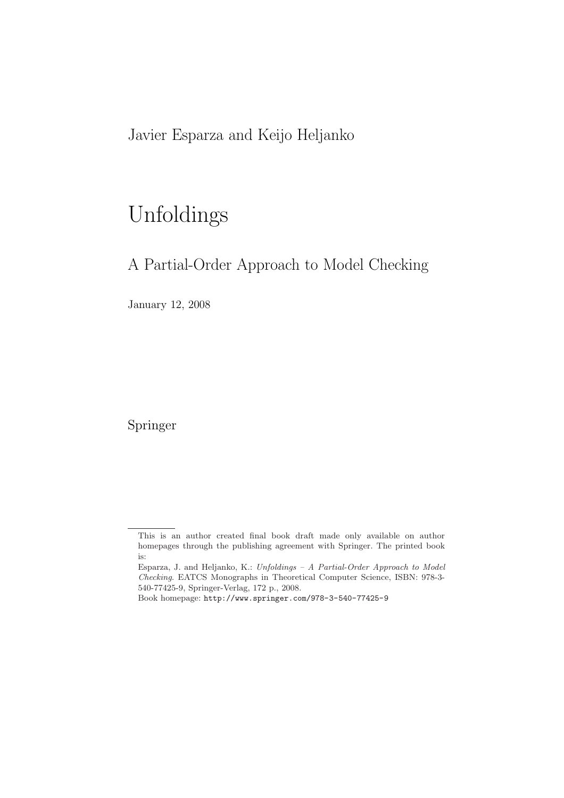Javier Esparza and Keijo Heljanko

# Unfoldings

A Partial-Order Approach to Model Checking

January 12, 2008

Springer

This is an author created final book draft made only available on author homepages through the publishing agreement with Springer. The printed book is:

Esparza, J. and Heljanko, K.: Unfoldings – A Partial-Order Approach to Model Checking. EATCS Monographs in Theoretical Computer Science, ISBN: 978-3- 540-77425-9, Springer-Verlag, 172 p., 2008.

Book homepage: http://www.springer.com/978-3-540-77425-9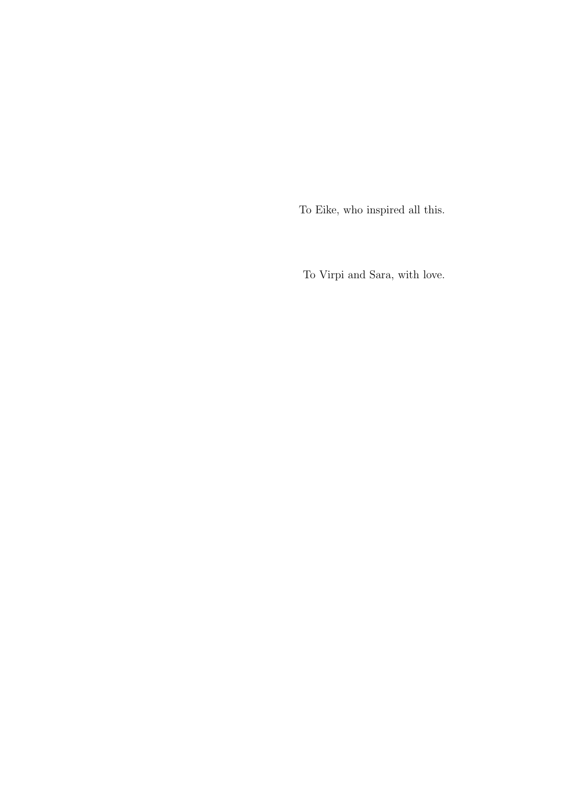To Eike, who inspired all this.

To Virpi and Sara, with love.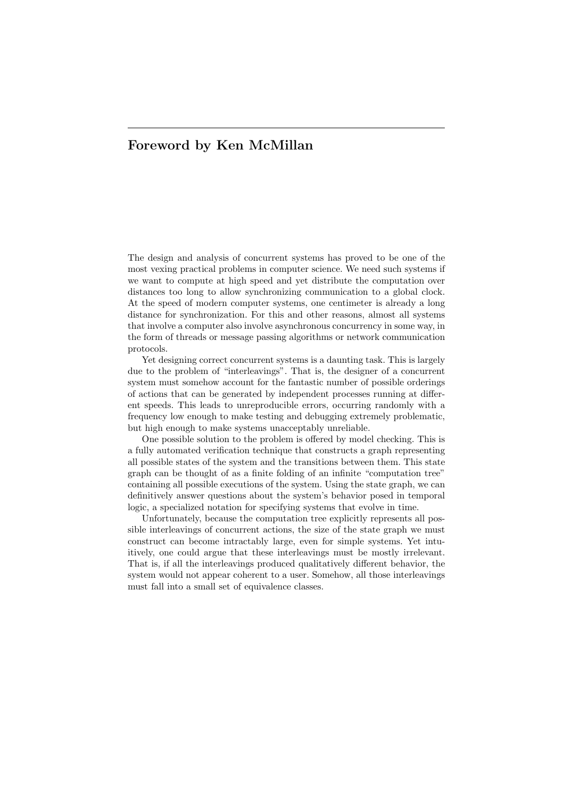### Foreword by Ken McMillan

The design and analysis of concurrent systems has proved to be one of the most vexing practical problems in computer science. We need such systems if we want to compute at high speed and yet distribute the computation over distances too long to allow synchronizing communication to a global clock. At the speed of modern computer systems, one centimeter is already a long distance for synchronization. For this and other reasons, almost all systems that involve a computer also involve asynchronous concurrency in some way, in the form of threads or message passing algorithms or network communication protocols.

Yet designing correct concurrent systems is a daunting task. This is largely due to the problem of "interleavings". That is, the designer of a concurrent system must somehow account for the fantastic number of possible orderings of actions that can be generated by independent processes running at different speeds. This leads to unreproducible errors, occurring randomly with a frequency low enough to make testing and debugging extremely problematic, but high enough to make systems unacceptably unreliable.

One possible solution to the problem is offered by model checking. This is a fully automated verification technique that constructs a graph representing all possible states of the system and the transitions between them. This state graph can be thought of as a finite folding of an infinite "computation tree" containing all possible executions of the system. Using the state graph, we can definitively answer questions about the system's behavior posed in temporal logic, a specialized notation for specifying systems that evolve in time.

Unfortunately, because the computation tree explicitly represents all possible interleavings of concurrent actions, the size of the state graph we must construct can become intractably large, even for simple systems. Yet intuitively, one could argue that these interleavings must be mostly irrelevant. That is, if all the interleavings produced qualitatively different behavior, the system would not appear coherent to a user. Somehow, all those interleavings must fall into a small set of equivalence classes.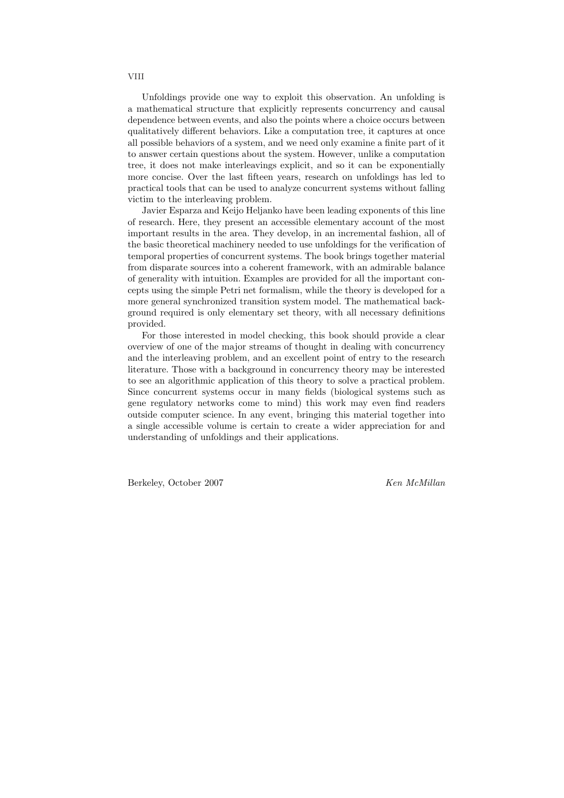Unfoldings provide one way to exploit this observation. An unfolding is a mathematical structure that explicitly represents concurrency and causal dependence between events, and also the points where a choice occurs between qualitatively different behaviors. Like a computation tree, it captures at once all possible behaviors of a system, and we need only examine a finite part of it to answer certain questions about the system. However, unlike a computation tree, it does not make interleavings explicit, and so it can be exponentially more concise. Over the last fifteen years, research on unfoldings has led to practical tools that can be used to analyze concurrent systems without falling victim to the interleaving problem.

Javier Esparza and Keijo Heljanko have been leading exponents of this line of research. Here, they present an accessible elementary account of the most important results in the area. They develop, in an incremental fashion, all of the basic theoretical machinery needed to use unfoldings for the verification of temporal properties of concurrent systems. The book brings together material from disparate sources into a coherent framework, with an admirable balance of generality with intuition. Examples are provided for all the important concepts using the simple Petri net formalism, while the theory is developed for a more general synchronized transition system model. The mathematical background required is only elementary set theory, with all necessary definitions provided.

For those interested in model checking, this book should provide a clear overview of one of the major streams of thought in dealing with concurrency and the interleaving problem, and an excellent point of entry to the research literature. Those with a background in concurrency theory may be interested to see an algorithmic application of this theory to solve a practical problem. Since concurrent systems occur in many fields (biological systems such as gene regulatory networks come to mind) this work may even find readers outside computer science. In any event, bringing this material together into a single accessible volume is certain to create a wider appreciation for and understanding of unfoldings and their applications.

Berkeley, October 2007 Ken McMillan

#### VIII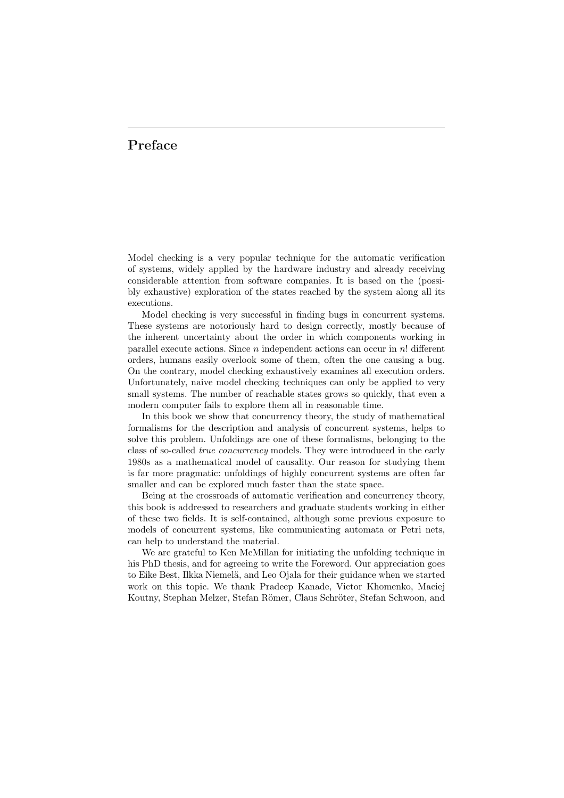## Preface

Model checking is a very popular technique for the automatic verification of systems, widely applied by the hardware industry and already receiving considerable attention from software companies. It is based on the (possibly exhaustive) exploration of the states reached by the system along all its executions.

Model checking is very successful in finding bugs in concurrent systems. These systems are notoriously hard to design correctly, mostly because of the inherent uncertainty about the order in which components working in parallel execute actions. Since  $n$  independent actions can occur in  $n!$  different orders, humans easily overlook some of them, often the one causing a bug. On the contrary, model checking exhaustively examines all execution orders. Unfortunately, naive model checking techniques can only be applied to very small systems. The number of reachable states grows so quickly, that even a modern computer fails to explore them all in reasonable time.

In this book we show that concurrency theory, the study of mathematical formalisms for the description and analysis of concurrent systems, helps to solve this problem. Unfoldings are one of these formalisms, belonging to the class of so-called true concurrency models. They were introduced in the early 1980s as a mathematical model of causality. Our reason for studying them is far more pragmatic: unfoldings of highly concurrent systems are often far smaller and can be explored much faster than the state space.

Being at the crossroads of automatic verification and concurrency theory, this book is addressed to researchers and graduate students working in either of these two fields. It is self-contained, although some previous exposure to models of concurrent systems, like communicating automata or Petri nets, can help to understand the material.

We are grateful to Ken McMillan for initiating the unfolding technique in his PhD thesis, and for agreeing to write the Foreword. Our appreciation goes to Eike Best, Ilkka Niemelä, and Leo Ojala for their guidance when we started work on this topic. We thank Pradeep Kanade, Victor Khomenko, Maciej Koutny, Stephan Melzer, Stefan Römer, Claus Schröter, Stefan Schwoon, and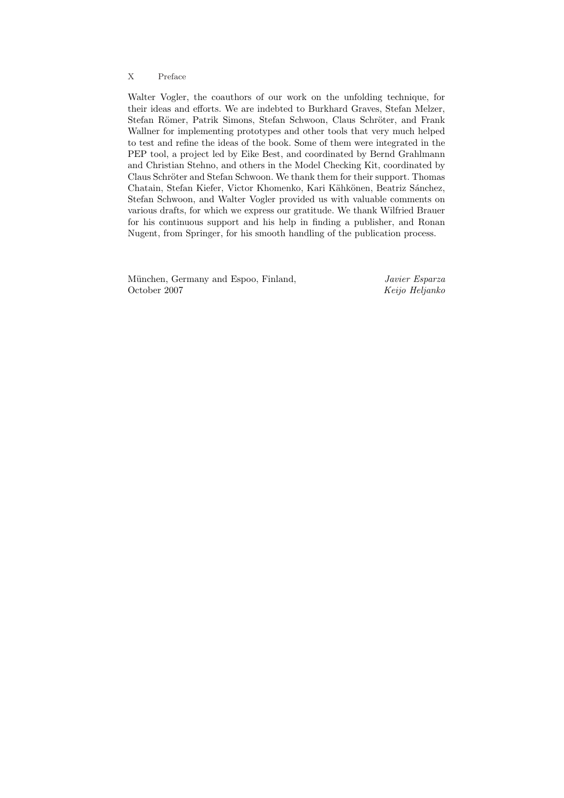#### X Preface

Walter Vogler, the coauthors of our work on the unfolding technique, for their ideas and efforts. We are indebted to Burkhard Graves, Stefan Melzer, Stefan Römer, Patrik Simons, Stefan Schwoon, Claus Schröter, and Frank Wallner for implementing prototypes and other tools that very much helped to test and refine the ideas of the book. Some of them were integrated in the PEP tool, a project led by Eike Best, and coordinated by Bernd Grahlmann and Christian Stehno, and others in the Model Checking Kit, coordinated by Claus Schröter and Stefan Schwoon. We thank them for their support. Thomas Chatain, Stefan Kiefer, Victor Khomenko, Kari Kähkönen, Beatriz Sánchez, Stefan Schwoon, and Walter Vogler provided us with valuable comments on various drafts, for which we express our gratitude. We thank Wilfried Brauer for his continuous support and his help in finding a publisher, and Ronan Nugent, from Springer, for his smooth handling of the publication process.

München, Germany and Espoo, Finland, Javier Esparza October 2007 Keijo Heljanko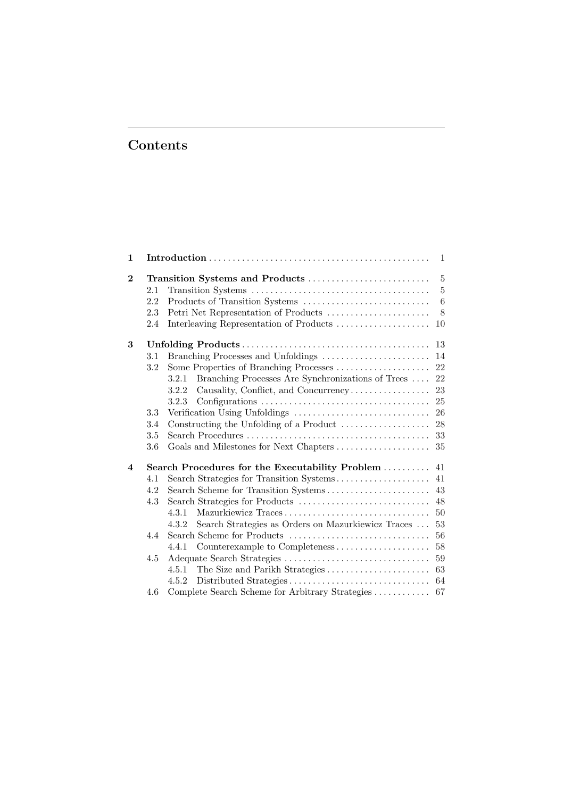## Contents

| $\mathbf{1}$            |         |                                                                          | $\mathbf{1}$   |
|-------------------------|---------|--------------------------------------------------------------------------|----------------|
| $\bf{2}$                |         | Transition Systems and Products                                          | $\bf 5$        |
|                         | 2.1     |                                                                          | $\overline{5}$ |
|                         | 2.2     |                                                                          | 6              |
|                         | 2.3     | Petri Net Representation of Products                                     | 8              |
|                         | 2.4     | Interleaving Representation of Products                                  | 10             |
| 3                       |         |                                                                          | 13             |
|                         | 3.1     | Branching Processes and Unfoldings                                       | 14             |
|                         | $3.2\,$ | Some Properties of Branching Processes                                   | 22             |
|                         |         | Branching Processes Are Synchronizations of Trees<br>3.2.1               | 22             |
|                         |         | Causality, Conflict, and Concurrency<br>3.2.2                            | 23             |
|                         |         | 3.2.3                                                                    | 25             |
|                         | 3.3     |                                                                          | 26             |
|                         | 3.4     | Constructing the Unfolding of a Product $\dots\dots\dots\dots\dots\dots$ | 28             |
|                         | 3.5     |                                                                          | 33             |
|                         | 3.6     | Goals and Milestones for Next Chapters                                   | 35             |
| $\overline{\mathbf{4}}$ |         | Search Procedures for the Executability Problem                          | 41             |
|                         | 4.1     | Search Strategies for Transition Systems                                 | 41             |
|                         | 4.2     | Search Scheme for Transition Systems                                     | 43             |
|                         | 4.3     |                                                                          | 48             |
|                         |         | Mazurkiewicz Traces<br>4.3.1                                             | 50             |
|                         |         | Search Strategies as Orders on Mazurkiewicz Traces<br>4.3.2              | 53             |
|                         | 4.4     | Search Scheme for Products                                               | 56             |
|                         |         | 4.4.1                                                                    | 58             |
|                         | 4.5     | Adequate Search Strategies                                               | 59             |
|                         |         | 4.5.1<br>The Size and Parikh Strategies                                  | 63             |
|                         |         | Distributed Strategies<br>4.5.2                                          | 64             |
|                         | 4.6     | Complete Search Scheme for Arbitrary Strategies                          | 67             |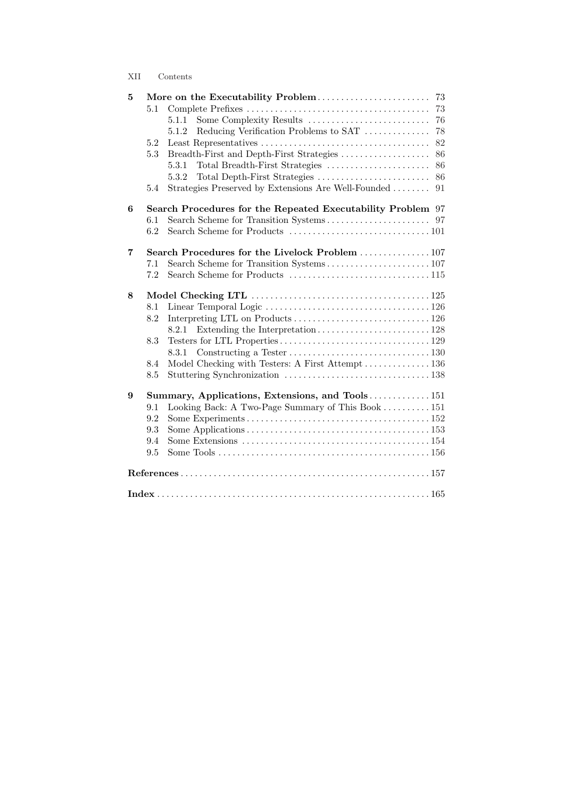| XII | Contents |
|-----|----------|
|     |          |

| 5 |     | More on the Executability Problem                                                                        | 73 |  |  |
|---|-----|----------------------------------------------------------------------------------------------------------|----|--|--|
|   | 5.1 |                                                                                                          | 73 |  |  |
|   |     | Some Complexity Results<br>5.1.1                                                                         | 76 |  |  |
|   |     | 5.1.2<br>Reducing Verification Problems to SAT                                                           | 78 |  |  |
|   | 5.2 |                                                                                                          | 82 |  |  |
|   | 5.3 | Breadth-First and Depth-First Strategies                                                                 | 86 |  |  |
|   |     | 5.3.1<br>Total Breadth-First Strategies                                                                  | 86 |  |  |
|   |     | 5.3.2<br>Total Depth-First Strategies                                                                    | 86 |  |  |
|   | 5.4 | Strategies Preserved by Extensions Are Well-Founded                                                      | 91 |  |  |
| 6 |     | Search Procedures for the Repeated Executability Problem                                                 | 97 |  |  |
|   | 6.1 | Search Scheme for Transition Systems                                                                     | 97 |  |  |
|   | 6.2 |                                                                                                          |    |  |  |
| 7 |     | Search Procedures for the Livelock Problem 107                                                           |    |  |  |
|   | 7.1 |                                                                                                          |    |  |  |
|   | 7.2 |                                                                                                          |    |  |  |
| 8 |     |                                                                                                          |    |  |  |
|   | 8.1 | Linear Temporal Logic $\ldots \ldots \ldots \ldots \ldots \ldots \ldots \ldots \ldots \ldots \ldots 126$ |    |  |  |
|   | 8.2 |                                                                                                          |    |  |  |
|   |     | 8.2.1                                                                                                    |    |  |  |
|   | 8.3 |                                                                                                          |    |  |  |
|   |     | 8.3.1                                                                                                    |    |  |  |
|   | 8.4 | Model Checking with Testers: A First Attempt 136                                                         |    |  |  |
|   | 8.5 |                                                                                                          |    |  |  |
| 9 |     | Summary, Applications, Extensions, and Tools151                                                          |    |  |  |
|   | 9.1 | Looking Back: A Two-Page Summary of This Book  151                                                       |    |  |  |
|   | 9.2 |                                                                                                          |    |  |  |
|   | 9.3 |                                                                                                          |    |  |  |
|   | 9.4 |                                                                                                          |    |  |  |
|   | 9.5 |                                                                                                          |    |  |  |
|   |     |                                                                                                          |    |  |  |
|   |     |                                                                                                          |    |  |  |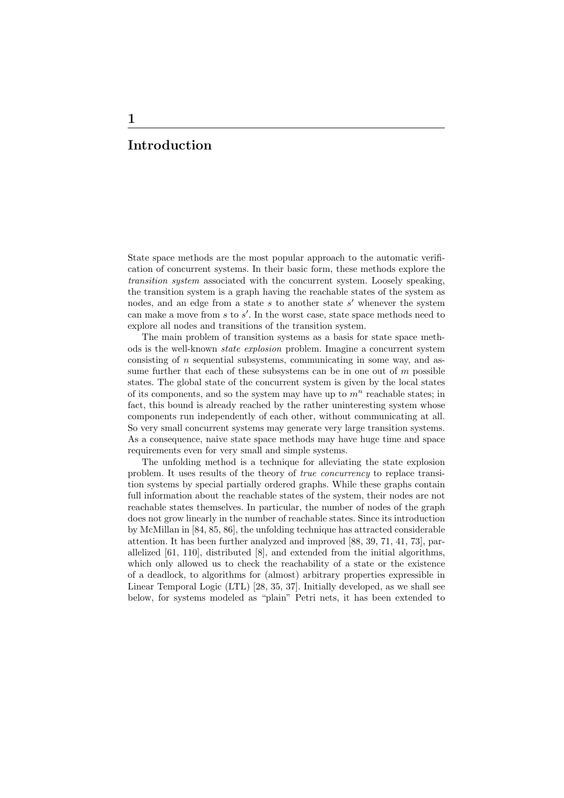## Introduction

State space methods are the most popular approach to the automatic verification of concurrent systems. In their basic form, these methods explore the transition system associated with the concurrent system. Loosely speaking, the transition system is a graph having the reachable states of the system as nodes, and an edge from a state  $s$  to another state  $s'$  whenever the system can make a move from  $s$  to  $s'$ . In the worst case, state space methods need to explore all nodes and transitions of the transition system.

The main problem of transition systems as a basis for state space methods is the well-known state explosion problem. Imagine a concurrent system consisting of n sequential subsystems, communicating in some way, and assume further that each of these subsystems can be in one out of  $m$  possible states. The global state of the concurrent system is given by the local states of its components, and so the system may have up to  $m<sup>n</sup>$  reachable states; in fact, this bound is already reached by the rather uninteresting system whose components run independently of each other, without communicating at all. So very small concurrent systems may generate very large transition systems. As a consequence, naive state space methods may have huge time and space requirements even for very small and simple systems.

The unfolding method is a technique for alleviating the state explosion problem. It uses results of the theory of true concurrency to replace transition systems by special partially ordered graphs. While these graphs contain full information about the reachable states of the system, their nodes are not reachable states themselves. In particular, the number of nodes of the graph does not grow linearly in the number of reachable states. Since its introduction by McMillan in [84, 85, 86], the unfolding technique has attracted considerable attention. It has been further analyzed and improved [88, 39, 71, 41, 73], parallelized [61, 110], distributed [8], and extended from the initial algorithms, which only allowed us to check the reachability of a state or the existence of a deadlock, to algorithms for (almost) arbitrary properties expressible in Linear Temporal Logic (LTL) [28, 35, 37]. Initially developed, as we shall see below, for systems modeled as "plain" Petri nets, it has been extended to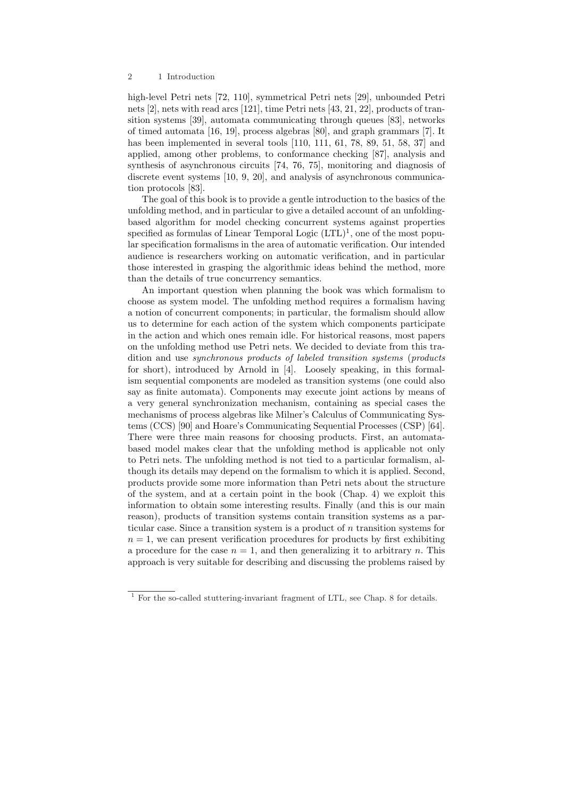#### 2 1 Introduction

high-level Petri nets [72, 110], symmetrical Petri nets [29], unbounded Petri nets [2], nets with read arcs [121], time Petri nets [43, 21, 22], products of transition systems [39], automata communicating through queues [83], networks of timed automata [16, 19], process algebras [80], and graph grammars [7]. It has been implemented in several tools [110, 111, 61, 78, 89, 51, 58, 37] and applied, among other problems, to conformance checking [87], analysis and synthesis of asynchronous circuits [74, 76, 75], monitoring and diagnosis of discrete event systems [10, 9, 20], and analysis of asynchronous communication protocols [83].

The goal of this book is to provide a gentle introduction to the basics of the unfolding method, and in particular to give a detailed account of an unfoldingbased algorithm for model checking concurrent systems against properties specified as formulas of Linear Temporal Logic  $(LTL)^1$ , one of the most popular specification formalisms in the area of automatic verification. Our intended audience is researchers working on automatic verification, and in particular those interested in grasping the algorithmic ideas behind the method, more than the details of true concurrency semantics.

An important question when planning the book was which formalism to choose as system model. The unfolding method requires a formalism having a notion of concurrent components; in particular, the formalism should allow us to determine for each action of the system which components participate in the action and which ones remain idle. For historical reasons, most papers on the unfolding method use Petri nets. We decided to deviate from this tradition and use synchronous products of labeled transition systems (products for short), introduced by Arnold in [4]. Loosely speaking, in this formalism sequential components are modeled as transition systems (one could also say as finite automata). Components may execute joint actions by means of a very general synchronization mechanism, containing as special cases the mechanisms of process algebras like Milner's Calculus of Communicating Systems (CCS) [90] and Hoare's Communicating Sequential Processes (CSP) [64]. There were three main reasons for choosing products. First, an automatabased model makes clear that the unfolding method is applicable not only to Petri nets. The unfolding method is not tied to a particular formalism, although its details may depend on the formalism to which it is applied. Second, products provide some more information than Petri nets about the structure of the system, and at a certain point in the book (Chap. 4) we exploit this information to obtain some interesting results. Finally (and this is our main reason), products of transition systems contain transition systems as a particular case. Since a transition system is a product of n transition systems for  $n = 1$ , we can present verification procedures for products by first exhibiting a procedure for the case  $n = 1$ , and then generalizing it to arbitrary n. This approach is very suitable for describing and discussing the problems raised by

 $\overline{1}$  For the so-called stuttering-invariant fragment of LTL, see Chap. 8 for details.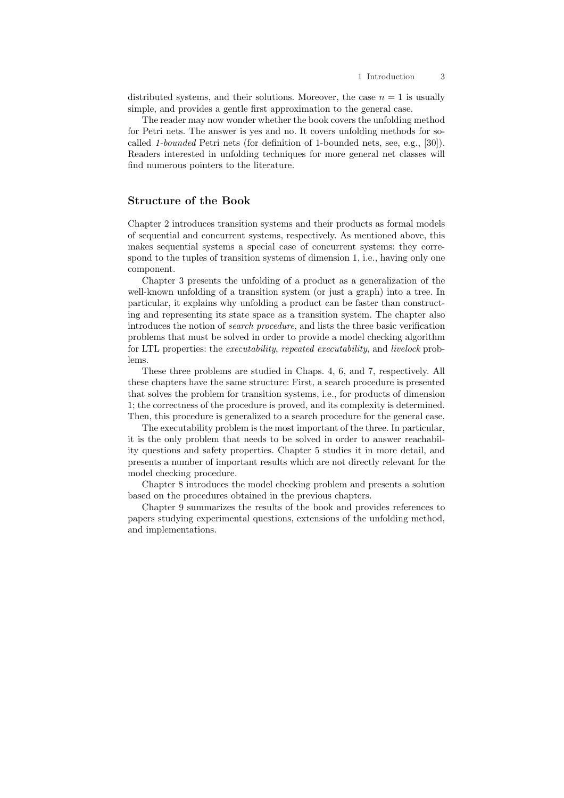distributed systems, and their solutions. Moreover, the case  $n = 1$  is usually simple, and provides a gentle first approximation to the general case.

The reader may now wonder whether the book covers the unfolding method for Petri nets. The answer is yes and no. It covers unfolding methods for socalled 1-bounded Petri nets (for definition of 1-bounded nets, see, e.g., [30]). Readers interested in unfolding techniques for more general net classes will find numerous pointers to the literature.

#### Structure of the Book

Chapter 2 introduces transition systems and their products as formal models of sequential and concurrent systems, respectively. As mentioned above, this makes sequential systems a special case of concurrent systems: they correspond to the tuples of transition systems of dimension 1, i.e., having only one component.

Chapter 3 presents the unfolding of a product as a generalization of the well-known unfolding of a transition system (or just a graph) into a tree. In particular, it explains why unfolding a product can be faster than constructing and representing its state space as a transition system. The chapter also introduces the notion of search procedure, and lists the three basic verification problems that must be solved in order to provide a model checking algorithm for LTL properties: the executability, repeated executability, and livelock problems.

These three problems are studied in Chaps. 4, 6, and 7, respectively. All these chapters have the same structure: First, a search procedure is presented that solves the problem for transition systems, i.e., for products of dimension 1; the correctness of the procedure is proved, and its complexity is determined. Then, this procedure is generalized to a search procedure for the general case.

The executability problem is the most important of the three. In particular, it is the only problem that needs to be solved in order to answer reachability questions and safety properties. Chapter 5 studies it in more detail, and presents a number of important results which are not directly relevant for the model checking procedure.

Chapter 8 introduces the model checking problem and presents a solution based on the procedures obtained in the previous chapters.

Chapter 9 summarizes the results of the book and provides references to papers studying experimental questions, extensions of the unfolding method, and implementations.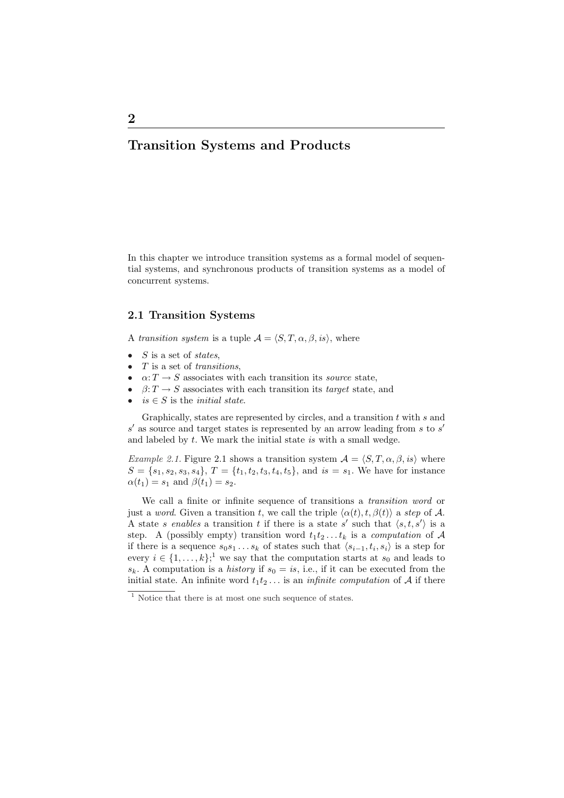## Transition Systems and Products

In this chapter we introduce transition systems as a formal model of sequential systems, and synchronous products of transition systems as a model of concurrent systems.

#### 2.1 Transition Systems

A transition system is a tuple  $A = \langle S, T, \alpha, \beta, i_s \rangle$ , where

- $S$  is a set of *states*,
- $T$  is a set of transitions,
- $\alpha: T \to S$  associates with each transition its *source* state,
- $\beta: T \to S$  associates with each transition its *target* state, and
- $is \in S$  is the *initial state*.

Graphically, states are represented by circles, and a transition  $t$  with  $s$  and  $s'$  as source and target states is represented by an arrow leading from s to  $s'$ and labeled by  $t$ . We mark the initial state is with a small wedge.

Example 2.1. Figure 2.1 shows a transition system  $A = \langle S, T, \alpha, \beta, iS \rangle$  where  $S = \{s_1, s_2, s_3, s_4\}, T = \{t_1, t_2, t_3, t_4, t_5\}, \text{ and } is = s_1.$  We have for instance  $\alpha(t_1) = s_1$  and  $\beta(t_1) = s_2$ .

We call a finite or infinite sequence of transitions a *transition word* or just a *word*. Given a transition t, we call the triple  $\langle \alpha(t), t, \beta(t) \rangle$  a step of A. A state s enables a transition t if there is a state s' such that  $\langle s, t, s' \rangle$  is a step. A (possibly empty) transition word  $t_1t_2 \ldots t_k$  is a *computation* of A if there is a sequence  $s_0s_1 \ldots s_k$  of states such that  $\langle s_{i-1}, t_i, s_i \rangle$  is a step for every  $i \in \{1, \ldots, k\}$ <sup>1</sup>, we say that the computation starts at  $s_0$  and leads to  $s_k$ . A computation is a *history* if  $s_0 = i s$ , i.e., if it can be executed from the initial state. An infinite word  $t_1t_2...$  is an *infinite computation* of A if there

 $\overline{1}$  Notice that there is at most one such sequence of states.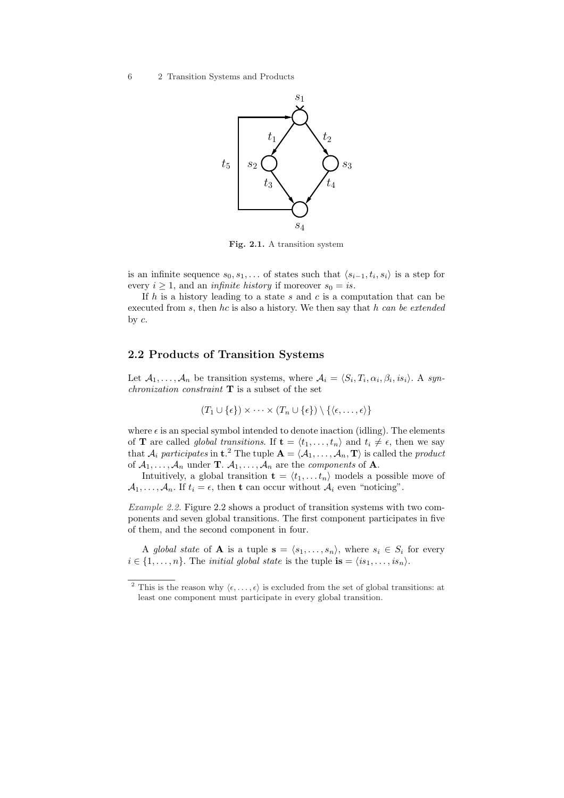#### 6 2 Transition Systems and Products



Fig. 2.1. A transition system

is an infinite sequence  $s_0, s_1, \ldots$  of states such that  $\langle s_{i-1}, t_i, s_i \rangle$  is a step for every  $i \geq 1$ , and an *infinite history* if moreover  $s_0 = is$ .

If  $h$  is a history leading to a state  $s$  and  $c$  is a computation that can be executed from s, then hc is also a history. We then say that h can be extended by  $c$ .

#### 2.2 Products of Transition Systems

Let  $A_1, \ldots, A_n$  be transition systems, where  $A_i = \langle S_i, T_i, \alpha_i, \beta_i, is_i \rangle$ . A synchronization constraint  $T$  is a subset of the set

$$
(T_1 \cup \{\epsilon\}) \times \cdots \times (T_n \cup \{\epsilon\}) \setminus \{\langle \epsilon, \ldots, \epsilon \rangle\}
$$

where  $\epsilon$  is an special symbol intended to denote inaction (idling). The elements of **T** are called *global transitions*. If  $\mathbf{t} = \langle t_1, \ldots, t_n \rangle$  and  $t_i \neq \epsilon$ , then we say that  $\mathcal{A}_i$  participates in t.<sup>2</sup> The tuple  $\mathbf{A} = \langle \mathcal{A}_1, \ldots, \mathcal{A}_n, \mathbf{T} \rangle$  is called the product of  $A_1, \ldots, A_n$  under **T**.  $A_1, \ldots, A_n$  are the *components* of **A**.

Intuitively, a global transition  $\mathbf{t} = \langle t_1, \ldots t_n \rangle$  models a possible move of  $\mathcal{A}_1, \ldots, \mathcal{A}_n$ . If  $t_i = \epsilon$ , then **t** can occur without  $\mathcal{A}_i$  even "noticing".

Example 2.2. Figure 2.2 shows a product of transition systems with two components and seven global transitions. The first component participates in five of them, and the second component in four.

A global state of **A** is a tuple  $s = \langle s_1, \ldots, s_n \rangle$ , where  $s_i \in S_i$  for every  $i \in \{1, \ldots, n\}$ . The *initial global state* is the tuple  $\mathbf{is} = \langle is_1, \ldots, is_n \rangle$ .

<sup>&</sup>lt;sup>2</sup> This is the reason why  $\langle \epsilon, \ldots, \epsilon \rangle$  is excluded from the set of global transitions: at least one component must participate in every global transition.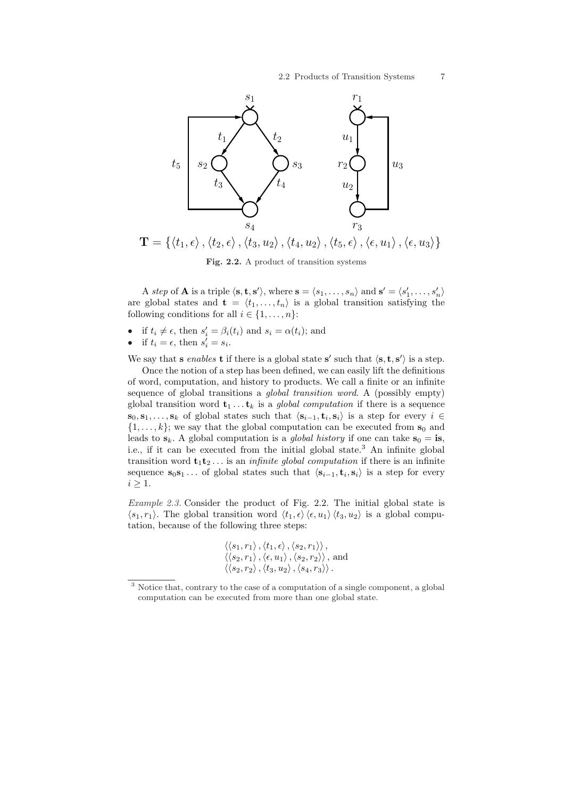

Fig. 2.2. A product of transition systems

A step of **A** is a triple  $\langle s, t, s' \rangle$ , where  $s = \langle s_1, \ldots, s_n \rangle$  and  $s' = \langle s'_1, \ldots, s'_n \rangle$ are global states and  $\mathbf{t} = \langle t_1, \ldots, t_n \rangle$  is a global transition satisfying the following conditions for all  $i \in \{1, \ldots, n\}$ :

- if  $t_i \neq \epsilon$ , then  $s'_i = \beta_i(t_i)$  and  $s_i = \alpha(t_i)$ ; and
- if  $t_i = \epsilon$ , then  $s'_i = s_i$ .

We say that s enables t if there is a global state s' such that  $\langle s, t, s' \rangle$  is a step.

Once the notion of a step has been defined, we can easily lift the definitions of word, computation, and history to products. We call a finite or an infinite sequence of global transitions a global transition word. A (possibly empty) global transition word  $\mathbf{t}_1 \dots \mathbf{t}_k$  is a global computation if there is a sequence  $\mathbf{s}_0, \mathbf{s}_1, \ldots, \mathbf{s}_k$  of global states such that  $\langle \mathbf{s}_{i-1}, \mathbf{t}_i, \mathbf{s}_i \rangle$  is a step for every  $i \in$  $\{1, \ldots, k\}$ ; we say that the global computation can be executed from  $s_0$  and leads to  $s_k$ . A global computation is a *global history* if one can take  $s_0 = i s$ , i.e., if it can be executed from the initial global state.<sup>3</sup> An infinite global transition word  $t_1t_2 \ldots$  is an *infinite global computation* if there is an infinite sequence  $s_0s_1 \dots$  of global states such that  $\langle s_{i-1}, t_i, s_i \rangle$  is a step for every  $i \geq 1$ .

Example 2.3. Consider the product of Fig. 2.2. The initial global state is  $\langle s_1, r_1 \rangle$ . The global transition word  $\langle t_1, \epsilon \rangle \langle \epsilon, u_1 \rangle \langle t_3, u_2 \rangle$  is a global computation, because of the following three steps:

$$
\langle \langle s_1, r_1 \rangle, \langle t_1, \epsilon \rangle, \langle s_2, r_1 \rangle \rangle,
$$
  

$$
\langle \langle s_2, r_1 \rangle, \langle \epsilon, u_1 \rangle, \langle s_2, r_2 \rangle \rangle, \text{ and }
$$
  

$$
\langle \langle s_2, r_2 \rangle, \langle t_3, u_2 \rangle, \langle s_4, r_3 \rangle \rangle.
$$

<sup>&</sup>lt;sup>3</sup> Notice that, contrary to the case of a computation of a single component, a global computation can be executed from more than one global state.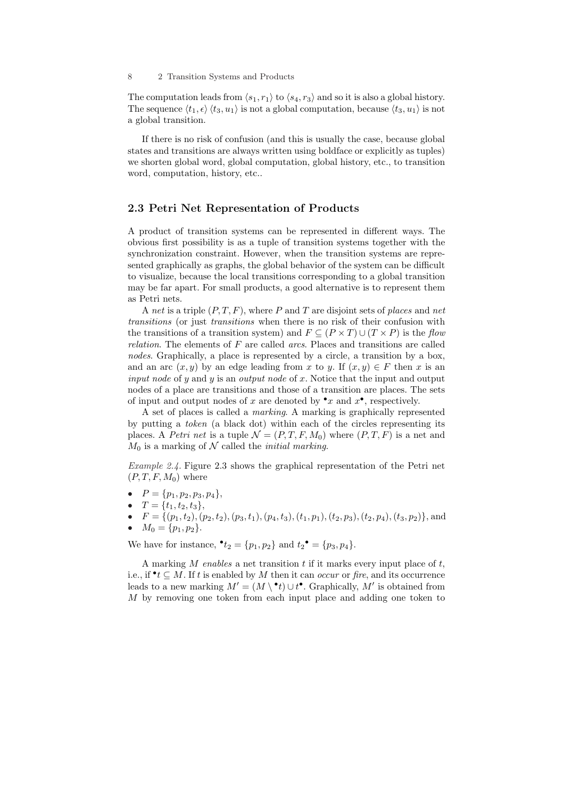#### 8 2 Transition Systems and Products

The computation leads from  $\langle s_1, r_1 \rangle$  to  $\langle s_4, r_3 \rangle$  and so it is also a global history. The sequence  $\langle t_1, \epsilon \rangle \langle t_3, u_1 \rangle$  is not a global computation, because  $\langle t_3, u_1 \rangle$  is not a global transition.

If there is no risk of confusion (and this is usually the case, because global states and transitions are always written using boldface or explicitly as tuples) we shorten global word, global computation, global history, etc., to transition word, computation, history, etc..

#### 2.3 Petri Net Representation of Products

A product of transition systems can be represented in different ways. The obvious first possibility is as a tuple of transition systems together with the synchronization constraint. However, when the transition systems are represented graphically as graphs, the global behavior of the system can be difficult to visualize, because the local transitions corresponding to a global transition may be far apart. For small products, a good alternative is to represent them as Petri nets.

A net is a triple  $(P, T, F)$ , where P and T are disjoint sets of places and net transitions (or just transitions when there is no risk of their confusion with the transitions of a transition system) and  $F \subseteq (P \times T) \cup (T \times P)$  is the flow *relation*. The elements of  $F$  are called *arcs*. Places and transitions are called nodes. Graphically, a place is represented by a circle, a transition by a box, and an arc  $(x, y)$  by an edge leading from x to y. If  $(x, y) \in F$  then x is an input node of y and y is an output node of x. Notice that the input and output nodes of a place are transitions and those of a transition are places. The sets of input and output nodes of x are denoted by  $\bullet x$  and  $x^{\bullet}$ , respectively.

A set of places is called a marking. A marking is graphically represented by putting a token (a black dot) within each of the circles representing its places. A Petri net is a tuple  $\mathcal{N} = (P, T, F, M_0)$  where  $(P, T, F)$  is a net and  $M_0$  is a marking of N called the *initial marking*.

Example 2.4. Figure 2.3 shows the graphical representation of the Petri net  $(P, T, F, M_0)$  where

- $P = \{p_1, p_2, p_3, p_4\},\,$
- $T = \{t_1, t_2, t_3\},\$
- $F = \{(p_1, t_2), (p_2, t_2), (p_3, t_1), (p_4, t_3), (t_1, p_1), (t_2, p_3), (t_2, p_4), (t_3, p_2)\}\$ , and
- $M_0 = \{p_1, p_2\}.$

We have for instance,  $\bullet t_2 = \{p_1, p_2\}$  and  $t_2 \bullet = \{p_3, p_4\}.$ 

A marking  $M$  enables a net transition  $t$  if it marks every input place of  $t$ , i.e., if  $\mathbf{t} \in M$ . If t is enabled by M then it can occur or fire, and its occurrence leads to a new marking  $M' = (M \setminus \bullet t) \cup t^{\bullet}$ . Graphically, M' is obtained from M by removing one token from each input place and adding one token to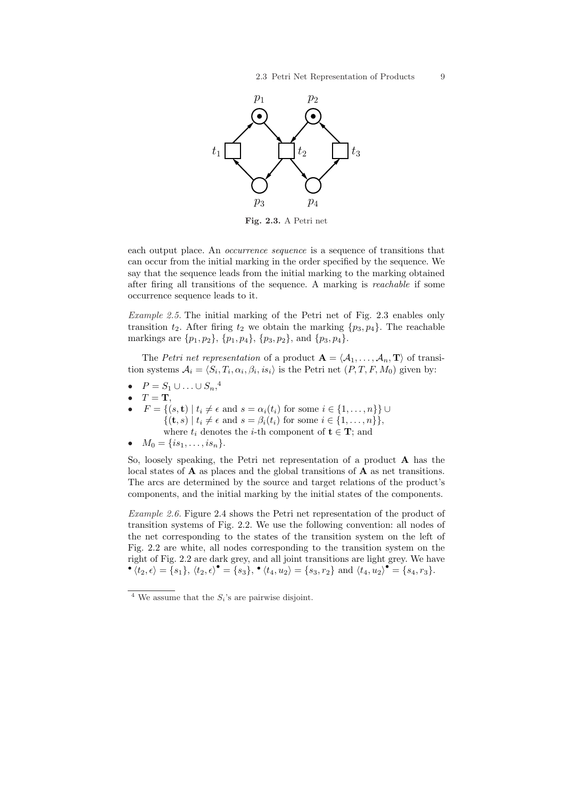

Fig. 2.3. A Petri net

each output place. An *occurrence sequence* is a sequence of transitions that can occur from the initial marking in the order specified by the sequence. We say that the sequence leads from the initial marking to the marking obtained after firing all transitions of the sequence. A marking is reachable if some occurrence sequence leads to it.

Example 2.5. The initial marking of the Petri net of Fig. 2.3 enables only transition  $t_2$ . After firing  $t_2$  we obtain the marking  $\{p_3, p_4\}$ . The reachable markings are  $\{p_1, p_2\}, \{p_1, p_4\}, \{p_3, p_2\}, \text{ and } \{p_3, p_4\}.$ 

The Petri net representation of a product  $\mathbf{A} = \langle A_1, \ldots, A_n, \mathbf{T} \rangle$  of transition systems  $A_i = \langle S_i, T_i, \alpha_i, \beta_i, is_i \rangle$  is the Petri net  $(P, T, F, M_0)$  given by:

- $P = S_1 \cup ... \cup S_n^4$
- $T = T$ ,
- $F = \{(s, \mathbf{t}) \mid t_i \neq \epsilon \text{ and } s = \alpha_i(t_i) \text{ for some } i \in \{1, \ldots, n\}\} \cup$  $\{(\mathbf{t}, s) \mid t_i \neq \epsilon \text{ and } s = \beta_i(t_i) \text{ for some } i \in \{1, \ldots, n\}\},\$ where  $t_i$  denotes the *i*-th component of  $\mathbf{t} \in \mathbf{T}$ ; and
- $M_0 = \{is_1, \ldots, is_n\}.$

So, loosely speaking, the Petri net representation of a product A has the local states of  $A$  as places and the global transitions of  $A$  as net transitions. The arcs are determined by the source and target relations of the product's components, and the initial marking by the initial states of the components.

Example 2.6. Figure 2.4 shows the Petri net representation of the product of transition systems of Fig. 2.2. We use the following convention: all nodes of the net corresponding to the states of the transition system on the left of Fig. 2.2 are white, all nodes corresponding to the transition system on the right of Fig. 2.2 are dark grey, and all joint transitions are light grey. We have  $\bullet$   $\langle t_2, \epsilon \rangle = \{s_1\}, \langle t_2, \epsilon \rangle \bullet = \{s_3\}, \bullet \langle t_4, u_2 \rangle = \{s_3, r_2\}$  and  $\langle t_4, u_2 \rangle \bullet = \{s_4, r_3\}.$ 

<sup>&</sup>lt;sup>4</sup> We assume that the  $S_i$ 's are pairwise disjoint.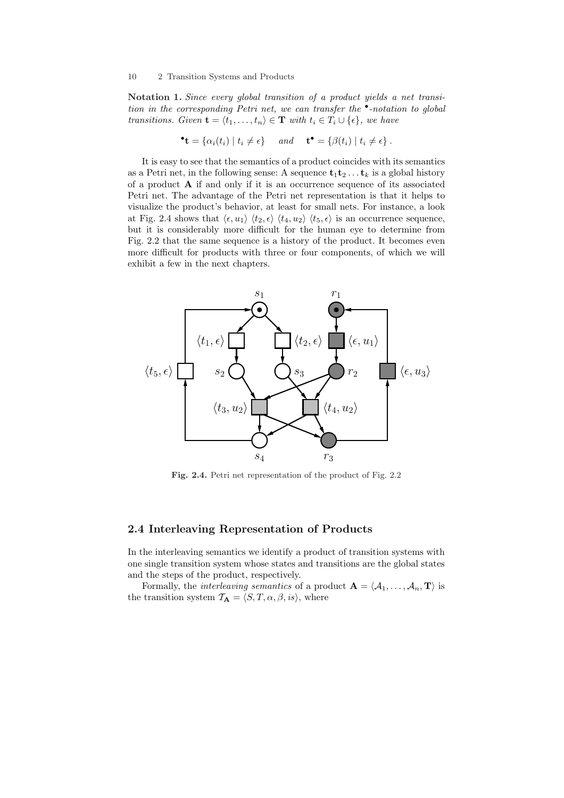#### 10 2 Transition Systems and Products

Notation 1. Since every global transition of a product yields a net transition in the corresponding Petri net, we can transfer the  $\bullet$ -notation to global transitions. Given  $\mathbf{t} = \langle t_1, \ldots, t_n \rangle \in \mathbf{T}$  with  $t_i \in T_i \cup \{\epsilon\}$ , we have

$$
\bullet \mathbf{t} = \{ \alpha_i(t_i) \mid t_i \neq \epsilon \} \quad \text{and} \quad \mathbf{t} \bullet \{ \beta(t_i) \mid t_i \neq \epsilon \} .
$$

It is easy to see that the semantics of a product coincides with its semantics as a Petri net, in the following sense: A sequence  $\mathbf{t}_1 \mathbf{t}_2 \dots \mathbf{t}_k$  is a global history of a product A if and only if it is an occurrence sequence of its associated Petri net. The advantage of the Petri net representation is that it helps to visualize the product's behavior, at least for small nets. For instance, a look at Fig. 2.4 shows that  $\langle \epsilon, u_1 \rangle \langle t_2, \epsilon \rangle \langle t_4, u_2 \rangle \langle t_5, \epsilon \rangle$  is an occurrence sequence, but it is considerably more difficult for the human eye to determine from Fig. 2.2 that the same sequence is a history of the product. It becomes even more difficult for products with three or four components, of which we will exhibit a few in the next chapters.



Fig. 2.4. Petri net representation of the product of Fig. 2.2

#### 2.4 Interleaving Representation of Products

In the interleaving semantics we identify a product of transition systems with one single transition system whose states and transitions are the global states and the steps of the product, respectively.

Formally, the *interleaving semantics* of a product  $\mathbf{A} = \langle A_1, \ldots, A_n, \mathbf{T} \rangle$  is the transition system  $\mathcal{T}_{\mathbf{A}} = \langle S, T, \alpha, \beta, i\mathfrak{s} \rangle$ , where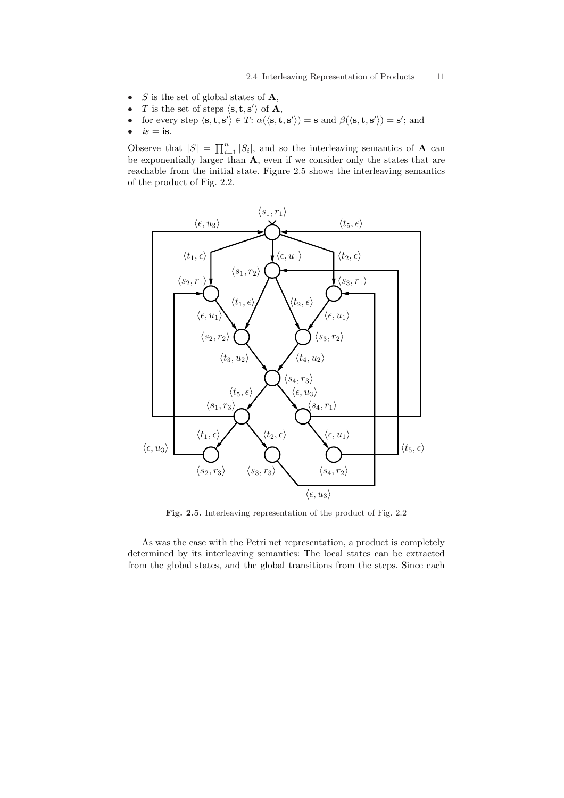- $S$  is the set of global states of  $A$ ,
- T is the set of steps  $\langle s, t, s' \rangle$  of **A**,
- for every step  $\langle s, t, s' \rangle \in T: \alpha(\langle s, t, s' \rangle) = s$  and  $\beta(\langle s, t, s' \rangle) = s'$ ; and
- $is =$  is.

Observe that  $|S| = \prod_{i=1}^{n} |S_i|$ , and so the interleaving semantics of **A** can be exponentially larger than A, even if we consider only the states that are reachable from the initial state. Figure 2.5 shows the interleaving semantics of the product of Fig. 2.2.



Fig. 2.5. Interleaving representation of the product of Fig. 2.2

As was the case with the Petri net representation, a product is completely determined by its interleaving semantics: The local states can be extracted from the global states, and the global transitions from the steps. Since each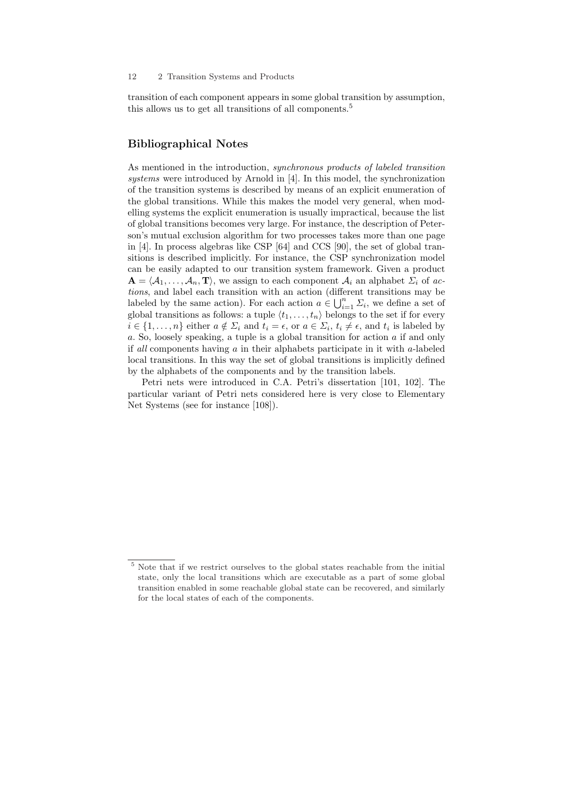#### 12 2 Transition Systems and Products

transition of each component appears in some global transition by assumption, this allows us to get all transitions of all components.<sup>5</sup>

#### Bibliographical Notes

As mentioned in the introduction, synchronous products of labeled transition systems were introduced by Arnold in [4]. In this model, the synchronization of the transition systems is described by means of an explicit enumeration of the global transitions. While this makes the model very general, when modelling systems the explicit enumeration is usually impractical, because the list of global transitions becomes very large. For instance, the description of Peterson's mutual exclusion algorithm for two processes takes more than one page in [4]. In process algebras like CSP [64] and CCS [90], the set of global transitions is described implicitly. For instance, the CSP synchronization model can be easily adapted to our transition system framework. Given a product  $\mathbf{A} = \langle A_1, \ldots, A_n, \mathbf{T} \rangle$ , we assign to each component  $A_i$  an alphabet  $\Sigma_i$  of actions, and label each transition with an action (different transitions may be *labeled by the same action*). For each action  $a \in \bigcup_{i=1}^{n} \Sigma_i$ , we define a set of global transitions as follows: a tuple  $\langle t_1, \ldots, t_n \rangle$  belongs to the set if for every  $i \in \{1, \ldots, n\}$  either  $a \notin \Sigma_i$  and  $t_i = \epsilon$ , or  $a \in \Sigma_i$ ,  $t_i \neq \epsilon$ , and  $t_i$  is labeled by a. So, loosely speaking, a tuple is a global transition for action a if and only if all components having  $\alpha$  in their alphabets participate in it with  $\alpha$ -labeled local transitions. In this way the set of global transitions is implicitly defined by the alphabets of the components and by the transition labels.

Petri nets were introduced in C.A. Petri's dissertation [101, 102]. The particular variant of Petri nets considered here is very close to Elementary Net Systems (see for instance [108]).

<sup>5</sup> Note that if we restrict ourselves to the global states reachable from the initial state, only the local transitions which are executable as a part of some global transition enabled in some reachable global state can be recovered, and similarly for the local states of each of the components.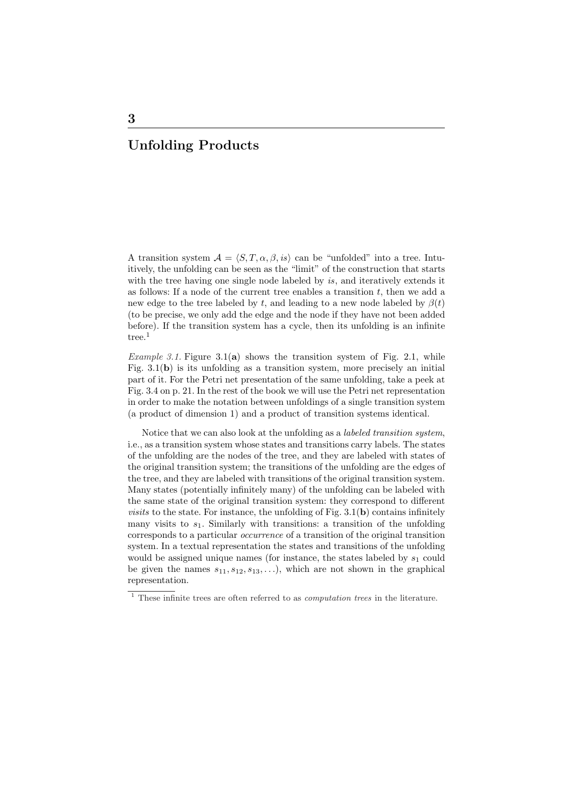A transition system  $A = \langle S, T, \alpha, \beta, is \rangle$  can be "unfolded" into a tree. Intuitively, the unfolding can be seen as the "limit" of the construction that starts with the tree having one single node labeled by is, and iteratively extends it as follows: If a node of the current tree enables a transition  $t$ , then we add a new edge to the tree labeled by t, and leading to a new node labeled by  $\beta(t)$ (to be precise, we only add the edge and the node if they have not been added before). If the transition system has a cycle, then its unfolding is an infinite tree.<sup>1</sup>

*Example 3.1.* Figure 3.1(a) shows the transition system of Fig. 2.1, while Fig.  $3.1(b)$  is its unfolding as a transition system, more precisely an initial part of it. For the Petri net presentation of the same unfolding, take a peek at Fig. 3.4 on p. 21. In the rest of the book we will use the Petri net representation in order to make the notation between unfoldings of a single transition system (a product of dimension 1) and a product of transition systems identical.

Notice that we can also look at the unfolding as a labeled transition system, i.e., as a transition system whose states and transitions carry labels. The states of the unfolding are the nodes of the tree, and they are labeled with states of the original transition system; the transitions of the unfolding are the edges of the tree, and they are labeled with transitions of the original transition system. Many states (potentially infinitely many) of the unfolding can be labeled with the same state of the original transition system: they correspond to different visits to the state. For instance, the unfolding of Fig.  $3.1(b)$  contains infinitely many visits to  $s_1$ . Similarly with transitions: a transition of the unfolding corresponds to a particular occurrence of a transition of the original transition system. In a textual representation the states and transitions of the unfolding would be assigned unique names (for instance, the states labeled by  $s_1$  could be given the names  $s_{11}, s_{12}, s_{13}, \ldots$ , which are not shown in the graphical representation.

 $\frac{1}{1}$  These infinite trees are often referred to as *computation trees* in the literature.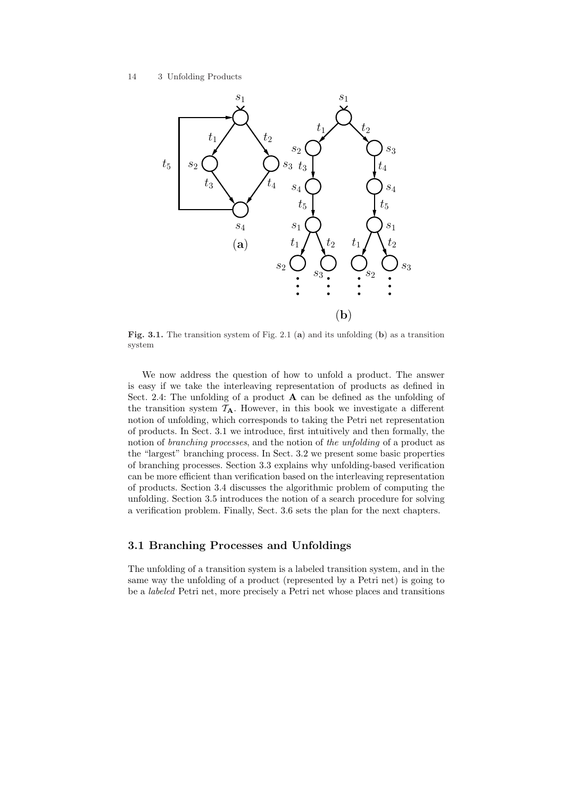

Fig. 3.1. The transition system of Fig. 2.1 (a) and its unfolding (b) as a transition system

We now address the question of how to unfold a product. The answer is easy if we take the interleaving representation of products as defined in Sect. 2.4: The unfolding of a product A can be defined as the unfolding of the transition system  $T_A$ . However, in this book we investigate a different notion of unfolding, which corresponds to taking the Petri net representation of products. In Sect. 3.1 we introduce, first intuitively and then formally, the notion of *branching processes*, and the notion of the unfolding of a product as the "largest" branching process. In Sect. 3.2 we present some basic properties of branching processes. Section 3.3 explains why unfolding-based verification can be more efficient than verification based on the interleaving representation of products. Section 3.4 discusses the algorithmic problem of computing the unfolding. Section 3.5 introduces the notion of a search procedure for solving a verification problem. Finally, Sect. 3.6 sets the plan for the next chapters.

#### 3.1 Branching Processes and Unfoldings

The unfolding of a transition system is a labeled transition system, and in the same way the unfolding of a product (represented by a Petri net) is going to be a labeled Petri net, more precisely a Petri net whose places and transitions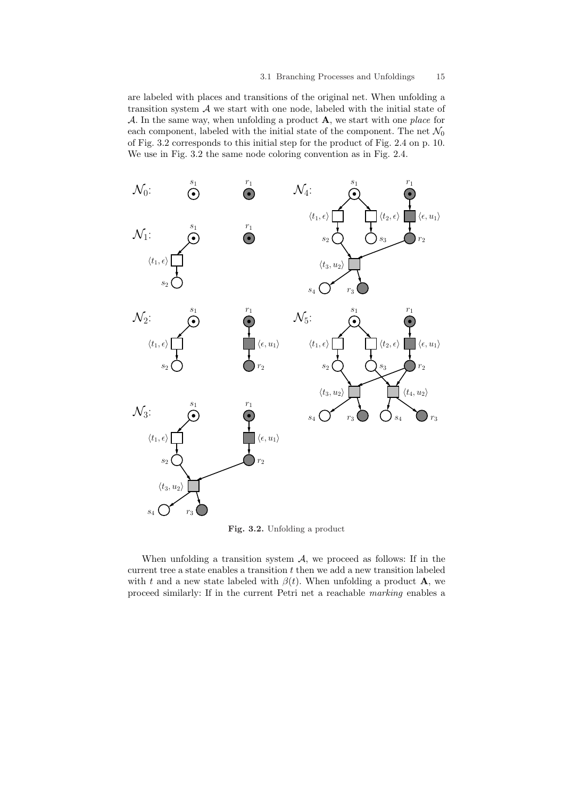are labeled with places and transitions of the original net. When unfolding a transition system A we start with one node, labeled with the initial state of A. In the same way, when unfolding a product  $\bf{A}$ , we start with one place for each component, labeled with the initial state of the component. The net  $\mathcal{N}_0$ of Fig. 3.2 corresponds to this initial step for the product of Fig. 2.4 on p. 10. We use in Fig. 3.2 the same node coloring convention as in Fig. 2.4.



Fig. 3.2. Unfolding a product

When unfolding a transition system  $A$ , we proceed as follows: If in the current tree a state enables a transition  $t$  then we add a new transition labeled with t and a new state labeled with  $\beta(t)$ . When unfolding a product **A**, we proceed similarly: If in the current Petri net a reachable marking enables a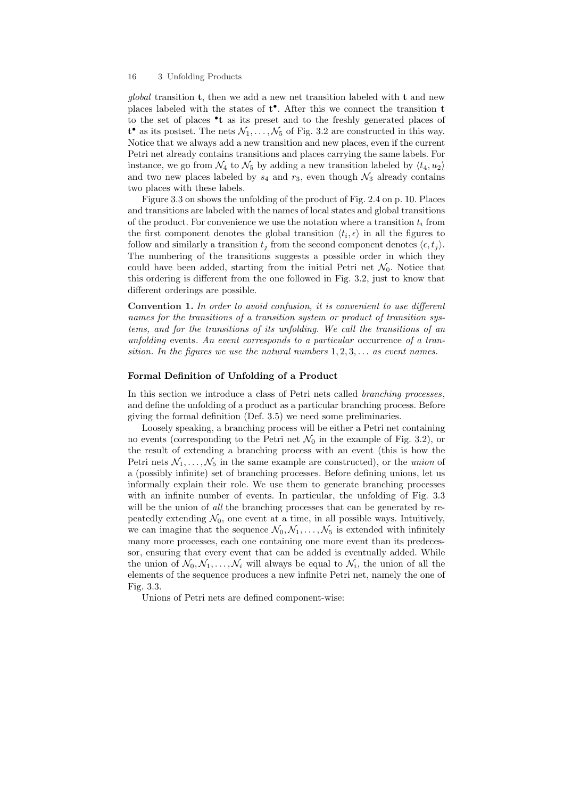global transition  $t$ , then we add a new net transition labeled with  $t$  and new places labeled with the states of  $t^{\bullet}$ . After this we connect the transition  $t$ to the set of places • t as its preset and to the freshly generated places of  $t^{\bullet}$  as its postset. The nets  $\mathcal{N}_1, \ldots, \mathcal{N}_5$  of Fig. 3.2 are constructed in this way. Notice that we always add a new transition and new places, even if the current Petri net already contains transitions and places carrying the same labels. For instance, we go from  $\mathcal{N}_4$  to  $\mathcal{N}_5$  by adding a new transition labeled by  $\langle t_4, u_2 \rangle$ and two new places labeled by  $s_4$  and  $r_3$ , even though  $\mathcal{N}_3$  already contains two places with these labels.

Figure 3.3 on shows the unfolding of the product of Fig. 2.4 on p. 10. Places and transitions are labeled with the names of local states and global transitions of the product. For convenience we use the notation where a transition  $t_i$  from the first component denotes the global transition  $\langle t_i, \epsilon \rangle$  in all the figures to follow and similarly a transition  $t_j$  from the second component denotes  $\langle \epsilon, t_j \rangle$ . The numbering of the transitions suggests a possible order in which they could have been added, starting from the initial Petri net  $\mathcal{N}_0$ . Notice that this ordering is different from the one followed in Fig. 3.2, just to know that different orderings are possible.

Convention 1. In order to avoid confusion, it is convenient to use different names for the transitions of a transition system or product of transition systems, and for the transitions of its unfolding. We call the transitions of an unfolding events. An event corresponds to a particular occurrence of a transition. In the figures we use the natural numbers  $1, 2, 3, \ldots$  as event names.

#### Formal Definition of Unfolding of a Product

In this section we introduce a class of Petri nets called branching processes, and define the unfolding of a product as a particular branching process. Before giving the formal definition (Def. 3.5) we need some preliminaries.

Loosely speaking, a branching process will be either a Petri net containing no events (corresponding to the Petri net  $\mathcal{N}_0$  in the example of Fig. 3.2), or the result of extending a branching process with an event (this is how the Petri nets  $\mathcal{N}_1, \ldots, \mathcal{N}_5$  in the same example are constructed), or the union of a (possibly infinite) set of branching processes. Before defining unions, let us informally explain their role. We use them to generate branching processes with an infinite number of events. In particular, the unfolding of Fig. 3.3 will be the union of all the branching processes that can be generated by repeatedly extending  $\mathcal{N}_0$ , one event at a time, in all possible ways. Intuitively, we can imagine that the sequence  $\mathcal{N}_0, \mathcal{N}_1, \ldots, \mathcal{N}_5$  is extended with infinitely many more processes, each one containing one more event than its predecessor, ensuring that every event that can be added is eventually added. While the union of  $\mathcal{N}_0, \mathcal{N}_1, \ldots, \mathcal{N}_i$  will always be equal to  $\mathcal{N}_i$ , the union of all the elements of the sequence produces a new infinite Petri net, namely the one of Fig. 3.3.

Unions of Petri nets are defined component-wise: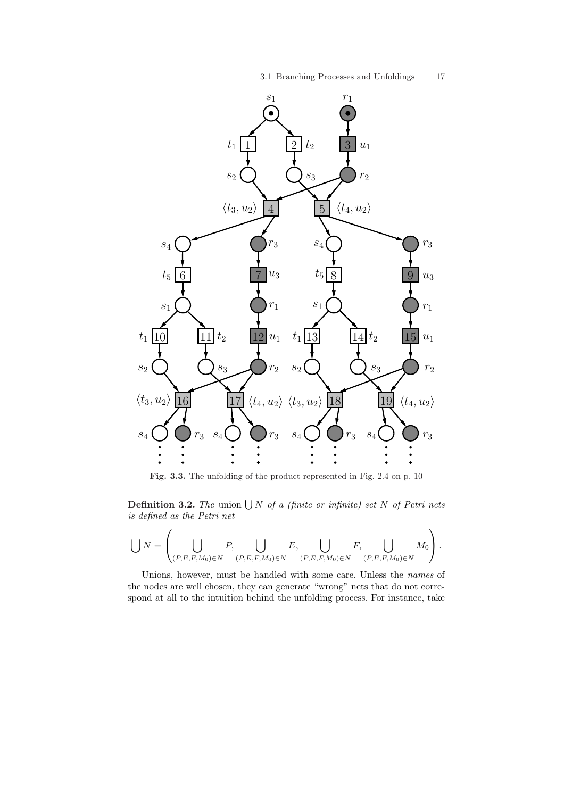

Fig. 3.3. The unfolding of the product represented in Fig. 2.4 on p. 10

**Definition 3.2.** The union  $\bigcup N$  of a (finite or infinite) set N of Petri nets is defined as the Petri net

 $\mathbf{r}$ 

$$
\bigcup N = \left(\bigcup_{(P,E,F,M_0)\in N} P, \bigcup_{(P,E,F,M_0)\in N} E, \bigcup_{(P,E,F,M_0)\in N} F, \bigcup_{(P,E,F,M_0)\in N} M_0\right).
$$

 $\overline{\phantom{a}}$ 

Unions, however, must be handled with some care. Unless the names of the nodes are well chosen, they can generate "wrong" nets that do not correspond at all to the intuition behind the unfolding process. For instance, take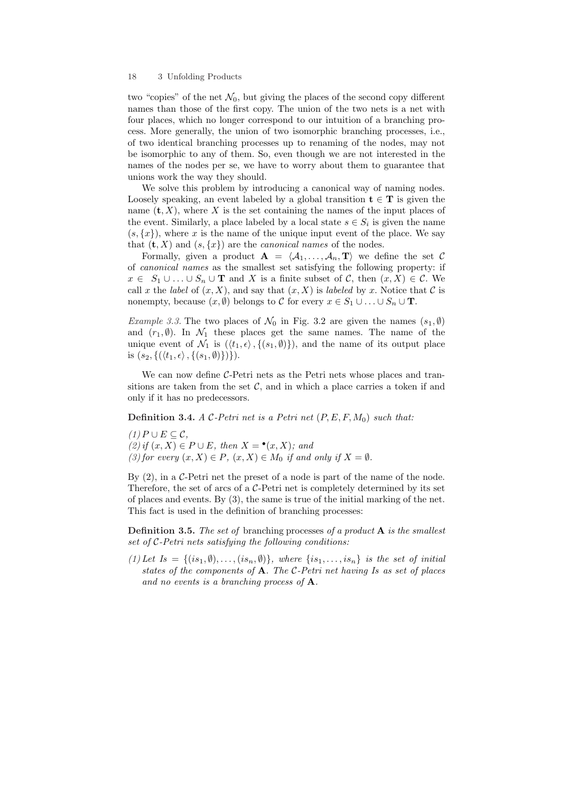two "copies" of the net  $\mathcal{N}_0$ , but giving the places of the second copy different names than those of the first copy. The union of the two nets is a net with four places, which no longer correspond to our intuition of a branching process. More generally, the union of two isomorphic branching processes, i.e., of two identical branching processes up to renaming of the nodes, may not be isomorphic to any of them. So, even though we are not interested in the names of the nodes per se, we have to worry about them to guarantee that unions work the way they should.

We solve this problem by introducing a canonical way of naming nodes. Loosely speaking, an event labeled by a global transition  $t \in T$  is given the name  $(t, X)$ , where X is the set containing the names of the input places of the event. Similarly, a place labeled by a local state  $s \in S_i$  is given the name  $(s, \{x\})$ , where x is the name of the unique input event of the place. We say that  $(\mathbf{t}, X)$  and  $(s, \{x\})$  are the *canonical names* of the nodes.

Formally, given a product  $\mathbf{A} = \langle A_1, \ldots, A_n, \mathbf{T} \rangle$  we define the set C of canonical names as the smallest set satisfying the following property: if  $x \in S_1 \cup \ldots \cup S_n \cup \mathbf{T}$  and X is a finite subset of C, then  $(x, X) \in \mathcal{C}$ . We call x the label of  $(x, X)$ , and say that  $(x, X)$  is labeled by x. Notice that C is nonempty, because  $(x, \emptyset)$  belongs to C for every  $x \in S_1 \cup ... \cup S_n \cup T$ .

Example 3.3. The two places of  $\mathcal{N}_0$  in Fig. 3.2 are given the names  $(s_1, \emptyset)$ and  $(r_1, \emptyset)$ . In  $\mathcal{N}_1$  these places get the same names. The name of the unique event of  $\mathcal{N}_1$  is  $(\langle t_1, \epsilon \rangle, \{ (s_1, \emptyset) \})$ , and the name of its output place is  $(s_2, \{(\langle t_1, \epsilon \rangle, \{ (s_1, \emptyset) \})\}).$ 

We can now define  $C$ -Petri nets as the Petri nets whose places and transitions are taken from the set  $C$ , and in which a place carries a token if and only if it has no predecessors.

**Definition 3.4.** A C-Petri net is a Petri net  $(P, E, F, M_0)$  such that:

 $(1) P \cup E \subseteq C$ ,  $(2)$  if  $(x, X) \in P \cup E$ , then  $X = \bullet(x, X)$ ; and (3) for every  $(x, X) \in P$ ,  $(x, X) \in M_0$  if and only if  $X = \emptyset$ .

By  $(2)$ , in a C-Petri net the preset of a node is part of the name of the node. Therefore, the set of arcs of a  $\mathcal{C}\text{-Petri}$  net is completely determined by its set of places and events. By (3), the same is true of the initial marking of the net. This fact is used in the definition of branching processes:

**Definition 3.5.** The set of branching processes of a product  $\bf{A}$  is the smallest set of C-Petri nets satisfying the following conditions:

(1) Let  $Is = \{(is_1, \emptyset), \ldots, (is_n, \emptyset)\}\$ , where  $\{is_1, \ldots, is_n\}$  is the set of initial states of the components of A. The C-Petri net having Is as set of places and no events is a branching process of  $\bf{A}$ .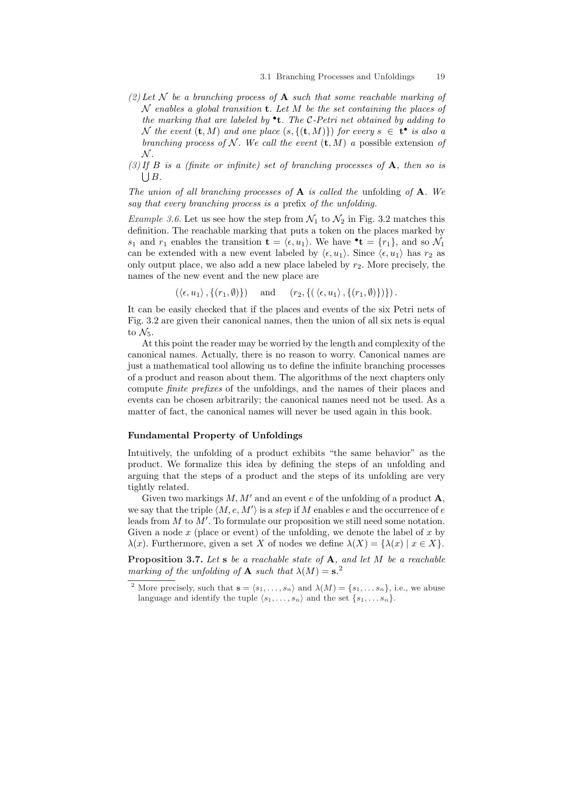- (2) Let N be a branching process of A such that some reachable marking of  $\mathcal N$  enables a global transition **t**. Let M be the set containing the places of the marking that are labeled by  $\cdot t$ . The C-Petri net obtained by adding to N the event  $(\mathbf{t}, M)$  and one place  $(s, \{(\mathbf{t}, M)\})$  for every  $s \in \mathbf{t}^{\bullet}$  is also a branching process of N. We call the event  $(t, M)$  a possible extension of  $\mathcal{N}$ .
- $(3)$  If B is a (finite or infinite) set of branching processes of **A**, then so is  $\bigcup B$ .

The union of all branching processes of  $A$  is called the unfolding of  $A$ . We say that every branching process is a prefix of the unfolding.

Example 3.6. Let us see how the step from  $\mathcal{N}_1$  to  $\mathcal{N}_2$  in Fig. 3.2 matches this definition. The reachable marking that puts a token on the places marked by  $s_1$  and  $r_1$  enables the transition  $\mathbf{t} = \langle \epsilon, u_1 \rangle$ . We have  $\mathbf{t} = \{r_1\}$ , and so  $\mathcal{N}_1$ can be extended with a new event labeled by  $\langle \epsilon, u_1 \rangle$ . Since  $\langle \epsilon, u_1 \rangle$  has  $r_2$  as only output place, we also add a new place labeled by  $r_2$ . More precisely, the names of the new event and the new place are

 $({\langle \epsilon, u_1 \rangle}, {\langle (r_1, \emptyset) \rangle})$  and  $(r_2, {\langle \epsilon, u_1 \rangle}, {\langle (r_1, \emptyset) \rangle})$ .

It can be easily checked that if the places and events of the six Petri nets of Fig. 3.2 are given their canonical names, then the union of all six nets is equal to  $\mathcal{N}_5$ .

At this point the reader may be worried by the length and complexity of the canonical names. Actually, there is no reason to worry. Canonical names are just a mathematical tool allowing us to define the infinite branching processes of a product and reason about them. The algorithms of the next chapters only compute finite prefixes of the unfoldings, and the names of their places and events can be chosen arbitrarily; the canonical names need not be used. As a matter of fact, the canonical names will never be used again in this book.

#### Fundamental Property of Unfoldings

Intuitively, the unfolding of a product exhibits "the same behavior" as the product. We formalize this idea by defining the steps of an unfolding and arguing that the steps of a product and the steps of its unfolding are very tightly related.

Given two markings  $M, M'$  and an event e of the unfolding of a product  $\mathbf{A}$ , we say that the triple  $\langle M, e, M' \rangle$  is a step if M enables e and the occurrence of e leads from  $M$  to  $M'$ . To formulate our proposition we still need some notation. Given a node  $x$  (place or event) of the unfolding, we denote the label of  $x$  by  $\lambda(x)$ . Furthermore, given a set X of nodes we define  $\lambda(X) = {\lambda(x) | x \in X}$ .

**Proposition 3.7.** Let  $s$  be a reachable state of  $A$ , and let  $M$  be a reachable marking of the unfolding of **A** such that  $\lambda(M) = s^2$ .

<sup>&</sup>lt;sup>2</sup> More precisely, such that  $\mathbf{s} = \langle s_1, \ldots, s_n \rangle$  and  $\lambda(M) = \{s_1, \ldots s_n\}$ , i.e., we abuse language and identify the tuple  $\langle s_1, \ldots, s_n \rangle$  and the set  $\{s_1, \ldots s_n\}.$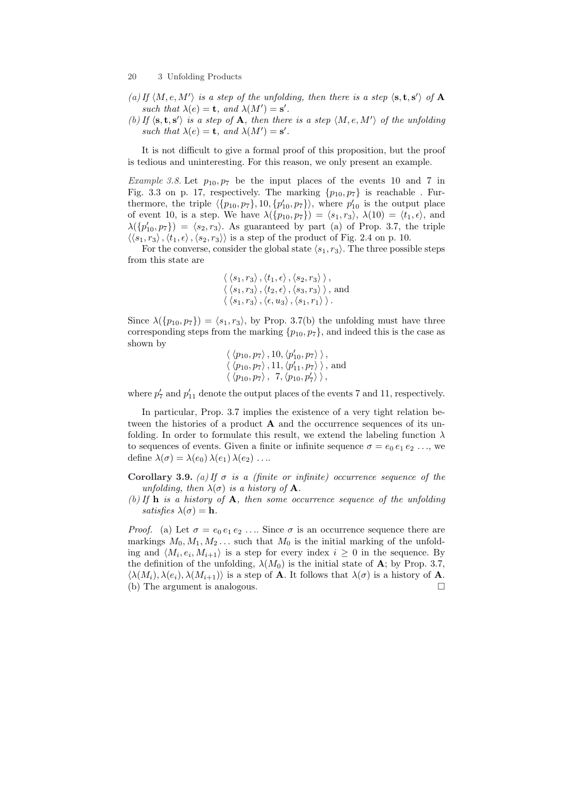- (a) If  $\langle M, e, M' \rangle$  is a step of the unfolding, then there is a step  $\langle s, t, s' \rangle$  of A such that  $\lambda(e) = \mathbf{t}$ , and  $\lambda(M') = \mathbf{s}'$ .
- (b) If  $\langle s, t, s' \rangle$  is a step of A, then there is a step  $\langle M, e, M' \rangle$  of the unfolding such that  $\lambda(e) = \mathbf{t}$ , and  $\lambda(M') = \mathbf{s}'$ .

It is not difficult to give a formal proof of this proposition, but the proof is tedious and uninteresting. For this reason, we only present an example.

Example 3.8. Let  $p_{10}, p_7$  be the input places of the events 10 and 7 in Fig. 3.3 on p. 17, respectively. The marking  $\{p_{10}, p_7\}$  is reachable. Furthermore, the triple  $\langle p_{10}, p_7 \rangle$ , 10,  $\{p'_{10}, p_7\}$ , where  $p'_{10}$  is the output place of event 10, is a step. We have  $\lambda({p_{10}, p_7}) = \langle s_1, r_3 \rangle, \lambda(10) = \langle t_1, \epsilon \rangle$ , and  $\lambda({p'_{10}, p_7}) = \langle s_2, r_3 \rangle$ . As guaranteed by part (a) of Prop. 3.7, the triple  $\langle\langle s_1, r_3\rangle, \langle t_1, \epsilon\rangle, \langle s_2, r_3\rangle\rangle$  is a step of the product of Fig. 2.4 on p. 10.

For the converse, consider the global state  $\langle s_1, r_3 \rangle$ . The three possible steps from this state are

$$
\langle \langle s_1, r_3 \rangle, \langle t_1, \epsilon \rangle, \langle s_2, r_3 \rangle \rangle,
$$
  

$$
\langle \langle s_1, r_3 \rangle, \langle t_2, \epsilon \rangle, \langle s_3, r_3 \rangle \rangle,
$$
 and  

$$
\langle \langle s_1, r_3 \rangle, \langle \epsilon, u_3 \rangle, \langle s_1, r_1 \rangle \rangle.
$$

Since  $\lambda({p_{10}, p_7}) = \langle s_1, r_3 \rangle$ , by Prop. 3.7(b) the unfolding must have three corresponding steps from the marking  $\{p_{10}, p_7\}$ , and indeed this is the case as shown by

$$
\langle \langle p_{10}, p_7 \rangle, 10, \langle p'_{10}, p_7 \rangle \rangle,
$$
  

$$
\langle \langle p_{10}, p_7 \rangle, 11, \langle p'_{11}, p_7 \rangle \rangle,
$$
 and  

$$
\langle \langle p_{10}, p_7 \rangle, 7, \langle p_{10}, p'_7 \rangle \rangle,
$$

where  $p'_7$  and  $p'_{11}$  denote the output places of the events 7 and 11, respectively.

In particular, Prop. 3.7 implies the existence of a very tight relation between the histories of a product  $A$  and the occurrence sequences of its unfolding. In order to formulate this result, we extend the labeling function  $\lambda$ to sequences of events. Given a finite or infinite sequence  $\sigma = e_0 e_1 e_2 \ldots$ , we define  $\lambda(\sigma) = \lambda(e_0) \lambda(e_1) \lambda(e_2) \ldots$ 

- Corollary 3.9. (a) If  $\sigma$  is a (finite or infinite) occurrence sequence of the unfolding, then  $\lambda(\sigma)$  is a history of **A**.
- (b) If **h** is a history of **A**, then some occurrence sequence of the unfolding satisfies  $\lambda(\sigma) = h$ .

*Proof.* (a) Let  $\sigma = e_0 e_1 e_2 \ldots$  Since  $\sigma$  is an occurrence sequence there are markings  $M_0, M_1, M_2, \ldots$  such that  $M_0$  is the initial marking of the unfolding and  $\langle M_i, e_i, M_{i+1} \rangle$  is a step for every index  $i \geq 0$  in the sequence. By the definition of the unfolding,  $\lambda(M_0)$  is the initial state of **A**; by Prop. 3.7,  $\langle \lambda(M_i), \lambda(e_i), \lambda(M_{i+1}) \rangle$  is a step of **A**. It follows that  $\lambda(\sigma)$  is a history of **A**. (b) The argument is analogous.  $\Box$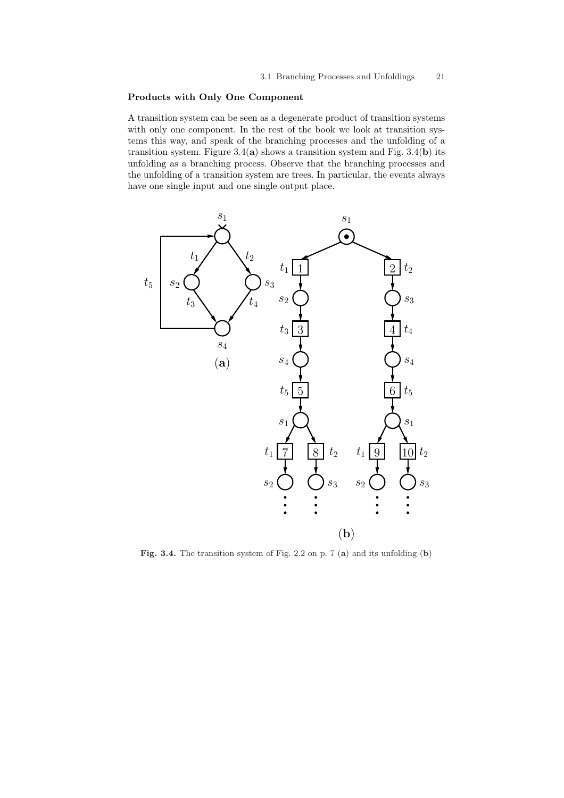#### Products with Only One Component

A transition system can be seen as a degenerate product of transition systems with only one component. In the rest of the book we look at transition systems this way, and speak of the branching processes and the unfolding of a transition system. Figure  $3.4(a)$  shows a transition system and Fig.  $3.4(b)$  its unfolding as a branching process. Observe that the branching processes and the unfolding of a transition system are trees. In particular, the events always have one single input and one single output place.



Fig. 3.4. The transition system of Fig. 2.2 on p. 7 (a) and its unfolding (b)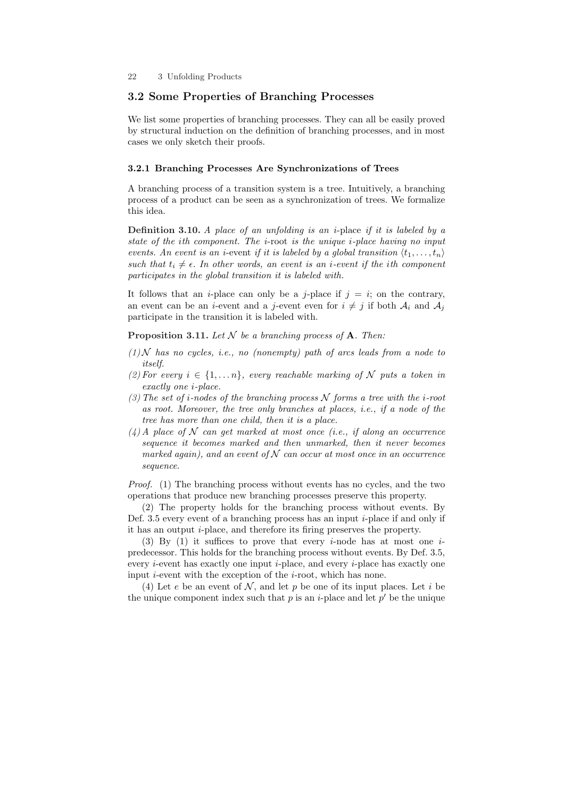#### 3.2 Some Properties of Branching Processes

We list some properties of branching processes. They can all be easily proved by structural induction on the definition of branching processes, and in most cases we only sketch their proofs.

#### 3.2.1 Branching Processes Are Synchronizations of Trees

A branching process of a transition system is a tree. Intuitively, a branching process of a product can be seen as a synchronization of trees. We formalize this idea.

**Definition 3.10.** A place of an unfolding is an *i*-place if it is labeled by a state of the ith component. The i-root is the unique i-place having no input events. An event is an *i*-event if it is labeled by a global transition  $\langle t_1, \ldots, t_n \rangle$ such that  $t_i \neq \epsilon$ . In other words, an event is an *i*-event if the *i*th component participates in the global transition it is labeled with.

It follows that an *i*-place can only be a *j*-place if  $j = i$ ; on the contrary, an event can be an *i*-event and a *j*-event even for  $i \neq j$  if both  $A_i$  and  $A_j$ participate in the transition it is labeled with.

**Proposition 3.11.** Let  $N$  be a branching process of **A**. Then:

- $(1)$ N has no cycles, i.e., no (nonempty) path of arcs leads from a node to itself.
- (2) For every  $i \in \{1, \ldots n\}$ , every reachable marking of N puts a token in exactly one i-place.
- (3) The set of *i*-nodes of the branching process N forms a tree with the *i*-root as root. Moreover, the tree only branches at places, i.e., if a node of the tree has more than one child, then it is a place.
- $(4)$  A place of  $N$  can get marked at most once (i.e., if along an occurrence sequence it becomes marked and then unmarked, then it never becomes marked again), and an event of  $N$  can occur at most once in an occurrence sequence.

Proof. (1) The branching process without events has no cycles, and the two operations that produce new branching processes preserve this property.

(2) The property holds for the branching process without events. By Def. 3.5 every event of a branching process has an input  $i$ -place if and only if it has an output i-place, and therefore its firing preserves the property.

(3) By (1) it suffices to prove that every *i*-node has at most one *i*predecessor. This holds for the branching process without events. By Def. 3.5, every  $i$ -event has exactly one input  $i$ -place, and every  $i$ -place has exactly one input  $i$ -event with the exception of the  $i$ -root, which has none.

(4) Let e be an event of  $N$ , and let p be one of its input places. Let i be the unique component index such that  $p$  is an *i*-place and let  $p'$  be the unique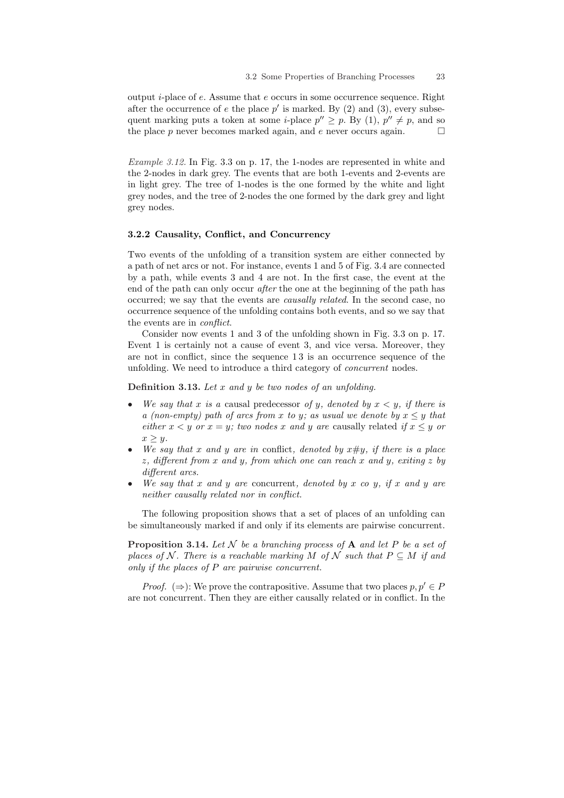output  $i$ -place of  $e$ . Assume that  $e$  occurs in some occurrence sequence. Right after the occurrence of e the place  $p'$  is marked. By (2) and (3), every subsequent marking puts a token at some *i*-place  $p'' \geq p$ . By (1),  $p'' \neq p$ , and so the place p never becomes marked again, and e never occurs again.  $\Box$ 

Example 3.12. In Fig. 3.3 on p. 17, the 1-nodes are represented in white and the 2-nodes in dark grey. The events that are both 1-events and 2-events are in light grey. The tree of 1-nodes is the one formed by the white and light grey nodes, and the tree of 2-nodes the one formed by the dark grey and light grey nodes.

#### 3.2.2 Causality, Conflict, and Concurrency

Two events of the unfolding of a transition system are either connected by a path of net arcs or not. For instance, events 1 and 5 of Fig. 3.4 are connected by a path, while events 3 and 4 are not. In the first case, the event at the end of the path can only occur after the one at the beginning of the path has occurred; we say that the events are causally related. In the second case, no occurrence sequence of the unfolding contains both events, and so we say that the events are in conflict.

Consider now events 1 and 3 of the unfolding shown in Fig. 3.3 on p. 17. Event 1 is certainly not a cause of event 3, and vice versa. Moreover, they are not in conflict, since the sequence 1 3 is an occurrence sequence of the unfolding. We need to introduce a third category of *concurrent* nodes.

**Definition 3.13.** Let  $x$  and  $y$  be two nodes of an unfolding.

- We say that x is a causal predecessor of y, denoted by  $x \leq y$ , if there is a (non-empty) path of arcs from x to y; as usual we denote by  $x \leq y$  that either  $x < y$  or  $x = y$ ; two nodes x and y are causally related if  $x \leq y$  or  $x \geq y$ .
- We say that x and y are in conflict, denoted by  $x \# y$ , if there is a place z, different from x and y, from which one can reach x and y, exiting z by different arcs.
- We say that x and y are concurrent, denoted by x co y, if x and y are neither causally related nor in conflict.

The following proposition shows that a set of places of an unfolding can be simultaneously marked if and only if its elements are pairwise concurrent.

**Proposition 3.14.** Let N be a branching process of A and let P be a set of places of N. There is a reachable marking M of N such that  $P \subseteq M$  if and only if the places of P are pairwise concurrent.

*Proof.*  $(\Rightarrow)$ : We prove the contrapositive. Assume that two places  $p, p' \in P$ are not concurrent. Then they are either causally related or in conflict. In the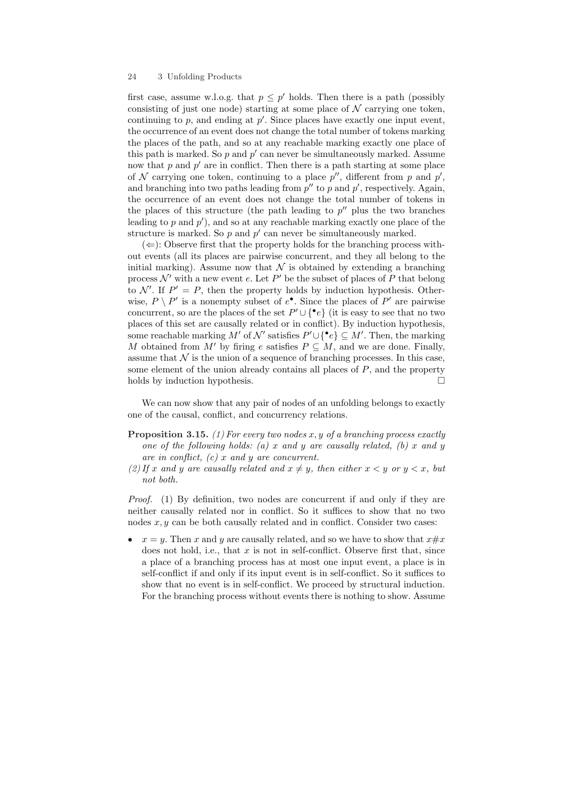first case, assume w.l.o.g. that  $p \leq p'$  holds. Then there is a path (possibly consisting of just one node) starting at some place of  $N$  carrying one token, continuing to  $p$ , and ending at  $p'$ . Since places have exactly one input event, the occurrence of an event does not change the total number of tokens marking the places of the path, and so at any reachable marking exactly one place of this path is marked. So  $p$  and  $p'$  can never be simultaneously marked. Assume now that  $p$  and  $p'$  are in conflict. Then there is a path starting at some place of N carrying one token, continuing to a place  $p''$ , different from p and  $p'$ , and branching into two paths leading from  $p''$  to p and  $p'$ , respectively. Again, the occurrence of an event does not change the total number of tokens in the places of this structure (the path leading to  $p''$  plus the two branches leading to  $p$  and  $p'$ ), and so at any reachable marking exactly one place of the structure is marked. So  $p$  and  $p'$  can never be simultaneously marked.

 $(\Leftarrow)$ : Observe first that the property holds for the branching process without events (all its places are pairwise concurrent, and they all belong to the initial marking). Assume now that  $\mathcal N$  is obtained by extending a branching process  $\mathcal{N}'$  with a new event e. Let  $P'$  be the subset of places of P that belong to  $\mathcal{N}'$ . If  $P' = P$ , then the property holds by induction hypothesis. Otherwise,  $P \setminus P'$  is a nonempty subset of  $e^{\bullet}$ . Since the places of  $P'$  are pairwise concurrent, so are the places of the set  $P' \cup {\{\bullet\}}\$  (it is easy to see that no two places of this set are causally related or in conflict). By induction hypothesis, some reachable marking M' of N' satisfies  $P' \cup {\lbrace e \rbrace} \subseteq M'$ . Then, the marking M obtained from M' by firing e satisfies  $P \subseteq M$ , and we are done. Finally, assume that  $N$  is the union of a sequence of branching processes. In this case, some element of the union already contains all places of  $P$ , and the property holds by induction hypothesis.

We can now show that any pair of nodes of an unfolding belongs to exactly one of the causal, conflict, and concurrency relations.

- **Proposition 3.15.** (1) For every two nodes x, y of a branching process exactly one of the following holds: (a) x and y are causally related, (b) x and y are in conflict, (c) x and y are concurrent.
- (2) If x and y are causally related and  $x \neq y$ , then either  $x < y$  or  $y < x$ , but not both.

Proof. (1) By definition, two nodes are concurrent if and only if they are neither causally related nor in conflict. So it suffices to show that no two nodes  $x, y$  can be both causally related and in conflict. Consider two cases:

 $x = y$ . Then x and y are causally related, and so we have to show that  $x \# x$ does not hold, i.e., that  $x$  is not in self-conflict. Observe first that, since a place of a branching process has at most one input event, a place is in self-conflict if and only if its input event is in self-conflict. So it suffices to show that no event is in self-conflict. We proceed by structural induction. For the branching process without events there is nothing to show. Assume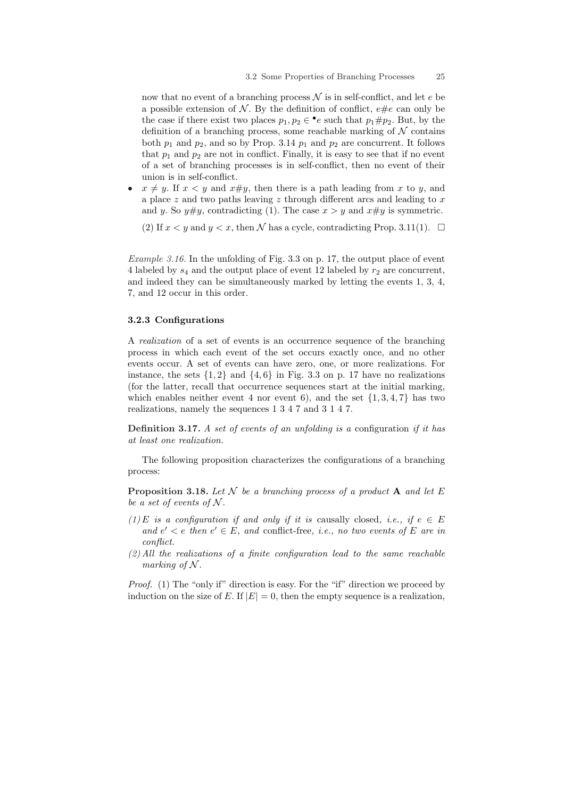now that no event of a branching process  $\mathcal N$  is in self-conflict, and let e be a possible extension of  $N$ . By the definition of conflict,  $e \# e$  can only be the case if there exist two places  $p_1, p_2 \in \bullet e$  such that  $p_1 \# p_2$ . But, by the definition of a branching process, some reachable marking of  $N$  contains both  $p_1$  and  $p_2$ , and so by Prop. 3.14  $p_1$  and  $p_2$  are concurrent. It follows that  $p_1$  and  $p_2$  are not in conflict. Finally, it is easy to see that if no event of a set of branching processes is in self-conflict, then no event of their union is in self-conflict.

 $x \neq y$ . If  $x < y$  and  $x \neq y$ , then there is a path leading from x to y, and a place  $z$  and two paths leaving  $z$  through different arcs and leading to  $x$ and y. So  $y \# y$ , contradicting (1). The case  $x > y$  and  $x \# y$  is symmetric.

(2) If  $x < y$  and  $y < x$ , then N has a cycle, contradicting Prop. 3.11(1).  $\Box$ 

Example 3.16. In the unfolding of Fig. 3.3 on p. 17, the output place of event 4 labeled by  $s_4$  and the output place of event 12 labeled by  $r_2$  are concurrent, and indeed they can be simultaneously marked by letting the events 1, 3, 4, 7, and 12 occur in this order.

#### 3.2.3 Configurations

A realization of a set of events is an occurrence sequence of the branching process in which each event of the set occurs exactly once, and no other events occur. A set of events can have zero, one, or more realizations. For instance, the sets  $\{1, 2\}$  and  $\{4, 6\}$  in Fig. 3.3 on p. 17 have no realizations (for the latter, recall that occurrence sequences start at the initial marking, which enables neither event 4 nor event 6), and the set  $\{1, 3, 4, 7\}$  has two realizations, namely the sequences 1 3 4 7 and 3 1 4 7.

Definition 3.17. A set of events of an unfolding is a configuration if it has at least one realization.

The following proposition characterizes the configurations of a branching process:

**Proposition 3.18.** Let N be a branching process of a product A and let E be a set of events of  $N$ .

- (1) E is a configuration if and only if it is causally closed, i.e., if  $e \in E$ and  $e' < e$  then  $e' \in E$ , and conflict-free, *i.e.*, no two events of E are in conflict.
- $(2)$  All the realizations of a finite configuration lead to the same reachable marking of  $N$ .

Proof. (1) The "only if" direction is easy. For the "if" direction we proceed by induction on the size of E. If  $|E| = 0$ , then the empty sequence is a realization,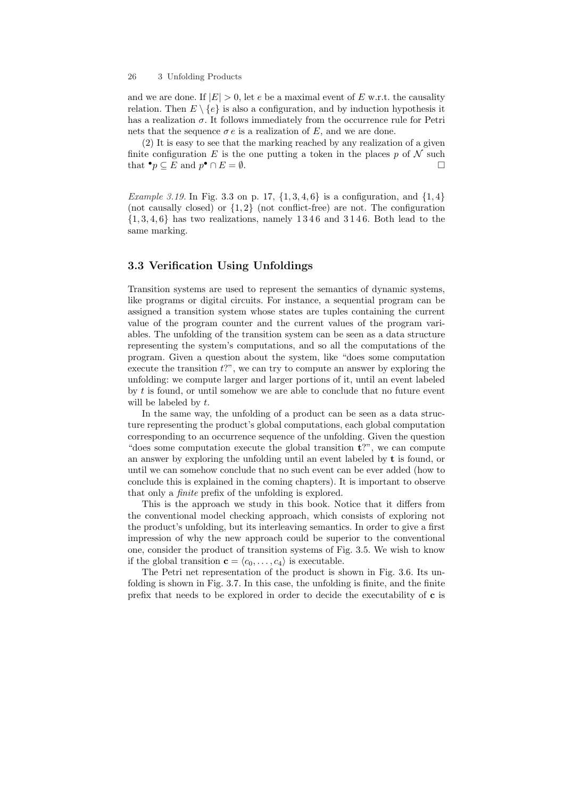and we are done. If  $|E| > 0$ , let e be a maximal event of E w.r.t. the causality relation. Then  $E \setminus \{e\}$  is also a configuration, and by induction hypothesis it has a realization  $\sigma$ . It follows immediately from the occurrence rule for Petri nets that the sequence  $\sigma e$  is a realization of E, and we are done.

(2) It is easy to see that the marking reached by any realization of a given finite configuration E is the one putting a token in the places p of  $\mathcal N$  such that  ${}^{\bullet}p \subseteq E$  and  $p{}^{\bullet} \cap E = \emptyset$ .

*Example 3.19.* In Fig. 3.3 on p. 17,  $\{1, 3, 4, 6\}$  is a configuration, and  $\{1, 4\}$ (not causally closed) or  $\{1,2\}$  (not conflict-free) are not. The configuration  $\{1, 3, 4, 6\}$  has two realizations, namely  $1\,3\,4\,6$  and  $3\,1\,4\,6$ . Both lead to the same marking.

#### 3.3 Verification Using Unfoldings

Transition systems are used to represent the semantics of dynamic systems, like programs or digital circuits. For instance, a sequential program can be assigned a transition system whose states are tuples containing the current value of the program counter and the current values of the program variables. The unfolding of the transition system can be seen as a data structure representing the system's computations, and so all the computations of the program. Given a question about the system, like "does some computation execute the transition  $t$ ?", we can try to compute an answer by exploring the unfolding: we compute larger and larger portions of it, until an event labeled by t is found, or until somehow we are able to conclude that no future event will be labeled by  $t$ .

In the same way, the unfolding of a product can be seen as a data structure representing the product's global computations, each global computation corresponding to an occurrence sequence of the unfolding. Given the question "does some computation execute the global transition t?", we can compute an answer by exploring the unfolding until an event labeled by t is found, or until we can somehow conclude that no such event can be ever added (how to conclude this is explained in the coming chapters). It is important to observe that only a finite prefix of the unfolding is explored.

This is the approach we study in this book. Notice that it differs from the conventional model checking approach, which consists of exploring not the product's unfolding, but its interleaving semantics. In order to give a first impression of why the new approach could be superior to the conventional one, consider the product of transition systems of Fig. 3.5. We wish to know if the global transition  $\mathbf{c} = \langle c_0, \ldots, c_4 \rangle$  is executable.

The Petri net representation of the product is shown in Fig. 3.6. Its unfolding is shown in Fig. 3.7. In this case, the unfolding is finite, and the finite prefix that needs to be explored in order to decide the executability of c is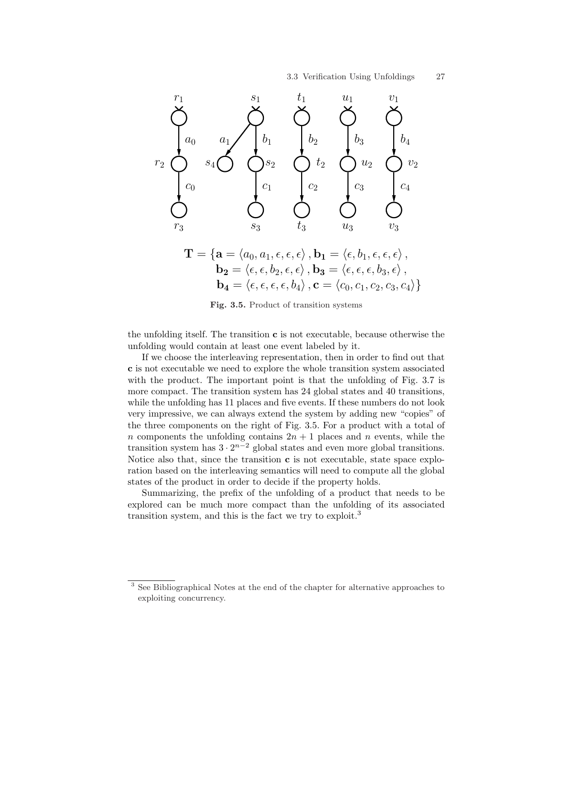

Fig. 3.5. Product of transition systems

the unfolding itself. The transition  $c$  is not executable, because otherwise the unfolding would contain at least one event labeled by it.

If we choose the interleaving representation, then in order to find out that c is not executable we need to explore the whole transition system associated with the product. The important point is that the unfolding of Fig. 3.7 is more compact. The transition system has 24 global states and 40 transitions, while the unfolding has 11 places and five events. If these numbers do not look very impressive, we can always extend the system by adding new "copies" of the three components on the right of Fig. 3.5. For a product with a total of  $n$  components the unfolding contains  $2n + 1$  places and  $n$  events, while the transition system has  $3 \cdot 2^{n-2}$  global states and even more global transitions. Notice also that, since the transition c is not executable, state space exploration based on the interleaving semantics will need to compute all the global states of the product in order to decide if the property holds.

Summarizing, the prefix of the unfolding of a product that needs to be explored can be much more compact than the unfolding of its associated transition system, and this is the fact we try to exploit.<sup>3</sup>

 $3$  See Bibliographical Notes at the end of the chapter for alternative approaches to exploiting concurrency.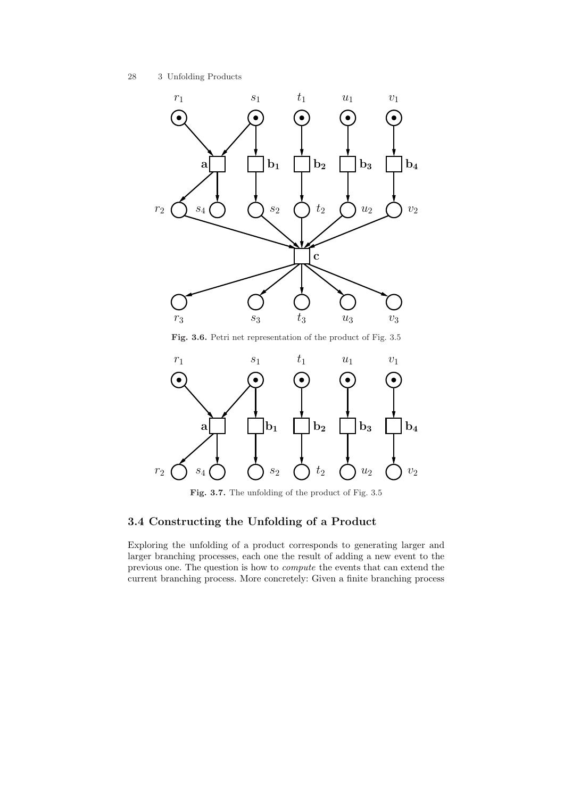## 28 3 Unfolding Products



Fig. 3.6. Petri net representation of the product of Fig. 3.5



Fig. 3.7. The unfolding of the product of Fig. 3.5

## 3.4 Constructing the Unfolding of a Product

Exploring the unfolding of a product corresponds to generating larger and larger branching processes, each one the result of adding a new event to the previous one. The question is how to compute the events that can extend the current branching process. More concretely: Given a finite branching process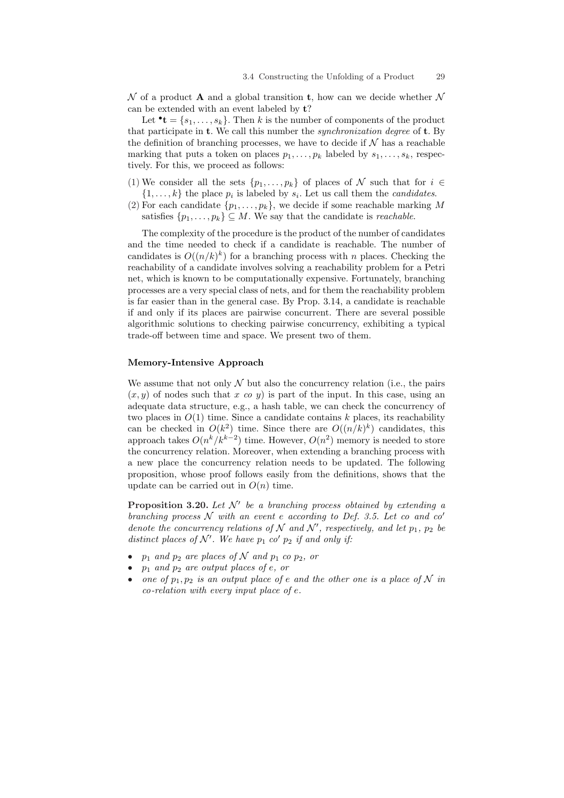$\mathcal N$  of a product **A** and a global transition **t**, how can we decide whether  $\mathcal N$ can be extended with an event labeled by t?

Let  $\mathbf{t} = \{s_1, \ldots, s_k\}$ . Then k is the number of components of the product that participate in  $t$ . We call this number the *synchronization degree* of  $t$ . By the definition of branching processes, we have to decide if  $\mathcal N$  has a reachable marking that puts a token on places  $p_1, \ldots, p_k$  labeled by  $s_1, \ldots, s_k$ , respectively. For this, we proceed as follows:

- (1) We consider all the sets  $\{p_1, \ldots, p_k\}$  of places of N such that for  $i \in$  $\{1, \ldots, k\}$  the place  $p_i$  is labeled by  $s_i$ . Let us call them the *candidates*.
- (2) For each candidate  $\{p_1, \ldots, p_k\}$ , we decide if some reachable marking M satisfies  $\{p_1, \ldots, p_k\} \subseteq M$ . We say that the candidate is *reachable*.

The complexity of the procedure is the product of the number of candidates and the time needed to check if a candidate is reachable. The number of candidates is  $O((n/k)^k)$  for a branching process with n places. Checking the reachability of a candidate involves solving a reachability problem for a Petri net, which is known to be computationally expensive. Fortunately, branching processes are a very special class of nets, and for them the reachability problem is far easier than in the general case. By Prop. 3.14, a candidate is reachable if and only if its places are pairwise concurrent. There are several possible algorithmic solutions to checking pairwise concurrency, exhibiting a typical trade-off between time and space. We present two of them.

#### Memory-Intensive Approach

We assume that not only  $\mathcal N$  but also the concurrency relation (i.e., the pairs  $(x, y)$  of nodes such that x co y) is part of the input. In this case, using an adequate data structure, e.g., a hash table, we can check the concurrency of two places in  $O(1)$  time. Since a candidate contains k places, its reachability can be checked in  $O(k^2)$  time. Since there are  $O((n/k)^k)$  candidates, this approach takes  $O(n^k/k^{k-2})$  time. However,  $O(n^2)$  memory is needed to store the concurrency relation. Moreover, when extending a branching process with a new place the concurrency relation needs to be updated. The following proposition, whose proof follows easily from the definitions, shows that the update can be carried out in  $O(n)$  time.

**Proposition 3.20.** Let  $\mathcal{N}'$  be a branching process obtained by extending a branching process  $N$  with an event e according to Def. 3.5. Let co and co' denote the concurrency relations of  $N$  and  $N'$ , respectively, and let  $p_1$ ,  $p_2$  be distinct places of  $\mathcal{N}'$ . We have  $p_1$  co'  $p_2$  if and only if:

- $p_1$  and  $p_2$  are places of N and  $p_1$  co  $p_2$ , or
- $p_1$  and  $p_2$  are output places of e, or
- one of  $p_1, p_2$  is an output place of e and the other one is a place of N in co-relation with every input place of e.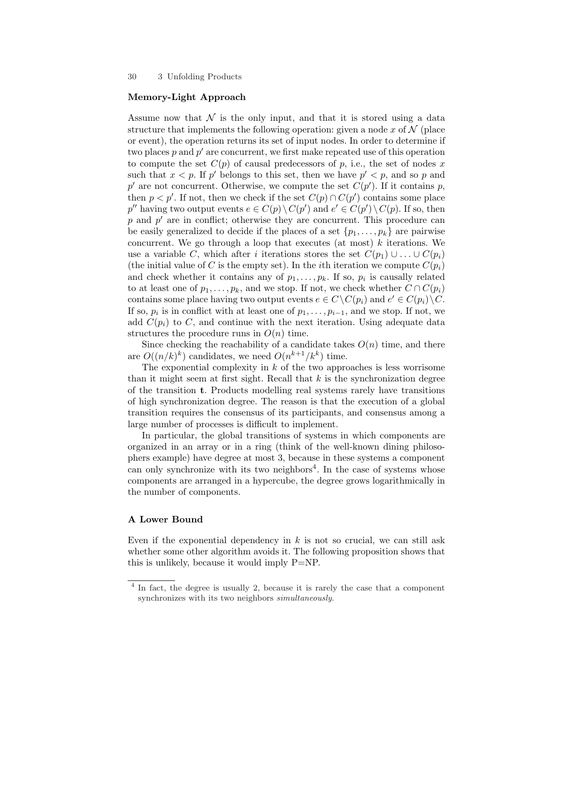30 3 Unfolding Products

## Memory-Light Approach

Assume now that  $\mathcal N$  is the only input, and that it is stored using a data structure that implements the following operation: given a node  $x$  of  $\mathcal N$  (place or event), the operation returns its set of input nodes. In order to determine if two places  $p$  and  $p'$  are concurrent, we first make repeated use of this operation to compute the set  $C(p)$  of causal predecessors of p, i.e., the set of nodes x such that  $x < p$ . If p' belongs to this set, then we have  $p' < p$ , and so p and p' are not concurrent. Otherwise, we compute the set  $C(p')$ . If it contains p, then  $p < p'$ . If not, then we check if the set  $C(p) \cap C(p')$  contains some place p'' having two output events  $e \in C(p) \setminus C(p')$  and  $e' \in C(p') \setminus C(p)$ . If so, then  $p$  and  $p'$  are in conflict; otherwise they are concurrent. This procedure can be easily generalized to decide if the places of a set  $\{p_1, \ldots, p_k\}$  are pairwise concurrent. We go through a loop that executes (at most)  $k$  iterations. We use a variable C, which after i iterations stores the set  $C(p_1) \cup \ldots \cup C(p_i)$ (the initial value of C is the empty set). In the *i*th iteration we compute  $C(p_i)$ and check whether it contains any of  $p_1, \ldots, p_k$ . If so,  $p_i$  is causally related to at least one of  $p_1, \ldots, p_k$ , and we stop. If not, we check whether  $C \cap C(p_i)$ contains some place having two output events  $e \in C \backslash C(p_i)$  and  $e' \in C(p_i) \backslash C$ . If so,  $p_i$  is in conflict with at least one of  $p_1, \ldots, p_{i-1}$ , and we stop. If not, we add  $C(p_i)$  to C, and continue with the next iteration. Using adequate data structures the procedure runs in  $O(n)$  time.

Since checking the reachability of a candidate takes  $O(n)$  time, and there are  $O((n/k)^k)$  candidates, we need  $O(n^{k+1}/k^k)$  time.

The exponential complexity in  $k$  of the two approaches is less worrisome than it might seem at first sight. Recall that  $k$  is the synchronization degree of the transition t. Products modelling real systems rarely have transitions of high synchronization degree. The reason is that the execution of a global transition requires the consensus of its participants, and consensus among a large number of processes is difficult to implement.

In particular, the global transitions of systems in which components are organized in an array or in a ring (think of the well-known dining philosophers example) have degree at most 3, because in these systems a component can only synchronize with its two neighbors<sup>4</sup>. In the case of systems whose components are arranged in a hypercube, the degree grows logarithmically in the number of components.

## A Lower Bound

Even if the exponential dependency in  $k$  is not so crucial, we can still ask whether some other algorithm avoids it. The following proposition shows that this is unlikely, because it would imply P=NP.

<sup>&</sup>lt;sup>4</sup> In fact, the degree is usually 2, because it is rarely the case that a component synchronizes with its two neighbors simultaneously.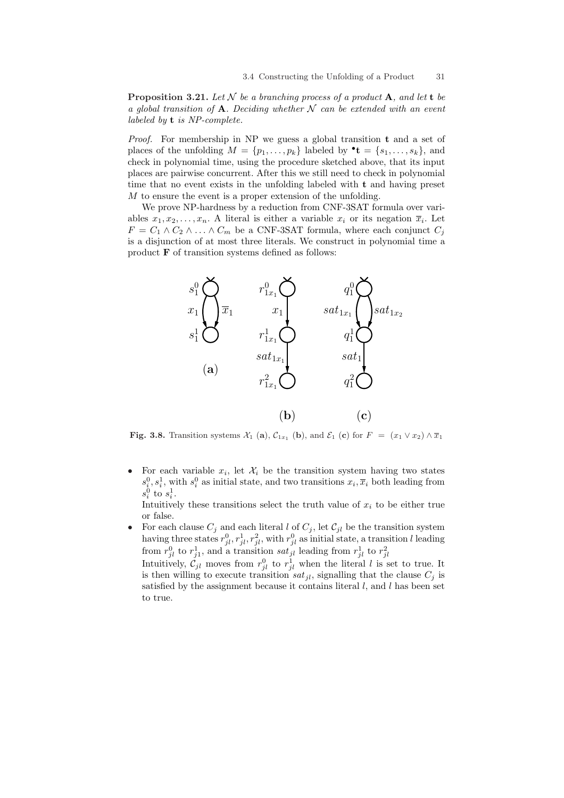**Proposition 3.21.** Let  $N$  be a branching process of a product **A**, and let **t** be a global transition of **A**. Deciding whether  $N$  can be extended with an event labeled by t is NP-complete.

Proof. For membership in NP we guess a global transition **t** and a set of places of the unfolding  $M = \{p_1, \ldots, p_k\}$  labeled by  $\mathbf{t} = \{s_1, \ldots, s_k\}$ , and check in polynomial time, using the procedure sketched above, that its input places are pairwise concurrent. After this we still need to check in polynomial time that no event exists in the unfolding labeled with t and having preset M to ensure the event is a proper extension of the unfolding.

We prove NP-hardness by a reduction from CNF-3SAT formula over variables  $x_1, x_2, \ldots, x_n$ . A literal is either a variable  $x_i$  or its negation  $\overline{x}_i$ . Let  $F = C_1 \wedge C_2 \wedge \ldots \wedge C_m$  be a CNF-3SAT formula, where each conjunct  $C_i$ is a disjunction of at most three literals. We construct in polynomial time a product F of transition systems defined as follows:



**Fig. 3.8.** Transition systems  $\mathcal{X}_1$  (a),  $\mathcal{C}_{1x_1}$  (b), and  $\mathcal{E}_1$  (c) for  $F = (x_1 \vee x_2) \wedge \overline{x}_1$ 

• For each variable  $x_i$ , let  $\mathcal{X}_i$  be the transition system having two states  $s_i^0, s_i^1$ , with  $s_i^0$  as initial state, and two transitions  $x_i, \overline{x}_i$  both leading from  $s_i^0$  to  $s_i^1$ .

Intuitively these transitions select the truth value of  $x_i$  to be either true or false.

For each clause  $C_j$  and each literal l of  $C_j$ , let  $C_{jl}$  be the transition system having three states  $r_{jl}^0, r_{jl}^1, r_{jl}^2$ , with  $r_{jl}^0$  as initial state, a transition l leading from  $r_{jl}^0$  to  $r_{jl}^1$ , and a transition  $sat_{jl}$  leading from  $r_{jl}^1$  to  $r_{jl}^2$ 

Intuitively,  $\mathcal{C}_{jl}$  moves from  $r_{jl}^0$  to  $r_{jl}^1$  when the literal l is set to true. It is then willing to execute transition  $sat_{jl}$ , signalling that the clause  $C_j$  is satisfied by the assignment because it contains literal  $l$ , and  $l$  has been set to true.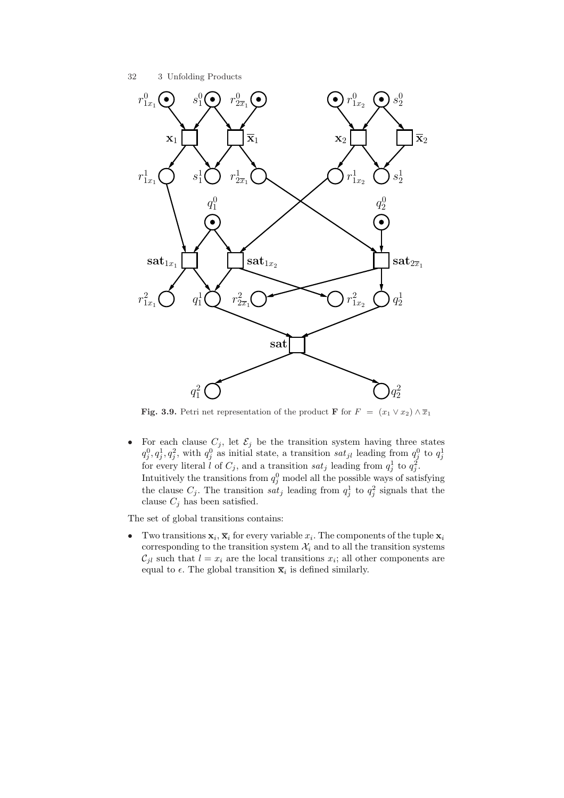#### 32 3 Unfolding Products



Fig. 3.9. Petri net representation of the product F for  $F = (x_1 \vee x_2) \wedge \overline{x}_1$ 

• For each clause  $C_j$ , let  $\mathcal{E}_j$  be the transition system having three states  $q_j^0, q_j^1, q_j^2$ , with  $q_j^0$  as initial state, a transition sat<sub>il</sub> leading from  $q_j^0$  to  $q_j^1$ for every literal l of  $C_j$ , and a transition  $sat_j$  leading from  $q_j^1$  to  $q_j^2$ . Intuitively the transitions from  $q_j^0$  model all the possible ways of satisfying the clause  $C_j$ . The transition  $sat_j$  leading from  $q_j^1$  to  $q_j^2$  signals that the clause  $C_j$  has been satisfied.

The set of global transitions contains:

• Two transitions  $\mathbf{x}_i$ ,  $\overline{\mathbf{x}}_i$  for every variable  $x_i$ . The components of the tuple  $\mathbf{x}_i$ corresponding to the transition system  $\mathcal{X}_i$  and to all the transition systems  $\mathcal{C}_{jl}$  such that  $l = x_i$  are the local transitions  $x_i$ ; all other components are equal to  $\epsilon$ . The global transition  $\bar{\mathbf{x}}_i$  is defined similarly.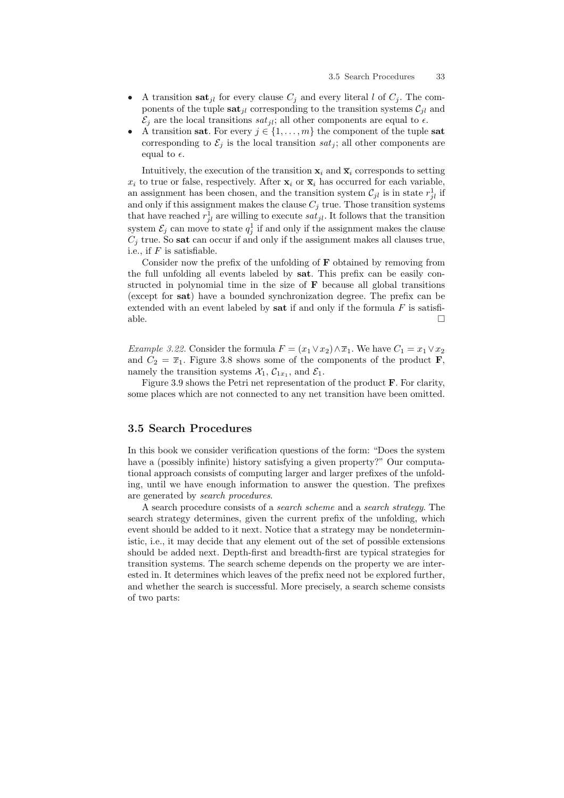- A transition  $\textbf{sat}_{il}$  for every clause  $C_i$  and every literal l of  $C_i$ . The components of the tuple  $\textbf{sat}_{il}$  corresponding to the transition systems  $\mathcal{C}_{il}$  and  $\mathcal{E}_i$  are the local transitions sat<sub>il</sub>; all other components are equal to  $\epsilon$ .
- A transition sat. For every  $j \in \{1, \ldots, m\}$  the component of the tuple sat corresponding to  $\mathcal{E}_i$  is the local transition sat<sub>i</sub>; all other components are equal to  $\epsilon$ .

Intuitively, the execution of the transition  $x_i$  and  $\overline{x}_i$  corresponds to setting  $x_i$  to true or false, respectively. After  $\mathbf{x}_i$  or  $\overline{\mathbf{x}}_i$  has occurred for each variable, an assignment has been chosen, and the transition system  $\mathcal{C}_{jl}$  is in state  $r_{jl}^1$  if and only if this assignment makes the clause  $C_j$  true. Those transition systems that have reached  $r_{jl}^1$  are willing to execute  $sat_{jl}$ . It follows that the transition system  $\mathcal{E}_j$  can move to state  $q_j^1$  if and only if the assignment makes the clause  $C_j$  true. So sat can occur if and only if the assignment makes all clauses true, i.e., if  $F$  is satisfiable.

Consider now the prefix of the unfolding of  **obtained by removing from** the full unfolding all events labeled by sat. This prefix can be easily constructed in polynomial time in the size of  $F$  because all global transitions (except for sat) have a bounded synchronization degree. The prefix can be extended with an event labeled by **sat** if and only if the formula  $F$  is satisfiable.  $\Box$ 

Example 3.22. Consider the formula  $F = (x_1 \vee x_2) \wedge \overline{x}_1$ . We have  $C_1 = x_1 \vee x_2$ and  $C_2 = \overline{x}_1$ . Figure 3.8 shows some of the components of the product **F**, namely the transition systems  $\mathcal{X}_1, \mathcal{C}_{1x_1}$ , and  $\mathcal{E}_1$ .

Figure 3.9 shows the Petri net representation of the product F. For clarity, some places which are not connected to any net transition have been omitted.

## 3.5 Search Procedures

In this book we consider verification questions of the form: "Does the system have a (possibly infinite) history satisfying a given property?" Our computational approach consists of computing larger and larger prefixes of the unfolding, until we have enough information to answer the question. The prefixes are generated by search procedures.

A search procedure consists of a search scheme and a search strategy. The search strategy determines, given the current prefix of the unfolding, which event should be added to it next. Notice that a strategy may be nondeterministic, i.e., it may decide that any element out of the set of possible extensions should be added next. Depth-first and breadth-first are typical strategies for transition systems. The search scheme depends on the property we are interested in. It determines which leaves of the prefix need not be explored further, and whether the search is successful. More precisely, a search scheme consists of two parts: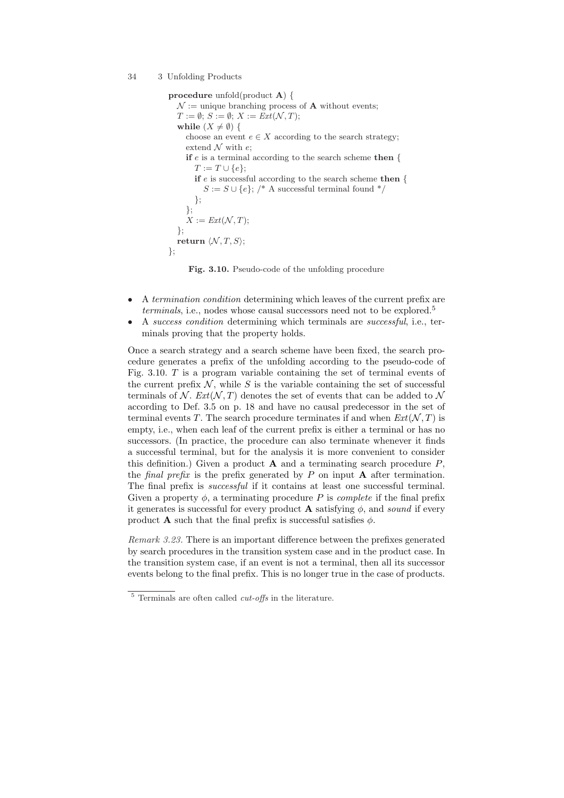## 34 3 Unfolding Products

procedure unfold(product A) {  $\mathcal{N} :=$  unique branching process of **A** without events;  $T := \emptyset$ ;  $S := \emptyset$ ;  $X := Ext(\mathcal{N}, T)$ ; while  $(X \neq \emptyset)$  { choose an event  $e \in X$  according to the search strategy; extend  $N$  with  $e$ ; if e is a terminal according to the search scheme then {  $T := T \cup \{e\};$ if e is successful according to the search scheme then {  $S := S \cup \{e\};$  /\* A successful terminal found \*/ }; };  $X := Ext(\mathcal{N}, T);$ }; return  $\langle \mathcal{N}, T, S \rangle;$ };



- A termination condition determining which leaves of the current prefix are terminals, i.e., nodes whose causal successors need not to be explored.<sup>5</sup>
- A success condition determining which terminals are successful, i.e., terminals proving that the property holds.

Once a search strategy and a search scheme have been fixed, the search procedure generates a prefix of the unfolding according to the pseudo-code of Fig. 3.10.  $T$  is a program variable containing the set of terminal events of the current prefix  $N$ , while S is the variable containing the set of successful terminals of N.  $Ext(N,T)$  denotes the set of events that can be added to N according to Def. 3.5 on p. 18 and have no causal predecessor in the set of terminal events T. The search procedure terminates if and when  $Ext(\mathcal{N}, T)$  is empty, i.e., when each leaf of the current prefix is either a terminal or has no successors. (In practice, the procedure can also terminate whenever it finds a successful terminal, but for the analysis it is more convenient to consider this definition.) Given a product  $A$  and a terminating search procedure  $P$ , the final prefix is the prefix generated by  $P$  on input  $\bf{A}$  after termination. The final prefix is *successful* if it contains at least one successful terminal. Given a property  $\phi$ , a terminating procedure P is *complete* if the final prefix it generates is successful for every product **A** satisfying  $\phi$ , and sound if every product **A** such that the final prefix is successful satisfies  $\phi$ .

Remark 3.23. There is an important difference between the prefixes generated by search procedures in the transition system case and in the product case. In the transition system case, if an event is not a terminal, then all its successor events belong to the final prefix. This is no longer true in the case of products.

 $\overline{\text{5}}$  Terminals are often called  $\textit{cut-offs}$  in the literature.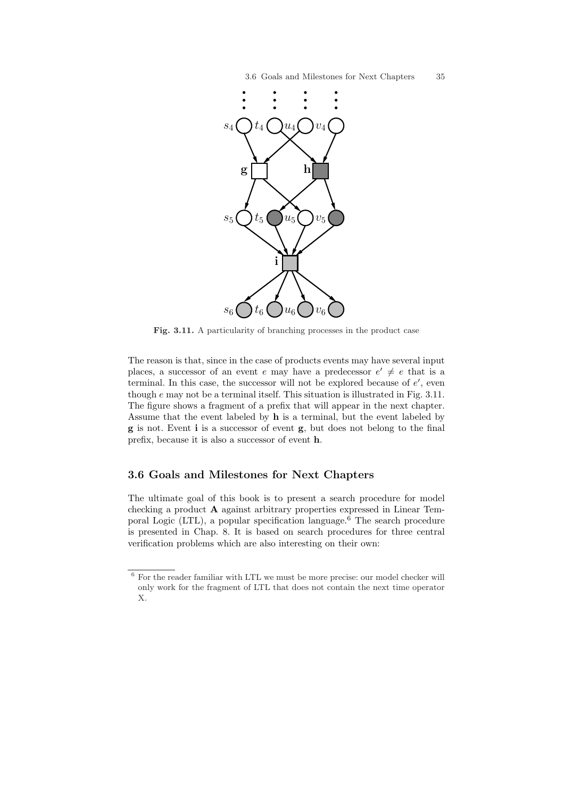

Fig. 3.11. A particularity of branching processes in the product case

The reason is that, since in the case of products events may have several input places, a successor of an event e may have a predecessor  $e' \neq e$  that is a terminal. In this case, the successor will not be explored because of  $e'$ , even though e may not be a terminal itself. This situation is illustrated in Fig. 3.11. The figure shows a fragment of a prefix that will appear in the next chapter. Assume that the event labeled by h is a terminal, but the event labeled by g is not. Event i is a successor of event g, but does not belong to the final prefix, because it is also a successor of event h.

## 3.6 Goals and Milestones for Next Chapters

The ultimate goal of this book is to present a search procedure for model checking a product A against arbitrary properties expressed in Linear Temporal Logic (LTL), a popular specification language.<sup>6</sup> The search procedure is presented in Chap. 8. It is based on search procedures for three central verification problems which are also interesting on their own:

 $^6$  For the reader familiar with LTL we must be more precise: our model checker will only work for the fragment of LTL that does not contain the next time operator X.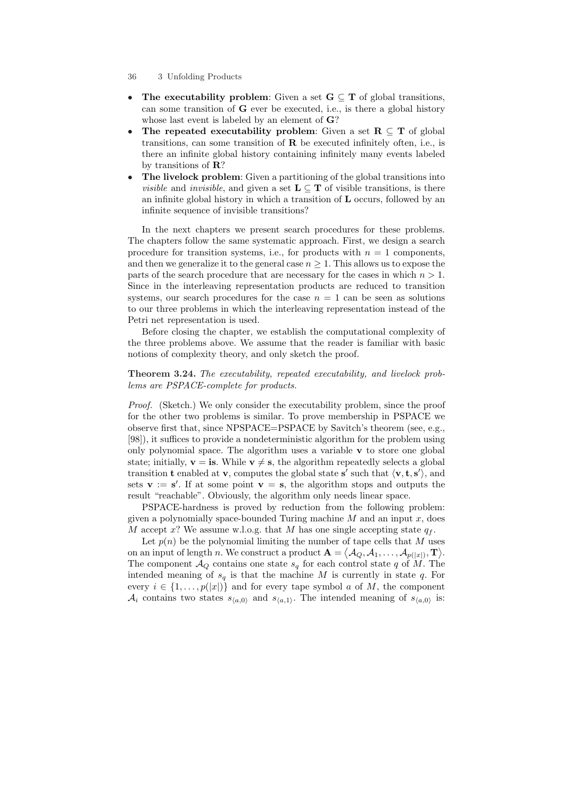- 36 3 Unfolding Products
- The executability problem: Given a set  $G \subseteq T$  of global transitions, can some transition of G ever be executed, i.e., is there a global history whose last event is labeled by an element of G?
- The repeated executability problem: Given a set  $R \subseteq T$  of global transitions, can some transition of  $\bf{R}$  be executed infinitely often, i.e., is there an infinite global history containing infinitely many events labeled by transitions of R?
- **The livelock problem:** Given a partitioning of the global transitions into *visible* and *invisible*, and given a set  $L \subseteq T$  of visible transitions, is there an infinite global history in which a transition of L occurs, followed by an infinite sequence of invisible transitions?

In the next chapters we present search procedures for these problems. The chapters follow the same systematic approach. First, we design a search procedure for transition systems, i.e., for products with  $n = 1$  components, and then we generalize it to the general case  $n \geq 1$ . This allows us to expose the parts of the search procedure that are necessary for the cases in which  $n > 1$ . Since in the interleaving representation products are reduced to transition systems, our search procedures for the case  $n = 1$  can be seen as solutions to our three problems in which the interleaving representation instead of the Petri net representation is used.

Before closing the chapter, we establish the computational complexity of the three problems above. We assume that the reader is familiar with basic notions of complexity theory, and only sketch the proof.

## Theorem 3.24. The executability, repeated executability, and livelock problems are PSPACE-complete for products.

Proof. (Sketch.) We only consider the executability problem, since the proof for the other two problems is similar. To prove membership in PSPACE we observe first that, since NPSPACE=PSPACE by Savitch's theorem (see, e.g., [98]), it suffices to provide a nondeterministic algorithm for the problem using only polynomial space. The algorithm uses a variable  $\bf{v}$  to store one global state; initially,  $\mathbf{v} = \mathbf{is}$ . While  $\mathbf{v} \neq \mathbf{s}$ , the algorithm repeatedly selects a global transition **t** enabled at **v**, computes the global state **s'** such that  $\langle \mathbf{v}, \mathbf{t}, \mathbf{s}' \rangle$ , and sets  $\mathbf{v} := \mathbf{s}'$ . If at some point  $\mathbf{v} = \mathbf{s}$ , the algorithm stops and outputs the result "reachable". Obviously, the algorithm only needs linear space.

PSPACE-hardness is proved by reduction from the following problem: given a polynomially space-bounded Turing machine  $M$  and an input  $x$ , does M accept x? We assume w.l.o.g. that M has one single accepting state  $q_f$ .

Let  $p(n)$  be the polynomial limiting the number of tape cells that M uses on an input of length n. We construct a product  $\mathbf{A} = (A_Q, A_1, \ldots, A_{p(|x|)}, \mathbf{T}).$ The component  $\mathcal{A}_Q$  contains one state  $s_q$  for each control state q of M. The intended meaning of  $s_q$  is that the machine M is currently in state q. For every  $i \in \{1, \ldots, p(|x|)\}\$  and for every tape symbol a of M, the component  $\mathcal{A}_i$  contains two states  $s_{\langle a,0\rangle}$  and  $s_{\langle a,1\rangle}$ . The intended meaning of  $s_{\langle a,0\rangle}$  is: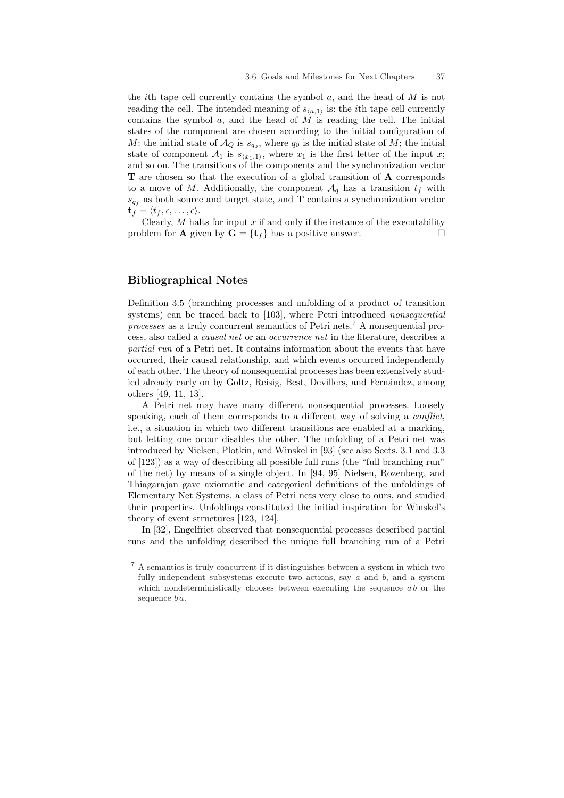the *i*th tape cell currently contains the symbol  $a$ , and the head of  $M$  is not reading the cell. The intended meaning of  $s_{\langle a,1\rangle}$  is: the *i*th tape cell currently contains the symbol a, and the head of  $\overrightarrow{M}$  is reading the cell. The initial states of the component are chosen according to the initial configuration of M: the initial state of  $\mathcal{A}_Q$  is  $s_{q_0}$ , where  $q_0$  is the initial state of M; the initial state of component  $A_1$  is  $s_{(x_1,1)}$ , where  $x_1$  is the first letter of the input x; and so on. The transitions of the components and the synchronization vector T are chosen so that the execution of a global transition of A corresponds to a move of M. Additionally, the component  $A_q$  has a transition  $t_f$  with  $s_{q_f}$  as both source and target state, and **T** contains a synchronization vector  $\mathbf{t}_f = \langle t_f, \epsilon, \ldots, \epsilon \rangle.$ 

Clearly,  $M$  halts for input  $x$  if and only if the instance of the executability problem for **A** given by  $\mathbf{G} = {\mathbf{t}_{f}}$  has a positive answer.

## Bibliographical Notes

Definition 3.5 (branching processes and unfolding of a product of transition systems) can be traced back to [103], where Petri introduced nonsequential processes as a truly concurrent semantics of Petri nets.<sup>7</sup> A nonsequential process, also called a causal net or an occurrence net in the literature, describes a partial run of a Petri net. It contains information about the events that have occurred, their causal relationship, and which events occurred independently of each other. The theory of nonsequential processes has been extensively studied already early on by Goltz, Reisig, Best, Devillers, and Fernández, among others [49, 11, 13].

A Petri net may have many different nonsequential processes. Loosely speaking, each of them corresponds to a different way of solving a *conflict*, i.e., a situation in which two different transitions are enabled at a marking, but letting one occur disables the other. The unfolding of a Petri net was introduced by Nielsen, Plotkin, and Winskel in [93] (see also Sects. 3.1 and 3.3 of [123]) as a way of describing all possible full runs (the "full branching run" of the net) by means of a single object. In [94, 95] Nielsen, Rozenberg, and Thiagarajan gave axiomatic and categorical definitions of the unfoldings of Elementary Net Systems, a class of Petri nets very close to ours, and studied their properties. Unfoldings constituted the initial inspiration for Winskel's theory of event structures [123, 124].

In [32], Engelfriet observed that nonsequential processes described partial runs and the unfolding described the unique full branching run of a Petri

<sup>7</sup> A semantics is truly concurrent if it distinguishes between a system in which two fully independent subsystems execute two actions, say  $a$  and  $b$ , and a system which nondeterministically chooses between executing the sequence  $ab$  or the sequence  $b\,a$ .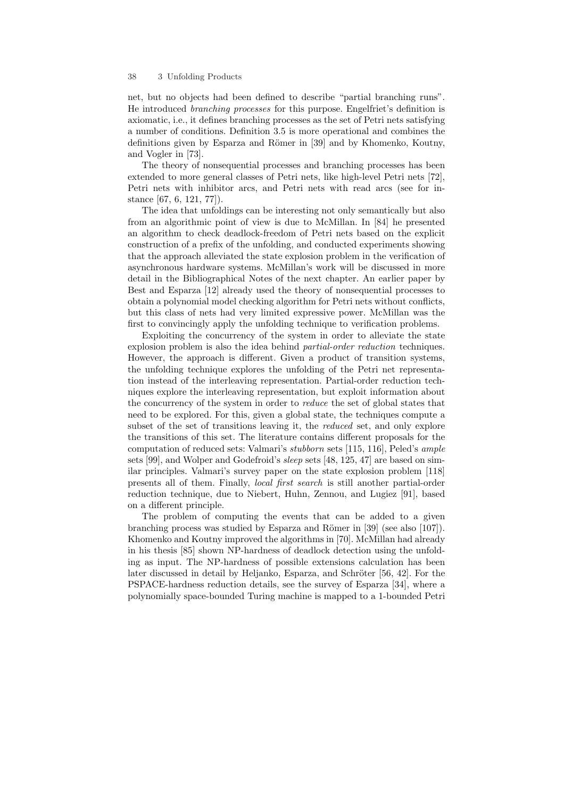## 38 3 Unfolding Products

net, but no objects had been defined to describe "partial branching runs". He introduced branching processes for this purpose. Engelfriet's definition is axiomatic, i.e., it defines branching processes as the set of Petri nets satisfying a number of conditions. Definition 3.5 is more operational and combines the definitions given by Esparza and Römer in [39] and by Khomenko, Koutny, and Vogler in [73].

The theory of nonsequential processes and branching processes has been extended to more general classes of Petri nets, like high-level Petri nets [72], Petri nets with inhibitor arcs, and Petri nets with read arcs (see for instance [67, 6, 121, 77]).

The idea that unfoldings can be interesting not only semantically but also from an algorithmic point of view is due to McMillan. In [84] he presented an algorithm to check deadlock-freedom of Petri nets based on the explicit construction of a prefix of the unfolding, and conducted experiments showing that the approach alleviated the state explosion problem in the verification of asynchronous hardware systems. McMillan's work will be discussed in more detail in the Bibliographical Notes of the next chapter. An earlier paper by Best and Esparza [12] already used the theory of nonsequential processes to obtain a polynomial model checking algorithm for Petri nets without conflicts, but this class of nets had very limited expressive power. McMillan was the first to convincingly apply the unfolding technique to verification problems.

Exploiting the concurrency of the system in order to alleviate the state explosion problem is also the idea behind partial-order reduction techniques. However, the approach is different. Given a product of transition systems, the unfolding technique explores the unfolding of the Petri net representation instead of the interleaving representation. Partial-order reduction techniques explore the interleaving representation, but exploit information about the concurrency of the system in order to reduce the set of global states that need to be explored. For this, given a global state, the techniques compute a subset of the set of transitions leaving it, the *reduced* set, and only explore the transitions of this set. The literature contains different proposals for the computation of reduced sets: Valmari's stubborn sets [115, 116], Peled's ample sets [99], and Wolper and Godefroid's sleep sets [48, 125, 47] are based on similar principles. Valmari's survey paper on the state explosion problem [118] presents all of them. Finally, local first search is still another partial-order reduction technique, due to Niebert, Huhn, Zennou, and Lugiez [91], based on a different principle.

The problem of computing the events that can be added to a given branching process was studied by Esparza and Römer in  $[39]$  (see also  $[107]$ ). Khomenko and Koutny improved the algorithms in [70]. McMillan had already in his thesis [85] shown NP-hardness of deadlock detection using the unfolding as input. The NP-hardness of possible extensions calculation has been later discussed in detail by Heljanko, Esparza, and Schröter  $[56, 42]$ . For the PSPACE-hardness reduction details, see the survey of Esparza [34], where a polynomially space-bounded Turing machine is mapped to a 1-bounded Petri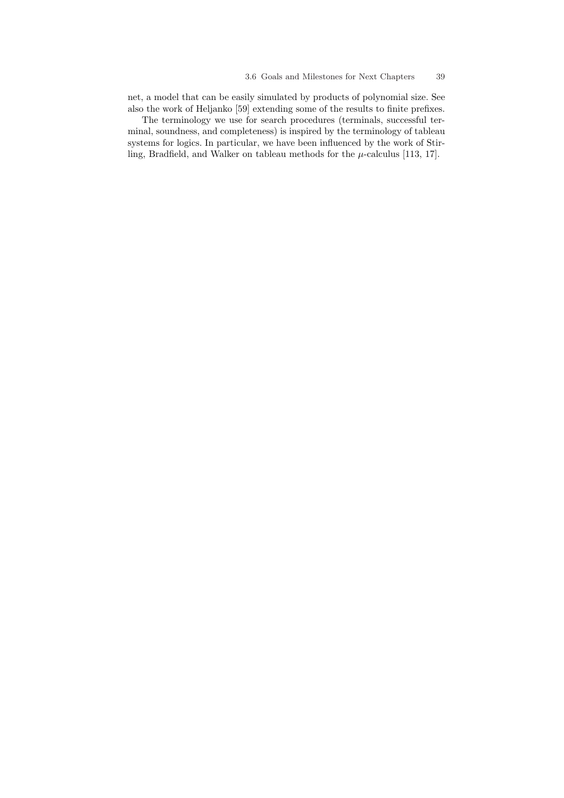net, a model that can be easily simulated by products of polynomial size. See also the work of Heljanko [59] extending some of the results to finite prefixes.

The terminology we use for search procedures (terminals, successful terminal, soundness, and completeness) is inspired by the terminology of tableau systems for logics. In particular, we have been influenced by the work of Stirling, Bradfield, and Walker on tableau methods for the  $\mu$ -calculus [113, 17].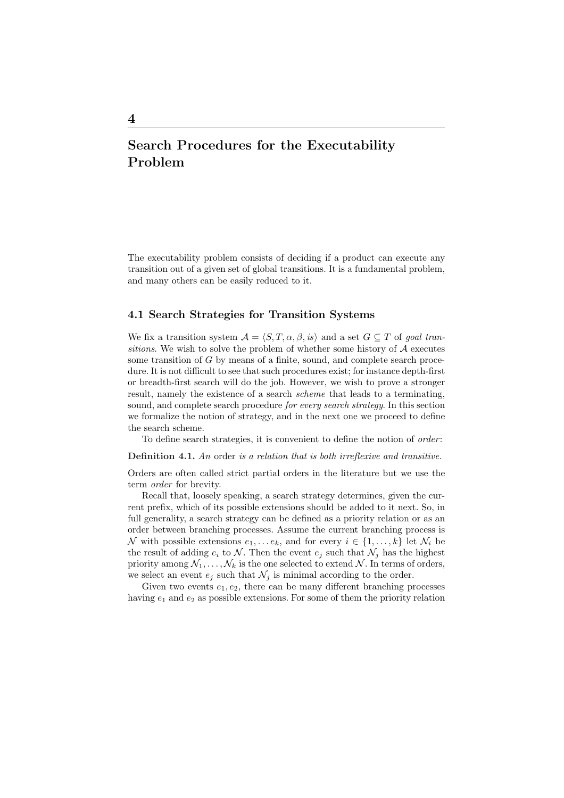The executability problem consists of deciding if a product can execute any transition out of a given set of global transitions. It is a fundamental problem, and many others can be easily reduced to it.

## 4.1 Search Strategies for Transition Systems

We fix a transition system  $A = \langle S, T, \alpha, \beta, i\mathfrak{s} \rangle$  and a set  $G \subseteq T$  of goal transitions. We wish to solve the problem of whether some history of  $A$  executes some transition of G by means of a finite, sound, and complete search procedure. It is not difficult to see that such procedures exist; for instance depth-first or breadth-first search will do the job. However, we wish to prove a stronger result, namely the existence of a search *scheme* that leads to a terminating, sound, and complete search procedure *for every search strategy*. In this section we formalize the notion of strategy, and in the next one we proceed to define the search scheme.

To define search strategies, it is convenient to define the notion of order :

Definition 4.1. An order is a relation that is both irreflexive and transitive.

Orders are often called strict partial orders in the literature but we use the term order for brevity.

Recall that, loosely speaking, a search strategy determines, given the current prefix, which of its possible extensions should be added to it next. So, in full generality, a search strategy can be defined as a priority relation or as an order between branching processes. Assume the current branching process is N with possible extensions  $e_1, \ldots e_k$ , and for every  $i \in \{1, \ldots, k\}$  let  $\mathcal{N}_i$  be the result of adding  $e_i$  to N. Then the event  $e_j$  such that  $\mathcal{N}_j$  has the highest priority among  $\mathcal{N}_1, \ldots, \mathcal{N}_k$  is the one selected to extend  $\mathcal{N}$ . In terms of orders, we select an event  $e_j$  such that  $\mathcal{N}_j$  is minimal according to the order.

Given two events  $e_1, e_2$ , there can be many different branching processes having  $e_1$  and  $e_2$  as possible extensions. For some of them the priority relation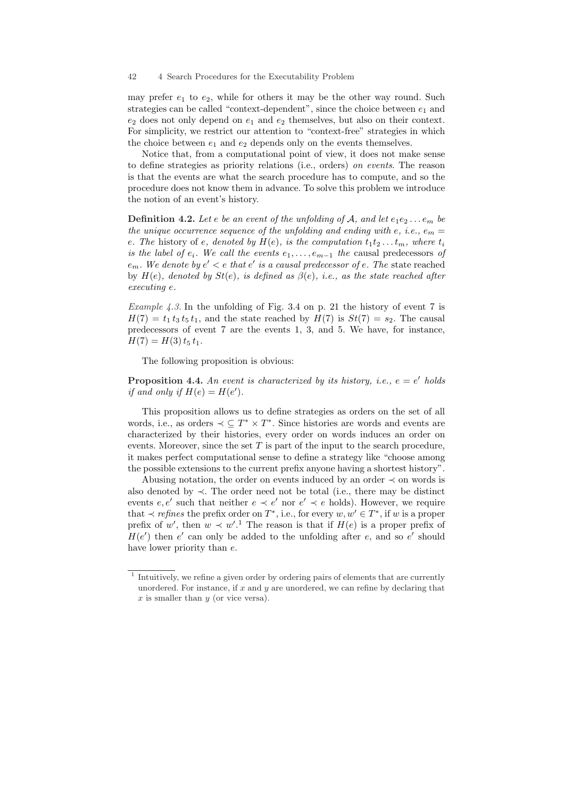may prefer  $e_1$  to  $e_2$ , while for others it may be the other way round. Such strategies can be called "context-dependent", since the choice between  $e_1$  and  $e_2$  does not only depend on  $e_1$  and  $e_2$  themselves, but also on their context. For simplicity, we restrict our attention to "context-free" strategies in which the choice between  $e_1$  and  $e_2$  depends only on the events themselves.

Notice that, from a computational point of view, it does not make sense to define strategies as priority relations (i.e., orders) on events. The reason is that the events are what the search procedure has to compute, and so the procedure does not know them in advance. To solve this problem we introduce the notion of an event's history.

**Definition 4.2.** Let e be an event of the unfolding of A, and let  $e_1e_2...e_m$  be the unique occurrence sequence of the unfolding and ending with e, i.e.,  $e_m =$ e. The history of e, denoted by  $H(e)$ , is the computation  $t_1t_2 \ldots t_m$ , where  $t_i$ is the label of  $e_i$ . We call the events  $e_1, \ldots, e_{m-1}$  the causal predecessors of  $e_m$ . We denote by  $e' < e$  that  $e'$  is a causal predecessor of e. The state reached by  $H(e)$ , denoted by  $St(e)$ , is defined as  $\beta(e)$ , i.e., as the state reached after executing e.

*Example 4.3.* In the unfolding of Fig. 3.4 on p. 21 the history of event 7 is  $H(7) = t_1 t_3 t_5 t_1$ , and the state reached by  $H(7)$  is  $St(7) = s_2$ . The causal predecessors of event 7 are the events 1, 3, and 5. We have, for instance,  $H(7) = H(3) t_5 t_1.$ 

The following proposition is obvious:

**Proposition 4.4.** An event is characterized by its history, i.e.,  $e = e^t$  holds if and only if  $H(e) = H(e')$ .

This proposition allows us to define strategies as orders on the set of all words, i.e., as orders  $\prec$  ⊆  $T^* \times T^*$ . Since histories are words and events are characterized by their histories, every order on words induces an order on events. Moreover, since the set  $T$  is part of the input to the search procedure, it makes perfect computational sense to define a strategy like "choose among the possible extensions to the current prefix anyone having a shortest history".

Abusing notation, the order on events induced by an order  $\prec$  on words is also denoted by ≺. The order need not be total (i.e., there may be distinct events  $e, e'$  such that neither  $e \prec e'$  nor  $e' \prec e$  holds). However, we require that  $\prec$  refines the prefix order on  $T^*$ , i.e., for every  $w, w' \in T^*$ , if w is a proper prefix of w', then  $w \prec w'^{1}$ . The reason is that if  $H(e)$  is a proper prefix of  $H(e')$  then e' can only be added to the unfolding after e, and so e' should have lower priority than e.

<sup>&</sup>lt;sup>1</sup> Intuitively, we refine a given order by ordering pairs of elements that are currently unordered. For instance, if  $x$  and  $y$  are unordered, we can refine by declaring that  $x$  is smaller than  $y$  (or vice versa).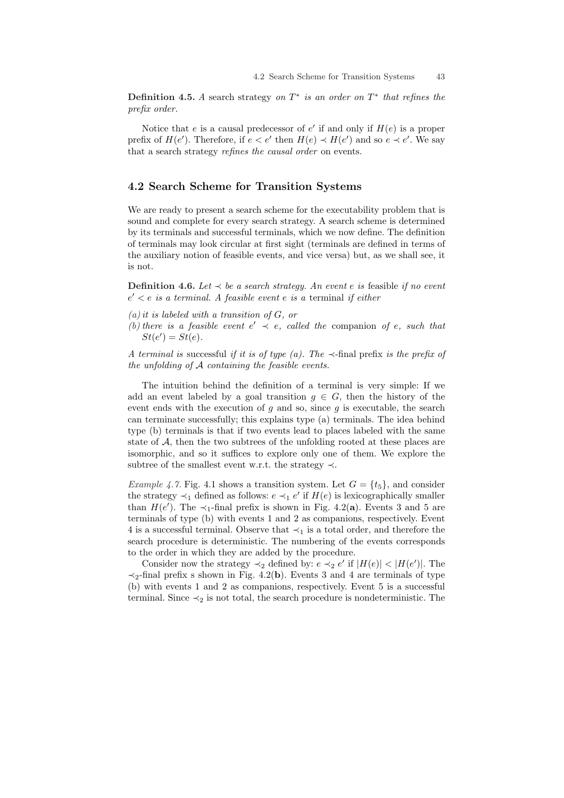**Definition 4.5.** A search strategy on  $T^*$  is an order on  $T^*$  that refines the prefix order.

Notice that e is a causal predecessor of  $e'$  if and only if  $H(e)$  is a proper prefix of  $H(e')$ . Therefore, if  $e < e'$  then  $H(e) \prec H(e')$  and so  $e \prec e'$ . We say that a search strategy refines the causal order on events.

## 4.2 Search Scheme for Transition Systems

We are ready to present a search scheme for the executability problem that is sound and complete for every search strategy. A search scheme is determined by its terminals and successful terminals, which we now define. The definition of terminals may look circular at first sight (terminals are defined in terms of the auxiliary notion of feasible events, and vice versa) but, as we shall see, it is not.

**Definition 4.6.** Let  $\prec$  be a search strategy. An event e is feasible if no event  $e' < e$  is a terminal. A feasible event e is a terminal if either

- $(a)$  it is labeled with a transition of  $G$ , or
- (b) there is a feasible event  $e' \prec e$ , called the companion of e, such that  $St(e') = St(e).$

A terminal is successful if it is of type (a). The  $\prec$ -final prefix is the prefix of the unfolding of A containing the feasible events.

The intuition behind the definition of a terminal is very simple: If we add an event labeled by a goal transition  $g \in G$ , then the history of the event ends with the execution of  $g$  and so, since  $g$  is executable, the search can terminate successfully; this explains type (a) terminals. The idea behind type (b) terminals is that if two events lead to places labeled with the same state of  $A$ , then the two subtrees of the unfolding rooted at these places are isomorphic, and so it suffices to explore only one of them. We explore the subtree of the smallest event w.r.t. the strategy  $\prec$ .

*Example 4.7.* Fig. 4.1 shows a transition system. Let  $G = \{t_5\}$ , and consider the strategy  $\prec_1$  defined as follows:  $e \prec_1 e'$  if  $H(e)$  is lexicographically smaller than  $H(e')$ . The  $\prec_1$ -final prefix is shown in Fig. 4.2(a). Events 3 and 5 are terminals of type (b) with events 1 and 2 as companions, respectively. Event 4 is a successful terminal. Observe that  $\prec_1$  is a total order, and therefore the search procedure is deterministic. The numbering of the events corresponds to the order in which they are added by the procedure.

Consider now the strategy  $\prec_2$  defined by:  $e \prec_2 e'$  if  $|H(e)| < |H(e')|$ . The  $\prec_2$ -final prefix s shown in Fig. 4.2(b). Events 3 and 4 are terminals of type (b) with events 1 and 2 as companions, respectively. Event 5 is a successful terminal. Since  $\prec_2$  is not total, the search procedure is nondeterministic. The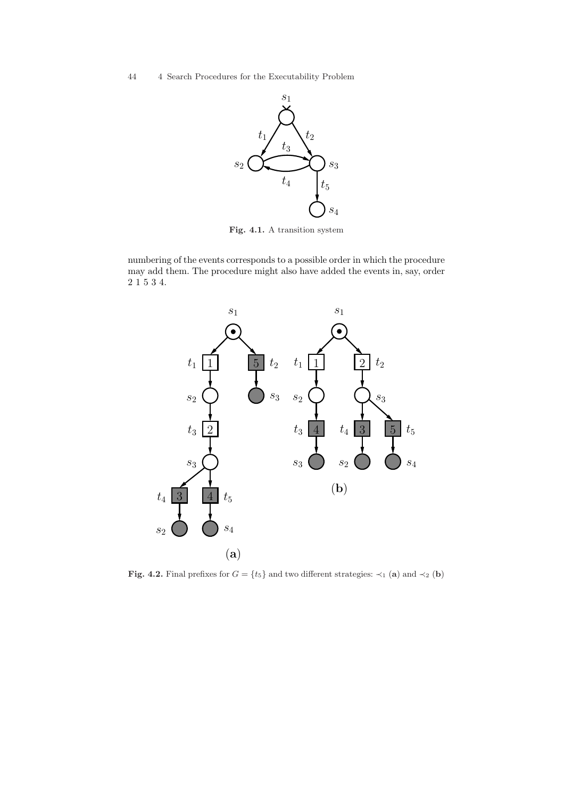

Fig. 4.1. A transition system

numbering of the events corresponds to a possible order in which the procedure may add them. The procedure might also have added the events in, say, order 2 1 5 3 4.



**Fig. 4.2.** Final prefixes for  $G = \{t_5\}$  and two different strategies:  $\prec_1$  (a) and  $\prec_2$  (b)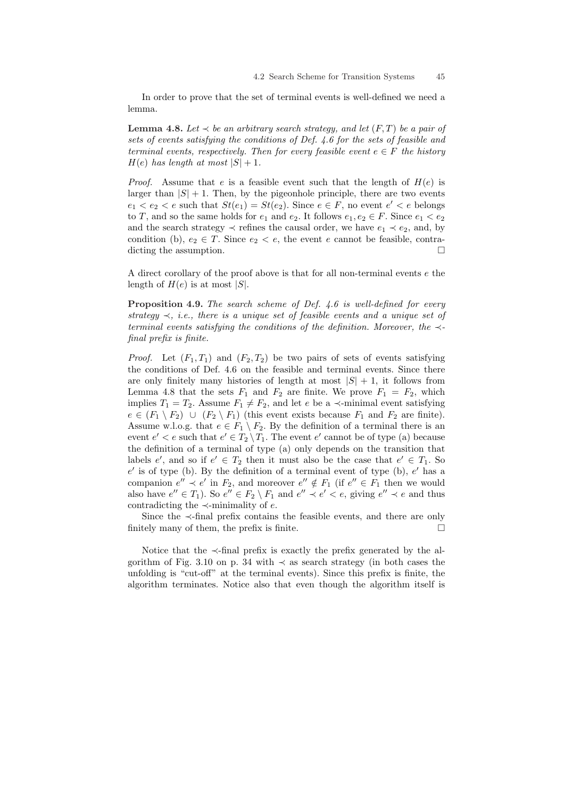In order to prove that the set of terminal events is well-defined we need a lemma.

**Lemma 4.8.** Let  $\prec$  be an arbitrary search strategy, and let  $(F, T)$  be a pair of sets of events satisfying the conditions of Def. 4.6 for the sets of feasible and terminal events, respectively. Then for every feasible event  $e \in F$  the history  $H(e)$  has length at most  $|S|+1$ .

*Proof.* Assume that e is a feasible event such that the length of  $H(e)$  is larger than  $|S| + 1$ . Then, by the pigeonhole principle, there are two events  $e_1 < e_2 < e$  such that  $St(e_1) = St(e_2)$ . Since  $e \in F$ , no event  $e' < e$  belongs to T, and so the same holds for  $e_1$  and  $e_2$ . It follows  $e_1, e_2 \in F$ . Since  $e_1 < e_2$ and the search strategy  $\prec$  refines the causal order, we have  $e_1 \prec e_2$ , and, by condition (b),  $e_2 \in T$ . Since  $e_2 < e$ , the event e cannot be feasible, contradicting the assumption.  $\Box$ 

A direct corollary of the proof above is that for all non-terminal events e the length of  $H(e)$  is at most  $|S|$ .

Proposition 4.9. The search scheme of Def. 4.6 is well-defined for every strategy  $\prec$ , *i.e.*, there is a unique set of feasible events and a unique set of terminal events satisfying the conditions of the definition. Moreover, the  $\prec$ final prefix is finite.

*Proof.* Let  $(F_1, T_1)$  and  $(F_2, T_2)$  be two pairs of sets of events satisfying the conditions of Def. 4.6 on the feasible and terminal events. Since there are only finitely many histories of length at most  $|S| + 1$ , it follows from Lemma 4.8 that the sets  $F_1$  and  $F_2$  are finite. We prove  $F_1 = F_2$ , which implies  $T_1 = T_2$ . Assume  $F_1 \neq F_2$ , and let e be a  $\prec$ -minimal event satisfying  $e \in (F_1 \setminus F_2) \cup (F_2 \setminus F_1)$  (this event exists because  $F_1$  and  $F_2$  are finite). Assume w.l.o.g. that  $e \in F_1 \setminus F_2$ . By the definition of a terminal there is an event  $e' < e$  such that  $e' \in T_2 \setminus T_1$ . The event  $e'$  cannot be of type (a) because the definition of a terminal of type (a) only depends on the transition that labels  $e'$ , and so if  $e' \in T_2$  then it must also be the case that  $e' \in T_1$ . So  $e'$  is of type (b). By the definition of a terminal event of type (b),  $e'$  has a companion  $e'' \prec e'$  in  $F_2$ , and moreover  $e'' \notin F_1$  (if  $e'' \in F_1$  then we would also have  $e'' \in T_1$ ). So  $e'' \in F_2 \setminus F_1$  and  $e'' \prec e' \prec e$ , giving  $e'' \prec e$  and thus contradicting the  $\prec$ -minimality of e.

Since the ≺-final prefix contains the feasible events, and there are only finitely many of them, the prefix is finite.  $\Box$ 

Notice that the  $\prec$ -final prefix is exactly the prefix generated by the algorithm of Fig. 3.10 on p. 34 with  $\prec$  as search strategy (in both cases the unfolding is "cut-off" at the terminal events). Since this prefix is finite, the algorithm terminates. Notice also that even though the algorithm itself is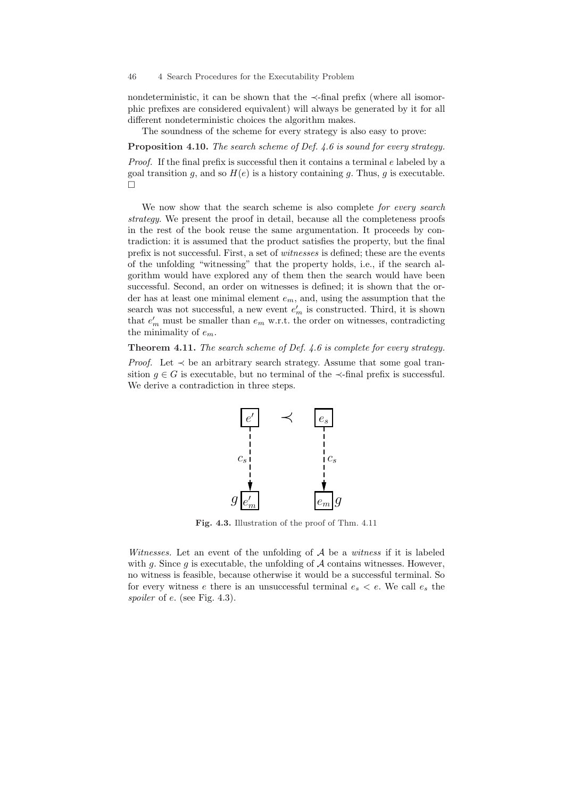nondeterministic, it can be shown that the ≺-final prefix (where all isomorphic prefixes are considered equivalent) will always be generated by it for all different nondeterministic choices the algorithm makes.

The soundness of the scheme for every strategy is also easy to prove:

Proposition 4.10. The search scheme of Def. 4.6 is sound for every strategy.

Proof. If the final prefix is successful then it contains a terminal e labeled by a goal transition g, and so  $H(e)$  is a history containing g. Thus, g is executable.  $\Box$ 

We now show that the search scheme is also complete for every search strategy. We present the proof in detail, because all the completeness proofs in the rest of the book reuse the same argumentation. It proceeds by contradiction: it is assumed that the product satisfies the property, but the final prefix is not successful. First, a set of witnesses is defined; these are the events of the unfolding "witnessing" that the property holds, i.e., if the search algorithm would have explored any of them then the search would have been successful. Second, an order on witnesses is defined; it is shown that the order has at least one minimal element  $e_m$ , and, using the assumption that the search was not successful, a new event  $e'_m$  is constructed. Third, it is shown that  $e'_m$  must be smaller than  $e_m$  w.r.t. the order on witnesses, contradicting the minimality of  $e_m$ .

Theorem 4.11. The search scheme of Def. 4.6 is complete for every strategy. *Proof.* Let  $\prec$  be an arbitrary search strategy. Assume that some goal transition  $g \in G$  is executable, but no terminal of the  $\prec$ -final prefix is successful. We derive a contradiction in three steps.



Fig. 4.3. Illustration of the proof of Thm. 4.11

Witnesses. Let an event of the unfolding of  $A$  be a witness if it is labeled with g. Since g is executable, the unfolding of  $A$  contains witnesses. However, no witness is feasible, because otherwise it would be a successful terminal. So for every witness e there is an unsuccessful terminal  $e_s < e$ . We call  $e_s$  the spoiler of e. (see Fig. 4.3).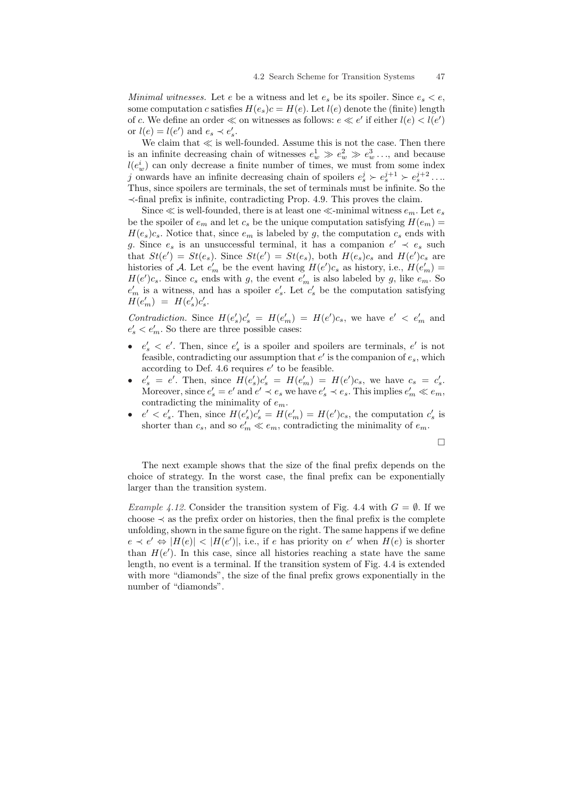Minimal witnesses. Let e be a witness and let  $e_s$  be its spoiler. Since  $e_s < e$ , some computation c satisfies  $H(e_s)c = H(e)$ . Let  $l(e)$  denote the (finite) length of c. We define an order  $\ll$  on witnesses as follows:  $e \ll e'$  if either  $l(e) < l(e')$ or  $l(e) = l(e')$  and  $e_s \prec e'_s$ .

We claim that  $\ll$  is well-founded. Assume this is not the case. Then there is an infinite decreasing chain of witnesses  $e_w^1 \gg e_w^2 \gg e_w^3 \dots$ , and because  $l(e_w^i)$  can only decrease a finite number of times, we must from some index j onwards have an infinite decreasing chain of spoilers  $e_s^j \succ e_s^{j+1} \succ e_s^{j+2} \ldots$ Thus, since spoilers are terminals, the set of terminals must be infinite. So the ≺-final prefix is infinite, contradicting Prop. 4.9. This proves the claim.

Since  $\ll$  is well-founded, there is at least one  $\ll$ -minimal witness  $e_m$ . Let  $e_s$ be the spoiler of  $e_m$  and let  $c_s$  be the unique computation satisfying  $H(e_m)$  =  $H(e_s)c_s$ . Notice that, since  $e_m$  is labeled by g, the computation  $c_s$  ends with g. Since  $e_s$  is an unsuccessful terminal, it has a companion  $e' \prec e_s$  such that  $St(e') = St(e_s)$ . Since  $St(e') = St(e_s)$ , both  $H(e_s)c_s$  and  $H(e')c_s$  are histories of A. Let  $e'_{m}$  be the event having  $H(e')c_{s}$  as history, i.e.,  $H(e'_{m})=$  $H(e')c_s$ . Since  $c_s$  ends with g, the event  $e'_m$  is also labeled by g, like  $e_m$ . So  $e'_m$  is a witness, and has a spoiler  $e'_s$ . Let  $c'_s$  be the computation satisfying  $H(e'_m) = H(e'_s)c'_s.$ 

Contradiction. Since  $H(e_s')c_s' = H(e_m') = H(e')c_s$ , we have  $e' < e_m'$  and  $e'_s < e'_m$ . So there are three possible cases:

- $e'_s < e'$ . Then, since  $e'_s$  is a spoiler and spoilers are terminals,  $e'$  is not feasible, contradicting our assumption that  $e'$  is the companion of  $e_s$ , which according to Def. 4.6 requires  $e'$  to be feasible.
- $e'_s = e'$ . Then, since  $H(e'_s)c'_s = H(e'_m) = H(e')c_s$ , we have  $c_s = c'_s$ . Moreover, since  $e'_s = e'$  and  $e' \prec e_s$  we have  $e'_s \prec e_s$ . This implies  $e'_m \ll e_m$ , contradicting the minimality of  $e_m$ .
- $e' < e'_s$ . Then, since  $H(e'_s)c'_s = H(e'_m) = H(e')c_s$ , the computation  $c'_s$  is shorter than  $c_s$ , and so  $e'_m \ll e_m$ , contradicting the minimality of  $e_m$ .

 $\Box$ 

The next example shows that the size of the final prefix depends on the choice of strategy. In the worst case, the final prefix can be exponentially larger than the transition system.

Example 4.12. Consider the transition system of Fig. 4.4 with  $G = \emptyset$ . If we choose  $\prec$  as the prefix order on histories, then the final prefix is the complete unfolding, shown in the same figure on the right. The same happens if we define  $e \prec e' \Leftrightarrow |H(e)| < |H(e')|$ , i.e., if e has priority on e' when  $H(e)$  is shorter than  $H(e')$ . In this case, since all histories reaching a state have the same length, no event is a terminal. If the transition system of Fig. 4.4 is extended with more "diamonds", the size of the final prefix grows exponentially in the number of "diamonds".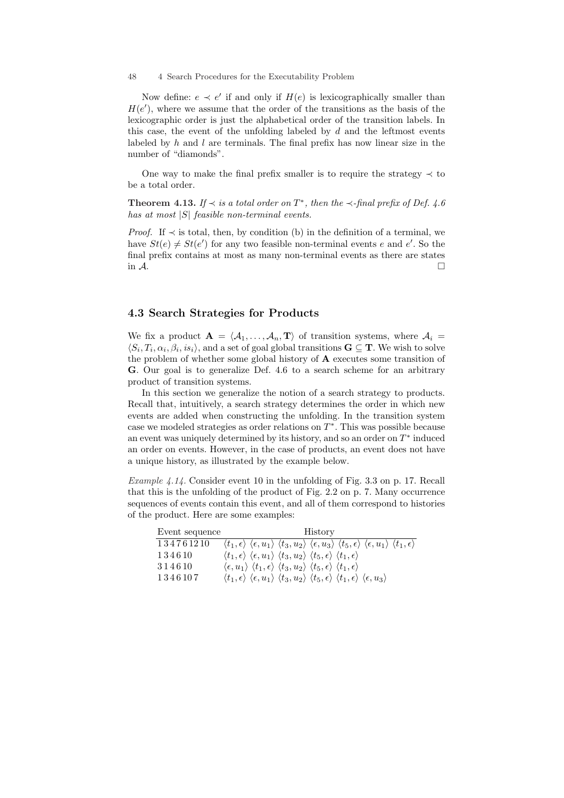Now define:  $e \prec e'$  if and only if  $H(e)$  is lexicographically smaller than  $H(e')$ , where we assume that the order of the transitions as the basis of the lexicographic order is just the alphabetical order of the transition labels. In this case, the event of the unfolding labeled by  $d$  and the leftmost events labeled by  $h$  and  $l$  are terminals. The final prefix has now linear size in the number of "diamonds".

One way to make the final prefix smaller is to require the strategy  $\prec$  to be a total order.

Theorem 4.13. If  $\prec$  is a total order on  $T^*$ , then the  $\prec$ -final prefix of Def. 4.6 has at most  $|S|$  feasible non-terminal events.

*Proof.* If  $\prec$  is total, then, by condition (b) in the definition of a terminal, we have  $St(e) \neq St(e')$  for any two feasible non-terminal events e and e'. So the final prefix contains at most as many non-terminal events as there are states in  $\mathcal A$ .

## 4.3 Search Strategies for Products

We fix a product  $\mathbf{A} = \langle A_1, \ldots, A_n, \mathbf{T} \rangle$  of transition systems, where  $A_i =$  $\langle S_i, T_i, \alpha_i, \beta_i, is_i \rangle$ , and a set of goal global transitions  $\mathbf{G} \subseteq \mathbf{T}$ . We wish to solve the problem of whether some global history of A executes some transition of G. Our goal is to generalize Def. 4.6 to a search scheme for an arbitrary product of transition systems.

In this section we generalize the notion of a search strategy to products. Recall that, intuitively, a search strategy determines the order in which new events are added when constructing the unfolding. In the transition system case we modeled strategies as order relations on  $T^*$ . This was possible because an event was uniquely determined by its history, and so an order on  $T^*$  induced an order on events. However, in the case of products, an event does not have a unique history, as illustrated by the example below.

Example 4.14. Consider event 10 in the unfolding of Fig. 3.3 on p. 17. Recall that this is the unfolding of the product of Fig. 2.2 on p. 7. Many occurrence sequences of events contain this event, and all of them correspond to histories of the product. Here are some examples:

| Event sequence | History                                                                                                                                                                                                        |
|----------------|----------------------------------------------------------------------------------------------------------------------------------------------------------------------------------------------------------------|
| 134761210      | $\langle t_1, \epsilon \rangle \langle \epsilon, u_1 \rangle \langle t_3, u_2 \rangle \langle \epsilon, u_3 \rangle \langle t_5, \epsilon \rangle \langle \epsilon, u_1 \rangle \langle t_1, \epsilon \rangle$ |
| 134610         | $\langle t_1, \epsilon \rangle \langle \epsilon, u_1 \rangle \langle t_3, u_2 \rangle \langle t_5, \epsilon \rangle \langle t_1, \epsilon \rangle$                                                             |
| 314610         | $\langle \epsilon, u_1 \rangle \langle t_1, \epsilon \rangle \langle t_3, u_2 \rangle \langle t_5, \epsilon \rangle \langle t_1, \epsilon \rangle$                                                             |
| 1346107        | $\langle t_1, \epsilon \rangle \langle \epsilon, u_1 \rangle \langle t_3, u_2 \rangle \langle t_5, \epsilon \rangle \langle t_1, \epsilon \rangle \langle \epsilon, u_3 \rangle$                               |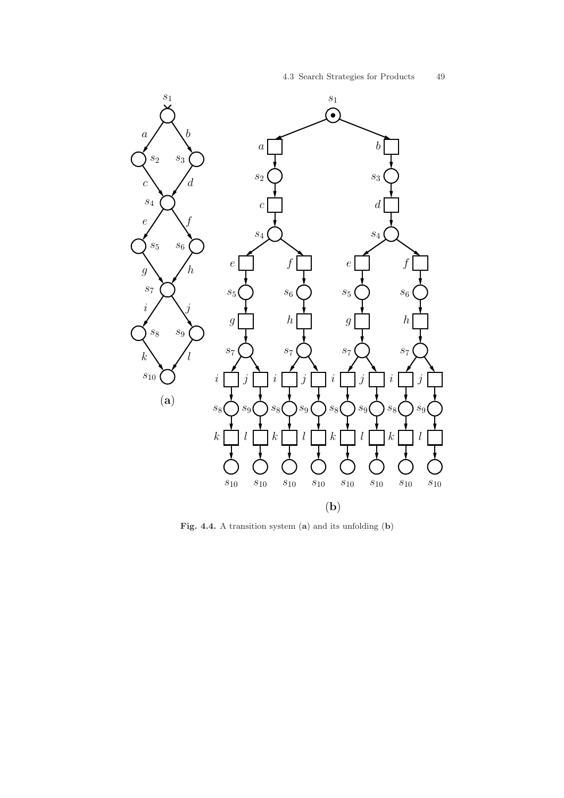

Fig. 4.4. A transition system (a) and its unfolding (b)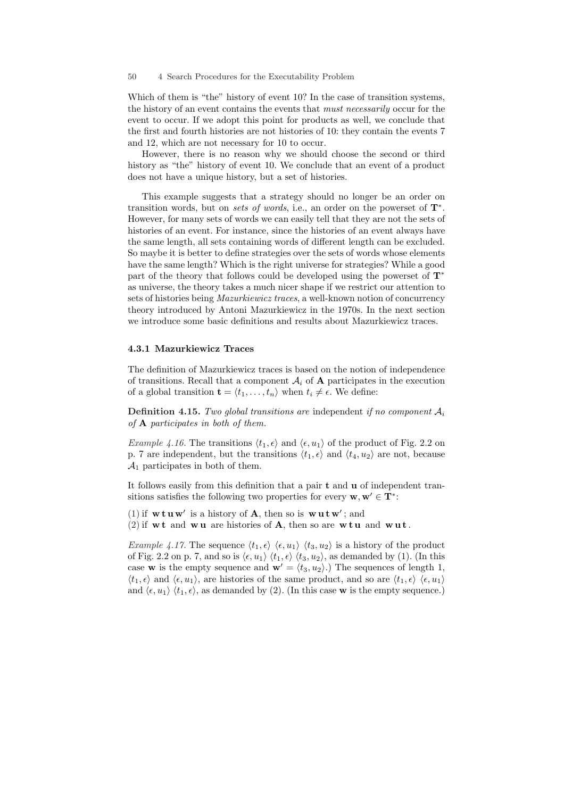Which of them is "the" history of event 10? In the case of transition systems, the history of an event contains the events that must necessarily occur for the event to occur. If we adopt this point for products as well, we conclude that the first and fourth histories are not histories of 10: they contain the events 7 and 12, which are not necessary for 10 to occur.

However, there is no reason why we should choose the second or third history as "the" history of event 10. We conclude that an event of a product does not have a unique history, but a set of histories.

This example suggests that a strategy should no longer be an order on transition words, but on *sets of words*, i.e., an order on the powerset of  $T^*$ . However, for many sets of words we can easily tell that they are not the sets of histories of an event. For instance, since the histories of an event always have the same length, all sets containing words of different length can be excluded. So maybe it is better to define strategies over the sets of words whose elements have the same length? Which is the right universe for strategies? While a good part of the theory that follows could be developed using the powerset of T<sup>∗</sup> as universe, the theory takes a much nicer shape if we restrict our attention to sets of histories being Mazurkiewicz traces, a well-known notion of concurrency theory introduced by Antoni Mazurkiewicz in the 1970s. In the next section we introduce some basic definitions and results about Mazurkiewicz traces.

#### 4.3.1 Mazurkiewicz Traces

The definition of Mazurkiewicz traces is based on the notion of independence of transitions. Recall that a component  $A_i$  of **A** participates in the execution of a global transition  $\mathbf{t} = \langle t_1, \ldots, t_n \rangle$  when  $t_i \neq \epsilon$ . We define:

**Definition 4.15.** Two global transitions are independent if no component  $A_i$ of A participates in both of them.

*Example 4.16.* The transitions  $\langle t_1, \epsilon \rangle$  and  $\langle \epsilon, u_1 \rangle$  of the product of Fig. 2.2 on p. 7 are independent, but the transitions  $\langle t_1, \epsilon \rangle$  and  $\langle t_4, u_2 \rangle$  are not, because  $\mathcal{A}_1$  participates in both of them.

It follows easily from this definition that a pair t and u of independent transitions satisfies the following two properties for every  $w, w' \in T^*$ :

(1) if  $w \mathbf{t} u w'$  is a history of **A**, then so is  $w u \mathbf{t} w'$ ; and

(2) if  $w t$  and  $w u$  are histories of **A**, then so are  $w t u$  and  $w u t$ .

*Example 4.17.* The sequence  $\langle t_1, \epsilon \rangle$   $\langle \epsilon, u_1 \rangle$   $\langle t_3, u_2 \rangle$  is a history of the product of Fig. 2.2 on p. 7, and so is  $\langle \epsilon, u_1 \rangle \langle t_1, \epsilon \rangle \langle t_3, u_2 \rangle$ , as demanded by (1). (In this case **w** is the empty sequence and  $\mathbf{w}' = \langle t_3, u_2 \rangle$ .) The sequences of length 1,  $\langle t_1, \epsilon \rangle$  and  $\langle \epsilon, u_1 \rangle$ , are histories of the same product, and so are  $\langle t_1, \epsilon \rangle$   $\langle \epsilon, u_1 \rangle$ and  $\langle \epsilon, u_1 \rangle$   $\langle t_1, \epsilon \rangle$ , as demanded by (2). (In this case **w** is the empty sequence.)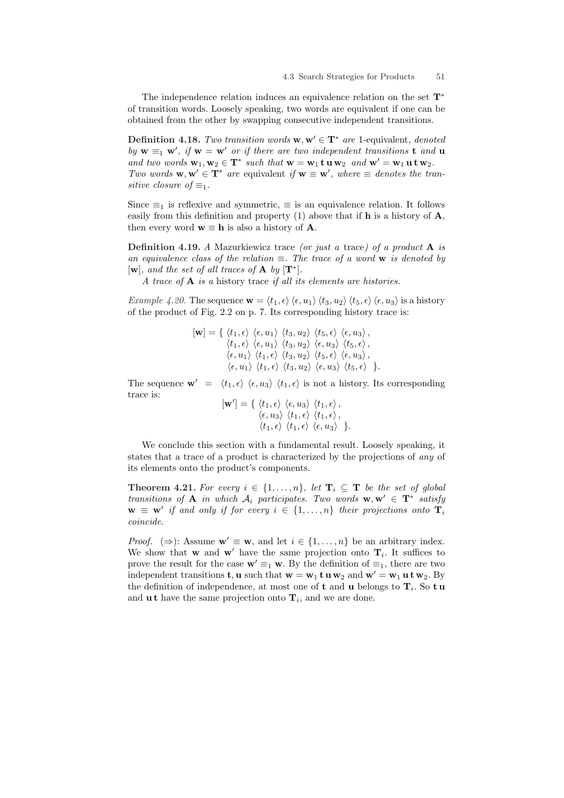The independence relation induces an equivalence relation on the set T<sup>∗</sup> of transition words. Loosely speaking, two words are equivalent if one can be obtained from the other by swapping consecutive independent transitions.

Definition 4.18. Two transition words  $\mathbf{w}, \mathbf{w}' \in \mathbf{T}^*$  are 1-equivalent, denoted by  $\mathbf{w} \equiv_1 \mathbf{w}'$ , if  $\mathbf{w} = \mathbf{w}'$  or if there are two independent transitions **t** and **u** and two words  $\mathbf{w}_1, \mathbf{w}_2 \in \mathbf{T}^*$  such that  $\mathbf{w} = \mathbf{w}_1 \mathbf{t} \mathbf{u} \mathbf{w}_2$  and  $\mathbf{w}' = \mathbf{w}_1 \mathbf{u} \mathbf{t} \mathbf{w}_2$ . Two words  $\mathbf{w}, \mathbf{w}' \in \mathbf{T}^*$  are equivalent if  $\mathbf{w} \equiv \mathbf{w}'$ , where  $\equiv$  denotes the transitive closure of  $\equiv_1$ .

Since  $\equiv_1$  is reflexive and symmetric,  $\equiv$  is an equivalence relation. It follows easily from this definition and property  $(1)$  above that if **h** is a history of **A**, then every word  $\mathbf{w} \equiv \mathbf{h}$  is also a history of **A**.

**Definition 4.19.** A Mazurkiewicz trace (or just a trace) of a product  $\bf{A}$  is an equivalence class of the relation  $\equiv$ . The trace of a word w is denoted by  $[\mathbf{w}]$ , and the set of all traces of **A** by  $[\mathbf{T}^*]$ .

A trace of  $\bf{A}$  is a history trace if all its elements are histories.

Example 4.20. The sequence  $\mathbf{w} = \langle t_1, \epsilon \rangle \langle \epsilon, u_1 \rangle \langle t_3, u_2 \rangle \langle t_5, \epsilon \rangle \langle \epsilon, u_3 \rangle$  is a history of the product of Fig. 2.2 on p. 7. Its corresponding history trace is:

$$
[\mathbf{w}] = \{ \langle t_1, \epsilon \rangle \langle \epsilon, u_1 \rangle \langle t_3, u_2 \rangle \langle t_5, \epsilon \rangle \langle \epsilon, u_3 \rangle, \langle t_1, \epsilon \rangle \langle \epsilon, u_1 \rangle \langle t_3, u_2 \rangle \langle \epsilon, u_3 \rangle \langle t_5, \epsilon \rangle, \langle \epsilon, u_1 \rangle \langle t_1, \epsilon \rangle \langle t_3, u_2 \rangle \langle t_5, \epsilon \rangle \langle \epsilon, u_3 \rangle, \langle \epsilon, u_1 \rangle \langle t_1, \epsilon \rangle \langle t_3, u_2 \rangle \langle \epsilon, u_3 \rangle \langle t_5, \epsilon \rangle \}.
$$

The sequence  $\mathbf{w}' = \langle t_1, \epsilon \rangle \langle \epsilon, u_3 \rangle \langle t_1, \epsilon \rangle$  is not a history. Its corresponding trace is:

$$
[\mathbf{w}'] = \{ \langle t_1, \epsilon \rangle \langle \epsilon, u_3 \rangle \langle t_1, \epsilon \rangle, \langle \epsilon, u_3 \rangle \langle t_1, \epsilon \rangle \langle t_1, \epsilon \rangle, \langle t_1, \epsilon \rangle \langle t_1, \epsilon \rangle \langle \epsilon, u_3 \rangle \}.
$$

We conclude this section with a fundamental result. Loosely speaking, it states that a trace of a product is characterized by the projections of any of its elements onto the product's components.

**Theorem 4.21.** For every  $i \in \{1, \ldots, n\}$ , let  $\mathbf{T}_i \subseteq \mathbf{T}$  be the set of global transitions of **A** in which  $A_i$  participates. Two words  $\mathbf{w}, \mathbf{w}' \in \mathbf{T}^*$  satisfy  $\mathbf{w} \equiv \mathbf{w}'$  if and only if for every  $i \in \{1, \ldots, n\}$  their projections onto  $\mathbf{T}_i$ coincide.

*Proof.* (⇒): Assume  $\mathbf{w}' \equiv \mathbf{w}$ , and let  $i \in \{1, ..., n\}$  be an arbitrary index. We show that **w** and **w**<sup>'</sup> have the same projection onto  $\mathbf{T}_i$ . It suffices to prove the result for the case  $\mathbf{w}' \equiv_1 \mathbf{w}$ . By the definition of  $\equiv_1$ , there are two independent transitions **t**, **u** such that  $\mathbf{w} = \mathbf{w}_1 \mathbf{t} \mathbf{u} \mathbf{w}_2$  and  $\mathbf{w}' = \mathbf{w}_1 \mathbf{u} \mathbf{t} \mathbf{w}_2$ . By the definition of independence, at most one of **t** and **u** belongs to  $\mathbf{T}_i$ . So **t u** and  $\mathbf{u} \mathbf{t}$  have the same projection onto  $\mathbf{T}_i$ , and we are done.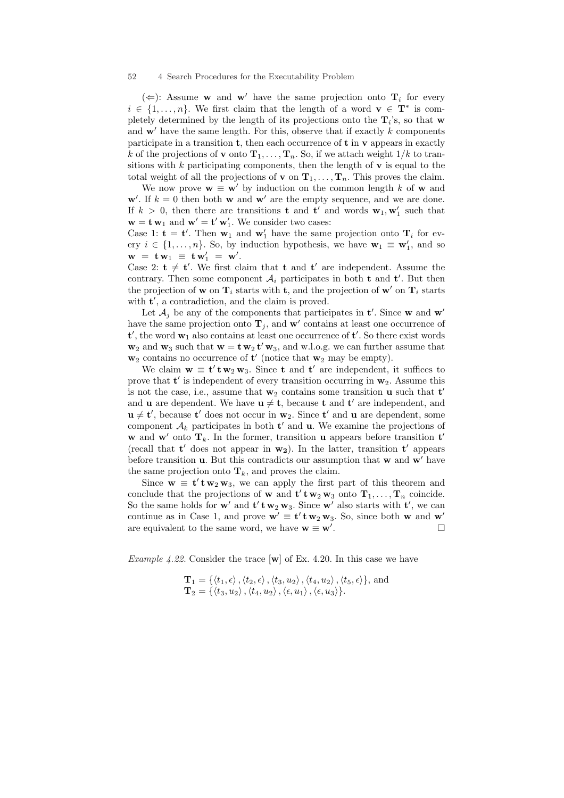( $\Leftarrow$ ): Assume **w** and **w**<sup>'</sup> have the same projection onto  $\mathbf{T}_i$  for every  $i \in \{1, \ldots, n\}$ . We first claim that the length of a word  $\mathbf{v} \in \mathbf{T}^*$  is completely determined by the length of its projections onto the  $T_i$ 's, so that w and  $\mathbf{w}'$  have the same length. For this, observe that if exactly k components participate in a transition **t**, then each occurrence of **t** in **v** appears in exactly k of the projections of **v** onto  $\mathbf{T}_1, \ldots, \mathbf{T}_n$ . So, if we attach weight  $1/k$  to transitions with  $k$  participating components, then the length of  $\bf{v}$  is equal to the total weight of all the projections of **v** on  $\mathbf{T}_1, \ldots, \mathbf{T}_n$ . This proves the claim.

We now prove  $w \equiv w'$  by induction on the common length k of w and  $\mathbf{w}'$ . If  $k = 0$  then both **w** and **w**' are the empty sequence, and we are done. If  $k > 0$ , then there are transitions **t** and **t'** and words **w**<sub>1</sub>, **w**'<sub>1</sub> such that  $\mathbf{w} = \mathbf{t} \mathbf{w}_1$  and  $\mathbf{w}' = \mathbf{t}' \mathbf{w}'_1$ . We consider two cases:

Case 1:  $\mathbf{t} = \mathbf{t}'$ . Then  $\mathbf{w}_1$  and  $\mathbf{w}'_1$  have the same projection onto  $\mathbf{T}_i$  for every  $i \in \{1, \ldots, n\}$ . So, by induction hypothesis, we have  $\mathbf{w}_1 \equiv \mathbf{w}'_1$ , and so  $w = \mathbf{t} w_1 \equiv \mathbf{t} w'_1 = w'.$ 

Case 2:  $t \neq t'$ . We first claim that t and t' are independent. Assume the contrary. Then some component  $A_i$  participates in both **t** and **t'**. But then the projection of **w** on  $\mathbf{T}_i$  starts with **t**, and the projection of **w**' on  $\mathbf{T}_i$  starts with  $t'$ , a contradiction, and the claim is proved.

Let  $\mathcal{A}_j$  be any of the components that participates in **t'**. Since **w** and **w'** have the same projection onto  $\mathbf{T}_j$ , and  $\mathbf{w}'$  contains at least one occurrence of  $t'$ , the word  $w_1$  also contains at least one occurrence of  $t'$ . So there exist words  $\mathbf{w}_2$  and  $\mathbf{w}_3$  such that  $\mathbf{w} = \mathbf{t} \mathbf{w}_2 \mathbf{t}' \mathbf{w}_3$ , and w.l.o.g. we can further assume that  $\mathbf{w}_2$  contains no occurrence of  $\mathbf{t}'$  (notice that  $\mathbf{w}_2$  may be empty).

We claim  $\mathbf{w} \equiv \mathbf{t}' \mathbf{t} \mathbf{w}_2 \mathbf{w}_3$ . Since  $\mathbf{t}$  and  $\mathbf{t}'$  are independent, it suffices to prove that  $t'$  is independent of every transition occurring in  $w_2$ . Assume this is not the case, i.e., assume that  $w_2$  contains some transition **u** such that  $t'$ and **u** are dependent. We have  $u \neq t$ , because **t** and **t'** are independent, and  $\mathbf{u} \neq \mathbf{t}'$ , because  $\mathbf{t}'$  does not occur in  $\mathbf{w}_2$ . Since  $\mathbf{t}'$  and  $\mathbf{u}$  are dependent, some component  $A_k$  participates in both  $t'$  and **u**. We examine the projections of **w** and **w**' onto  $\mathbf{T}_k$ . In the former, transition **u** appears before transition  $\mathbf{t}'$ (recall that  $t'$  does not appear in  $w_2$ ). In the latter, transition  $t'$  appears before transition  $\bf{u}$ . But this contradicts our assumption that  $\bf{w}$  and  $\bf{w}'$  have the same projection onto  $\mathbf{T}_k$ , and proves the claim.

Since  $\mathbf{w} \equiv \mathbf{t}' \mathbf{t} \mathbf{w}_2 \mathbf{w}_3$ , we can apply the first part of this theorem and conclude that the projections of **w** and  $\mathbf{t}' \mathbf{t} \mathbf{w}_2 \mathbf{w}_3$  onto  $\mathbf{T}_1, \ldots, \mathbf{T}_n$  coincide. So the same holds for  $\mathbf{w}'$  and  $\mathbf{t}' \mathbf{t} \mathbf{w}_2 \mathbf{w}_3$ . Since  $\mathbf{w}'$  also starts with  $\mathbf{t}'$ , we can continue as in Case 1, and prove  $\mathbf{w}' \equiv \mathbf{t}' \mathbf{t} \mathbf{w}_2 \mathbf{w}_3$ . So, since both w and  $\mathbf{w}'$ are equivalent to the same word, we have  $\mathbf{w} \equiv \mathbf{w}'$ . . The contract of  $\Box$ 

*Example 4.22.* Consider the trace  $[\mathbf{w}]$  of Ex. 4.20. In this case we have

$$
\mathbf{T}_1 = \{ \langle t_1, \epsilon \rangle, \langle t_2, \epsilon \rangle, \langle t_3, u_2 \rangle, \langle t_4, u_2 \rangle, \langle t_5, \epsilon \rangle \}, \text{ and}
$$
  

$$
\mathbf{T}_2 = \{ \langle t_3, u_2 \rangle, \langle t_4, u_2 \rangle, \langle \epsilon, u_1 \rangle, \langle \epsilon, u_3 \rangle \}.
$$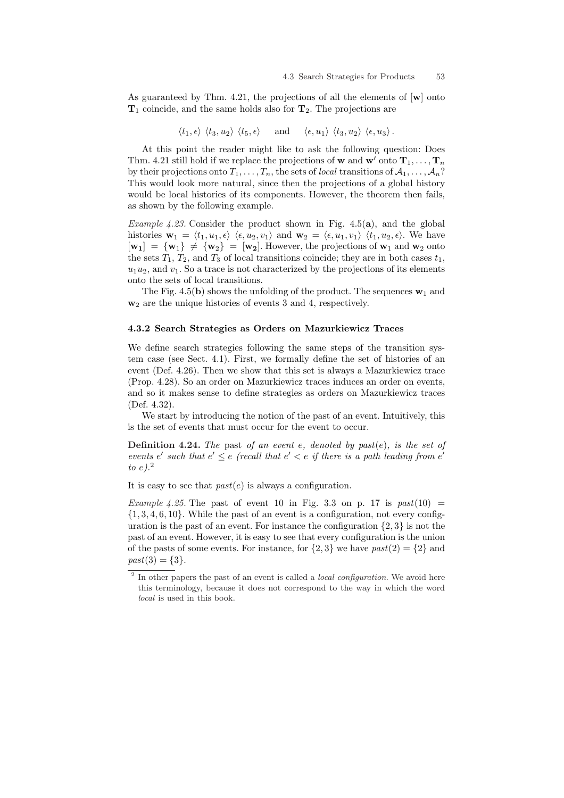As guaranteed by Thm. 4.21, the projections of all the elements of  $[w]$  onto  $T_1$  coincide, and the same holds also for  $T_2$ . The projections are

$$
\langle t_1, \epsilon \rangle \langle t_3, u_2 \rangle \langle t_5, \epsilon \rangle
$$
 and  $\langle \epsilon, u_1 \rangle \langle t_3, u_2 \rangle \langle \epsilon, u_3 \rangle$ .

At this point the reader might like to ask the following question: Does Thm. 4.21 still hold if we replace the projections of **w** and **w**' onto  $\mathbf{T}_1, \ldots, \mathbf{T}_n$ by their projections onto  $T_1, \ldots, T_n$ , the sets of *local* transitions of  $A_1, \ldots, A_n$ ? This would look more natural, since then the projections of a global history would be local histories of its components. However, the theorem then fails, as shown by the following example.

*Example 4.23.* Consider the product shown in Fig. 4.5(a), and the global histories  $\mathbf{w}_1 = \langle t_1, u_1, \epsilon \rangle \langle \epsilon, u_2, v_1 \rangle$  and  $\mathbf{w}_2 = \langle \epsilon, u_1, v_1 \rangle \langle t_1, u_2, \epsilon \rangle$ . We have  $[w_1] = \{w_1\} \neq \{w_2\} = [w_2]$ . However, the projections of  $w_1$  and  $w_2$  onto the sets  $T_1$ ,  $T_2$ , and  $T_3$  of local transitions coincide; they are in both cases  $t_1$ ,  $u_1u_2$ , and  $v_1$ . So a trace is not characterized by the projections of its elements onto the sets of local transitions.

The Fig. 4.5(b) shows the unfolding of the product. The sequences  $w_1$  and w<sup>2</sup> are the unique histories of events 3 and 4, respectively.

#### 4.3.2 Search Strategies as Orders on Mazurkiewicz Traces

We define search strategies following the same steps of the transition system case (see Sect. 4.1). First, we formally define the set of histories of an event (Def. 4.26). Then we show that this set is always a Mazurkiewicz trace (Prop. 4.28). So an order on Mazurkiewicz traces induces an order on events, and so it makes sense to define strategies as orders on Mazurkiewicz traces (Def. 4.32).

We start by introducing the notion of the past of an event. Intuitively, this is the set of events that must occur for the event to occur.

**Definition 4.24.** The past of an event e, denoted by past $(e)$ , is the set of events e' such that  $e' \leq e$  (recall that  $e' < e$  if there is a path leading from  $e'$ to  $e^2$ .

It is easy to see that  $past(e)$  is always a configuration.

Example 4.25. The past of event 10 in Fig. 3.3 on p. 17 is  $past(10) =$  $\{1, 3, 4, 6, 10\}$ . While the past of an event is a configuration, not every configuration is the past of an event. For instance the configuration  $\{2, 3\}$  is not the past of an event. However, it is easy to see that every configuration is the union of the pasts of some events. For instance, for  $\{2,3\}$  we have  $past(2) = \{2\}$  and  $past(3) = \{3\}.$ 

 $2$  In other papers the past of an event is called a *local configuration*. We avoid here this terminology, because it does not correspond to the way in which the word local is used in this book.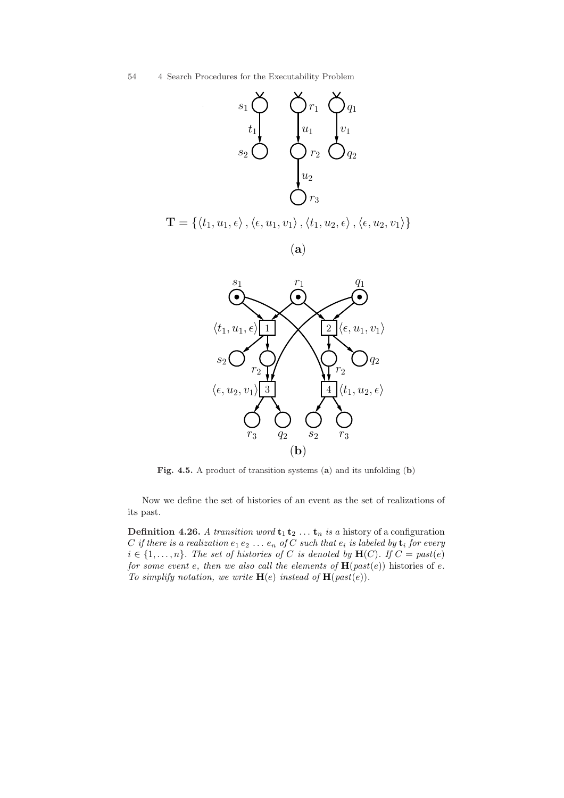

(a)



Fig. 4.5. A product of transition systems (a) and its unfolding (b)

Now we define the set of histories of an event as the set of realizations of its past.

**Definition 4.26.** A transition word  $\mathbf{t}_1 \mathbf{t}_2 \dots \mathbf{t}_n$  is a history of a configuration C if there is a realization  $e_1 e_2 \ldots e_n$  of C such that  $e_i$  is labeled by  $\mathbf{t}_i$  for every  $i \in \{1, \ldots, n\}$ . The set of histories of C is denoted by  $H(C)$ . If  $C = past(e)$ for some event e, then we also call the elements of  $\mathbf{H}(past(e))$  histories of e. To simplify notation, we write  $H(e)$  instead of  $H(past(e))$ .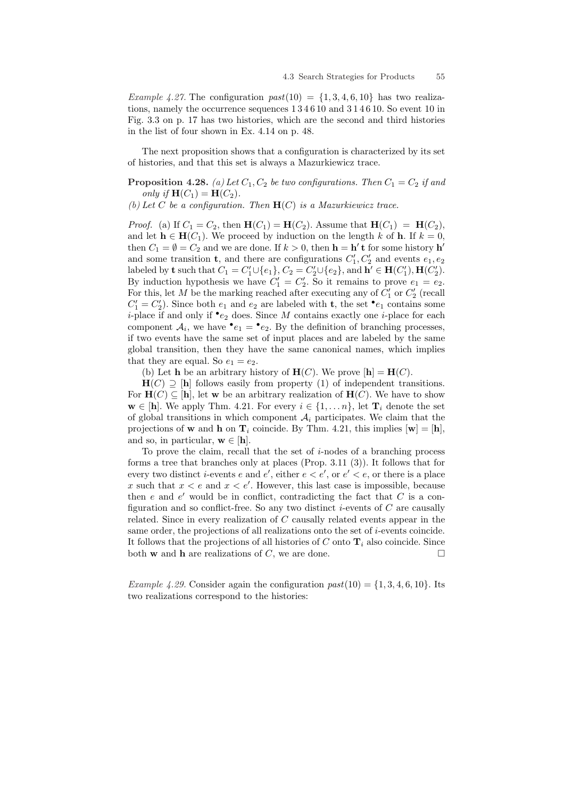Example 4.27. The configuration  $past(10) = \{1, 3, 4, 6, 10\}$  has two realizations, namely the occurrence sequences 1 3 4 6 10 and 3 1 4 6 10. So event 10 in Fig. 3.3 on p. 17 has two histories, which are the second and third histories in the list of four shown in Ex. 4.14 on p. 48.

The next proposition shows that a configuration is characterized by its set of histories, and that this set is always a Mazurkiewicz trace.

## **Proposition 4.28.** (a) Let  $C_1$ ,  $C_2$  be two configurations. Then  $C_1 = C_2$  if and only if  $\mathbf{H}(C_1) = \mathbf{H}(C_2)$ .

(b) Let C be a configuration. Then  $H(C)$  is a Mazurkiewicz trace.

*Proof.* (a) If  $C_1 = C_2$ , then  $\mathbf{H}(C_1) = \mathbf{H}(C_2)$ . Assume that  $\mathbf{H}(C_1) = \mathbf{H}(C_2)$ , and let  $h \in H(C_1)$ . We proceed by induction on the length k of h. If  $k = 0$ , then  $C_1 = \emptyset = C_2$  and we are done. If  $k > 0$ , then  $\mathbf{h} = \mathbf{h}' \mathbf{t}$  for some history  $\mathbf{h}'$ and some transition **t**, and there are configurations  $C'_1, C'_2$  and events  $e_1, e_2$ labeled by **t** such that  $C_1 = C'_1 \cup \{e_1\}$ ,  $C_2 = C'_2 \cup \{e_2\}$ , and  $\mathbf{h}' \in \mathbf{H}(C'_1)$ ,  $\mathbf{H}(C'_2)$ . By induction hypothesis we have  $C'_1 = C'_2$ . So it remains to prove  $e_1 = e_2$ . For this, let M be the marking reached after executing any of  $C'_1$  or  $C'_2$  (recall  $C'_1 = C'_2$ ). Since both  $e_1$  and  $e_2$  are labeled with **t**, the set  $\bullet e_1$  contains some *i*-place if and only if  $\bullet e_2$  does. Since M contains exactly one *i*-place for each component  $A_i$ , we have  $\bullet e_1 = \bullet e_2$ . By the definition of branching processes, if two events have the same set of input places and are labeled by the same global transition, then they have the same canonical names, which implies that they are equal. So  $e_1 = e_2$ .

(b) Let **h** be an arbitrary history of  $H(C)$ . We prove  $[h] = H(C)$ .

 $H(C) \supseteq [h]$  follows easily from property (1) of independent transitions. For  $H(C) \subseteq [h]$ , let w be an arbitrary realization of  $H(C)$ . We have to show  $\mathbf{w} \in [\mathbf{h}]$ . We apply Thm. 4.21. For every  $i \in \{1, \ldots n\}$ , let  $\mathbf{T}_i$  denote the set of global transitions in which component  $A_i$  participates. We claim that the projections of **w** and **h** on  $\mathbf{T}_i$  coincide. By Thm. 4.21, this implies  $[\mathbf{w}] = [\mathbf{h}],$ and so, in particular,  $\mathbf{w} \in [\mathbf{h}]$ .

To prove the claim, recall that the set of  $i$ -nodes of a branching process forms a tree that branches only at places (Prop. 3.11 (3)). It follows that for every two distinct *i*-events *e* and  $e'$ , either  $e < e'$ , or  $e' < e$ , or there is a place x such that  $x < e$  and  $x < e'$ . However, this last case is impossible, because then  $e$  and  $e'$  would be in conflict, contradicting the fact that  $C$  is a configuration and so conflict-free. So any two distinct  $i$ -events of  $C$  are causally related. Since in every realization of  $C$  causally related events appear in the same order, the projections of all realizations onto the set of *i*-events coincide. It follows that the projections of all histories of C onto  $\mathbf{T}_i$  also coincide. Since both **w** and **h** are realizations of C, we are done.  $\Box$ 

Example 4.29. Consider again the configuration  $past(10) = \{1, 3, 4, 6, 10\}$ . Its two realizations correspond to the histories: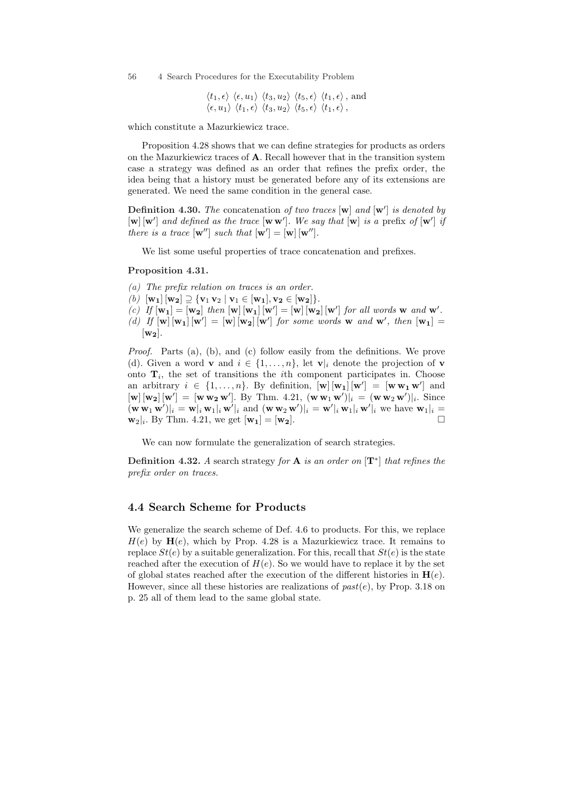$\langle t_1, \epsilon \rangle \langle \epsilon, u_1 \rangle \langle t_3, u_2 \rangle \langle t_5, \epsilon \rangle \langle t_1, \epsilon \rangle$ , and  $\langle \epsilon, u_1 \rangle \langle t_1, \epsilon \rangle \langle t_3, u_2 \rangle \langle t_5, \epsilon \rangle \langle t_1, \epsilon \rangle,$ 

which constitute a Mazurkiewicz trace.

Proposition 4.28 shows that we can define strategies for products as orders on the Mazurkiewicz traces of A. Recall however that in the transition system case a strategy was defined as an order that refines the prefix order, the idea being that a history must be generated before any of its extensions are generated. We need the same condition in the general case.

**Definition 4.30.** The concatenation of two traces  $[\mathbf{w}]$  and  $[\mathbf{w}']$  is denoted by  $[\mathbf{w}] [\mathbf{w}']$  and defined as the trace  $[\mathbf{w} \mathbf{w}']$ . We say that  $[\mathbf{w}]$  is a prefix of  $[\mathbf{w}']$  if there is a trace  $[\mathbf{w}^{\prime\prime}]$  such that  $[\mathbf{w}^{\prime\prime}] = [\mathbf{w}][\mathbf{w}^{\prime\prime}].$ 

We list some useful properties of trace concatenation and prefixes.

#### Proposition 4.31.

(a) The prefix relation on traces is an order.

- (b)  $[w_1][w_2] \supseteq {v_1v_2 | v_1 \in [w_1], v_2 \in [w_2]}.$
- (c) If  $[\mathbf{w}_1] = [\mathbf{w}_2]$  then  $[\mathbf{w}][\mathbf{w}_1] [\mathbf{w}'] = [\mathbf{w}][\mathbf{w}_2] [\mathbf{w}']$  for all words w and w'. (d) If  $[w] [w_1] [w'] = [w] [w_2] [w']$  for some words w and w', then  $[w_1] =$ 
	- $|\mathbf{w_2}|.$

Proof. Parts (a), (b), and (c) follow easily from the definitions. We prove (d). Given a word **v** and  $i \in \{1, ..., n\}$ , let **v**|<sub>i</sub> denote the projection of **v** onto  $\mathbf{T}_i$ , the set of transitions the *i*th component participates in. Choose an arbitrary  $i \in \{1, ..., n\}$ . By definition,  $[\mathbf{w}][\mathbf{w}_1][\mathbf{w}'] = [\mathbf{w} \mathbf{w}_1 \mathbf{w}']$  and  $[\mathbf{w}][\mathbf{w}_2][\mathbf{w}'] = [\mathbf{w}\,\mathbf{w}_2\,\mathbf{w}']$ . By Thm. 4.21,  $(\mathbf{w}\,\mathbf{w}_1\,\mathbf{w}')|_i = (\mathbf{w}\,\mathbf{w}_2\,\mathbf{w}')|_i$ . Since  $(\mathbf{w}\,\mathbf{w}_1\,\mathbf{w}')|_i = \mathbf{w}|_i\,\mathbf{w}_1|_i\,\mathbf{w}'|_i$  and  $(\mathbf{w}\,\mathbf{w}_2\,\mathbf{w}')|_i = \mathbf{w}'|_i\,\mathbf{w}_1|_i\,\mathbf{w}'|_i$  we have  $\mathbf{w}_1|_i =$  $\mathbf{w}_2|_i$ . By Thm. 4.21, we get  $[\mathbf{w}_1] = [\mathbf{w}_2]$ .

We can now formulate the generalization of search strategies.

Definition 4.32. A search strategy for A is an order on  $[T^*]$  that refines the prefix order on traces.

## 4.4 Search Scheme for Products

We generalize the search scheme of Def. 4.6 to products. For this, we replace  $H(e)$  by  $H(e)$ , which by Prop. 4.28 is a Mazurkiewicz trace. It remains to replace  $St(e)$  by a suitable generalization. For this, recall that  $St(e)$  is the state reached after the execution of  $H(e)$ . So we would have to replace it by the set of global states reached after the execution of the different histories in  $H(e)$ . However, since all these histories are realizations of  $past(e)$ , by Prop. 3.18 on p. 25 all of them lead to the same global state.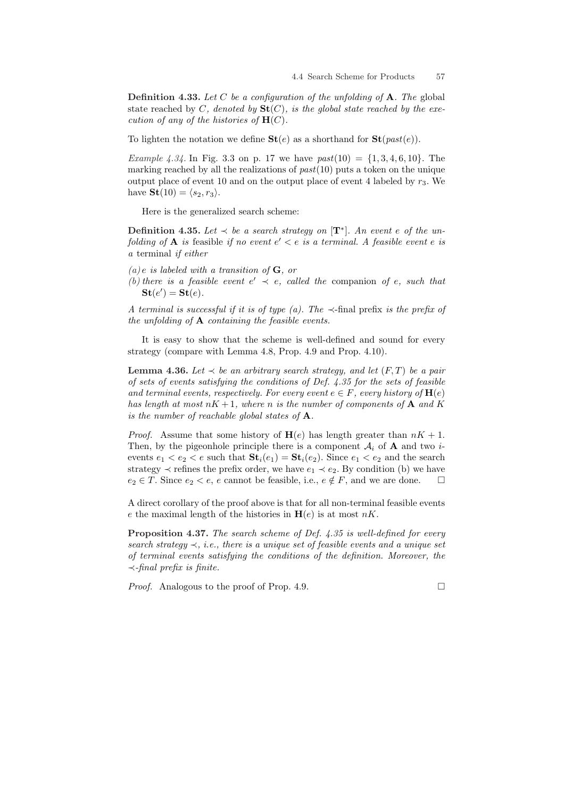**Definition 4.33.** Let C be a configuration of the unfolding of  $A$ . The global state reached by C, denoted by  $\mathbf{St}(C)$ , is the global state reached by the execution of any of the histories of  $H(C)$ .

To lighten the notation we define  $\mathbf{St}(e)$  as a shorthand for  $\mathbf{St}(past(e)).$ 

*Example 4.34.* In Fig. 3.3 on p. 17 we have  $past(10) = \{1, 3, 4, 6, 10\}$ . The marking reached by all the realizations of  $past(10)$  puts a token on the unique output place of event 10 and on the output place of event 4 labeled by  $r_3$ . We have  $\textbf{St}(10) = \langle s_2, r_3 \rangle$ .

Here is the generalized search scheme:

Definition 4.35. Let  $\prec$  be a search strategy on [T<sup>\*</sup>]. An event e of the unfolding of **A** is feasible if no event  $e' < e$  is a terminal. A feasible event e is a terminal if either

(a) e is labeled with a transition of  $G$ , or

(b) there is a feasible event  $e' \prec e$ , called the companion of e, such that  $\mathbf{St}(e') = \mathbf{St}(e).$ 

A terminal is successful if it is of type (a). The  $\prec$ -final prefix is the prefix of the unfolding of  $A$  containing the feasible events.

It is easy to show that the scheme is well-defined and sound for every strategy (compare with Lemma 4.8, Prop. 4.9 and Prop. 4.10).

**Lemma 4.36.** Let  $\prec$  be an arbitrary search strategy, and let  $(F, T)$  be a pair of sets of events satisfying the conditions of Def. 4.35 for the sets of feasible and terminal events, respectively. For every event  $e \in F$ , every history of  $H(e)$ has length at most  $nK + 1$ , where n is the number of components of **A** and K is the number of reachable global states of A.

*Proof.* Assume that some history of  $H(e)$  has length greater than  $nK + 1$ . Then, by the pigeonhole principle there is a component  $A_i$  of **A** and two *i*events  $e_1 < e_2 < e$  such that  $\text{St}_i(e_1) = \text{St}_i(e_2)$ . Since  $e_1 < e_2$  and the search strategy  $\prec$  refines the prefix order, we have  $e_1 \prec e_2$ . By condition (b) we have  $e_2 \in T$ . Since  $e_2 < e$ , e cannot be feasible, i.e.,  $e \notin F$ , and we are done.  $\Box$ 

A direct corollary of the proof above is that for all non-terminal feasible events e the maximal length of the histories in  $H(e)$  is at most  $nK$ .

Proposition 4.37. The search scheme of Def. 4.35 is well-defined for every search strategy  $\prec$ , i.e., there is a unique set of feasible events and a unique set of terminal events satisfying the conditions of the definition. Moreover, the ≺-final prefix is finite.

*Proof.* Analogous to the proof of Prop. 4.9.  $\Box$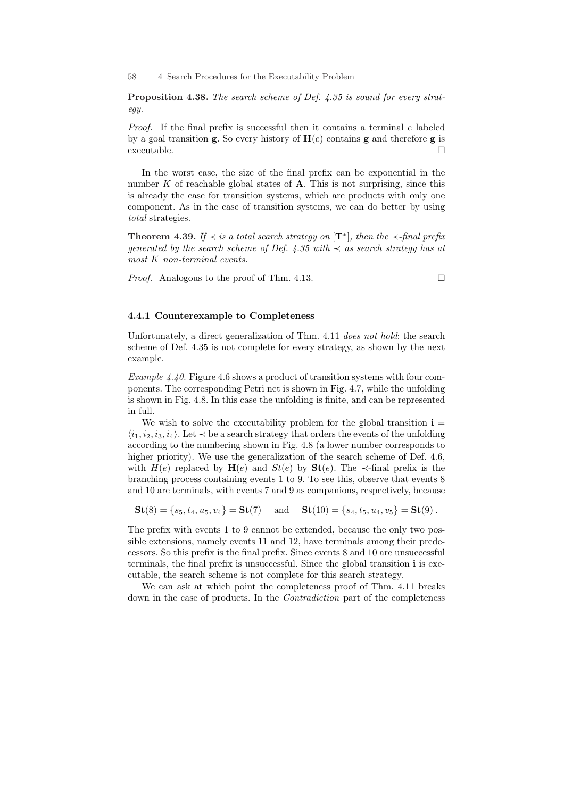Proposition 4.38. The search scheme of Def. 4.35 is sound for every strategy.

Proof. If the final prefix is successful then it contains a terminal e labeled by a goal transition **g**. So every history of  $H(e)$  contains **g** and therefore **g** is executable.  $\Box$ 

In the worst case, the size of the final prefix can be exponential in the number K of reachable global states of  $\bf{A}$ . This is not surprising, since this is already the case for transition systems, which are products with only one component. As in the case of transition systems, we can do better by using total strategies.

Theorem 4.39. If  $\prec$  is a total search strategy on  $[T^*]$ , then the  $\prec$ -final prefix generated by the search scheme of Def.  $4.35$  with  $\prec$  as search strategy has at most K non-terminal events.

*Proof.* Analogous to the proof of Thm. 4.13.  $\Box$ 

## 4.4.1 Counterexample to Completeness

Unfortunately, a direct generalization of Thm. 4.11 does not hold: the search scheme of Def. 4.35 is not complete for every strategy, as shown by the next example.

Example 4.40. Figure 4.6 shows a product of transition systems with four components. The corresponding Petri net is shown in Fig. 4.7, while the unfolding is shown in Fig. 4.8. In this case the unfolding is finite, and can be represented in full.

We wish to solve the executability problem for the global transition  $\mathbf{i} =$  $\langle i_1, i_2, i_3, i_4 \rangle$ . Let  $\prec$  be a search strategy that orders the events of the unfolding according to the numbering shown in Fig. 4.8 (a lower number corresponds to higher priority). We use the generalization of the search scheme of Def. 4.6, with  $H(e)$  replaced by  $\mathbf{H}(e)$  and  $St(e)$  by  $\mathbf{St}(e)$ . The  $\prec$ -final prefix is the branching process containing events 1 to 9. To see this, observe that events 8 and 10 are terminals, with events 7 and 9 as companions, respectively, because

$$
\mathbf{St}(8) = \{s_5, t_4, u_5, v_4\} = \mathbf{St}(7) \quad \text{and} \quad \mathbf{St}(10) = \{s_4, t_5, u_4, v_5\} = \mathbf{St}(9).
$$

The prefix with events 1 to 9 cannot be extended, because the only two possible extensions, namely events 11 and 12, have terminals among their predecessors. So this prefix is the final prefix. Since events 8 and 10 are unsuccessful terminals, the final prefix is unsuccessful. Since the global transition i is executable, the search scheme is not complete for this search strategy.

We can ask at which point the completeness proof of Thm. 4.11 breaks down in the case of products. In the *Contradiction* part of the completeness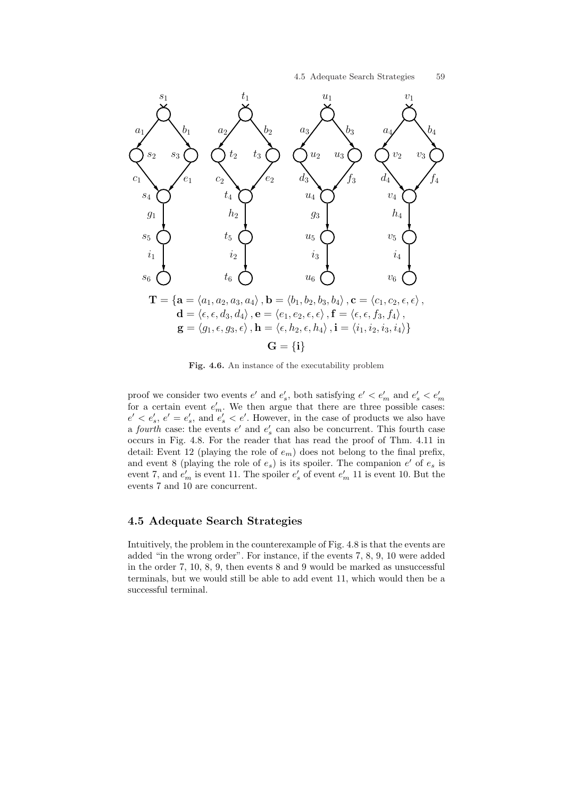

Fig. 4.6. An instance of the executability problem

proof we consider two events  $e'$  and  $e'_s$ , both satisfying  $e' < e'_m$  and  $e'_s < e'_m$ for a certain event  $e'_m$ . We then argue that there are three possible cases:  $e' < e'_{s}$ ,  $e' = e'_{s}$ , and  $e'_{s} < e'$ . However, in the case of products we also have a *fourth* case: the events  $e'$  and  $e'_{s}$  can also be concurrent. This fourth case occurs in Fig. 4.8. For the reader that has read the proof of Thm. 4.11 in detail: Event 12 (playing the role of  $e_m$ ) does not belong to the final prefix, and event 8 (playing the role of  $e_s$ ) is its spoiler. The companion  $e'$  of  $e_s$  is event 7, and  $e'_m$  is event 11. The spoiler  $e'_s$  of event  $e'_m$  11 is event 10. But the events 7 and 10 are concurrent.

## 4.5 Adequate Search Strategies

Intuitively, the problem in the counterexample of Fig. 4.8 is that the events are added "in the wrong order". For instance, if the events 7, 8, 9, 10 were added in the order 7, 10, 8, 9, then events 8 and 9 would be marked as unsuccessful terminals, but we would still be able to add event 11, which would then be a successful terminal.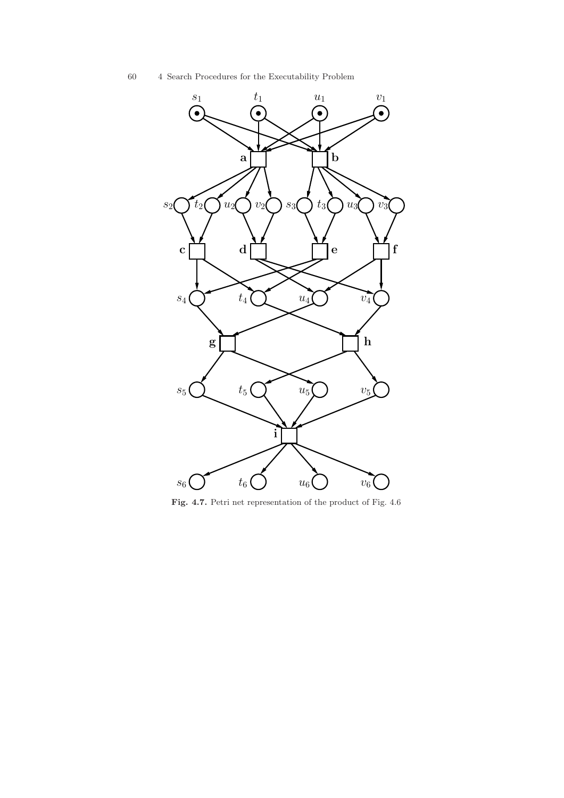

Fig. 4.7. Petri net representation of the product of Fig. 4.6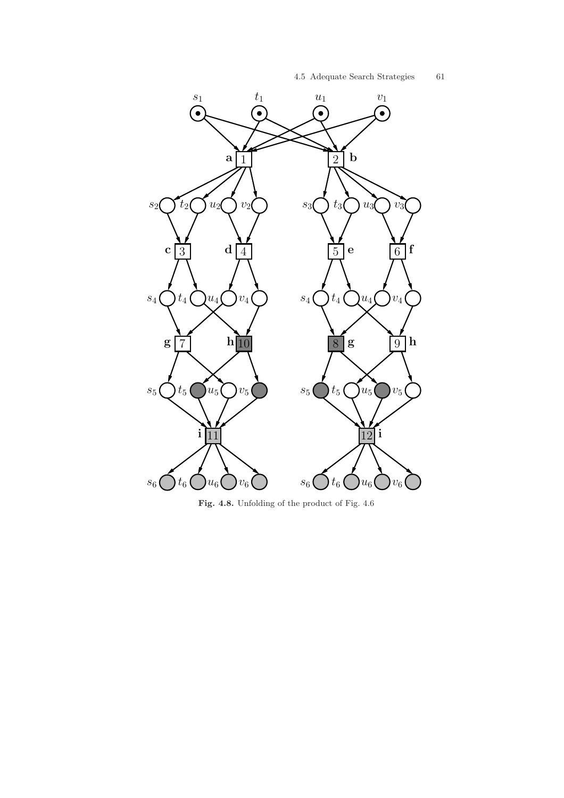



Fig. 4.8. Unfolding of the product of Fig. 4.6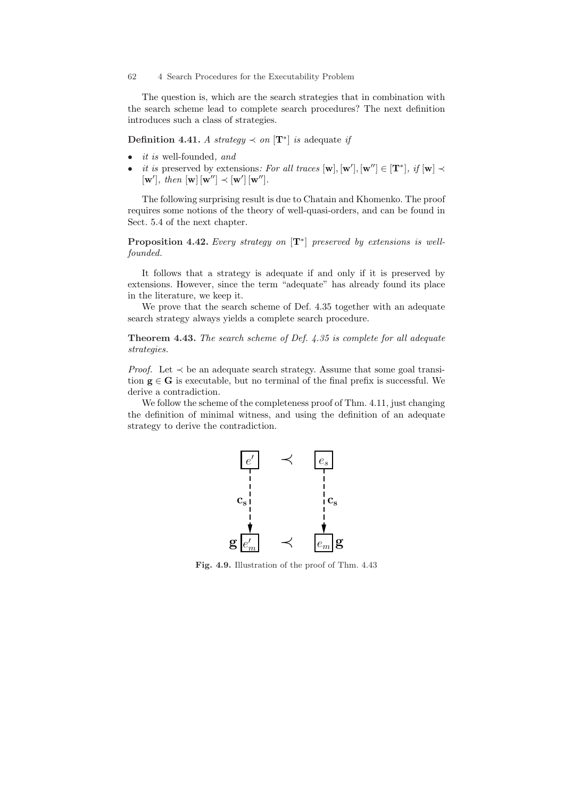The question is, which are the search strategies that in combination with the search scheme lead to complete search procedures? The next definition introduces such a class of strategies.

Definition 4.41. A strategy  $\prec$  on  $[T^*]$  is adequate if

- $\bullet$  *it is well-founded, and*
- it is preserved by extensions: For all traces  $[\mathbf{w}]$ ,  $[\mathbf{w}'], [\mathbf{w}'] \in [\mathbf{T}^*],$  if  $[\mathbf{w}] \prec$  $[\mathbf{w}'], \text{ then } [\mathbf{w}][\mathbf{w}'] \prec [\mathbf{w}'] [\mathbf{w}]].$

The following surprising result is due to Chatain and Khomenko. The proof requires some notions of the theory of well-quasi-orders, and can be found in Sect. 5.4 of the next chapter.

**Proposition 4.42.** Every strategy on  $[T^*]$  preserved by extensions is wellfounded.

It follows that a strategy is adequate if and only if it is preserved by extensions. However, since the term "adequate" has already found its place in the literature, we keep it.

We prove that the search scheme of Def. 4.35 together with an adequate search strategy always yields a complete search procedure.

Theorem 4.43. The search scheme of Def. 4.35 is complete for all adequate strategies.

*Proof.* Let  $\prec$  be an adequate search strategy. Assume that some goal transition  $g \in G$  is executable, but no terminal of the final prefix is successful. We derive a contradiction.

We follow the scheme of the completeness proof of Thm. 4.11, just changing the definition of minimal witness, and using the definition of an adequate strategy to derive the contradiction.



Fig. 4.9. Illustration of the proof of Thm. 4.43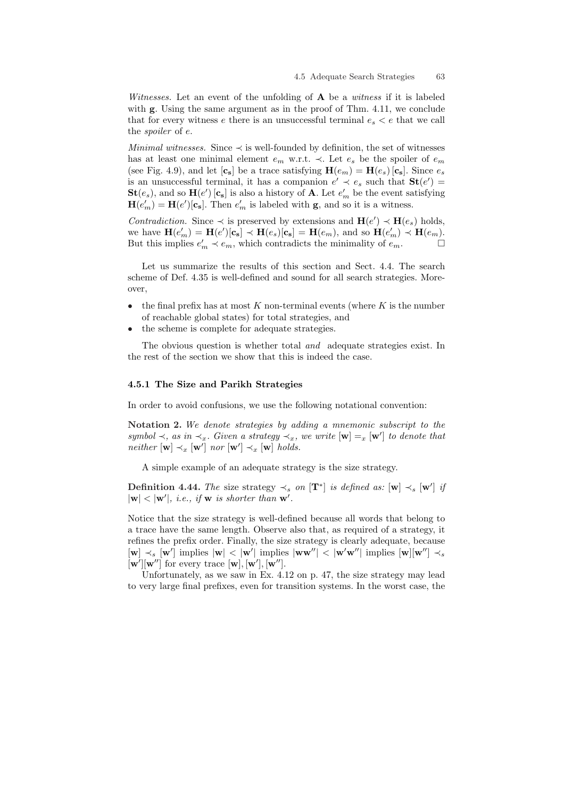Witnesses. Let an event of the unfolding of **A** be a witness if it is labeled with **g**. Using the same argument as in the proof of Thm. 4.11, we conclude that for every witness  $e$  there is an unsuccessful terminal  $e_s \leq e$  that we call the spoiler of e.

Minimal witnesses. Since  $\prec$  is well-founded by definition, the set of witnesses has at least one minimal element  $e_m$  w.r.t.  $\prec$ . Let  $e_s$  be the spoiler of  $e_m$ (see Fig. 4.9), and let  $[\mathbf{c}_s]$  be a trace satisfying  $\mathbf{H}(e_m) = \mathbf{H}(e_s) [\mathbf{c}_s]$ . Since  $e_s$ is an unsuccessful terminal, it has a companion  $e' \prec e_s$  such that  $\mathbf{St}(e') =$  $\mathbf{St}(e_s)$ , and so  $\mathbf{H}(e')$   $[\mathbf{c}_s]$  is also a history of **A**. Let  $e'_m$  be the event satisfying  $\mathbf{H}(e'_m) = \mathbf{H}(e')[\mathbf{c}_s]$ . Then  $e'_m$  is labeled with **g**, and so it is a witness.

*Contradiction.* Since  $\prec$  is preserved by extensions and **H**( $e'$ )  $\prec$  **H**( $e_s$ ) holds, we have  $\mathbf{H}(e'_m) = \mathbf{H}(e')[\mathbf{c}_s] \prec \mathbf{H}(e_s)[\mathbf{c}_s] = \mathbf{H}(e_m)$ , and so  $\mathbf{H}(e'_m) \prec \mathbf{H}(e_m)$ . But this implies  $e'_m \prec e_m$ , which contradicts the minimality of  $e_m$ .

Let us summarize the results of this section and Sect. 4.4. The search scheme of Def. 4.35 is well-defined and sound for all search strategies. Moreover,

- the final prefix has at most  $K$  non-terminal events (where  $K$  is the number of reachable global states) for total strategies, and
- the scheme is complete for adequate strategies.

The obvious question is whether total and adequate strategies exist. In the rest of the section we show that this is indeed the case.

#### 4.5.1 The Size and Parikh Strategies

In order to avoid confusions, we use the following notational convention:

Notation 2. We denote strategies by adding a mnemonic subscript to the symbol  $\prec$ , as in  $\prec_x$ . Given a strategy  $\prec_x$ , we write  $[\mathbf{w}] = x [\mathbf{w'}]$  to denote that neither  $[\mathbf{w}] \prec_x [\mathbf{w}']$  nor  $[\mathbf{w}'] \prec_x [\mathbf{w}]$  holds.

A simple example of an adequate strategy is the size strategy.

Definition 4.44. The size strategy  $\prec_s$  on  $[T^*]$  is defined as:  $[w] \prec_s [w']$  if  $|\mathbf{w}| < |\mathbf{w}'|$ , *i.e.*, *if* **w** *is shorter than* **w'**.

Notice that the size strategy is well-defined because all words that belong to a trace have the same length. Observe also that, as required of a strategy, it refines the prefix order. Finally, the size strategy is clearly adequate, because  $[\mathbf{w}] \prec_s [\mathbf{w}']$  implies  $|\mathbf{w}| < |\mathbf{w}'|$  implies  $|\mathbf{w}\mathbf{w}''| < |\mathbf{w}'\mathbf{w}''|$  implies  $[\mathbf{w}][\mathbf{w}''] \prec_s$  $[\mathbf{w}'][\mathbf{w}'']$  for every trace  $[\mathbf{w}], [\mathbf{w}'], [\mathbf{w}'']$ .

Unfortunately, as we saw in Ex. 4.12 on p. 47, the size strategy may lead to very large final prefixes, even for transition systems. In the worst case, the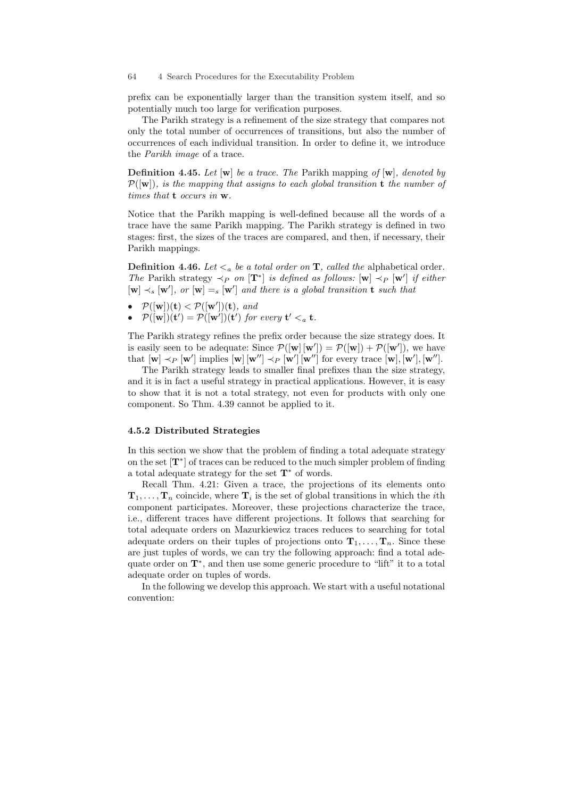#### 64 4 Search Procedures for the Executability Problem

prefix can be exponentially larger than the transition system itself, and so potentially much too large for verification purposes.

The Parikh strategy is a refinement of the size strategy that compares not only the total number of occurrences of transitions, but also the number of occurrences of each individual transition. In order to define it, we introduce the Parikh image of a trace.

**Definition 4.45.** Let  $[\mathbf{w}]$  be a trace. The Parikh mapping of  $[\mathbf{w}]$ , denoted by  $\mathcal{P}([\mathbf{w}])$ , is the mapping that assigns to each global transition **t** the number of times that **t** occurs in **w**.

Notice that the Parikh mapping is well-defined because all the words of a trace have the same Parikh mapping. The Parikh strategy is defined in two stages: first, the sizes of the traces are compared, and then, if necessary, their Parikh mappings.

**Definition 4.46.** Let  $\lt_a$  be a total order on **T**, called the alphabetical order. The Parikh strategy  $\prec_P$  on [T<sup>\*</sup>] is defined as follows: [w]  $\prec_P$  [w'] if either  $[\mathbf{w}] \prec_s [\mathbf{w}']$ , or  $[\mathbf{w}] = \mathbf{s} [\mathbf{w}']$  and there is a global transition **t** such that

- $\mathcal{P}([\mathbf{w}])(\mathbf{t}) < \mathcal{P}([\mathbf{w}'])(\mathbf{t}), \text{ and}$
- $\mathcal{P}([\mathbf{w}])(\mathbf{t}') = \mathcal{P}([\mathbf{w}'])(\mathbf{t}')$  for every  $\mathbf{t}' <_{a} \mathbf{t}$ .

The Parikh strategy refines the prefix order because the size strategy does. It is easily seen to be adequate: Since  $\mathcal{P}([\mathbf{w}][\mathbf{w}']) = \mathcal{P}([\mathbf{w}]) + \mathcal{P}([\mathbf{w}'])$ , we have that  $[\mathbf{w}] \prec_P [\mathbf{w}']$  implies  $[\mathbf{w}][\mathbf{w}''] \prec_P [\mathbf{w}'] [\mathbf{w}'']$  for every trace  $[\mathbf{w}], [\mathbf{w}'], [\mathbf{w}'']$ .

The Parikh strategy leads to smaller final prefixes than the size strategy, and it is in fact a useful strategy in practical applications. However, it is easy to show that it is not a total strategy, not even for products with only one component. So Thm. 4.39 cannot be applied to it.

## 4.5.2 Distributed Strategies

In this section we show that the problem of finding a total adequate strategy on the set  $[T^*]$  of traces can be reduced to the much simpler problem of finding a total adequate strategy for the set  $T^*$  of words.

Recall Thm. 4.21: Given a trace, the projections of its elements onto  ${\bf T}_1,\ldots,{\bf T}_n$  coincide, where  ${\bf T}_i$  is the set of global transitions in which the *i*th component participates. Moreover, these projections characterize the trace, i.e., different traces have different projections. It follows that searching for total adequate orders on Mazurkiewicz traces reduces to searching for total adequate orders on their tuples of projections onto  $\mathbf{T}_1, \ldots, \mathbf{T}_n$ . Since these are just tuples of words, we can try the following approach: find a total adequate order on  $\mathbf{T}^*$ , and then use some generic procedure to "lift" it to a total adequate order on tuples of words.

In the following we develop this approach. We start with a useful notational convention: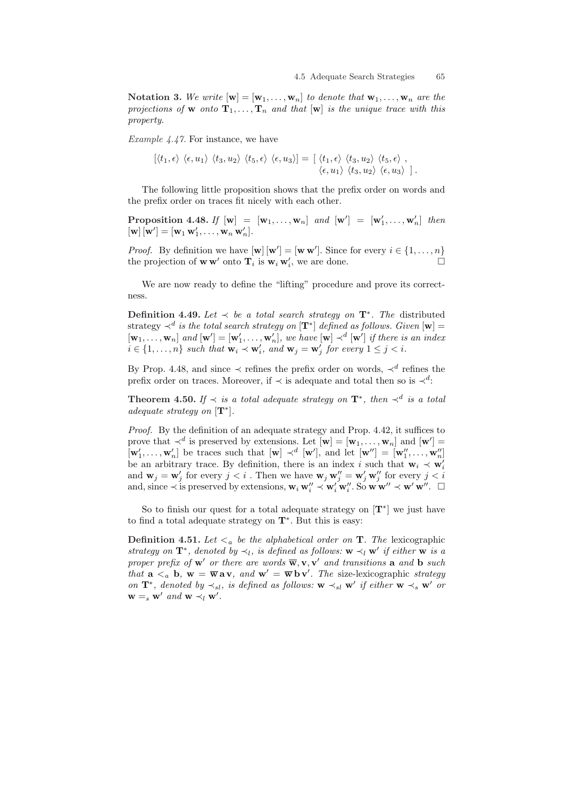Notation 3. We write  $[\mathbf{w}] = [\mathbf{w}_1, \dots, \mathbf{w}_n]$  to denote that  $\mathbf{w}_1, \dots, \mathbf{w}_n$  are the projections of **w** onto  $\mathbf{T}_1, \ldots, \mathbf{T}_n$  and that  $[\mathbf{w}]$  is the unique trace with this property.

Example 4.47. For instance, we have

$$
[\langle t_1, \epsilon \rangle \langle \epsilon, u_1 \rangle \langle t_3, u_2 \rangle \langle t_5, \epsilon \rangle \langle \epsilon, u_3 \rangle] = [\langle t_1, \epsilon \rangle \langle t_3, u_2 \rangle \langle t_5, \epsilon \rangle ,\langle \epsilon, u_1 \rangle \langle t_3, u_2 \rangle \langle \epsilon, u_3 \rangle].
$$

The following little proposition shows that the prefix order on words and the prefix order on traces fit nicely with each other.

Proposition 4.48. If  $[\mathbf{w}] = [\mathbf{w}_1, \dots, \mathbf{w}_n]$  and  $[\mathbf{w}'] = [\mathbf{w}'_1, \dots, \mathbf{w}'_n]$  then  $\left[\mathbf{w}\right]\left[\mathbf{w}'\right]=\left[\mathbf{w}_1\,\mathbf{w}'_1,\ldots,\mathbf{w}_n\,\mathbf{w}'_n\right].$ 

*Proof.* By definition we have  $[\mathbf{w}][\mathbf{w}'] = [\mathbf{w}\,\mathbf{w}']$ . Since for every  $i \in \{1, ..., n\}$ the projection of **w w'** onto **T**<sub>i</sub> is **w**<sub>i</sub> **w'**<sub>i</sub>, we are done.

We are now ready to define the "lifting" procedure and prove its correctness.

Definition 4.49. Let  $\prec$  be a total search strategy on  $\mathbf{T}^*$ . The distributed strategy  $\prec^d$  is the total search strategy on  $[\mathbf{T}^*]$  defined as follows. Given  $[\mathbf{w}] =$  $[\mathbf{w}_1, \dots, \mathbf{w}_n]$  and  $[\mathbf{w}'] = [\mathbf{w}'_1, \dots, \mathbf{w}'_n]$ , we have  $[\mathbf{w}] \prec^d [\mathbf{w}']$  if there is an index  $i \in \{1, \ldots, n\}$  such that  $\mathbf{w}_i \prec \mathbf{w}'_i$ , and  $\mathbf{w}_j = \mathbf{w}'_j$  for every  $1 \leq j < i$ .

By Prop. 4.48, and since  $\prec$  refines the prefix order on words,  $\prec^d$  refines the prefix order on traces. Moreover, if  $\prec$  is adequate and total then so is  $\prec^d$ :

Theorem 4.50. If  $\prec$  is a total adequate strategy on  $\mathbf{T}^*$ , then  $\prec^d$  is a total adequate strategy on  $[T^*]$ .

Proof. By the definition of an adequate strategy and Prop. 4.42, it suffices to prove that  $\prec^d$  is preserved by extensions. Let  $[\mathbf{w}] = [\mathbf{w}_1, \dots, \mathbf{w}_n]$  and  $[\mathbf{w}'] =$  $[\mathbf{w}'_1, \dots, \mathbf{w}'_n]$  be traces such that  $[\mathbf{w}] \prec^d [\mathbf{w}']$ , and let  $[\mathbf{w}''] = [\mathbf{w}''_1, \dots, \mathbf{w}''_n]$ be an arbitrary trace. By definition, there is an index i such that  $\mathbf{w}_i \prec \mathbf{w}'_i$ be an arbitrary trace. By definition, there is an index i such that  $w_i \prec w_i$ <br>and  $w_j = w'_j$  for every  $j < i$ . Then we have  $w_j w''_j = w'_j w''_j$  for every  $j < i$ and, since  $\prec$  is preserved by extensions,  $\mathbf{w}_i \mathbf{w}_i'' \prec \mathbf{w}_i' \mathbf{w}_i''$ . So  $\mathbf{w} \mathbf{w}'' \prec \mathbf{w}' \mathbf{w}''$ .  $\Box$ 

So to finish our quest for a total adequate strategy on  $[T^*]$  we just have to find a total adequate strategy on  $\mathbf{T}^*$ . But this is easy:

**Definition 4.51.** Let  $\lt_a$  be the alphabetical order on **T**. The lexicographic strategy on  $\mathbf{T}^*$ , denoted by  $\prec_l$ , is defined as follows:  $\mathbf{w} \prec_l \mathbf{w}'$  if either  $\mathbf{w}$  is a proper prefix of **w**' or there are words  $\overline{\mathbf{w}}, \mathbf{v}, \mathbf{v}'$  and transitions **a** and **b** such that  $\mathbf{a} \leq_a \mathbf{b}$ ,  $\mathbf{w} = \overline{\mathbf{w}} \mathbf{a} \mathbf{v}$ , and  $\mathbf{w}' = \overline{\mathbf{w}} \mathbf{b} \mathbf{v}'$ . The size-lexicographic strategy on  $\mathbf{T}^*$ , denoted by  $\prec_{sl}$ , is defined as follows:  $\mathbf{w} \prec_{sl} \mathbf{w}'$  if either  $\mathbf{w} \prec_s \mathbf{w}'$  or  $\mathbf{w} =_{s} \mathbf{w}'$  and  $\mathbf{w} \prec_{l} \mathbf{w}'$ .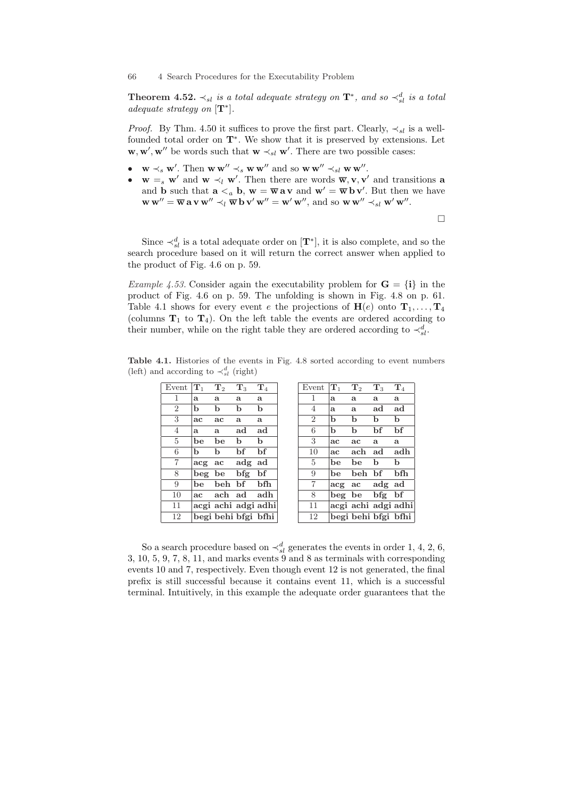#### 66 4 Search Procedures for the Executability Problem

Theorem 4.52.  $\prec_{sl}$  is a total adequate strategy on  $\mathbf{T}^*$ , and so  $\prec_{sl}^d$  is a total adequate strategy on  $[T^*]$ .

*Proof.* By Thm. 4.50 it suffices to prove the first part. Clearly,  $\prec_{sl}$  is a wellfounded total order on  $T^*$ . We show that it is preserved by extensions. Let  $\mathbf{w}, \mathbf{w}'$ , w'' be words such that  $\mathbf{w} \prec_{sl} \mathbf{w}'$ . There are two possible cases:

- $\mathbf{w} \prec_s \mathbf{w}'$ . Then  $\mathbf{w} \mathbf{w}'' \prec_s \mathbf{w} \mathbf{w}''$  and so  $\mathbf{w} \mathbf{w}'' \prec_{sl} \mathbf{w} \mathbf{w}''$ .
- $\mathbf{w} =_{s} \mathbf{w}'$  and  $\mathbf{w} \prec_{l} \mathbf{w}'$ . Then there are words  $\overline{\mathbf{w}}, \mathbf{v}, \mathbf{v}'$  and transitions **a** and **b** such that  $a \lt_a b$ ,  $w = \overline{w} a v$  and  $w' = \overline{w} b v'$ . But then we have  $\mathbf{w}\,\mathbf{w}'' = \overline{\mathbf{w}}\,\mathbf{a}\,\mathbf{v}\,\mathbf{w}'' \prec_l \overline{\mathbf{w}}\,\mathbf{b}\,\mathbf{v}'\,\mathbf{w}'' = \mathbf{w}'\,\mathbf{w}'$ , and so  $\mathbf{w}\,\mathbf{w}'' \prec_{sl} \mathbf{w}'\mathbf{w}''$ .

$$
\Box
$$

Since  $\prec_{sl}^d$  is a total adequate order on  $[T^*]$ , it is also complete, and so the search procedure based on it will return the correct answer when applied to the product of Fig. 4.6 on p. 59.

*Example 4.53.* Consider again the executability problem for  $G = \{i\}$  in the product of Fig. 4.6 on p. 59. The unfolding is shown in Fig. 4.8 on p. 61. Table 4.1 shows for every event e the projections of  $H(e)$  onto  $T_1, \ldots, T_4$ (columns  $\mathbf{T}_1$  to  $\mathbf{T}_4$ ). On the left table the events are ordered according to their number, while on the right table they are ordered according to  $\prec_{sl}^d$ .

Table 4.1. Histories of the events in Fig. 4.8 sorted according to event numbers (left) and according to  $\prec_{sl}^d$  (right)

| Event          | $\mathbf{T}_1$ | $\mathbf{T}_2$      | $\mathbf{T}_3$ | $\mathbf{T}_4$      | Event          | $\mathbf{T}_1$ | $\mathbf{T}_2$      | $\mathbf{T}_3$ | $\mathbf{T}_4$ |
|----------------|----------------|---------------------|----------------|---------------------|----------------|----------------|---------------------|----------------|----------------|
| 1              | a              | a                   | a              | a                   | 1              | a              | a                   | a              | a              |
| $\overline{2}$ | b              | b                   | b              | b                   | 4              | a              | a                   | ad             | ad             |
| 3              | ac             | ac                  | a              | a                   | $\overline{2}$ | b              | b                   | b              | b              |
| $\overline{4}$ | a              | a                   | ad             | ad                  | 6              | b              | b                   | bf             | bf             |
| 5              | be             | be                  | b              | b                   | 3              | ac             | ac                  | a              | a              |
| 6              | b              | b                   | bf             | bf                  | 10             | ac             | ach                 | ad             | adh            |
| 7              | $\arg$         | ac                  | adg ad         |                     | 5              | be             | be                  | b              | b              |
| 8              | beg            | be                  | bfg            | bf                  | 9              | be             | beh bf              |                | bfh            |
| 9              | be             | beh bf              |                | bfh                 | 7              | $\arg$         | ac                  | adg ad         |                |
| 10             | ac             | ach                 | ad             | adh                 | 8              | beg            | be                  | bfg bf         |                |
| 11             |                |                     |                | acgi achi adgi adhi | 11             |                | acgi achi adgi adhi |                |                |
| 12             |                | begi behi bfgi bfhi |                |                     | 12             |                | begi behi bfgi bfhi |                |                |
|                |                |                     |                |                     |                |                |                     |                |                |

So a search procedure based on  $\prec_{sl}^d$  generates the events in order 1, 4, 2, 6, 3, 10, 5, 9, 7, 8, 11, and marks events 9 and 8 as terminals with corresponding events 10 and 7, respectively. Even though event 12 is not generated, the final prefix is still successful because it contains event 11, which is a successful terminal. Intuitively, in this example the adequate order guarantees that the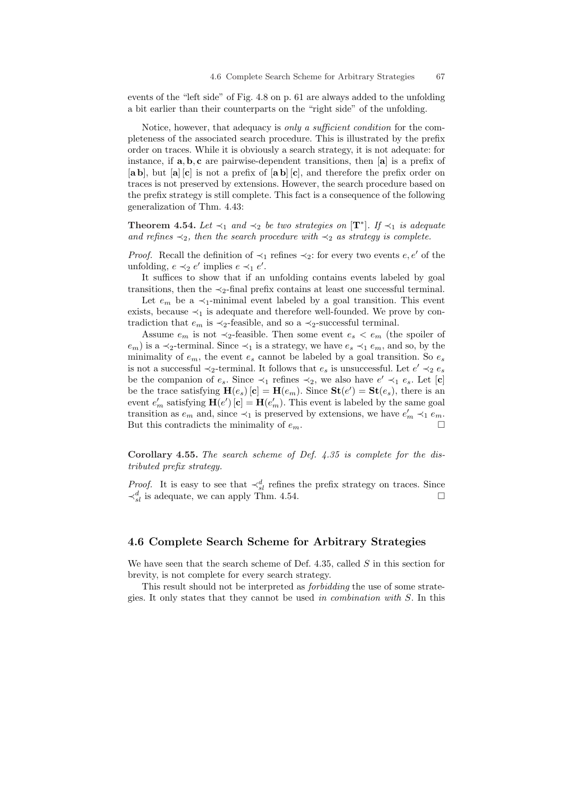events of the "left side" of Fig. 4.8 on p. 61 are always added to the unfolding a bit earlier than their counterparts on the "right side" of the unfolding.

Notice, however, that adequacy is only a sufficient condition for the completeness of the associated search procedure. This is illustrated by the prefix order on traces. While it is obviously a search strategy, it is not adequate: for instance, if  $\mathbf{a}, \mathbf{b}, \mathbf{c}$  are pairwise-dependent transitions, then  $[\mathbf{a}]$  is a prefix of [a b], but [a] [c] is not a prefix of [a b] [c], and therefore the prefix order on traces is not preserved by extensions. However, the search procedure based on the prefix strategy is still complete. This fact is a consequence of the following generalization of Thm. 4.43:

Theorem 4.54. Let  $\prec_1$  and  $\prec_2$  be two strategies on [T<sup>\*</sup>]. If  $\prec_1$  is adequate and refines  $\prec_2$ , then the search procedure with  $\prec_2$  as strategy is complete.

*Proof.* Recall the definition of  $\prec_1$  refines  $\prec_2$ : for every two events e, e' of the unfolding,  $e \prec_2 e'$  implies  $e \prec_1 e'$ .

It suffices to show that if an unfolding contains events labeled by goal transitions, then the  $\prec_2$ -final prefix contains at least one successful terminal.

Let  $e_m$  be a  $\prec_1$ -minimal event labeled by a goal transition. This event exists, because  $\prec_1$  is adequate and therefore well-founded. We prove by contradiction that  $e_m$  is  $\prec_2$ -feasible, and so a  $\prec_2$ -successful terminal.

Assume  $e_m$  is not  $\prec_2$ -feasible. Then some event  $e_s < e_m$  (the spoiler of  $e_m$ ) is a  $\prec_2$ -terminal. Since  $\prec_1$  is a strategy, we have  $e_s \prec_1 e_m$ , and so, by the minimality of  $e_m$ , the event  $e_s$  cannot be labeled by a goal transition. So  $e_s$ is not a successful  $\prec_2$ -terminal. It follows that  $e_s$  is unsuccessful. Let  $e' \prec_2 e_s$ be the companion of  $e_s$ . Since  $\prec_1$  refines  $\prec_2$ , we also have  $e' \prec_1 e_s$ . Let  $[\mathbf{c}]$ be the trace satisfying  $\mathbf{H}(e_s)$  [**c**] =  $\mathbf{H}(e_m)$ . Since  $\mathbf{St}(e') = \mathbf{St}(e_s)$ , there is an event  $e'_m$  satisfying  $\mathbf{H}(e')$   $[\mathbf{c}] = \mathbf{H}(e'_m)$ . This event is labeled by the same goal transition as  $e_m$  and, since  $\prec_1$  is preserved by extensions, we have  $e'_m \prec_1 e_m$ . But this contradicts the minimality of  $e_m$ .

Corollary 4.55. The search scheme of Def. 4.35 is complete for the distributed prefix strategy.

*Proof.* It is easy to see that  $\prec_{sl}^d$  refines the prefix strategy on traces. Since  $\prec_{sl}^d$  is adequate, we can apply Thm. 4.54.  $\Box$ 

## 4.6 Complete Search Scheme for Arbitrary Strategies

We have seen that the search scheme of Def. 4.35, called  $S$  in this section for brevity, is not complete for every search strategy.

This result should not be interpreted as forbidding the use of some strategies. It only states that they cannot be used in combination with S. In this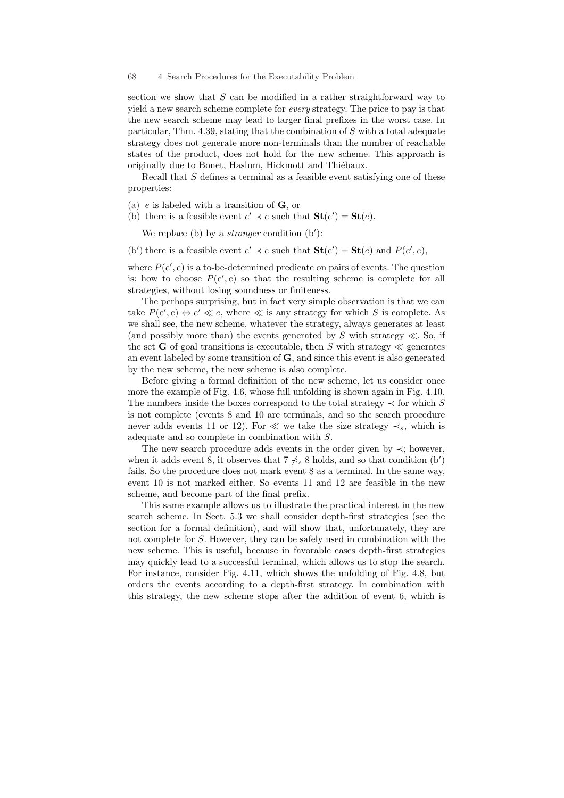68 4 Search Procedures for the Executability Problem

section we show that  $S$  can be modified in a rather straightforward way to yield a new search scheme complete for every strategy. The price to pay is that the new search scheme may lead to larger final prefixes in the worst case. In particular, Thm. 4.39, stating that the combination of  $S$  with a total adequate strategy does not generate more non-terminals than the number of reachable states of the product, does not hold for the new scheme. This approach is originally due to Bonet, Haslum, Hickmott and Thiébaux.

Recall that  $S$  defines a terminal as a feasible event satisfying one of these properties:

- (a)  $e$  is labeled with a transition of  $\bf{G}$ , or
- (b) there is a feasible event  $e' \prec e$  such that  $\mathbf{St}(e') = \mathbf{St}(e)$ .

We replace (b) by a *stronger* condition  $(b')$ :

(b') there is a feasible event  $e' \prec e$  such that  $\mathbf{St}(e') = \mathbf{St}(e)$  and  $P(e', e)$ ,

where  $P(e', e)$  is a to-be-determined predicate on pairs of events. The question is: how to choose  $P(e', e)$  so that the resulting scheme is complete for all strategies, without losing soundness or finiteness.

The perhaps surprising, but in fact very simple observation is that we can take  $P(e', e) \Leftrightarrow e' \ll e$ , where  $\ll$  is any strategy for which S is complete. As we shall see, the new scheme, whatever the strategy, always generates at least (and possibly more than) the events generated by S with strategy  $\ll$ . So, if the set G of goal transitions is executable, then S with strategy  $\ll$  generates an event labeled by some transition of  $\bf{G}$ , and since this event is also generated by the new scheme, the new scheme is also complete.

Before giving a formal definition of the new scheme, let us consider once more the example of Fig. 4.6, whose full unfolding is shown again in Fig. 4.10. The numbers inside the boxes correspond to the total strategy  $\prec$  for which S is not complete (events 8 and 10 are terminals, and so the search procedure never adds events 11 or 12). For  $\ll$  we take the size strategy  $\prec_s$ , which is adequate and so complete in combination with S.

The new search procedure adds events in the order given by  $\prec$ ; however, when it adds event 8, it observes that  $7 \nless s$  8 holds, and so that condition (b') fails. So the procedure does not mark event 8 as a terminal. In the same way, event 10 is not marked either. So events 11 and 12 are feasible in the new scheme, and become part of the final prefix.

This same example allows us to illustrate the practical interest in the new search scheme. In Sect. 5.3 we shall consider depth-first strategies (see the section for a formal definition), and will show that, unfortunately, they are not complete for S. However, they can be safely used in combination with the new scheme. This is useful, because in favorable cases depth-first strategies may quickly lead to a successful terminal, which allows us to stop the search. For instance, consider Fig. 4.11, which shows the unfolding of Fig. 4.8, but orders the events according to a depth-first strategy. In combination with this strategy, the new scheme stops after the addition of event 6, which is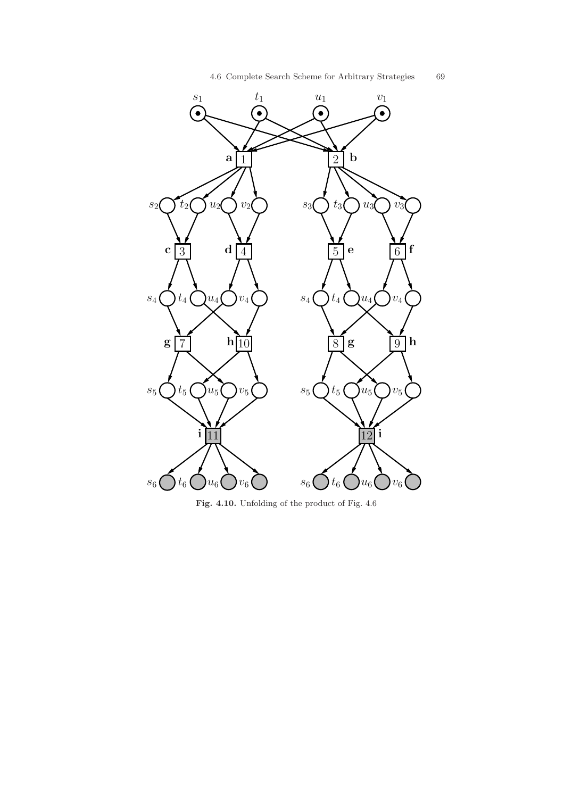

Fig. 4.10. Unfolding of the product of Fig. 4.6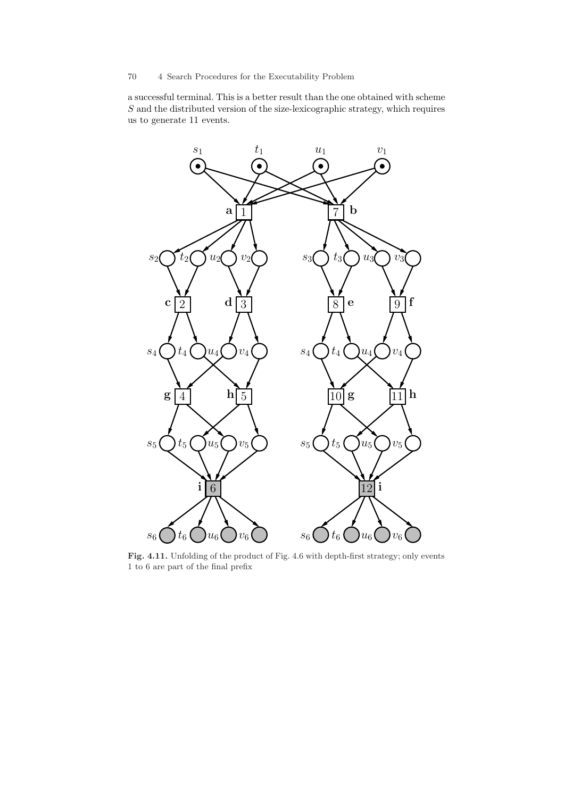## 70 4 Search Procedures for the Executability Problem

a successful terminal. This is a better result than the one obtained with scheme S and the distributed version of the size-lexicographic strategy, which requires us to generate 11 events.



Fig. 4.11. Unfolding of the product of Fig. 4.6 with depth-first strategy; only events 1 to 6 are part of the final prefix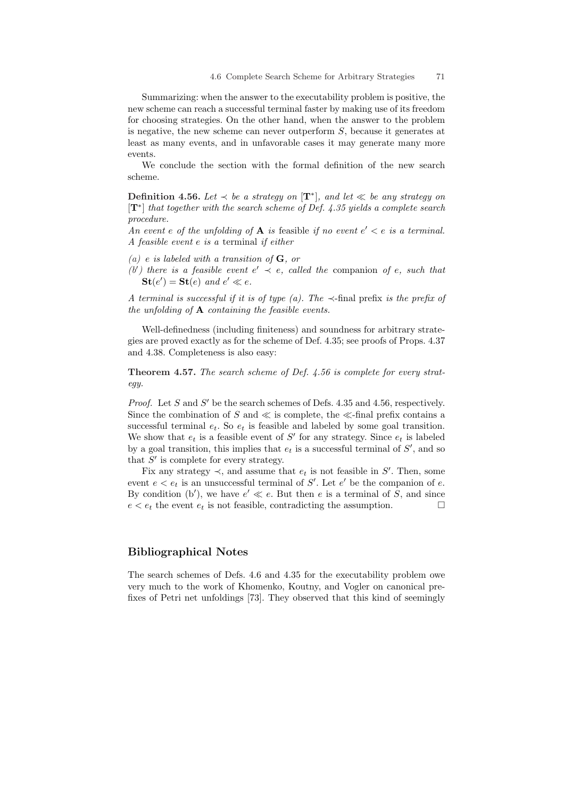4.6 Complete Search Scheme for Arbitrary Strategies 71

Summarizing: when the answer to the executability problem is positive, the new scheme can reach a successful terminal faster by making use of its freedom for choosing strategies. On the other hand, when the answer to the problem is negative, the new scheme can never outperform  $S$ , because it generates at least as many events, and in unfavorable cases it may generate many more events.

We conclude the section with the formal definition of the new search scheme.

**Definition 4.56.** Let  $\prec$  be a strategy on  $[T^*]$ , and let  $\ll$  be any strategy on [T<sup>∗</sup> ] that together with the search scheme of Def. 4.35 yields a complete search procedure.

An event e of the unfolding of  $A$  is feasible if no event  $e' < e$  is a terminal. A feasible event e is a terminal if either

(a) e is labeled with a transition of  $\bf{G}$ , or

(b') there is a feasible event  $e' \prec e$ , called the companion of e, such that  $\mathbf{St}(e') = \mathbf{St}(e) \text{ and } e' \ll e.$ 

A terminal is successful if it is of type (a). The  $\prec$ -final prefix is the prefix of the unfolding of  $A$  containing the feasible events.

Well-definedness (including finiteness) and soundness for arbitrary strategies are proved exactly as for the scheme of Def. 4.35; see proofs of Props. 4.37 and 4.38. Completeness is also easy:

Theorem 4.57. The search scheme of Def. 4.56 is complete for every strategy.

*Proof.* Let S and S' be the search schemes of Defs. 4.35 and 4.56, respectively. Since the combination of S and  $\ll$  is complete, the  $\ll$ -final prefix contains a successful terminal  $e_t$ . So  $e_t$  is feasible and labeled by some goal transition. We show that  $e_t$  is a feasible event of  $S'$  for any strategy. Since  $e_t$  is labeled by a goal transition, this implies that  $e_t$  is a successful terminal of  $S'$ , and so that  $S'$  is complete for every strategy.

Fix any strategy  $\prec$ , and assume that  $e_t$  is not feasible in  $S'$ . Then, some event  $e < e_t$  is an unsuccessful terminal of S'. Let  $e'$  be the companion of e. By condition (b'), we have  $e' \ll e$ . But then e is a terminal of S, and since  $e < e_t$  the event  $e_t$  is not feasible, contradicting the assumption.

## Bibliographical Notes

The search schemes of Defs. 4.6 and 4.35 for the executability problem owe very much to the work of Khomenko, Koutny, and Vogler on canonical prefixes of Petri net unfoldings [73]. They observed that this kind of seemingly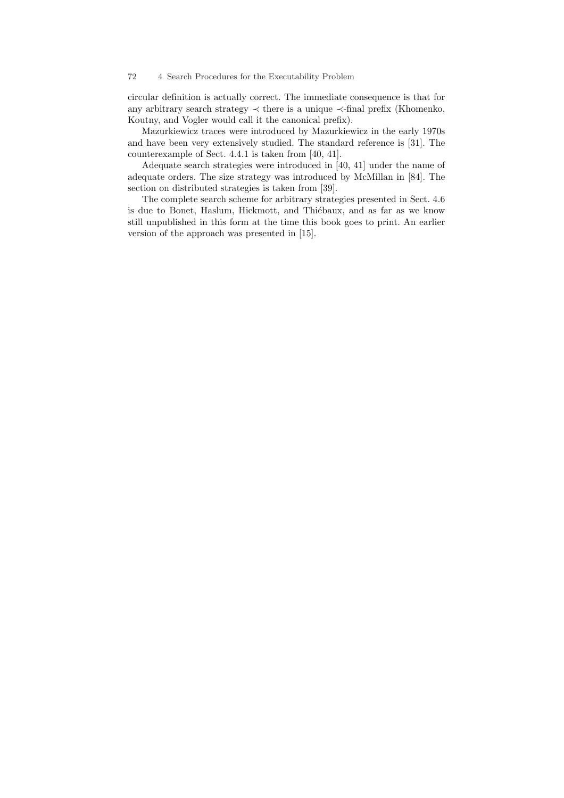#### 72 4 Search Procedures for the Executability Problem

circular definition is actually correct. The immediate consequence is that for any arbitrary search strategy  $\prec$  there is a unique  $\prec$ -final prefix (Khomenko, Koutny, and Vogler would call it the canonical prefix).

Mazurkiewicz traces were introduced by Mazurkiewicz in the early 1970s and have been very extensively studied. The standard reference is [31]. The counterexample of Sect. 4.4.1 is taken from [40, 41].

Adequate search strategies were introduced in [40, 41] under the name of adequate orders. The size strategy was introduced by McMillan in [84]. The section on distributed strategies is taken from [39].

The complete search scheme for arbitrary strategies presented in Sect. 4.6 is due to Bonet, Haslum, Hickmott, and Thiébaux, and as far as we know still unpublished in this form at the time this book goes to print. An earlier version of the approach was presented in [15].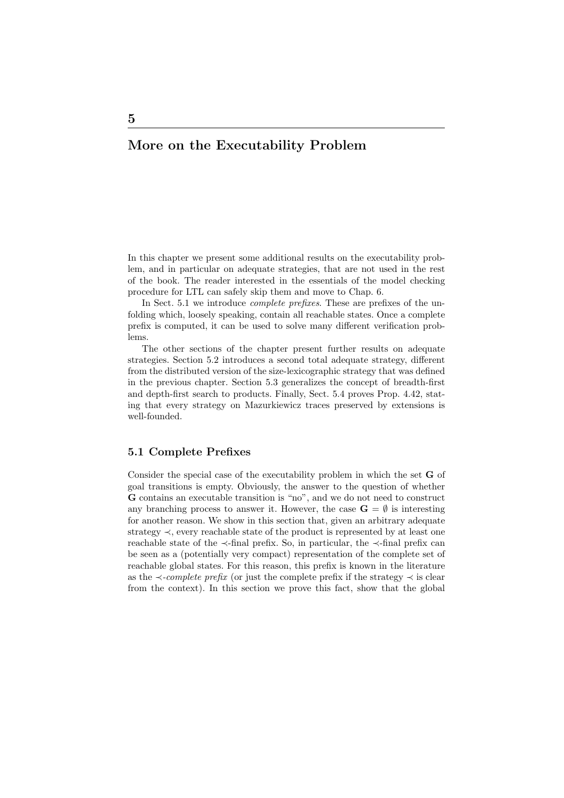In this chapter we present some additional results on the executability problem, and in particular on adequate strategies, that are not used in the rest of the book. The reader interested in the essentials of the model checking procedure for LTL can safely skip them and move to Chap. 6.

In Sect. 5.1 we introduce *complete prefixes*. These are prefixes of the unfolding which, loosely speaking, contain all reachable states. Once a complete prefix is computed, it can be used to solve many different verification problems.

The other sections of the chapter present further results on adequate strategies. Section 5.2 introduces a second total adequate strategy, different from the distributed version of the size-lexicographic strategy that was defined in the previous chapter. Section 5.3 generalizes the concept of breadth-first and depth-first search to products. Finally, Sect. 5.4 proves Prop. 4.42, stating that every strategy on Mazurkiewicz traces preserved by extensions is well-founded.

## 5.1 Complete Prefixes

Consider the special case of the executability problem in which the set G of goal transitions is empty. Obviously, the answer to the question of whether G contains an executable transition is "no", and we do not need to construct any branching process to answer it. However, the case  $\mathbf{G} = \emptyset$  is interesting for another reason. We show in this section that, given an arbitrary adequate strategy ≺, every reachable state of the product is represented by at least one reachable state of the  $\prec$ -final prefix. So, in particular, the  $\prec$ -final prefix can be seen as a (potentially very compact) representation of the complete set of reachable global states. For this reason, this prefix is known in the literature as the  $\prec$ -complete prefix (or just the complete prefix if the strategy  $\prec$  is clear from the context). In this section we prove this fact, show that the global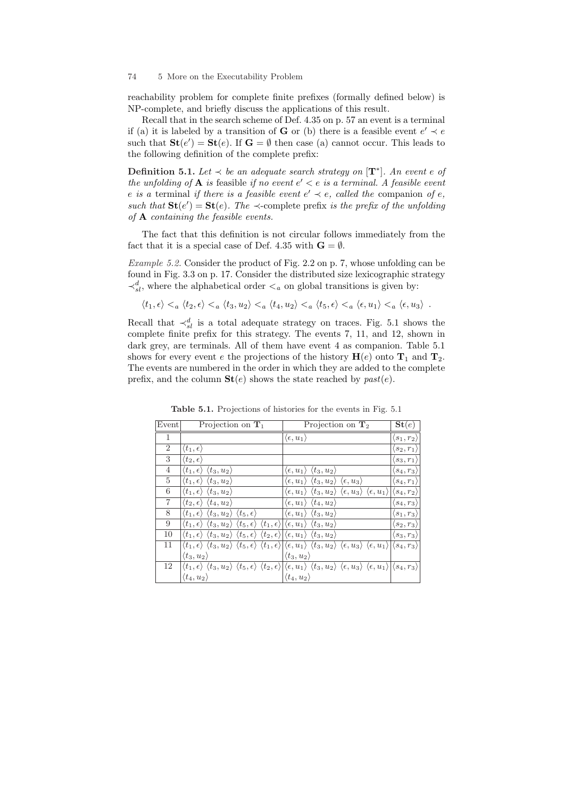reachability problem for complete finite prefixes (formally defined below) is NP-complete, and briefly discuss the applications of this result.

Recall that in the search scheme of Def. 4.35 on p. 57 an event is a terminal if (a) it is labeled by a transition of **G** or (b) there is a feasible event  $e' \prec e$ such that  $\mathbf{St}(e') = \mathbf{St}(e)$ . If  $\mathbf{G} = \emptyset$  then case (a) cannot occur. This leads to the following definition of the complete prefix:

**Definition 5.1.** Let  $\prec$  be an adequate search strategy on  $[T^*]$ . An event e of the unfolding of **A** is feasible if no event  $e' < e$  is a terminal. A feasible event e is a terminal if there is a feasible event  $e' \prec e$ , called the companion of e, such that  $\mathbf{St}(e') = \mathbf{St}(e)$ . The  $\prec$ -complete prefix is the prefix of the unfolding of A containing the feasible events.

The fact that this definition is not circular follows immediately from the fact that it is a special case of Def. 4.35 with  $\mathbf{G} = \emptyset$ .

Example 5.2. Consider the product of Fig. 2.2 on p. 7, whose unfolding can be found in Fig. 3.3 on p. 17. Consider the distributed size lexicographic strategy  $\prec_{sl}^d$ , where the alphabetical order  $\lt_a$  on global transitions is given by:

$$
\langle t_1, \epsilon \rangle <_a \langle t_2, \epsilon \rangle <_a \langle t_3, u_2 \rangle <_a \langle t_4, u_2 \rangle <_a \langle t_5, \epsilon \rangle <_a \langle \epsilon, u_1 \rangle <_a \langle \epsilon, u_3 \rangle \; .
$$

Recall that  $\prec_{sl}^d$  is a total adequate strategy on traces. Fig. 5.1 shows the complete finite prefix for this strategy. The events 7, 11, and 12, shown in dark grey, are terminals. All of them have event 4 as companion. Table 5.1 shows for every event e the projections of the history  $H(e)$  onto  $T_1$  and  $T_2$ . The events are numbered in the order in which they are added to the complete prefix, and the column  $\mathbf{St}(e)$  shows the state reached by  $past(e)$ .

| Event <sup> </sup> | Projection on $T_1$                                                                                                                                                            | Projection on $T_2$                                                                                                                                                                                                                                                | $\mathbf{St}(e)$           |
|--------------------|--------------------------------------------------------------------------------------------------------------------------------------------------------------------------------|--------------------------------------------------------------------------------------------------------------------------------------------------------------------------------------------------------------------------------------------------------------------|----------------------------|
| 1                  |                                                                                                                                                                                | $\langle \epsilon, u_1 \rangle$                                                                                                                                                                                                                                    | $\langle s_1, r_2 \rangle$ |
| $\overline{2}$     | $\langle t_1, \epsilon \rangle$                                                                                                                                                |                                                                                                                                                                                                                                                                    | $\langle s_2,r_1\rangle$   |
| 3                  | $\langle t_2, \epsilon \rangle$                                                                                                                                                |                                                                                                                                                                                                                                                                    | $\langle s_3, r_1 \rangle$ |
| 4                  | $\langle t_1, \epsilon \rangle \langle t_3, u_2 \rangle$                                                                                                                       | $\langle \epsilon, u_1 \rangle \langle t_3, u_2 \rangle$                                                                                                                                                                                                           | $\langle s_4, r_3 \rangle$ |
| 5                  | $\langle t_1, \epsilon \rangle \langle t_3, u_2 \rangle$                                                                                                                       | $\langle \epsilon, u_1 \rangle \langle t_3, u_2 \rangle \langle \epsilon, u_3 \rangle$                                                                                                                                                                             | $\langle s_4, r_1 \rangle$ |
| 6                  | $\langle t_1, \epsilon \rangle \langle t_3, u_2 \rangle$                                                                                                                       | $\langle \epsilon, u_1 \rangle \langle t_3, u_2 \rangle \langle \epsilon, u_3 \rangle \langle \epsilon, u_1 \rangle$                                                                                                                                               | $\langle s_4, r_2 \rangle$ |
| 7                  | $\langle t_2, \epsilon \rangle \langle t_4, u_2 \rangle$                                                                                                                       | $\langle \epsilon, u_1 \rangle \langle t_4, u_2 \rangle$                                                                                                                                                                                                           | $\langle s_4, r_3 \rangle$ |
| 8                  | $\langle t_1, \epsilon \rangle \langle t_3, u_2 \rangle \langle t_5, \epsilon \rangle$                                                                                         | $\langle \epsilon, u_1 \rangle \langle t_3, u_2 \rangle$                                                                                                                                                                                                           | $\langle s_1, r_3 \rangle$ |
| 9                  | $\langle t_1, \epsilon \rangle \langle t_3, u_2 \rangle \langle t_5, \epsilon \rangle \langle t_1, \epsilon \rangle  \langle \epsilon, u_1 \rangle \langle t_3, u_2 \rangle$   |                                                                                                                                                                                                                                                                    | $\langle s_2, r_3 \rangle$ |
| 10                 | $\langle t_1, \epsilon \rangle \langle t_3, u_2 \rangle \langle t_5, \epsilon \rangle \langle t_2, \epsilon \rangle  \langle \epsilon, u_1 \rangle \langle t_3, u_2 \rangle  $ |                                                                                                                                                                                                                                                                    | $\langle s_3, r_3 \rangle$ |
| 11                 |                                                                                                                                                                                | $\langle t_1, \epsilon \rangle \langle t_3, u_2 \rangle \langle t_5, \epsilon \rangle \langle t_1, \epsilon \rangle  \langle \epsilon, u_1 \rangle \langle t_3, u_2 \rangle \langle \epsilon, u_3 \rangle \langle \epsilon, u_1 \rangle  \langle s_4, r_3 \rangle$ |                            |
|                    | $\langle t_3, u_2 \rangle$                                                                                                                                                     | $\langle t_3, u_2 \rangle$                                                                                                                                                                                                                                         |                            |
| 12                 |                                                                                                                                                                                | $\langle t_1, \epsilon \rangle \langle t_3, u_2 \rangle \langle t_5, \epsilon \rangle \langle t_2, \epsilon \rangle  \langle \epsilon, u_1 \rangle \langle t_3, u_2 \rangle \langle \epsilon, u_3 \rangle \langle \epsilon, u_1 \rangle  \langle s_4, r_3 \rangle$ |                            |
|                    | $\langle t_4, u_2 \rangle$                                                                                                                                                     | $\langle t_4, u_2 \rangle$                                                                                                                                                                                                                                         |                            |

Table 5.1. Projections of histories for the events in Fig. 5.1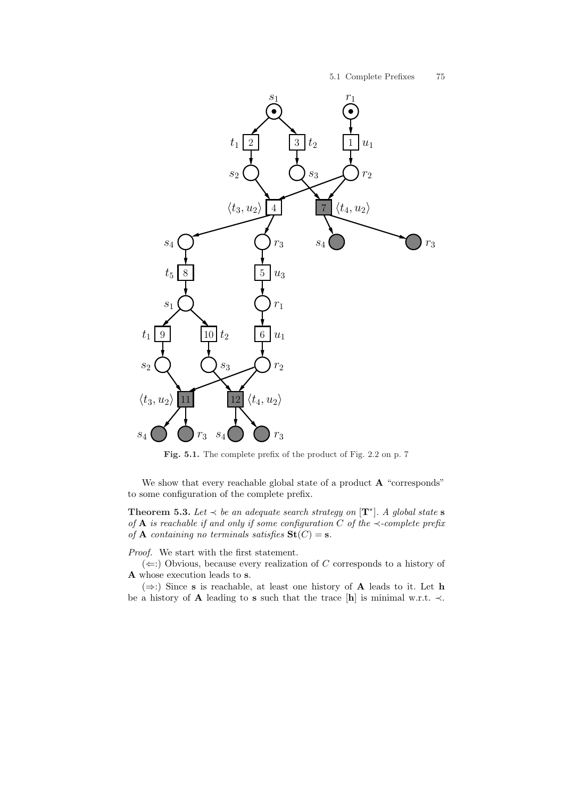

Fig. 5.1. The complete prefix of the product of Fig. 2.2 on p. 7

We show that every reachable global state of a product **A** "corresponds" to some configuration of the complete prefix.

**Theorem 5.3.** Let  $\prec$  be an adequate search strategy on  $[T^*]$ . A global state s of  $A$  is reachable if and only if some configuration C of the  $\prec$ -complete prefix of **A** containing no terminals satisfies  $\text{St}(C) = \text{s}$ .

Proof. We start with the first statement.

 $(\Leftarrow)$  Obvious, because every realization of C corresponds to a history of A whose execution leads to s.

(⇒:) Since s is reachable, at least one history of A leads to it. Let h be a history of **A** leading to **s** such that the trace [h] is minimal w.r.t.  $\prec$ .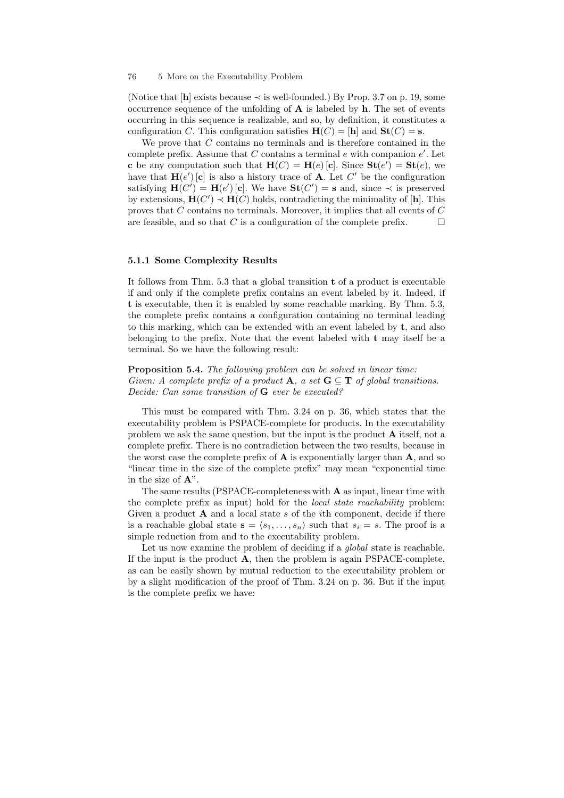(Notice that  $[h]$  exists because  $\prec$  is well-founded.) By Prop. 3.7 on p. 19, some occurrence sequence of the unfolding of  $A$  is labeled by  $h$ . The set of events occurring in this sequence is realizable, and so, by definition, it constitutes a configuration C. This configuration satisfies  $H(C) = [h]$  and  $St(C) = s$ .

We prove that C contains no terminals and is therefore contained in the complete prefix. Assume that  $C$  contains a terminal  $e$  with companion  $e'$ . Let **c** be any computation such that  $H(C) = H(e)$  [**c**]. Since  $St(e') = St(e)$ , we have that  $H(e')$  [c] is also a history trace of **A**. Let C' be the configuration satisfying  $H(C') = H(e')$  [c]. We have  $St(C') = s$  and, since  $\prec$  is preserved by extensions,  $H(C') \prec H(C)$  holds, contradicting the minimality of [h]. This proves that C contains no terminals. Moreover, it implies that all events of C are feasible, and so that C is a configuration of the complete prefix.  $\Box$ 

## 5.1.1 Some Complexity Results

It follows from Thm. 5.3 that a global transition t of a product is executable if and only if the complete prefix contains an event labeled by it. Indeed, if t is executable, then it is enabled by some reachable marking. By Thm. 5.3, the complete prefix contains a configuration containing no terminal leading to this marking, which can be extended with an event labeled by t, and also belonging to the prefix. Note that the event labeled with t may itself be a terminal. So we have the following result:

Proposition 5.4. The following problem can be solved in linear time: Given: A complete prefix of a product **A**, a set  $G \subseteq T$  of global transitions. Decide: Can some transition of **G** ever be executed?

This must be compared with Thm. 3.24 on p. 36, which states that the executability problem is PSPACE-complete for products. In the executability problem we ask the same question, but the input is the product A itself, not a complete prefix. There is no contradiction between the two results, because in the worst case the complete prefix of  $A$  is exponentially larger than  $A$ , and so "linear time in the size of the complete prefix" may mean "exponential time in the size of A".

The same results (PSPACE-completeness with A as input, linear time with the complete prefix as input) hold for the local state reachability problem: Given a product  $A$  and a local state s of the *i*th component, decide if there is a reachable global state  $s = \langle s_1, \ldots, s_n \rangle$  such that  $s_i = s$ . The proof is a simple reduction from and to the executability problem.

Let us now examine the problem of deciding if a *global* state is reachable. If the input is the product  $\mathbf{A}$ , then the problem is again PSPACE-complete, as can be easily shown by mutual reduction to the executability problem or by a slight modification of the proof of Thm. 3.24 on p. 36. But if the input is the complete prefix we have: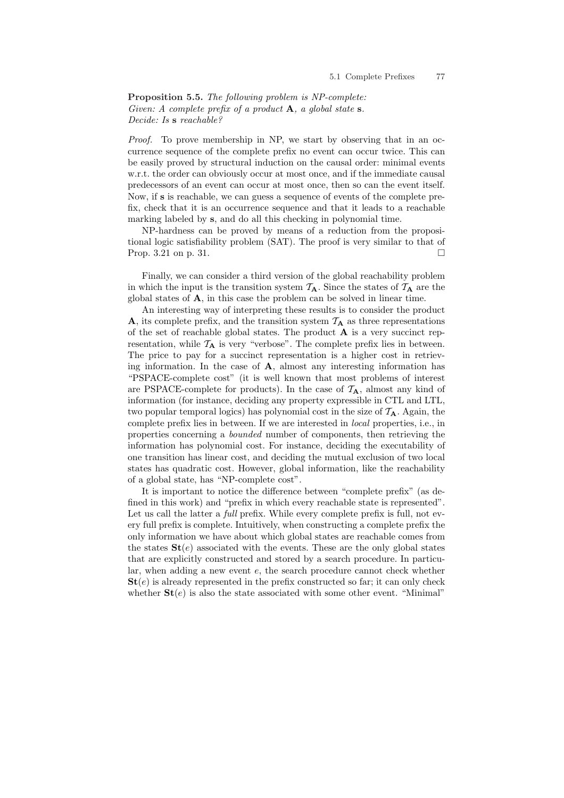Proposition 5.5. The following problem is NP-complete: Given: A complete prefix of a product  $\bf{A}$ , a global state  $\bf{s}$ . Decide: Is s reachable?

Proof. To prove membership in NP, we start by observing that in an occurrence sequence of the complete prefix no event can occur twice. This can be easily proved by structural induction on the causal order: minimal events w.r.t. the order can obviously occur at most once, and if the immediate causal predecessors of an event can occur at most once, then so can the event itself. Now, if s is reachable, we can guess a sequence of events of the complete prefix, check that it is an occurrence sequence and that it leads to a reachable marking labeled by s, and do all this checking in polynomial time.

NP-hardness can be proved by means of a reduction from the propositional logic satisfiability problem (SAT). The proof is very similar to that of Prop. 3.21 on p. 31.  $\Box$ 

Finally, we can consider a third version of the global reachability problem in which the input is the transition system  $\mathcal{T}_{A}$ . Since the states of  $\mathcal{T}_{A}$  are the global states of A, in this case the problem can be solved in linear time.

An interesting way of interpreting these results is to consider the product **A**, its complete prefix, and the transition system  $T_A$  as three representations of the set of reachable global states. The product  $A$  is a very succinct representation, while  $T_A$  is very "verbose". The complete prefix lies in between. The price to pay for a succinct representation is a higher cost in retrieving information. In the case of A, almost any interesting information has "PSPACE-complete cost" (it is well known that most problems of interest are PSPACE-complete for products). In the case of  $\mathcal{T}_A$ , almost any kind of information (for instance, deciding any property expressible in CTL and LTL, two popular temporal logics) has polynomial cost in the size of  $\mathcal{T}_{\mathbf{A}}$ . Again, the complete prefix lies in between. If we are interested in local properties, i.e., in properties concerning a bounded number of components, then retrieving the information has polynomial cost. For instance, deciding the executability of one transition has linear cost, and deciding the mutual exclusion of two local states has quadratic cost. However, global information, like the reachability of a global state, has "NP-complete cost".

It is important to notice the difference between "complete prefix" (as defined in this work) and "prefix in which every reachable state is represented". Let us call the latter a *full* prefix. While every complete prefix is full, not every full prefix is complete. Intuitively, when constructing a complete prefix the only information we have about which global states are reachable comes from the states  $\mathbf{St}(e)$  associated with the events. These are the only global states that are explicitly constructed and stored by a search procedure. In particular, when adding a new event e, the search procedure cannot check whether  $\mathbf{St}(e)$  is already represented in the prefix constructed so far; it can only check whether  $\mathbf{St}(e)$  is also the state associated with some other event. "Minimal"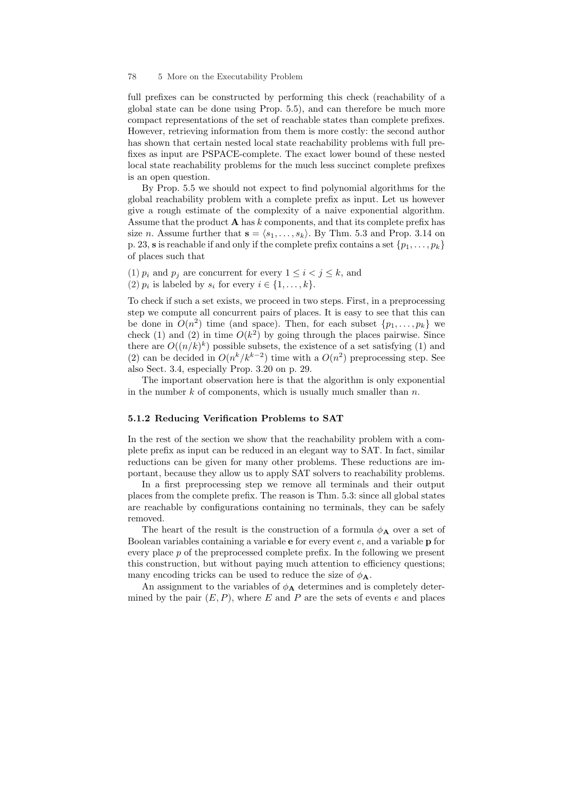full prefixes can be constructed by performing this check (reachability of a global state can be done using Prop. 5.5), and can therefore be much more compact representations of the set of reachable states than complete prefixes. However, retrieving information from them is more costly: the second author has shown that certain nested local state reachability problems with full prefixes as input are PSPACE-complete. The exact lower bound of these nested local state reachability problems for the much less succinct complete prefixes is an open question.

By Prop. 5.5 we should not expect to find polynomial algorithms for the global reachability problem with a complete prefix as input. Let us however give a rough estimate of the complexity of a naive exponential algorithm. Assume that the product  $A$  has  $k$  components, and that its complete prefix has size *n*. Assume further that  $\mathbf{s} = \langle s_1, \ldots, s_k \rangle$ . By Thm. 5.3 and Prop. 3.14 on p. 23, s is reachable if and only if the complete prefix contains a set  $\{p_1, \ldots, p_k\}$ of places such that

(1)  $p_i$  and  $p_j$  are concurrent for every  $1 \leq i \leq j \leq k$ , and

(2)  $p_i$  is labeled by  $s_i$  for every  $i \in \{1, \ldots, k\}.$ 

To check if such a set exists, we proceed in two steps. First, in a preprocessing step we compute all concurrent pairs of places. It is easy to see that this can be done in  $O(n^2)$  time (and space). Then, for each subset  $\{p_1, \ldots, p_k\}$  we check (1) and (2) in time  $O(k^2)$  by going through the places pairwise. Since there are  $O((n/k)^k)$  possible subsets, the existence of a set satisfying (1) and (2) can be decided in  $O(n^k/k^{k-2})$  time with a  $O(n^2)$  preprocessing step. See also Sect. 3.4, especially Prop. 3.20 on p. 29.

The important observation here is that the algorithm is only exponential in the number  $k$  of components, which is usually much smaller than  $n$ .

## 5.1.2 Reducing Verification Problems to SAT

In the rest of the section we show that the reachability problem with a complete prefix as input can be reduced in an elegant way to SAT. In fact, similar reductions can be given for many other problems. These reductions are important, because they allow us to apply SAT solvers to reachability problems.

In a first preprocessing step we remove all terminals and their output places from the complete prefix. The reason is Thm. 5.3: since all global states are reachable by configurations containing no terminals, they can be safely removed.

The heart of the result is the construction of a formula  $\phi_{\bf A}$  over a set of Boolean variables containing a variable e for every event e, and a variable p for every place  $p$  of the preprocessed complete prefix. In the following we present this construction, but without paying much attention to efficiency questions; many encoding tricks can be used to reduce the size of  $\phi_{\mathbf{A}}$ .

An assignment to the variables of  $\phi_{\mathbf{A}}$  determines and is completely determined by the pair  $(E, P)$ , where E and P are the sets of events e and places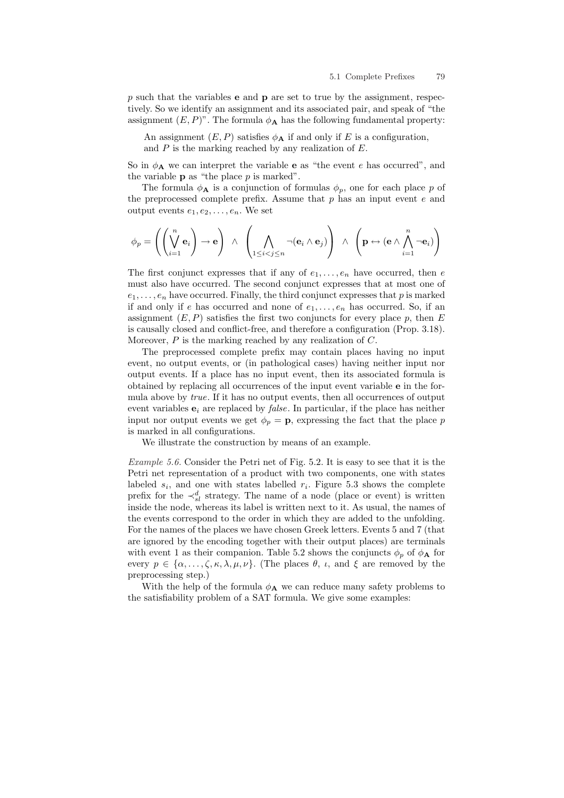$p$  such that the variables **e** and **p** are set to true by the assignment, respectively. So we identify an assignment and its associated pair, and speak of "the assignment  $(E, P)$ ". The formula  $\phi_A$  has the following fundamental property:

An assignment  $(E, P)$  satisfies  $\phi_{\mathbf{A}}$  if and only if E is a configuration, and  $P$  is the marking reached by any realization of  $E$ .

So in  $\phi_{\mathbf{A}}$  we can interpret the variable **e** as "the event *e* has occurred", and the variable  $\bf{p}$  as "the place  $p$  is marked".

The formula  $\phi_{\mathbf{A}}$  is a conjunction of formulas  $\phi_p$ , one for each place p of the preprocessed complete prefix. Assume that  $p$  has an input event  $e$  and output events  $e_1, e_2, \ldots, e_n$ . We set

$$
\phi_p=\left(\left(\bigvee_{i=1}^{n}\mathbf{e}_i\right)\to\mathbf{e}\right)\ \wedge\ \left(\bigwedge_{1\leq i
$$

The first conjunct expresses that if any of  $e_1, \ldots, e_n$  have occurred, then e must also have occurred. The second conjunct expresses that at most one of  $e_1, \ldots, e_n$  have occurred. Finally, the third conjunct expresses that p is marked if and only if e has occurred and none of  $e_1, \ldots, e_n$  has occurred. So, if an assignment  $(E, P)$  satisfies the first two conjuncts for every place p, then E is causally closed and conflict-free, and therefore a configuration (Prop. 3.18). Moreover,  $P$  is the marking reached by any realization of  $C$ .

The preprocessed complete prefix may contain places having no input event, no output events, or (in pathological cases) having neither input nor output events. If a place has no input event, then its associated formula is obtained by replacing all occurrences of the input event variable e in the formula above by true. If it has no output events, then all occurrences of output event variables  $e_i$  are replaced by *false*. In particular, if the place has neither input nor output events we get  $\phi_p = \mathbf{p}$ , expressing the fact that the place p is marked in all configurations.

We illustrate the construction by means of an example.

Example 5.6. Consider the Petri net of Fig. 5.2. It is easy to see that it is the Petri net representation of a product with two components, one with states labeled  $s_i$ , and one with states labelled  $r_i$ . Figure 5.3 shows the complete prefix for the  $\prec_{sl}^d$  strategy. The name of a node (place or event) is written inside the node, whereas its label is written next to it. As usual, the names of the events correspond to the order in which they are added to the unfolding. For the names of the places we have chosen Greek letters. Events 5 and 7 (that are ignored by the encoding together with their output places) are terminals with event 1 as their companion. Table 5.2 shows the conjuncts  $\phi_p$  of  $\phi_A$  for every  $p \in {\alpha, ..., \zeta, \kappa, \lambda, \mu, \nu}$ . (The places  $\theta$ ,  $\iota$ , and  $\xi$  are removed by the preprocessing step.)

With the help of the formula  $\phi_{\mathbf{A}}$  we can reduce many safety problems to the satisfiability problem of a SAT formula. We give some examples: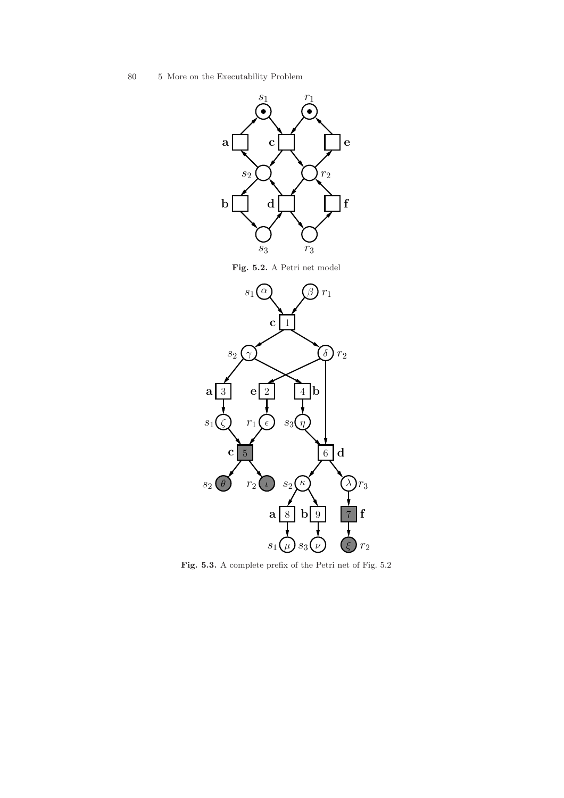

Fig. 5.2. A Petri net model



Fig. 5.3. A complete prefix of the Petri net of Fig. 5.2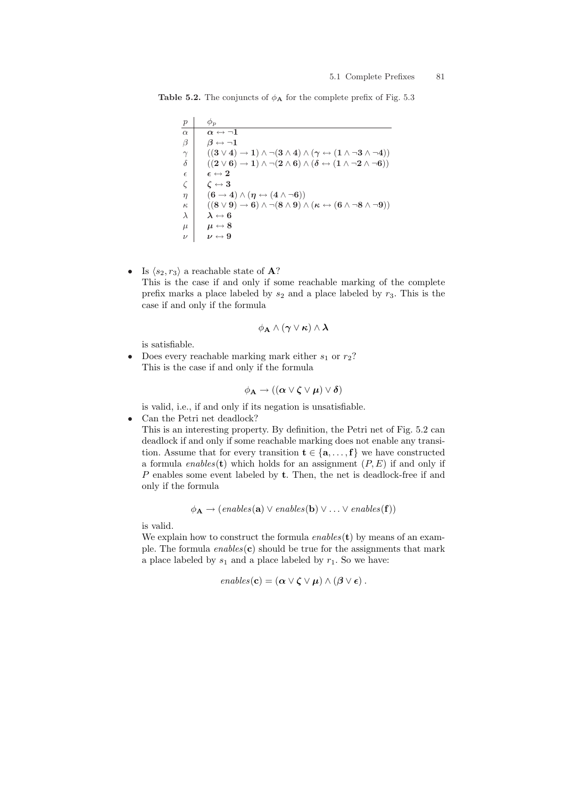Table 5.2. The conjuncts of  $\phi_{\mathbf{A}}$  for the complete prefix of Fig. 5.3

| $\boldsymbol{p}$ | $\phi_{\bm v}$                                                                                                        |
|------------------|-----------------------------------------------------------------------------------------------------------------------|
| $\alpha$         | $\alpha \leftrightarrow \neg 1$                                                                                       |
| β                | $\beta \leftrightarrow \neg 1$                                                                                        |
| $\gamma$         | $((3 \vee 4) \rightarrow 1) \wedge \neg (3 \wedge 4) \wedge (\gamma \leftrightarrow (1 \wedge \neg 3 \wedge \neg 4))$ |
| $\delta$         | $((2 \vee 6) \rightarrow 1) \wedge \neg (2 \wedge 6) \wedge (\delta \leftrightarrow (1 \wedge \neg 2 \wedge \neg 6))$ |
| $\epsilon$       | $\epsilon \leftrightarrow 2$                                                                                          |
| $\zeta$          | $\mathcal{C}\leftrightarrow\mathbf{3}$                                                                                |
| $\eta$           | $(6 \rightarrow 4) \wedge (\eta \leftrightarrow (4 \wedge \neg 6))$                                                   |
| $\kappa$         | $((8 \vee 9) \rightarrow 6) \wedge \neg(8 \wedge 9) \wedge (\kappa \leftrightarrow (6 \wedge \neg 8 \wedge \neg 9))$  |
| $\lambda$        | $\lambda \leftrightarrow 6$                                                                                           |
| $\mu$            | $\mu \leftrightarrow 8$                                                                                               |
| $\nu$            | $\nu \leftrightarrow 9$                                                                                               |

• Is  $\langle s_2, r_3 \rangle$  a reachable state of **A**? This is the case if and only if some reachable marking of the complete prefix marks a place labeled by  $s_2$  and a place labeled by  $r_3$ . This is the case if and only if the formula

$$
\phi_{\mathbf{A}} \wedge (\boldsymbol{\gamma} \vee \boldsymbol{\kappa}) \wedge \boldsymbol{\lambda}
$$

is satisfiable.

• Does every reachable marking mark either  $s_1$  or  $r_2$ ? This is the case if and only if the formula

$$
\phi_{\mathbf{A}} \rightarrow ((\boldsymbol{\alpha} \vee \boldsymbol{\zeta} \vee \boldsymbol{\mu}) \vee \boldsymbol{\delta})
$$

is valid, i.e., if and only if its negation is unsatisfiable.

• Can the Petri net deadlock?

This is an interesting property. By definition, the Petri net of Fig. 5.2 can deadlock if and only if some reachable marking does not enable any transition. Assume that for every transition  $t \in \{a, \ldots, f\}$  we have constructed a formula enables(t) which holds for an assignment  $(P, E)$  if and only if P enables some event labeled by **t**. Then, the net is deadlock-free if and only if the formula

$$
\phi_{\mathbf{A}} \rightarrow (enables(\mathbf{a}) \lor enables(\mathbf{b}) \lor \dots \lor enables(\mathbf{f}))
$$

is valid.

We explain how to construct the formula  $enables(t)$  by means of an example. The formula  $enables(c)$  should be true for the assignments that mark a place labeled by  $s_1$  and a place labeled by  $r_1$ . So we have:

$$
enables(\mathbf{c})=(\boldsymbol{\alpha}\vee\boldsymbol{\zeta}\vee\boldsymbol{\mu})\wedge(\boldsymbol{\beta}\vee\boldsymbol{\epsilon}).
$$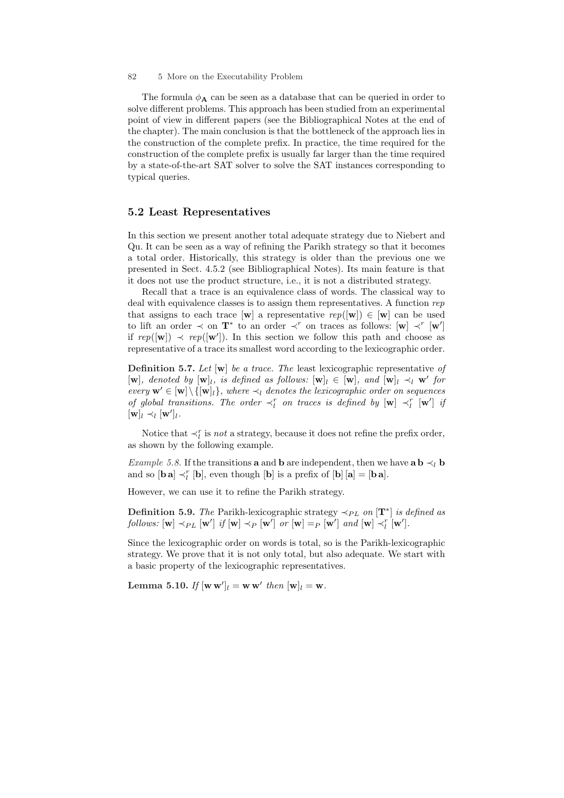The formula  $\phi_{\bf A}$  can be seen as a database that can be queried in order to solve different problems. This approach has been studied from an experimental point of view in different papers (see the Bibliographical Notes at the end of the chapter). The main conclusion is that the bottleneck of the approach lies in the construction of the complete prefix. In practice, the time required for the construction of the complete prefix is usually far larger than the time required by a state-of-the-art SAT solver to solve the SAT instances corresponding to typical queries.

## 5.2 Least Representatives

In this section we present another total adequate strategy due to Niebert and Qu. It can be seen as a way of refining the Parikh strategy so that it becomes a total order. Historically, this strategy is older than the previous one we presented in Sect. 4.5.2 (see Bibliographical Notes). Its main feature is that it does not use the product structure, i.e., it is not a distributed strategy.

Recall that a trace is an equivalence class of words. The classical way to deal with equivalence classes is to assign them representatives. A function rep that assigns to each trace  $[\mathbf{w}]$  a representative  $rep([\mathbf{w}]) \in [\mathbf{w}]$  can be used to lift an order  $\prec$  on  $\mathbf{T}^*$  to an order  $\prec^r$  on traces as follows:  $[\mathbf{w}] \prec^r [\mathbf{w}']$ if  $rep([w]) \prec rep([w'])$ . In this section we follow this path and choose as representative of a trace its smallest word according to the lexicographic order.

**Definition 5.7.** Let  $[w]$  be a trace. The least lexicographic representative of  $[\mathbf{w}]$ , denoted by  $[\mathbf{w}]_l$ , is defined as follows:  $[\mathbf{w}]_l \in [\mathbf{w}]$ , and  $[\mathbf{w}]_l \prec_l \mathbf{w}'$  for every  $\mathbf{w}' \in [\mathbf{w}] \setminus \{[\mathbf{w}]_l\}$ , where  $\prec_l$  denotes the lexicographic order on sequences of global transitions. The order  $\prec_l^r$  on traces is defined by  $[\mathbf{w}] \prec_l^r [\mathbf{w}']$  if  $[\mathbf{w}]_l \prec_l [\mathbf{w}']_l.$ 

Notice that  $\prec_l^r$  is *not* a strategy, because it does not refine the prefix order, as shown by the following example.

*Example 5.8.* If the transitions **a** and **b** are independent, then we have **a b**  $\prec_l$  **b** and so  $[\mathbf{b} \mathbf{a}] \prec_l^r [\mathbf{b}]$ , even though  $[\mathbf{b}]$  is a prefix of  $[\mathbf{b}][\mathbf{a}] = [\mathbf{b} \mathbf{a}]$ .

However, we can use it to refine the Parikh strategy.

Definition 5.9. The Parikh-lexicographic strategy  $\prec_{PL}$  on  $[T^*]$  is defined as follows:  $[\mathbf{w}] \prec_{PL} [\mathbf{w}']$  if  $[\mathbf{w}] \prec_P [\mathbf{w}']$  or  $[\mathbf{w}] =_P [\mathbf{w}']$  and  $[\mathbf{w}] \prec_l^r [\mathbf{w}']$ .

Since the lexicographic order on words is total, so is the Parikh-lexicographic strategy. We prove that it is not only total, but also adequate. We start with a basic property of the lexicographic representatives.

Lemma 5.10. If  $[\mathbf{w}\,\mathbf{w}']_l = \mathbf{w}\,\mathbf{w}'$  then  $[\mathbf{w}]_l = \mathbf{w}$ .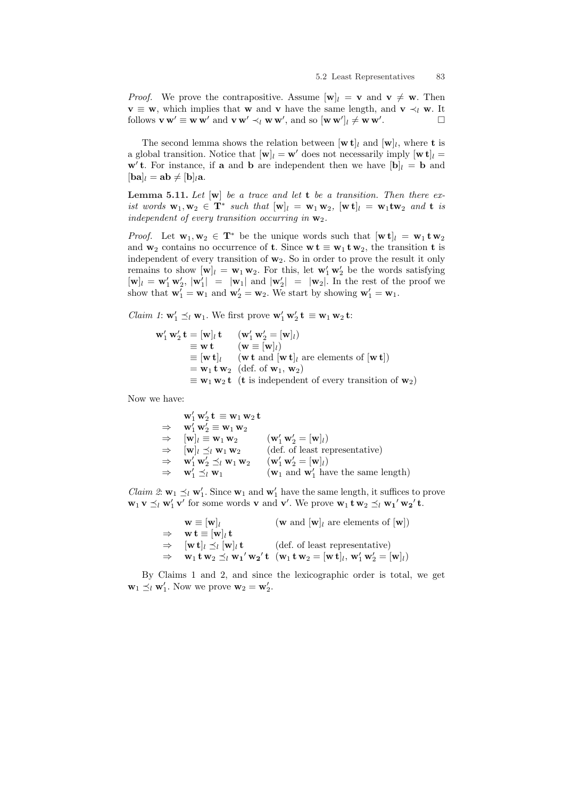*Proof.* We prove the contrapositive. Assume  $[\mathbf{w}]_l = \mathbf{v}$  and  $\mathbf{v} \neq \mathbf{w}$ . Then  $\mathbf{v} \equiv \mathbf{w}$ , which implies that  $\mathbf{w}$  and  $\mathbf{v}$  have the same length, and  $\mathbf{v} \prec_l \mathbf{w}$ . It follows  $\mathbf{v}\mathbf{w}' \equiv \mathbf{w}\mathbf{w}'$  and  $\mathbf{v}\mathbf{w}' \prec_l \mathbf{w}\mathbf{w}'$ , and so  $[\mathbf{w}\mathbf{w}']_l \neq \mathbf{w}\mathbf{w}'$ .  $\Box$ 

The second lemma shows the relation between  $[\mathbf{w} \mathbf{t}]_l$  and  $[\mathbf{w}]_l$ , where **t** is a global transition. Notice that  $[\mathbf{w}]_l = \mathbf{w}'$  does not necessarily imply  $[\mathbf{w} \mathbf{t}]_l =$  $\mathbf{w}'$  **t**. For instance, if **a** and **b** are independent then we have  $[\mathbf{b}]_l = \mathbf{b}$  and  $[\mathbf{ba}]_l = \mathbf{ab} \neq [\mathbf{b}]_l \mathbf{a}.$ 

**Lemma 5.11.** Let  $[w]$  be a trace and let **t** be a transition. Then there exist words  $\mathbf{w}_1, \mathbf{w}_2 \in \mathbf{T}^*$  such that  $[\mathbf{w}]_l = \mathbf{w}_1 \mathbf{w}_2$ ,  $[\mathbf{w} \mathbf{t}]_l = \mathbf{w}_1 \mathbf{t} \mathbf{w}_2$  and  $\mathbf{t}$  is independent of every transition occurring in  $w_2$ .

*Proof.* Let  $\mathbf{w}_1, \mathbf{w}_2 \in \mathbf{T}^*$  be the unique words such that  $[\mathbf{w} \mathbf{t}]_l = \mathbf{w}_1 \mathbf{t} \mathbf{w}_2$ and  $w_2$  contains no occurrence of **t**. Since  $w \mathbf{t} \equiv w_1 \mathbf{t} w_2$ , the transition **t** is independent of every transition of  $w_2$ . So in order to prove the result it only remains to show  $[\mathbf{w}]_l = \mathbf{w}_1 \mathbf{w}_2$ . For this, let  $\mathbf{w}'_1 \mathbf{w}'_2$  be the words satisfying  $[\mathbf{w}]_l = \mathbf{w}'_1 \mathbf{w}'_2$ ,  $|\mathbf{w}'_1| = |\mathbf{w}_1|$  and  $|\mathbf{w}'_2| = |\mathbf{w}_2|$ . In the rest of the proof we show that  $\mathbf{w}'_1 = \mathbf{w}_1$  and  $\mathbf{w}'_2 = \mathbf{w}_2$ . We start by showing  $\mathbf{w}'_1 = \mathbf{w}_1$ .

*Claim 1*:  $\mathbf{w}'_1 \preceq_l \mathbf{w}_1$ . We first prove  $\mathbf{w}'_1 \mathbf{w}'_2 \mathbf{t} \equiv \mathbf{w}_1 \mathbf{w}_2 \mathbf{t}$ :

$$
\mathbf{w}'_1 \mathbf{w}'_2 \mathbf{t} = [\mathbf{w}]_l \mathbf{t} \qquad (\mathbf{w}'_1 \mathbf{w}'_2 = [\mathbf{w}]_l)
$$
  
\n
$$
\equiv \mathbf{w} \mathbf{t} \qquad (\mathbf{w} \equiv [\mathbf{w}]_l)
$$
  
\n
$$
\equiv [\mathbf{w} \mathbf{t}]_l \qquad (\mathbf{w} \mathbf{t} \text{ and } [\mathbf{w} \mathbf{t}]_l \text{ are elements of } [\mathbf{w} \mathbf{t}])
$$
  
\n
$$
= \mathbf{w}_1 \mathbf{t} \mathbf{w}_2 \quad (\text{def. of } \mathbf{w}_1, \mathbf{w}_2)
$$
  
\n
$$
\equiv \mathbf{w}_1 \mathbf{w}_2 \mathbf{t} \quad (\mathbf{t} \text{ is independent of every transition of } \mathbf{w}_2)
$$

Now we have:

$$
\begin{array}{rcl}\n\mathbf{w}_1' \mathbf{w}_2' \mathbf{t} & \equiv \mathbf{w}_1 \mathbf{w}_2 \mathbf{t} \\
\Rightarrow & \mathbf{w}_1' \mathbf{w}_2' \equiv \mathbf{w}_1 \mathbf{w}_2 \\
\Rightarrow & [\mathbf{w}]_l \equiv \mathbf{w}_1 \mathbf{w}_2 \qquad (\mathbf{w}_1' \mathbf{w}_2' = [\mathbf{w}]_l) \\
\Rightarrow & [\mathbf{w}]_l \preceq_l \mathbf{w}_1 \mathbf{w}_2 \qquad (\text{def. of least representative}) \\
\Rightarrow & \mathbf{w}_1' \mathbf{w}_2' \preceq_l \mathbf{w}_1 \mathbf{w}_2 \qquad (\mathbf{w}_1' \mathbf{w}_2' = [\mathbf{w}]_l) \\
\Rightarrow & \mathbf{w}_1' \preceq_l \mathbf{w}_1 \qquad (\mathbf{w}_1 \text{ and } \mathbf{w}_1' \text{ have the same length})\n\end{array}
$$

*Claim 2*:  $w_1 \preceq_l w_1'$ . Since  $w_1$  and  $w_1'$  have the same length, it suffices to prove  $\mathbf{w}_1 \mathbf{v} \preceq_l \mathbf{w}'_1 \mathbf{v}'$  for some words **v** and **v**'. We prove  $\mathbf{w}_1 \mathbf{t} \mathbf{w}_2 \preceq_l \mathbf{w}_1' \mathbf{w}_2' \mathbf{t}$ .

| $\mathbf{w} \equiv  \mathbf{w} _l$                                             | ( <b>w</b> and $[\mathbf{w}]_l$ are elements of $[\mathbf{w}]$ )                                                                                                                                                         |
|--------------------------------------------------------------------------------|--------------------------------------------------------------------------------------------------------------------------------------------------------------------------------------------------------------------------|
| $\Rightarrow$ w t $\equiv$ [w] <sub>l</sub> t                                  |                                                                                                                                                                                                                          |
| $\Rightarrow$ $[\mathbf{w}\,\mathbf{t}]_l \preceq_l [\mathbf{w}]_l \mathbf{t}$ | (def. of least representative)                                                                                                                                                                                           |
|                                                                                | $\Rightarrow$ $\mathbf{w}_1 \mathbf{t} \mathbf{w}_2 \preceq_l \mathbf{w_1}' \mathbf{w_2}' \mathbf{t}$ $(\mathbf{w}_1 \mathbf{t} \mathbf{w}_2 = [\mathbf{w} \mathbf{t}]_l, \mathbf{w}_1' \mathbf{w}_2' = [\mathbf{w}]_l)$ |

By Claims 1 and 2, and since the lexicographic order is total, we get  $\mathbf{w}_1 \preceq_l \mathbf{w}'_1$ . Now we prove  $\mathbf{w}_2 = \mathbf{w}'_2$ .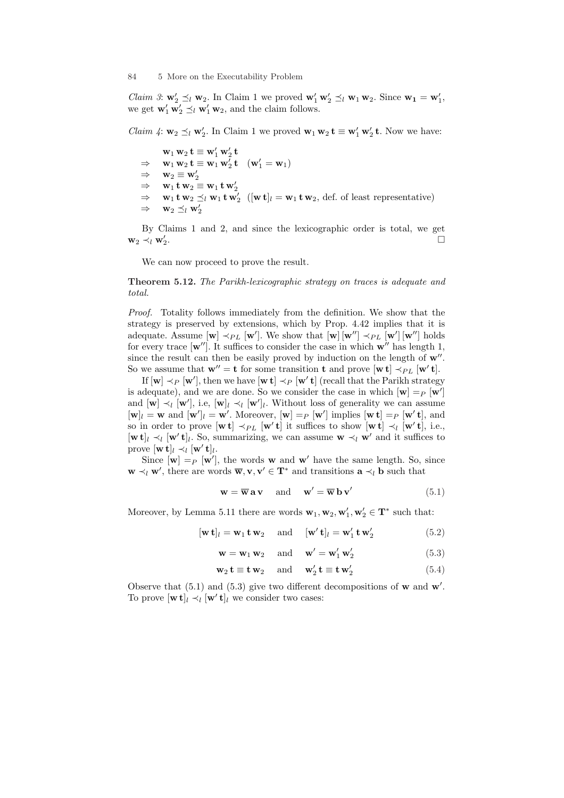*Claim 3*:  $\mathbf{w}'_2 \preceq_l \mathbf{w}_2$ . In Claim 1 we proved  $\mathbf{w}'_1 \mathbf{w}'_2 \preceq_l \mathbf{w}_1 \mathbf{w}_2$ . Since  $\mathbf{w}_1 = \mathbf{w}'_1$ , we get  $\mathbf{w}'_1 \mathbf{w}'_2 \preceq_l \mathbf{w}'_1 \mathbf{w}_2$ , and the claim follows.

*Claim 4*:  $w_2 \preceq_l w_2'$ . In Claim 1 we proved  $w_1 w_2 \mathbf{t} \equiv w_1' w_2' \mathbf{t}$ . Now we have:

 $\mathbf{w}_1 \mathbf{w}_2 \mathbf{t} \equiv \mathbf{w}'_1 \mathbf{w}'_2 \mathbf{t}$  $\Rightarrow$  w<sub>1</sub> w<sub>2</sub> t  $\equiv$  w<sub>1</sub> w<sub>2</sub> t  $(w'_1 = w_1)$  $\Rightarrow$   $\mathbf{w}_2 \equiv \mathbf{w}'_2$  $\Rightarrow$  w<sub>1</sub> t w<sub>2</sub>  $\equiv$  w<sub>1</sub> t w<sub>2</sub>  $\Rightarrow$   $\mathbf{w}_1 \mathbf{t} \mathbf{w}_2 \preceq_l \mathbf{w}_1 \mathbf{t} \mathbf{w}'_2$  ([**w t**]<sub>l</sub> = **w**<sub>1</sub> **t w**<sub>2</sub>, def. of least representative)  $\Rightarrow$   $\mathbf{w}_2 \preceq_l \mathbf{w}'_2$ 

By Claims 1 and 2, and since the lexicographic order is total, we get  $\mathbf{w}_2 \prec_l \mathbf{w}'_2$ . ¤

We can now proceed to prove the result.

Theorem 5.12. The Parikh-lexicographic strategy on traces is adequate and total.

Proof. Totality follows immediately from the definition. We show that the strategy is preserved by extensions, which by Prop. 4.42 implies that it is adequate. Assume  $[\mathbf{w}] \prec_{PL} [\mathbf{w}']$ . We show that  $[\mathbf{w}][\mathbf{w}'] \prec_{PL} [\mathbf{w}'] [\mathbf{w}']$  holds for every trace  $[w'']$ . It suffices to consider the case in which  $w''$  has length 1, since the result can then be easily proved by induction on the length of  $w''$ . So we assume that  $\mathbf{w}'' = \mathbf{t}$  for some transition  $\mathbf{t}$  and prove  $[\mathbf{w} \mathbf{t}] \prec_{PL} [\mathbf{w}' \mathbf{t}]$ .

If  $[w] \prec_P [w']$ , then we have  $[w t] \prec_P [w' t]$  (recall that the Parikh strategy is adequate), and we are done. So we consider the case in which  $[\mathbf{w}] = P [\mathbf{w}']$ and  $[\mathbf{w}] \prec_l [\mathbf{w}']$ , i.e,  $[\mathbf{w}]_l \prec_l [\mathbf{w}']_l$ . Without loss of generality we can assume  $[\mathbf{w}]_l = \mathbf{w}$  and  $[\mathbf{w}']_l = \mathbf{w}'$ . Moreover,  $[\mathbf{w}] = P [\mathbf{w}']$  implies  $[\mathbf{w} \mathbf{t}] = P [\mathbf{w}' \mathbf{t}]$ , and so in order to prove  $[\mathbf{w}\mathbf{t}] \prec_{PL} [\mathbf{w'}\mathbf{t}]$  it suffices to show  $[\mathbf{w}\mathbf{t}] \prec_l [\mathbf{w'}\mathbf{t}]$ , i.e.,  $[\mathbf{w} \mathbf{t}]_l \prec_l [\mathbf{w}' \mathbf{t}]_l$ . So, summarizing, we can assume  $\mathbf{w} \prec_l \mathbf{w}'$  and it suffices to prove  $[\mathbf{w}\,\mathbf{t}]_l \prec_l [\mathbf{w}'\,\mathbf{t}]_l$ .

Since  $[\mathbf{w}] = P [\mathbf{w}']$ , the words **w** and **w**' have the same length. So, since  $\mathbf{w} \prec_l \mathbf{w}'$ , there are words  $\overline{\mathbf{w}}, \mathbf{v}, \mathbf{v}' \in \mathbf{T}^*$  and transitions  $\mathbf{a} \prec_l \mathbf{b}$  such that

$$
\mathbf{w} = \overline{\mathbf{w}} \mathbf{a} \mathbf{v} \quad \text{and} \quad \mathbf{w}' = \overline{\mathbf{w}} \mathbf{b} \mathbf{v}' \tag{5.1}
$$

Moreover, by Lemma 5.11 there are words  $\mathbf{w}_1, \mathbf{w}_2, \mathbf{w}'_1, \mathbf{w}'_2 \in \mathbf{T}^*$  such that:

$$
[\mathbf{w}\ \mathbf{t}]_l = \mathbf{w}_1 \mathbf{t}\ \mathbf{w}_2
$$
 and  $[\mathbf{w}'\ \mathbf{t}]_l = \mathbf{w}'_1 \mathbf{t}\ \mathbf{w}'_2$  (5.2)

$$
\mathbf{w} = \mathbf{w}_1 \mathbf{w}_2 \quad \text{and} \quad \mathbf{w}' = \mathbf{w}'_1 \mathbf{w}'_2 \tag{5.3}
$$

$$
\mathbf{w}_2 \, \mathbf{t} \equiv \mathbf{t} \, \mathbf{w}_2 \quad \text{and} \quad \mathbf{w}'_2 \, \mathbf{t} \equiv \mathbf{t} \, \mathbf{w}'_2 \tag{5.4}
$$

Observe that  $(5.1)$  and  $(5.3)$  give two different decompositions of w and w'. To prove  $[\mathbf{w}\mathbf{t}]_l \prec_l [\mathbf{w}'\mathbf{t}]_l$  we consider two cases: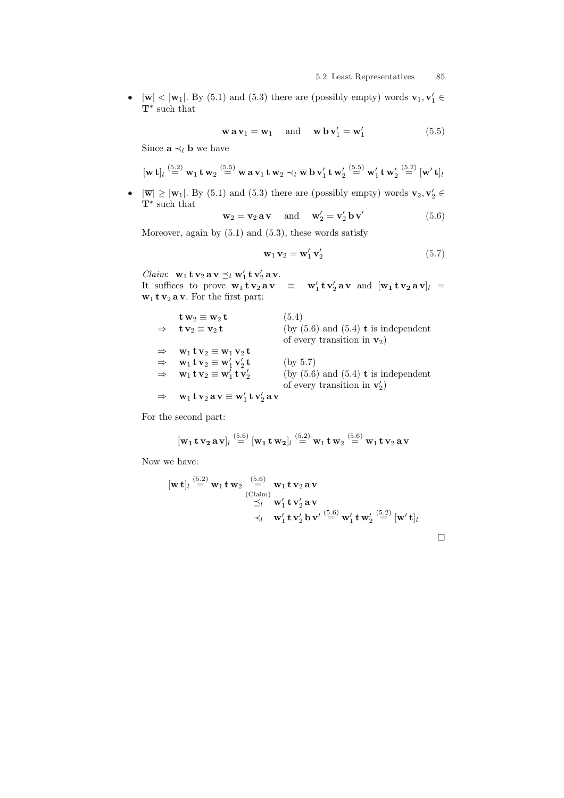•  $|\overline{\mathbf{w}}| < |\mathbf{w}_1|$ . By (5.1) and (5.3) there are (possibly empty) words  $\mathbf{v}_1, \mathbf{v}'_1 \in$ T<sup>∗</sup> such that

$$
\overline{\mathbf{w}} \mathbf{a} \mathbf{v}_1 = \mathbf{w}_1 \quad \text{and} \quad \overline{\mathbf{w}} \mathbf{b} \mathbf{v}'_1 = \mathbf{w}'_1
$$
\n(5.5)

Since  $\mathbf{a} \prec_l \mathbf{b}$  we have

$$
[\mathbf{w}\,\mathbf{t}]_l\stackrel{(5.2)}{=}\mathbf{w}_1\,\mathbf{t}\,\mathbf{w}_2\stackrel{(5.5)}{=}\overline{\mathbf{w}}\,\mathbf{a}\,\mathbf{v}_1\,\mathbf{t}\,\mathbf{w}_2\prec_l\overline{\mathbf{w}}\,\mathbf{b}\,\mathbf{v}_1'\,\mathbf{t}\,\mathbf{w}_2'\stackrel{(5.5)}{=}\mathbf{w}_1'\,\mathbf{t}\,\mathbf{w}_2'\stackrel{(5.2)}{=}[\mathbf{w}'\,\mathbf{t}]_l
$$

•  $|\overline{\mathbf{w}}| \geq |\mathbf{w}_1|$ . By (5.1) and (5.3) there are (possibly empty) words  $\mathbf{v}_2, \mathbf{v}'_2 \in$ T<sup>∗</sup> such that

$$
\mathbf{w}_2 = \mathbf{v}_2 \mathbf{a} \mathbf{v} \quad \text{and} \quad \mathbf{w}_2' = \mathbf{v}_2' \mathbf{b} \mathbf{v}' \tag{5.6}
$$

Moreover, again by (5.1) and (5.3), these words satisfy

$$
\mathbf{w}_1 \mathbf{v}_2 = \mathbf{w}_1' \mathbf{v}_2' \tag{5.7}
$$

*Claim*:  $\mathbf{w}_1 \mathbf{t} \mathbf{v}_2 \mathbf{a} \mathbf{v} \preceq_l \mathbf{w}'_1 \mathbf{t} \mathbf{v}'_2 \mathbf{a} \mathbf{v}$ . It suffices to prove  $\mathbf{w}_1 \mathbf{t} \mathbf{v}_2 \mathbf{a} \mathbf{v} \equiv \mathbf{w}_1' \mathbf{t} \mathbf{v}_2' \mathbf{a} \mathbf{v}$  and  $[\mathbf{w}_1 \mathbf{t} \mathbf{v}_2 \mathbf{a} \mathbf{v}]_l =$  $\mathbf{w}_1 \mathbf{t} \mathbf{v}_2 \mathbf{a} \mathbf{v}$ . For the first part:

|               | $t w_2 \equiv w_2 t$                                                                                                             | (5.4)                                           |
|---------------|----------------------------------------------------------------------------------------------------------------------------------|-------------------------------------------------|
| $\Rightarrow$ | $t v_2 \equiv v_2 t$                                                                                                             | (by $(5.6)$ and $(5.4)$ <b>t</b> is independent |
|               |                                                                                                                                  | of every transition in $\mathbf{v}_2$ )         |
|               | $\Rightarrow$ $w_1$ t $v_2 \equiv w_1 v_2$ t                                                                                     |                                                 |
|               | $\Rightarrow$ $\mathbf{w}_1 \mathbf{t} \mathbf{v}_2 \equiv \mathbf{w}'_1 \mathbf{v}'_2 \mathbf{t}$                               | (bv 5.7)                                        |
|               | $\Rightarrow$ $\mathbf{w}_1 \mathbf{t} \mathbf{v}_2 \equiv \mathbf{w}'_1 \mathbf{t} \mathbf{v}'_2$                               | (by $(5.6)$ and $(5.4)$ <b>t</b> is independent |
|               |                                                                                                                                  | of every transition in $\mathbf{v}'_2$ )        |
| $\Rightarrow$ | $\mathbf{w}_1 \mathbf{t} \mathbf{v}_2 \mathbf{a} \mathbf{v} \equiv \mathbf{w}'_1 \mathbf{t} \mathbf{v}'_2 \mathbf{a} \mathbf{v}$ |                                                 |

For the second part:

$$
[\mathbf{w_1}\,\mathbf{t}\,\mathbf{v_2}\,\mathbf{a}\,\mathbf{v}]_l\stackrel{(5.6)}{=} [\mathbf{w_1}\,\mathbf{t}\,\mathbf{w_2}]_l\stackrel{(5.2)}{=} \mathbf{w_1}\,\mathbf{t}\,\mathbf{w_2}\stackrel{(5.6)}{=} \mathbf{w_1}\,\mathbf{t}\,\mathbf{v_2}\,\mathbf{a}\,\mathbf{v}
$$

Now we have:

$$
[\mathbf{w} \mathbf{t}]_l \stackrel{(5.2)}{=} \mathbf{w}_1 \mathbf{t} \mathbf{w}_2 \stackrel{(5.6)}{=} \mathbf{w}_1 \mathbf{t} \mathbf{v}_2 \mathbf{a} \mathbf{v}
$$
\n
$$
\stackrel{(Claim)}{\leq_l} \mathbf{w}_1' \mathbf{t} \mathbf{v}_2' \mathbf{a} \mathbf{v}
$$
\n
$$
\prec_l \mathbf{w}_1' \mathbf{t} \mathbf{v}_2' \mathbf{b} \mathbf{v}' \stackrel{(5.6)}{=} \mathbf{w}_1' \mathbf{t} \mathbf{w}_2' \stackrel{(5.2)}{=} [\mathbf{w}' \mathbf{t}]_l
$$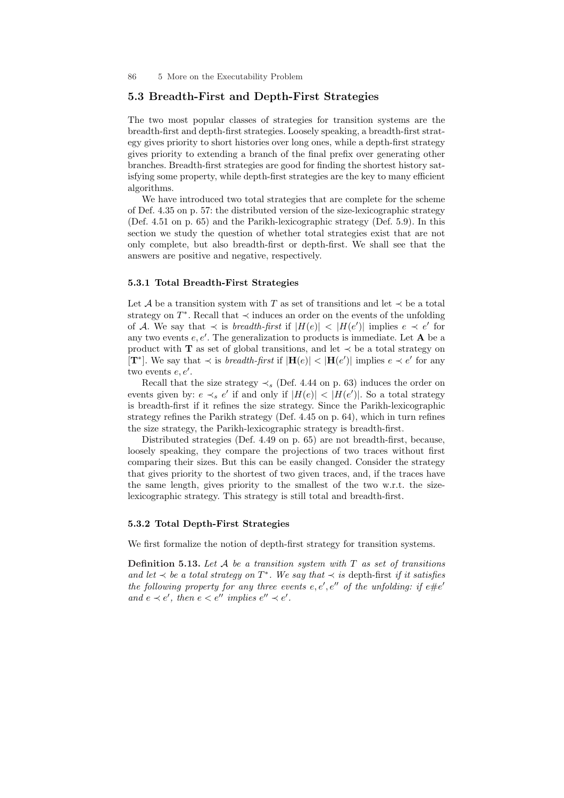## 5.3 Breadth-First and Depth-First Strategies

The two most popular classes of strategies for transition systems are the breadth-first and depth-first strategies. Loosely speaking, a breadth-first strategy gives priority to short histories over long ones, while a depth-first strategy gives priority to extending a branch of the final prefix over generating other branches. Breadth-first strategies are good for finding the shortest history satisfying some property, while depth-first strategies are the key to many efficient algorithms.

We have introduced two total strategies that are complete for the scheme of Def. 4.35 on p. 57: the distributed version of the size-lexicographic strategy (Def. 4.51 on p. 65) and the Parikh-lexicographic strategy (Def. 5.9). In this section we study the question of whether total strategies exist that are not only complete, but also breadth-first or depth-first. We shall see that the answers are positive and negative, respectively.

## 5.3.1 Total Breadth-First Strategies

Let A be a transition system with T as set of transitions and let  $\prec$  be a total strategy on  $T^*$ . Recall that  $\prec$  induces an order on the events of the unfolding of A. We say that  $\prec$  is *breadth-first* if  $|H(e)| < |H(e')|$  implies  $e \prec e'$  for any two events  $e, e'$ . The generalization to products is immediate. Let **A** be a product with T as set of global transitions, and let  $\prec$  be a total strategy on [T<sup>\*</sup>]. We say that  $\prec$  is *breadth-first* if  $|\mathbf{H}(e)| < |\mathbf{H}(e')|$  implies  $e \prec e'$  for any two events  $e, e'$ .

Recall that the size strategy  $\prec_s$  (Def. 4.44 on p. 63) induces the order on events given by:  $e \prec_s e'$  if and only if  $|H(e)| < |H(e')|$ . So a total strategy is breadth-first if it refines the size strategy. Since the Parikh-lexicographic strategy refines the Parikh strategy (Def. 4.45 on p. 64), which in turn refines the size strategy, the Parikh-lexicographic strategy is breadth-first.

Distributed strategies (Def. 4.49 on p. 65) are not breadth-first, because, loosely speaking, they compare the projections of two traces without first comparing their sizes. But this can be easily changed. Consider the strategy that gives priority to the shortest of two given traces, and, if the traces have the same length, gives priority to the smallest of the two w.r.t. the sizelexicographic strategy. This strategy is still total and breadth-first.

## 5.3.2 Total Depth-First Strategies

We first formalize the notion of depth-first strategy for transition systems.

**Definition 5.13.** Let  $A$  be a transition system with  $T$  as set of transitions and let  $\prec$  be a total strategy on  $T^*$ . We say that  $\prec$  is depth-first if it satisfies the following property for any three events  $e, e', e''$  of the unfolding: if  $e#e'$ and  $e \prec e'$ , then  $e \prec e''$  implies  $e'' \prec e'$ .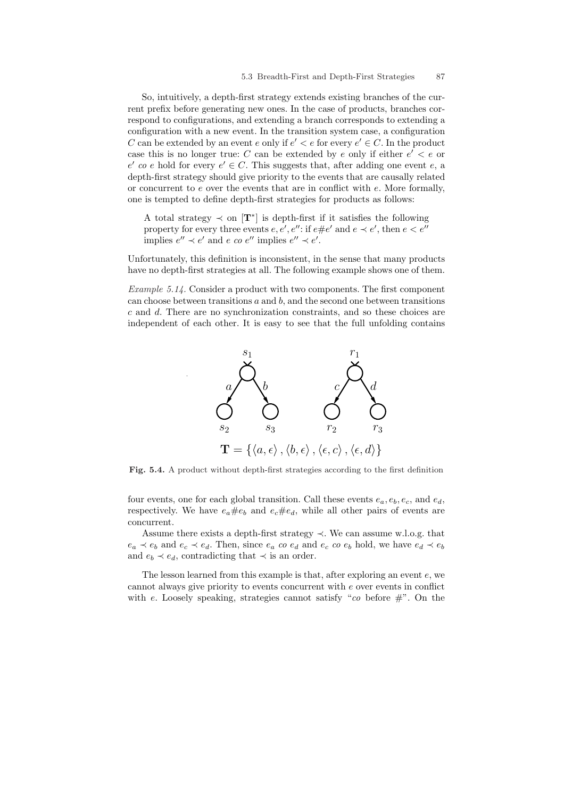So, intuitively, a depth-first strategy extends existing branches of the current prefix before generating new ones. In the case of products, branches correspond to configurations, and extending a branch corresponds to extending a configuration with a new event. In the transition system case, a configuration C can be extended by an event e only if  $e' < e$  for every  $e' \in C$ . In the product case this is no longer true: C can be extended by e only if either  $e' < e$  or  $e'$  co e hold for every  $e' \in C$ . This suggests that, after adding one event e, a depth-first strategy should give priority to the events that are causally related or concurrent to  $e$  over the events that are in conflict with  $e$ . More formally, one is tempted to define depth-first strategies for products as follows:

A total strategy  $\prec$  on  $[T^*]$  is depth-first if it satisfies the following property for every three events  $e, e', e''$ : if  $e \# e'$  and  $e \prec e'$ , then  $e \prec e''$ implies  $e'' \prec e'$  and  $e$  co  $e''$  implies  $e'' \prec e'$ .

Unfortunately, this definition is inconsistent, in the sense that many products have no depth-first strategies at all. The following example shows one of them.

Example 5.14. Consider a product with two components. The first component can choose between transitions  $a$  and  $b$ , and the second one between transitions c and d. There are no synchronization constraints, and so these choices are independent of each other. It is easy to see that the full unfolding contains



Fig. 5.4. A product without depth-first strategies according to the first definition

four events, one for each global transition. Call these events  $e_a, e_b, e_c$ , and  $e_d$ , respectively. We have  $e_a \# e_b$  and  $e_c \# e_d$ , while all other pairs of events are concurrent.

Assume there exists a depth-first strategy ≺. We can assume w.l.o.g. that  $e_a \prec e_b$  and  $e_c \prec e_d$ . Then, since  $e_a$  co  $e_d$  and  $e_c$  co  $e_b$  hold, we have  $e_d \prec e_b$ and  $e_b \prec e_d$ , contradicting that  $\prec$  is an order.

The lesson learned from this example is that, after exploring an event  $e$ , we cannot always give priority to events concurrent with e over events in conflict with e. Loosely speaking, strategies cannot satisfy " $co$  before  $#$ ". On the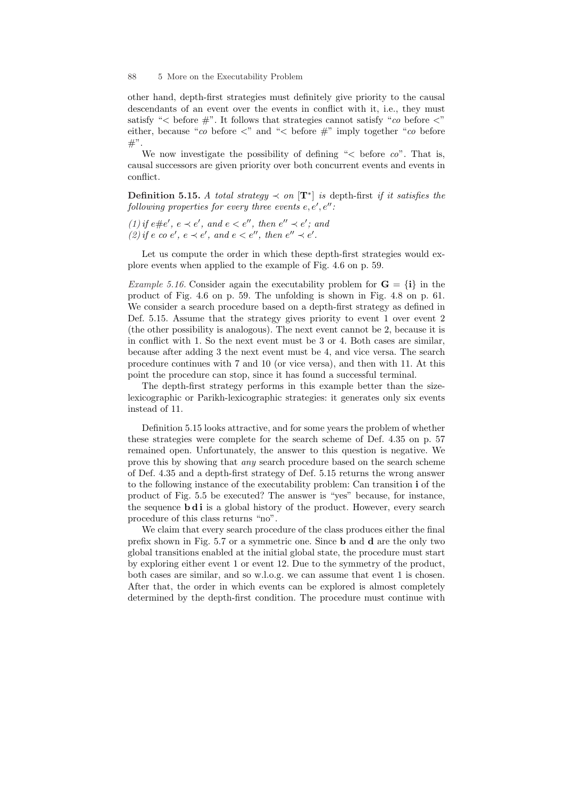other hand, depth-first strategies must definitely give priority to the causal descendants of an event over the events in conflict with it, i.e., they must satisfy " $\lt$  before  $\#$ ". It follows that strategies cannot satisfy " $co$  before  $\lt$ " either, because "co before  $\lt$ " and " $\lt$  before  $\#$ " imply together "co before #".

We now investigate the possibility of defining " $\lt$  before  $co$ ". That is, causal successors are given priority over both concurrent events and events in conflict.

Definition 5.15. A total strategy  $\prec$  on  $[T^*]$  is depth-first if it satisfies the following properties for every three events  $e, e', e''$ :

(1) if  $e \# e'$ ,  $e \prec e'$ , and  $e \prec e''$ , then  $e'' \prec e'$ ; and (2) if e co e',  $e \prec e'$ , and  $e \prec e''$ , then  $e'' \prec e'$ .

Let us compute the order in which these depth-first strategies would explore events when applied to the example of Fig. 4.6 on p. 59.

*Example 5.16.* Consider again the executability problem for  $G = \{i\}$  in the product of Fig. 4.6 on p. 59. The unfolding is shown in Fig. 4.8 on p. 61. We consider a search procedure based on a depth-first strategy as defined in Def. 5.15. Assume that the strategy gives priority to event 1 over event 2 (the other possibility is analogous). The next event cannot be 2, because it is in conflict with 1. So the next event must be 3 or 4. Both cases are similar, because after adding 3 the next event must be 4, and vice versa. The search procedure continues with 7 and 10 (or vice versa), and then with 11. At this point the procedure can stop, since it has found a successful terminal.

The depth-first strategy performs in this example better than the sizelexicographic or Parikh-lexicographic strategies: it generates only six events instead of 11.

Definition 5.15 looks attractive, and for some years the problem of whether these strategies were complete for the search scheme of Def. 4.35 on p. 57 remained open. Unfortunately, the answer to this question is negative. We prove this by showing that any search procedure based on the search scheme of Def. 4.35 and a depth-first strategy of Def. 5.15 returns the wrong answer to the following instance of the executability problem: Can transition i of the product of Fig. 5.5 be executed? The answer is "yes" because, for instance, the sequence  $\mathbf{b} \, \mathbf{d} \, \mathbf{i}$  is a global history of the product. However, every search procedure of this class returns "no".

We claim that every search procedure of the class produces either the final prefix shown in Fig. 5.7 or a symmetric one. Since b and d are the only two global transitions enabled at the initial global state, the procedure must start by exploring either event 1 or event 12. Due to the symmetry of the product, both cases are similar, and so w.l.o.g. we can assume that event 1 is chosen. After that, the order in which events can be explored is almost completely determined by the depth-first condition. The procedure must continue with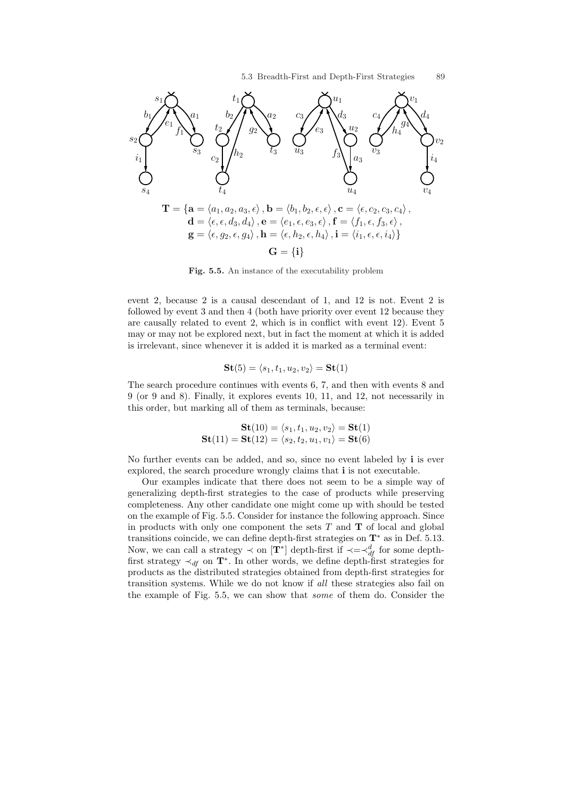

Fig. 5.5. An instance of the executability problem

event 2, because 2 is a causal descendant of 1, and 12 is not. Event 2 is followed by event 3 and then 4 (both have priority over event 12 because they are causally related to event 2, which is in conflict with event 12). Event 5 may or may not be explored next, but in fact the moment at which it is added is irrelevant, since whenever it is added it is marked as a terminal event:

$$
\mathbf{St}(5) = \langle s_1, t_1, u_2, v_2 \rangle = \mathbf{St}(1)
$$

The search procedure continues with events 6, 7, and then with events 8 and 9 (or 9 and 8). Finally, it explores events 10, 11, and 12, not necessarily in this order, but marking all of them as terminals, because:

$$
\mathbf{St}(10) = \langle s_1, t_1, u_2, v_2 \rangle = \mathbf{St}(1)
$$
  

$$
\mathbf{St}(11) = \mathbf{St}(12) = \langle s_2, t_2, u_1, v_1 \rangle = \mathbf{St}(6)
$$

No further events can be added, and so, since no event labeled by  $\mathbf i$  is ever explored, the search procedure wrongly claims that i is not executable.

Our examples indicate that there does not seem to be a simple way of generalizing depth-first strategies to the case of products while preserving completeness. Any other candidate one might come up with should be tested on the example of Fig. 5.5. Consider for instance the following approach. Since in products with only one component the sets  $T$  and  $T$  of local and global transitions coincide, we can define depth-first strategies on  $\mathbf{T}^*$  as in Def. 5.13. Now, we can call a strategy  $\prec$  on  $[\mathbf{T}^*]$  depth-first if  $\prec = \prec_{df}^d$  for some depthfirst strategy  $\prec_{df}$  on  $\mathbf{T}^*$ . In other words, we define depth-first strategies for products as the distributed strategies obtained from depth-first strategies for transition systems. While we do not know if all these strategies also fail on the example of Fig. 5.5, we can show that some of them do. Consider the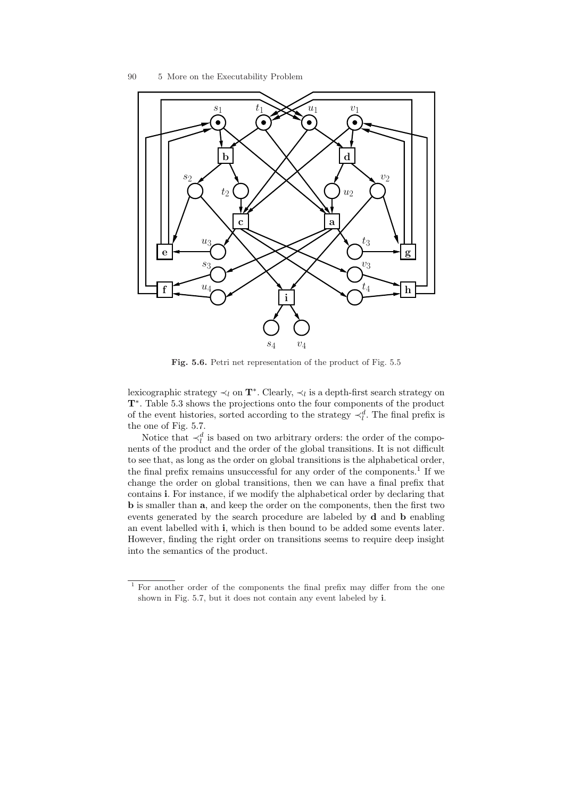

Fig. 5.6. Petri net representation of the product of Fig. 5.5

lexicographic strategy  $\prec_l$  on  $\mathbf{T}^*$ . Clearly,  $\prec_l$  is a depth-first search strategy on T<sup>∗</sup> . Table 5.3 shows the projections onto the four components of the product of the event histories, sorted according to the strategy  $\prec_l^d$ . The final prefix is the one of Fig. 5.7.

Notice that  $\prec_l^d$  is based on two arbitrary orders: the order of the components of the product and the order of the global transitions. It is not difficult to see that, as long as the order on global transitions is the alphabetical order, the final prefix remains unsuccessful for any order of the components.<sup>1</sup> If we change the order on global transitions, then we can have a final prefix that contains i. For instance, if we modify the alphabetical order by declaring that b is smaller than a, and keep the order on the components, then the first two events generated by the search procedure are labeled by d and b enabling an event labelled with i, which is then bound to be added some events later. However, finding the right order on transitions seems to require deep insight into the semantics of the product.

 $\frac{1}{1}$  For another order of the components the final prefix may differ from the one shown in Fig. 5.7, but it does not contain any event labeled by i.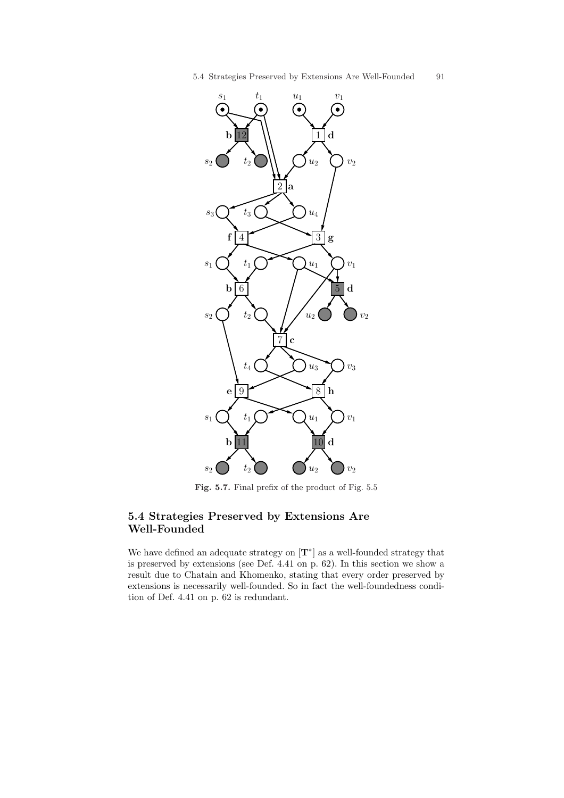

Fig. 5.7. Final prefix of the product of Fig. 5.5

## 5.4 Strategies Preserved by Extensions Are Well-Founded

We have defined an adequate strategy on  $[T^*]$  as a well-founded strategy that is preserved by extensions (see Def. 4.41 on p. 62). In this section we show a result due to Chatain and Khomenko, stating that every order preserved by extensions is necessarily well-founded. So in fact the well-foundedness condition of Def. 4.41 on p. 62 is redundant.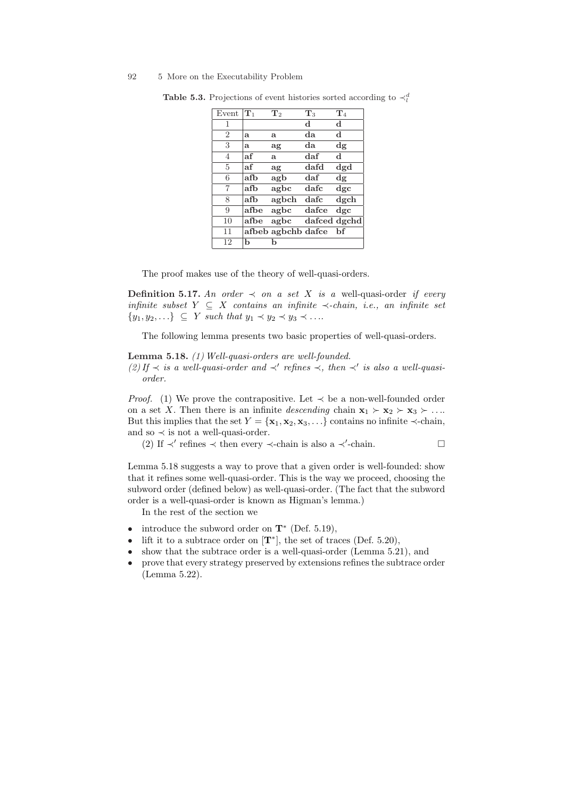| Event          | $\mathbf{T}_1$ | $\mathbf{T}_2$     | $\mathbf{T}_3$                                | $\mathbf{T}_4$ |
|----------------|----------------|--------------------|-----------------------------------------------|----------------|
| 1              |                |                    | $\mathbf d$                                   | d              |
| $\overline{2}$ | a              | a                  | da                                            | $\mathbf d$    |
| 3              | a              | ag                 | da                                            | $\mathbf{dg}$  |
| 4              | af             | a                  | daf                                           | d              |
| 5              | af             | ag                 | $\mathrm{d} \mathrm{a} \mathrm{f} \mathrm{d}$ | $\bold{dgd}$   |
| 6              | afb            | agb                | $\operatorname{daf}$                          | $\deg$         |
| 7              | afb            | agbc               | dafc                                          | $\bf{dgc}$     |
| 8              | afb            | agbch              | dafc                                          | dgch           |
| 9              | afbe           | agbc               | $d$ afce                                      | dgc            |
| 10             | afbe           | agbc               | dafced dgchd                                  |                |
| 11             |                | afbeb agbchb dafce |                                               | bf             |
| 12             | b              |                    |                                               |                |

**Table 5.3.** Projections of event histories sorted according to  $\prec_l^d$ 

The proof makes use of the theory of well-quasi-orders.

Definition 5.17. An order  $\prec$  on a set X is a well-quasi-order if every infinite subset Y ⊆ X contains an infinite ≺-chain, i.e., an infinite set  $\{y_1, y_2, \ldots\} \subseteq Y$  such that  $y_1 \prec y_2 \prec y_3 \prec \ldots$ 

The following lemma presents two basic properties of well-quasi-orders.

## Lemma 5.18. (1) Well-quasi-orders are well-founded. (2) If  $\prec$  is a well-quasi-order and  $\prec'$  refines  $\prec$ , then  $\prec'$  is also a well-quasiorder.

*Proof.* (1) We prove the contrapositive. Let  $\prec$  be a non-well-founded order on a set X. Then there is an infinite descending chain  $\mathbf{x}_1 \succ \mathbf{x}_2 \succ \mathbf{x}_3 \succ \ldots$ But this implies that the set  $Y = \{x_1, x_2, x_3, \ldots\}$  contains no infinite  $\prec$ -chain, and so  $\prec$  is not a well-quasi-order.

(2) If  $\prec'$  refines  $\prec$  then every  $\prec$ -chain is also a  $\prec'$ -chain.  $□$ 

Lemma 5.18 suggests a way to prove that a given order is well-founded: show that it refines some well-quasi-order. This is the way we proceed, choosing the subword order (defined below) as well-quasi-order. (The fact that the subword order is a well-quasi-order is known as Higman's lemma.)

In the rest of the section we

- introduce the subword order on  $\mathbf{T}^*$  (Def. 5.19),
- lift it to a subtrace order on  $[T^*]$ , the set of traces (Def. 5.20),
- show that the subtrace order is a well-quasi-order (Lemma 5.21), and
- prove that every strategy preserved by extensions refines the subtrace order (Lemma 5.22).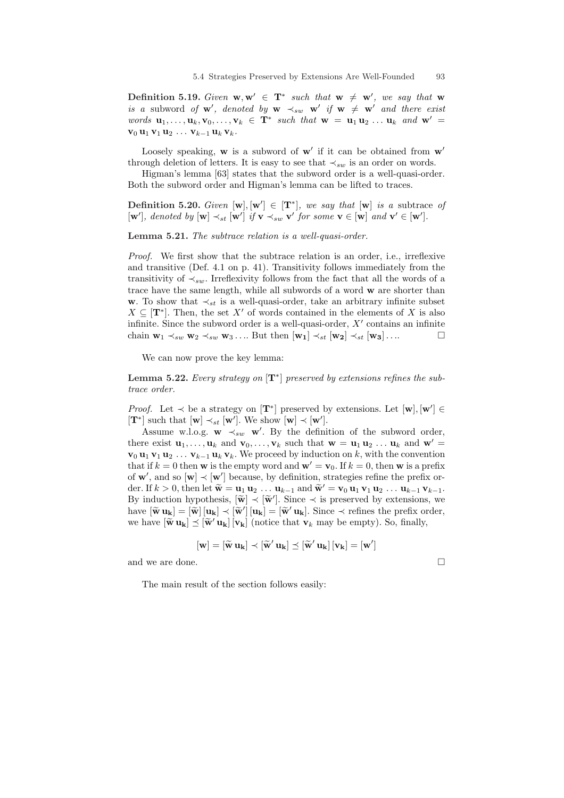Definition 5.19. Given  $\mathbf{w}, \mathbf{w}' \in \mathbf{T}^*$  such that  $\mathbf{w} \neq \mathbf{w}'$ , we say that  $\mathbf{w}$ is a subword of w', denoted by  $w \prec_{sw} w'$  if  $w \neq w'$  and there exist words  $\mathbf{u}_1,\ldots,\mathbf{u}_k,\mathbf{v}_0,\ldots,\mathbf{v}_k \in \mathbf{T}^*$  such that  $\mathbf{w} = \mathbf{u}_1 \mathbf{u}_2 \ldots \mathbf{u}_k$  and  $\mathbf{w}' =$  ${\bf v}_0$  **u**<sub>1</sub> **v**<sub>1</sub> **u**<sub>2</sub> . . .  ${\bf v}_{k-1}$  **u**<sub>k</sub> **v**<sub>k</sub>.

Loosely speaking, w is a subword of  $w'$  if it can be obtained from  $w'$ through deletion of letters. It is easy to see that  $\prec_{sw}$  is an order on words.

Higman's lemma [63] states that the subword order is a well-quasi-order. Both the subword order and Higman's lemma can be lifted to traces.

**Definition 5.20.** Given  $[\mathbf{w}], [\mathbf{w'}] \in [\mathbf{T}^*]$ , we say that  $[\mathbf{w}]$  is a subtrace of  $[\mathbf{w}'],$  denoted by  $[\mathbf{w}] \prec_{st} [\mathbf{w}']$  if  $\mathbf{v} \prec_{sw} \mathbf{v}'$  for some  $\mathbf{v} \in [\mathbf{w}]$  and  $\mathbf{v}' \in [\mathbf{w}'].$ 

Lemma 5.21. The subtrace relation is a well-quasi-order.

Proof. We first show that the subtrace relation is an order, i.e., irreflexive and transitive (Def. 4.1 on p. 41). Transitivity follows immediately from the transitivity of  $\prec_{sw}$ . Irreflexivity follows from the fact that all the words of a trace have the same length, while all subwords of a word w are shorter than w. To show that  $\prec_{st}$  is a well-quasi-order, take an arbitrary infinite subset  $X \subseteq [T^*]$ . Then, the set X' of words contained in the elements of X is also infinite. Since the subword order is a well-quasi-order,  $X'$  contains an infinite chain  $\mathbf{w}_1 \prec_{sw} \mathbf{w}_2 \prec_{sw} \mathbf{w}_3 \ldots$  But then  $[\mathbf{w}_1] \prec_{st} [\mathbf{w}_2] \prec_{st} [\mathbf{w}_3] \ldots$   $\Box$ 

We can now prove the key lemma:

**Lemma 5.22.** Every strategy on  $[T^*]$  preserved by extensions refines the subtrace order.

*Proof.* Let  $\prec$  be a strategy on  $[T^*]$  preserved by extensions. Let  $[w], [w'] \in$  $[\mathbf{T}^*]$  such that  $[\mathbf{w}] \prec_{st} [\mathbf{w}']$ . We show  $[\mathbf{w}] \prec [\mathbf{w}']$ .

Assume w.l.o.g.  $\mathbf{w} \prec_{sw} \mathbf{w}'$ . By the definition of the subword order, there exist  $\mathbf{u}_1, \ldots, \mathbf{u}_k$  and  $\mathbf{v}_0, \ldots, \mathbf{v}_k$  such that  $\mathbf{w} = \mathbf{u}_1 \mathbf{u}_2 \ldots \mathbf{u}_k$  and  $\mathbf{w}' =$  $\mathbf{v}_0 \mathbf{u}_1 \mathbf{v}_1 \mathbf{u}_2 \dots \mathbf{v}_{k-1} \mathbf{u}_k \mathbf{v}_k$ . We proceed by induction on k, with the convention that if  $k = 0$  then w is the empty word and  $w' = v_0$ . If  $k = 0$ , then w is a prefix of **w'**, and so  $[\mathbf{w}] \prec [\mathbf{w}']$  because, by definition, strategies refine the prefix order. If  $k > 0$ , then let  $\widetilde{\mathbf{w}} = \mathbf{u}_1 \mathbf{u}_2 \dots \mathbf{u}_{k-1}$  and  $\widetilde{\mathbf{w}}' = \mathbf{v}_0 \mathbf{u}_1 \mathbf{v}_1 \mathbf{u}_2 \dots \mathbf{u}_{k-1} \mathbf{v}_{k-1}$ . By induction hypothesis,  $[\widetilde{\mathbf{w}}] \prec [\widetilde{\mathbf{w}}']$ . Since  $\prec$  is preserved by extensions, we have  $[\widetilde{\mathbf{w}} \mathbf{u}_{\mathbf{k}}] = [\widetilde{\mathbf{w}}] [\mathbf{u}_{\mathbf{k}}] \prec [\widetilde{\mathbf{w}}'] [\mathbf{u}_{\mathbf{k}}] = [\widetilde{\mathbf{w}}' \mathbf{u}_{\mathbf{k}}]$ . Since  $\prec$  refines the prefix order, we have  $[\widetilde{\mathbf{w}} \mathbf{u}_{\mathbf{k}}] \preceq [\widetilde{\mathbf{w}}' \mathbf{u}_{\mathbf{k}}] [\mathbf{v}_{\mathbf{k}}]$  (notice that  $\mathbf{v}_k$  may be empty). So, finally,

$$
\left[\mathbf{w}\right]=\left[\widetilde{\mathbf{w}}\,\mathbf{u}_{\mathbf{k}}\right]\prec\left[\widetilde{\mathbf{w}}'\,\mathbf{u}_{\mathbf{k}}\right]\preceq\left[\widetilde{\mathbf{w}}'\,\mathbf{u}_{\mathbf{k}}\right]\left[\mathbf{v}_{\mathbf{k}}\right]=\left[\mathbf{w}'\right]
$$

and we are done.  $\Box$ 

The main result of the section follows easily: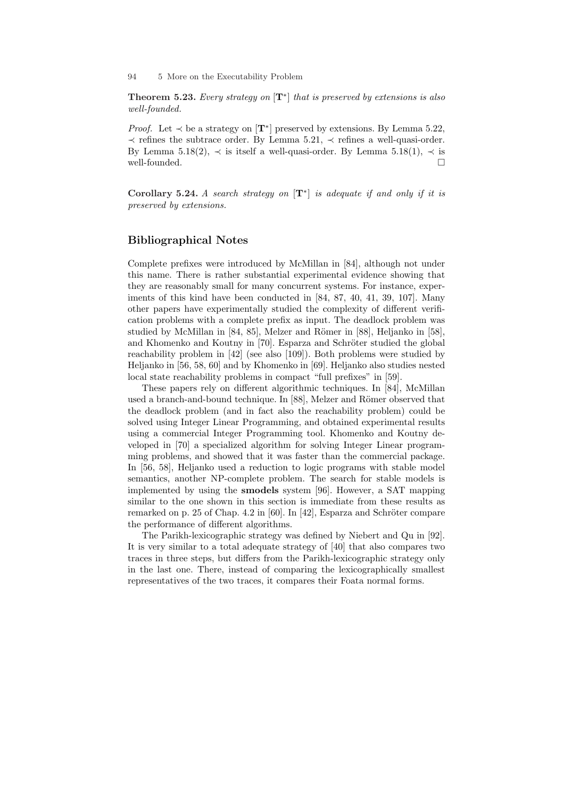**Theorem 5.23.** Every strategy on  $[T^*]$  that is preserved by extensions is also well-founded.

*Proof.* Let  $\prec$  be a strategy on  $[T^*]$  preserved by extensions. By Lemma 5.22,  $\prec$  refines the subtrace order. By Lemma 5.21,  $\prec$  refines a well-quasi-order. By Lemma 5.18(2),  $\prec$  is itself a well-quasi-order. By Lemma 5.18(1),  $\prec$  is well-founded.

Corollary 5.24. A search strategy on  $[T^*]$  is adequate if and only if it is preserved by extensions.

## Bibliographical Notes

Complete prefixes were introduced by McMillan in [84], although not under this name. There is rather substantial experimental evidence showing that they are reasonably small for many concurrent systems. For instance, experiments of this kind have been conducted in [84, 87, 40, 41, 39, 107]. Many other papers have experimentally studied the complexity of different verification problems with a complete prefix as input. The deadlock problem was studied by McMillan in [84, 85], Melzer and Römer in [88], Heljanko in [58], and Khomenko and Koutny in [70]. Esparza and Schröter studied the global reachability problem in [42] (see also [109]). Both problems were studied by Heljanko in [56, 58, 60] and by Khomenko in [69]. Heljanko also studies nested local state reachability problems in compact "full prefixes" in [59].

These papers rely on different algorithmic techniques. In [84], McMillan used a branch-and-bound technique. In [88], Melzer and Römer observed that the deadlock problem (and in fact also the reachability problem) could be solved using Integer Linear Programming, and obtained experimental results using a commercial Integer Programming tool. Khomenko and Koutny developed in [70] a specialized algorithm for solving Integer Linear programming problems, and showed that it was faster than the commercial package. In [56, 58], Heljanko used a reduction to logic programs with stable model semantics, another NP-complete problem. The search for stable models is implemented by using the smodels system [96]. However, a SAT mapping similar to the one shown in this section is immediate from these results as remarked on p. 25 of Chap. 4.2 in  $[60]$ . In  $[42]$ , Esparza and Schröter compare the performance of different algorithms.

The Parikh-lexicographic strategy was defined by Niebert and Qu in [92]. It is very similar to a total adequate strategy of [40] that also compares two traces in three steps, but differs from the Parikh-lexicographic strategy only in the last one. There, instead of comparing the lexicographically smallest representatives of the two traces, it compares their Foata normal forms.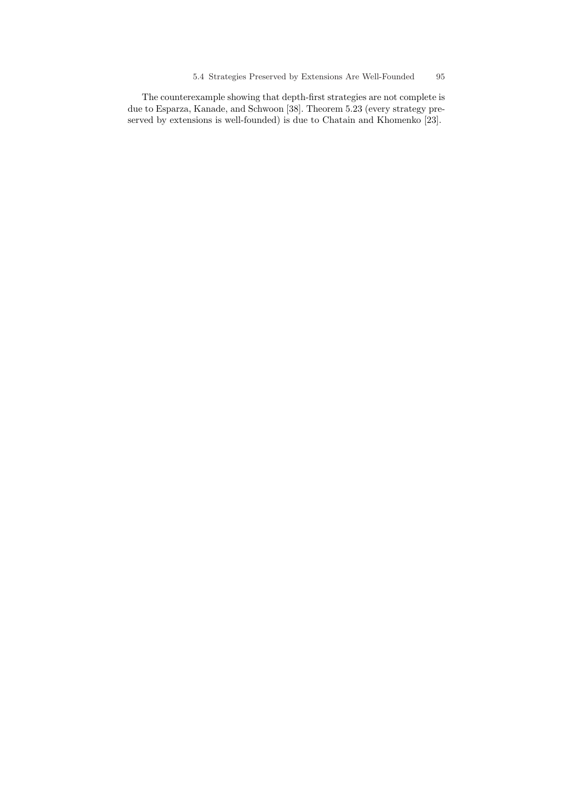The counterexample showing that depth-first strategies are not complete is due to Esparza, Kanade, and Schwoon [38]. Theorem 5.23 (every strategy preserved by extensions is well-founded) is due to Chatain and Khomenko [23].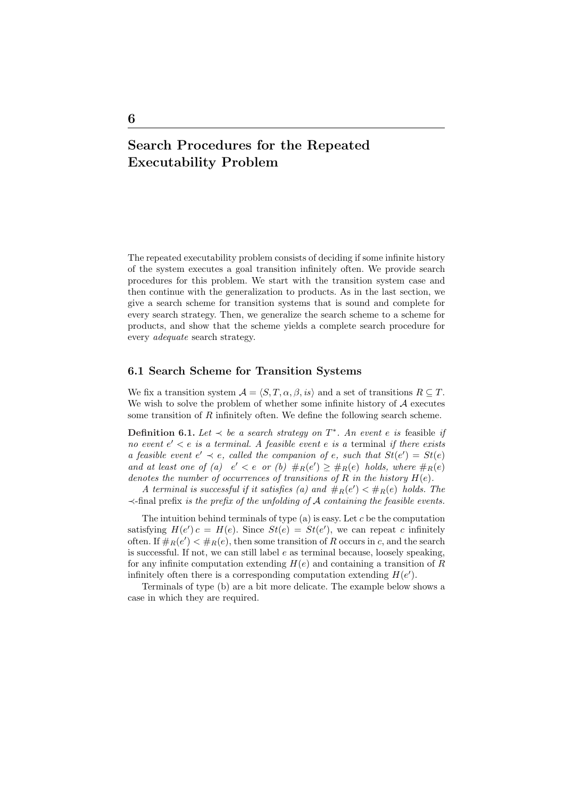# Search Procedures for the Repeated Executability Problem

The repeated executability problem consists of deciding if some infinite history of the system executes a goal transition infinitely often. We provide search procedures for this problem. We start with the transition system case and then continue with the generalization to products. As in the last section, we give a search scheme for transition systems that is sound and complete for every search strategy. Then, we generalize the search scheme to a scheme for products, and show that the scheme yields a complete search procedure for every adequate search strategy.

## 6.1 Search Scheme for Transition Systems

We fix a transition system  $A = \langle S, T, \alpha, \beta, iS \rangle$  and a set of transitions  $R \subseteq T$ . We wish to solve the problem of whether some infinite history of  $A$  executes some transition of  $R$  infinitely often. We define the following search scheme.

**Definition 6.1.** Let  $\prec$  be a search strategy on  $T^*$ . An event e is feasible if no event  $e' < e$  is a terminal. A feasible event e is a terminal if there exists a feasible event  $e' \prec e$ , called the companion of e, such that  $St(e') = St(e)$ and at least one of (a)  $e' < e$  or (b)  $\#_R(e') \geq \#_R(e)$  holds, where  $\#_R(e)$ denotes the number of occurrences of transitions of R in the history  $H(e)$ .

A terminal is successful if it satisfies (a) and  $\#_R(e') < \#_R(e)$  holds. The ≺-final prefix is the prefix of the unfolding of A containing the feasible events.

The intuition behind terminals of type  $(a)$  is easy. Let c be the computation satisfying  $H(e')c = H(e)$ . Since  $St(e) = St(e')$ , we can repeat c infinitely often. If  $\#_R(e') < \#_R(e)$ , then some transition of R occurs in c, and the search is successful. If not, we can still label  $e$  as terminal because, loosely speaking, for any infinite computation extending  $H(e)$  and containing a transition of R infinitely often there is a corresponding computation extending  $H(e')$ .

Terminals of type (b) are a bit more delicate. The example below shows a case in which they are required.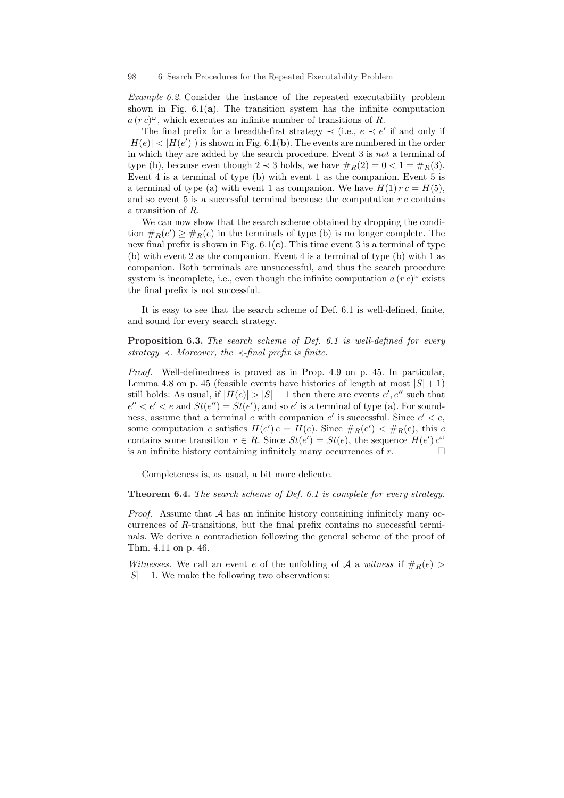#### 98 6 Search Procedures for the Repeated Executability Problem

Example 6.2. Consider the instance of the repeated executability problem shown in Fig.  $6.1(a)$ . The transition system has the infinite computation  $a (r c)^{\omega}$ , which executes an infinite number of transitions of R.

The final prefix for a breadth-first strategy  $\prec$  (i.e.,  $e \prec e'$  if and only if  $|H(e)| < |H(e')|$  is shown in Fig. 6.1(b). The events are numbered in the order in which they are added by the search procedure. Event 3 is not a terminal of type (b), because even though  $2 \lt 3$  holds, we have  $\#_R(2) = 0 \lt 1 = \#_R(3)$ . Event 4 is a terminal of type (b) with event 1 as the companion. Event 5 is a terminal of type (a) with event 1 as companion. We have  $H(1)$   $r c = H(5)$ , and so event  $5$  is a successful terminal because the computation  $r c$  contains a transition of R.

We can now show that the search scheme obtained by dropping the condition  $\#_R(e') \geq \#_R(e)$  in the terminals of type (b) is no longer complete. The new final prefix is shown in Fig.  $6.1(c)$ . This time event 3 is a terminal of type (b) with event 2 as the companion. Event 4 is a terminal of type (b) with 1 as companion. Both terminals are unsuccessful, and thus the search procedure system is incomplete, i.e., even though the infinite computation  $a (r c)^{\omega}$  exists the final prefix is not successful.

It is easy to see that the search scheme of Def. 6.1 is well-defined, finite, and sound for every search strategy.

## Proposition 6.3. The search scheme of Def. 6.1 is well-defined for every strategy  $\prec$ . Moreover, the  $\prec$ -final prefix is finite.

Proof. Well-definedness is proved as in Prop. 4.9 on p. 45. In particular, Lemma 4.8 on p. 45 (feasible events have histories of length at most  $|S|+1$ ) still holds: As usual, if  $|H(e)| > |S| + 1$  then there are events  $e', e''$  such that  $e'' < e' < e$  and  $St(e'') = St(e')$ , and so e' is a terminal of type (a). For soundness, assume that a terminal e with companion  $e'$  is successful. Since  $e' < e$ , some computation c satisfies  $H(e')c = H(e)$ . Since  $\#_R(e') < \#_R(e)$ , this c contains some transition  $r \in R$ . Since  $St(e') = St(e)$ , the sequence  $H(e')c^{\omega}$ is an infinite history containing infinitely many occurrences of  $r$ .

Completeness is, as usual, a bit more delicate.

Theorem 6.4. The search scheme of Def. 6.1 is complete for every strategy.

*Proof.* Assume that  $A$  has an infinite history containing infinitely many occurrences of R-transitions, but the final prefix contains no successful terminals. We derive a contradiction following the general scheme of the proof of Thm. 4.11 on p. 46.

Witnesses. We call an event e of the unfolding of A a witness if  $\#_R(e)$  $|S| + 1$ . We make the following two observations: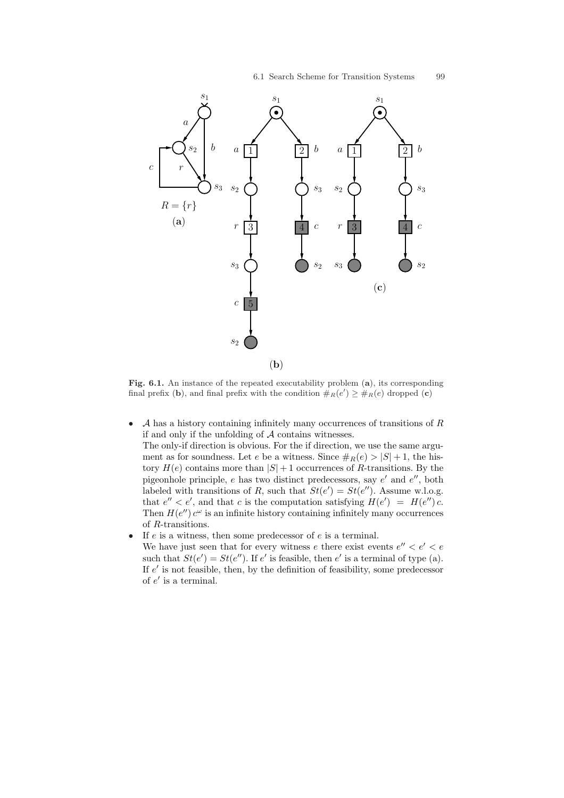

Fig. 6.1. An instance of the repeated executability problem (a), its corresponding final prefix (b), and final prefix with the condition  $\#_R(e') \geq \#_R(e)$  dropped (c)

• A has a history containing infinitely many occurrences of transitions of  $R$ if and only if the unfolding of  $A$  contains witnesses.

The only-if direction is obvious. For the if direction, we use the same argument as for soundness. Let e be a witness. Since  $\#_R(e) > |S| + 1$ , the history  $H(e)$  contains more than  $|S|+1$  occurrences of R-transitions. By the pigeonhole principle,  $e$  has two distinct predecessors, say  $e'$  and  $e''$ , both labeled with transitions of R, such that  $St(e') = St(e'')$ . Assume w.l.o.g. that  $e'' < e'$ , and that c is the computation satisfying  $H(e') = H(e'') c$ . Then  $H(e'')c^{\omega}$  is an infinite history containing infinitely many occurrences of R-transitions.

• If  $e$  is a witness, then some predecessor of  $e$  is a terminal. We have just seen that for every witness  $e$  there exist events  $e'' < e' < e$ such that  $St(e') = St(e'')$ . If e' is feasible, then e' is a terminal of type (a). If  $e'$  is not feasible, then, by the definition of feasibility, some predecessor of  $e'$  is a terminal.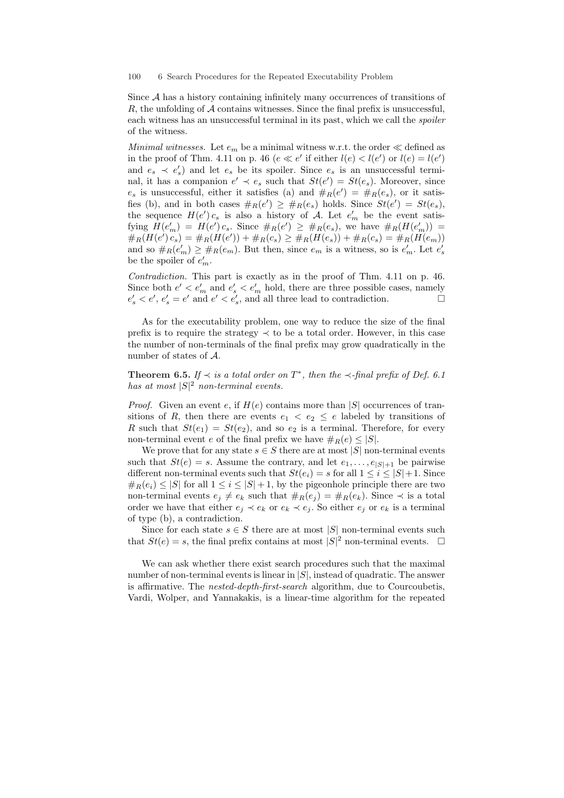100 6 Search Procedures for the Repeated Executability Problem

Since A has a history containing infinitely many occurrences of transitions of R, the unfolding of  $A$  contains witnesses. Since the final prefix is unsuccessful, each witness has an unsuccessful terminal in its past, which we call the *spoiler* of the witness.

*Minimal witnesses.* Let  $e_m$  be a minimal witness w.r.t. the order  $\ll$  defined as in the proof of Thm. 4.11 on p. 46 ( $e \ll e'$  if either  $l(e) < l(e')$  or  $l(e) = l(e')$ and  $e_s \prec e'_s$ ) and let  $e_s$  be its spoiler. Since  $e_s$  is an unsuccessful terminal, it has a companion  $e' \prec e_s$  such that  $St(e') = St(e_s)$ . Moreover, since  $e_s$  is unsuccessful, either it satisfies (a) and  $\#_R(e') = \#_R(e_s)$ , or it satisfies (b), and in both cases  $\#_R(e') \geq \#_R(e_s)$  holds. Since  $St(e') = St(e_s)$ , the sequence  $H(e')c_s$  is also a history of A. Let  $e'_m$  be the event satisfying  $H(e'_m) = H(e')c_s$ . Since  $\#_R(e') \geq \#_R(e_s)$ , we have  $\#_R(H(e'_m)) =$  $\#_R(H(e')c_s) = \#_R(H(e')) + \#_R(c_s) \ge \#_R(H(e_s)) + \#_R(c_s) = \#_R(H(e_m))$ and so  $\#_R(e'_m) \geq \#_R(e_m)$ . But then, since  $e_m$  is a witness, so is  $e'_m$ . Let  $e'_s$ be the spoiler of  $e'_m$ .

Contradiction. This part is exactly as in the proof of Thm. 4.11 on p. 46. Since both  $e' < e'_m$  and  $e'_s < e'_m$  hold, there are three possible cases, namely  $e'_s < e', e'_s = e'$  and  $e' < e'_s$ , and all three lead to contradiction.

As for the executability problem, one way to reduce the size of the final prefix is to require the strategy  $\prec$  to be a total order. However, in this case the number of non-terminals of the final prefix may grow quadratically in the number of states of A.

Theorem 6.5. If  $\prec$  is a total order on  $T^*$ , then the  $\prec$ -final prefix of Def. 6.1 has at most  $|S|^2$  non-terminal events.

*Proof.* Given an event e, if  $H(e)$  contains more than |S| occurrences of transitions of R, then there are events  $e_1 < e_2 \leq e$  labeled by transitions of R such that  $St(e_1) = St(e_2)$ , and so  $e_2$  is a terminal. Therefore, for every non-terminal event e of the final prefix we have  $\#_R(e) \leq |S|$ .

We prove that for any state  $s \in S$  there are at most  $|S|$  non-terminal events such that  $St(e) = s$ . Assume the contrary, and let  $e_1, \ldots, e_{|S|+1}$  be pairwise different non-terminal events such that  $St(e_i) = s$  for all  $1 \leq i \leq |S|+1$ . Since  $\#_R(e_i) \leq |S|$  for all  $1 \leq i \leq |S| + 1$ , by the pigeonhole principle there are two non-terminal events  $e_j \neq e_k$  such that  $\#_R(e_j) = \#_R(e_k)$ . Since  $\prec$  is a total order we have that either  $e_j \prec e_k$  or  $e_k \prec e_j$ . So either  $e_j$  or  $e_k$  is a terminal of type (b), a contradiction.

Since for each state  $s \in S$  there are at most |S| non-terminal events such that  $St(e) = s$ , the final prefix contains at most  $|S|^2$  non-terminal events.  $\Box$ 

We can ask whether there exist search procedures such that the maximal number of non-terminal events is linear in  $|S|$ , instead of quadratic. The answer is affirmative. The nested-depth-first-search algorithm, due to Courcoubetis, Vardi, Wolper, and Yannakakis, is a linear-time algorithm for the repeated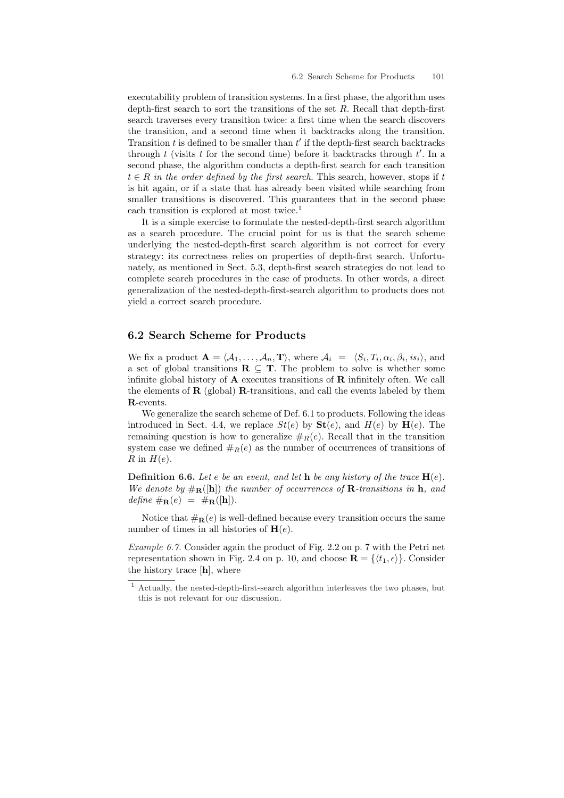executability problem of transition systems. In a first phase, the algorithm uses depth-first search to sort the transitions of the set  $R$ . Recall that depth-first search traverses every transition twice: a first time when the search discovers the transition, and a second time when it backtracks along the transition. Transition  $t$  is defined to be smaller than  $t'$  if the depth-first search backtracks through  $t$  (visits  $t$  for the second time) before it backtracks through  $t'$ . In a second phase, the algorithm conducts a depth-first search for each transition  $t \in R$  in the order defined by the first search. This search, however, stops if t is hit again, or if a state that has already been visited while searching from smaller transitions is discovered. This guarantees that in the second phase each transition is explored at most twice.<sup>1</sup>

It is a simple exercise to formulate the nested-depth-first search algorithm as a search procedure. The crucial point for us is that the search scheme underlying the nested-depth-first search algorithm is not correct for every strategy: its correctness relies on properties of depth-first search. Unfortunately, as mentioned in Sect. 5.3, depth-first search strategies do not lead to complete search procedures in the case of products. In other words, a direct generalization of the nested-depth-first-search algorithm to products does not yield a correct search procedure.

## 6.2 Search Scheme for Products

We fix a product  $\mathbf{A} = \langle A_1, \ldots, A_n, \mathbf{T} \rangle$ , where  $A_i = \langle S_i, T_i, \alpha_i, \beta_i, i s_i \rangle$ , and a set of global transitions  $\mathbf{R} \subseteq \mathbf{T}$ . The problem to solve is whether some infinite global history of  $\bf{A}$  executes transitions of  $\bf{R}$  infinitely often. We call the elements of  $\bf R$  (global)  $\bf R$ -transitions, and call the events labeled by them R-events.

We generalize the search scheme of Def. 6.1 to products. Following the ideas introduced in Sect. 4.4, we replace  $St(e)$  by  $St(e)$ , and  $H(e)$  by  $H(e)$ . The remaining question is how to generalize  $\#_R(e)$ . Recall that in the transition system case we defined  $#_R(e)$  as the number of occurrences of transitions of R in  $H(e)$ .

**Definition 6.6.** Let e be an event, and let **h** be any history of the trace  $\mathbf{H}(e)$ . We denote by  $\#_{\mathbf{R}}([\mathbf{h}])$  the number of occurrences of  $\mathbf{R}$ -transitions in  $\mathbf{h}$ , and define  $\#\mathbf{R}(e) = \#\mathbf{R}([\mathbf{h}]).$ 

Notice that  $\#_{\mathbf{R}}(e)$  is well-defined because every transition occurs the same number of times in all histories of  $H(e)$ .

Example 6.7. Consider again the product of Fig. 2.2 on p. 7 with the Petri net representation shown in Fig. 2.4 on p. 10, and choose  $\mathbf{R} = \{ \langle t_1, \epsilon \rangle \}$ . Consider the history trace [h], where

 $^{\rm 1}$  Actually, the nested-depth-first-search algorithm interleaves the two phases, but this is not relevant for our discussion.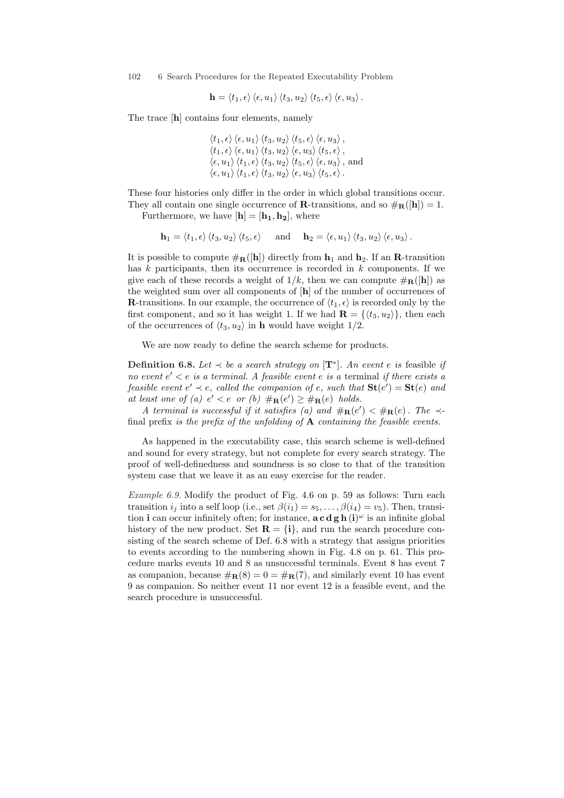102 6 Search Procedures for the Repeated Executability Problem

$$
\mathbf{h} = \langle t_1, \epsilon \rangle \langle \epsilon, u_1 \rangle \langle t_3, u_2 \rangle \langle t_5, \epsilon \rangle \langle \epsilon, u_3 \rangle.
$$

The trace [h] contains four elements, namely

 $\langle t_1, \epsilon \rangle \langle \epsilon, u_1 \rangle \langle t_3, u_2 \rangle \langle t_5, \epsilon \rangle \langle \epsilon, u_3 \rangle,$  $\langle t_1, \epsilon \rangle \langle \epsilon, u_1 \rangle \langle t_3, u_2 \rangle \langle \epsilon, u_3 \rangle \langle t_5, \epsilon \rangle,$  $\langle \epsilon, u_1 \rangle \langle t_1, \epsilon \rangle \langle t_3, u_2 \rangle \langle t_5, \epsilon \rangle \langle \epsilon, u_3 \rangle$ , and  $\langle \epsilon, u_1 \rangle \langle t_1, \epsilon \rangle \langle t_3, u_2 \rangle \langle \epsilon, u_3 \rangle \langle t_5, \epsilon \rangle.$ 

These four histories only differ in the order in which global transitions occur. They all contain one single occurrence of **R**-transitions, and so  $\#_{\mathbf{B}}([h]) = 1$ . Furthermore, we have  $[\mathbf{h}] = [\mathbf{h_1}, \mathbf{h_2}]$ , where

$$
\mathbf{h}_1 = \langle t_1, \epsilon \rangle \, \langle t_3, u_2 \rangle \, \langle t_5, \epsilon \rangle \quad \text{and} \quad \mathbf{h}_2 = \langle \epsilon, u_1 \rangle \, \langle t_3, u_2 \rangle \, \langle \epsilon, u_3 \rangle \, .
$$

It is possible to compute  $\#_{\mathbf{R}}([\mathbf{h}])$  directly from  $\mathbf{h}_1$  and  $\mathbf{h}_2$ . If an **R**-transition has  $k$  participants, then its occurrence is recorded in  $k$  components. If we give each of these records a weight of  $1/k$ , then we can compute  $\#_{\mathbf{R}}([\mathbf{h}])$  as the weighted sum over all components of [h] of the number of occurrences of **R**-transitions. In our example, the occurrence of  $\langle t_1, \epsilon \rangle$  is recorded only by the first component, and so it has weight 1. If we had  $\mathbf{R} = \{ \langle t_3, u_2 \rangle \}$ , then each of the occurrences of  $\langle t_3, u_2 \rangle$  in h would have weight 1/2.

We are now ready to define the search scheme for products.

**Definition 6.8.** Let  $\prec$  be a search strategy on  $[T^*]$ . An event e is feasible if no event  $e' < e$  is a terminal. A feasible event e is a terminal if there exists a feasible event  $e' \prec e$ , called the companion of e, such that  $\text{St}(e') = \text{St}(e)$  and at least one of (a)  $e' < e$  or (b)  $\#\mathbf{R}(e') \geq \#\mathbf{R}(e)$  holds.

A terminal is successful if it satisfies (a) and  $\#\mathbf{R}(e') < \#\mathbf{R}(e)$ . The  $\prec$ final prefix is the prefix of the unfolding of  $A$  containing the feasible events.

As happened in the executability case, this search scheme is well-defined and sound for every strategy, but not complete for every search strategy. The proof of well-definedness and soundness is so close to that of the transition system case that we leave it as an easy exercise for the reader.

Example 6.9. Modify the product of Fig. 4.6 on p. 59 as follows: Turn each transition  $i_j$  into a self loop (i.e., set  $\beta(i_1) = s_5, \ldots, \beta(i_4) = v_5$ ). Then, transition **i** can occur infinitely often; for instance,  $\mathbf{a} \mathbf{c} \mathbf{d} \mathbf{g} \mathbf{h}(\mathbf{i})^{\omega}$  is an infinite global history of the new product. Set  $\mathbf{R} = \{i\}$ , and run the search procedure consisting of the search scheme of Def. 6.8 with a strategy that assigns priorities to events according to the numbering shown in Fig. 4.8 on p. 61. This procedure marks events 10 and 8 as unsuccessful terminals. Event 8 has event 7 as companion, because  $\#_{\mathbf{R}}(8) = 0 = \#_{\mathbf{R}}(7)$ , and similarly event 10 has event 9 as companion. So neither event 11 nor event 12 is a feasible event, and the search procedure is unsuccessful.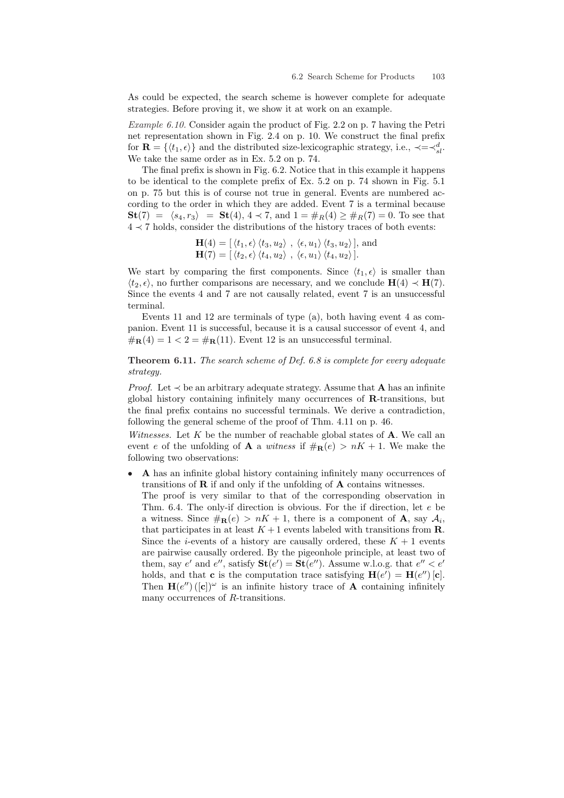As could be expected, the search scheme is however complete for adequate strategies. Before proving it, we show it at work on an example.

Example 6.10. Consider again the product of Fig. 2.2 on p. 7 having the Petri net representation shown in Fig. 2.4 on p. 10. We construct the final prefix for  $\mathbf{R} = \{ \langle t_1, \epsilon \rangle \}$  and the distributed size-lexicographic strategy, i.e.,  $\prec = \prec_{sl}^d$ . We take the same order as in Ex. 5.2 on p. 74.

The final prefix is shown in Fig. 6.2. Notice that in this example it happens to be identical to the complete prefix of Ex. 5.2 on p. 74 shown in Fig. 5.1 on p. 75 but this is of course not true in general. Events are numbered according to the order in which they are added. Event 7 is a terminal because  $\mathbf{St}(7) = \langle s_4, r_3 \rangle = \mathbf{St}(4), 4 \prec 7, \text{ and } 1 = \#_R(4) \ge \#_R(7) = 0.$  To see that 4 ≺ 7 holds, consider the distributions of the history traces of both events:

$$
\mathbf{H}(4) = [\langle t_1, \epsilon \rangle \langle t_3, u_2 \rangle , \langle \epsilon, u_1 \rangle \langle t_3, u_2 \rangle], \text{ and}
$$
  

$$
\mathbf{H}(7) = [\langle t_2, \epsilon \rangle \langle t_4, u_2 \rangle , \langle \epsilon, u_1 \rangle \langle t_4, u_2 \rangle].
$$

We start by comparing the first components. Since  $\langle t_1, \epsilon \rangle$  is smaller than  $\langle t_2, \epsilon \rangle$ , no further comparisons are necessary, and we conclude  $H(4) \prec H(7)$ . Since the events 4 and 7 are not causally related, event 7 is an unsuccessful terminal.

Events 11 and 12 are terminals of type (a), both having event 4 as companion. Event 11 is successful, because it is a causal successor of event 4, and  $\#_{\mathbf{R}}(4) = 1 < 2 = \#_{\mathbf{R}}(11)$ . Event 12 is an unsuccessful terminal.

Theorem 6.11. The search scheme of Def. 6.8 is complete for every adequate strategy.

*Proof.* Let  $\prec$  be an arbitrary adequate strategy. Assume that **A** has an infinite global history containing infinitely many occurrences of R-transitions, but the final prefix contains no successful terminals. We derive a contradiction, following the general scheme of the proof of Thm. 4.11 on p. 46.

Witnesses. Let  $K$  be the number of reachable global states of  $A$ . We call an event e of the unfolding of **A** a witness if  $\#_{\mathbf{R}}(e) > nK + 1$ . We make the following two observations:

• A has an infinite global history containing infinitely many occurrences of transitions of  $\bf{R}$  if and only if the unfolding of  $\bf{A}$  contains witnesses.

The proof is very similar to that of the corresponding observation in Thm. 6.4. The only-if direction is obvious. For the if direction, let e be a witness. Since  $\#_{\mathbf{R}}(e) > nK + 1$ , there is a component of **A**, say  $\mathcal{A}_i$ , that participates in at least  $K + 1$  events labeled with transitions from **R**. Since the *i*-events of a history are causally ordered, these  $K + 1$  events are pairwise causally ordered. By the pigeonhole principle, at least two of them, say e' and e'', satisfy  $\textbf{St}(e') = \textbf{St}(e'')$ . Assume w.l.o.g. that  $e'' < e'$ holds, and that **c** is the computation trace satisfying  $H(e') = H(e'') [c]$ . Then  $H(e'')$  ( $[c]$ ) $\omega$  is an infinite history trace of **A** containing infinitely many occurrences of R-transitions.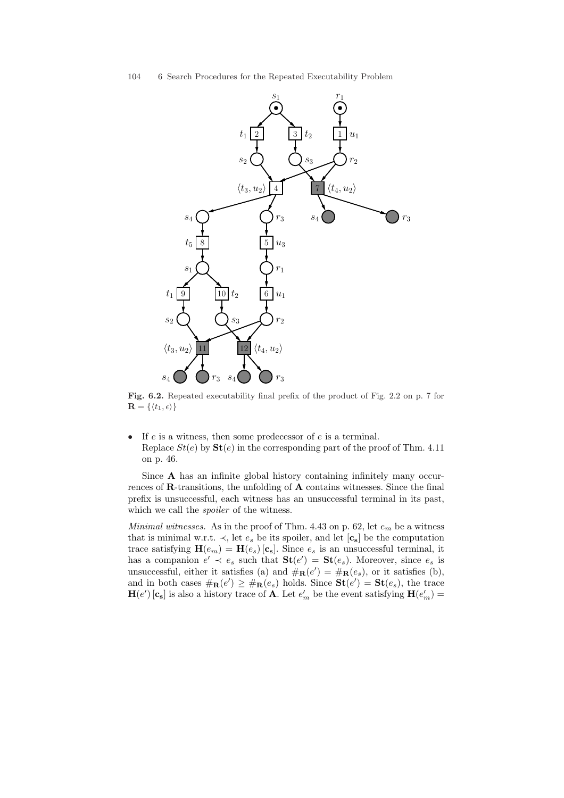

Fig. 6.2. Repeated executability final prefix of the product of Fig. 2.2 on p. 7 for  $\mathbf{R} = \{\langle t_1, \epsilon \rangle\}$ 

• If  $e$  is a witness, then some predecessor of  $e$  is a terminal. Replace  $St(e)$  by  $St(e)$  in the corresponding part of the proof of Thm. 4.11 on p. 46.

Since A has an infinite global history containing infinitely many occurrences of R-transitions, the unfolding of A contains witnesses. Since the final prefix is unsuccessful, each witness has an unsuccessful terminal in its past, which we call the *spoiler* of the witness.

*Minimal witnesses.* As in the proof of Thm. 4.43 on p. 62, let  $e_m$  be a witness that is minimal w.r.t.  $\prec$ , let  $e_s$  be its spoiler, and let  $[\mathbf{c}_s]$  be the computation trace satisfying  $\mathbf{H}(e_m) = \mathbf{H}(e_s) [\mathbf{c}_s]$ . Since  $e_s$  is an unsuccessful terminal, it has a companion  $e' \prec e_s$  such that  $\mathbf{St}(e') = \mathbf{St}(e_s)$ . Moreover, since  $e_s$  is unsuccessful, either it satisfies (a) and  $\#\mathbf{R}(e') = \#\mathbf{R}(e_s)$ , or it satisfies (b), and in both cases  $\#_{\mathbf{R}}(e') \geq \#_{\mathbf{R}}(e_s)$  holds. Since  $\mathbf{St}(e') = \mathbf{St}(e_s)$ , the trace  $\mathbf{H}(e')\left[\mathbf{c}_s\right]$  is also a history trace of **A**. Let  $e'_m$  be the event satisfying  $\mathbf{H}(e'_m)$  =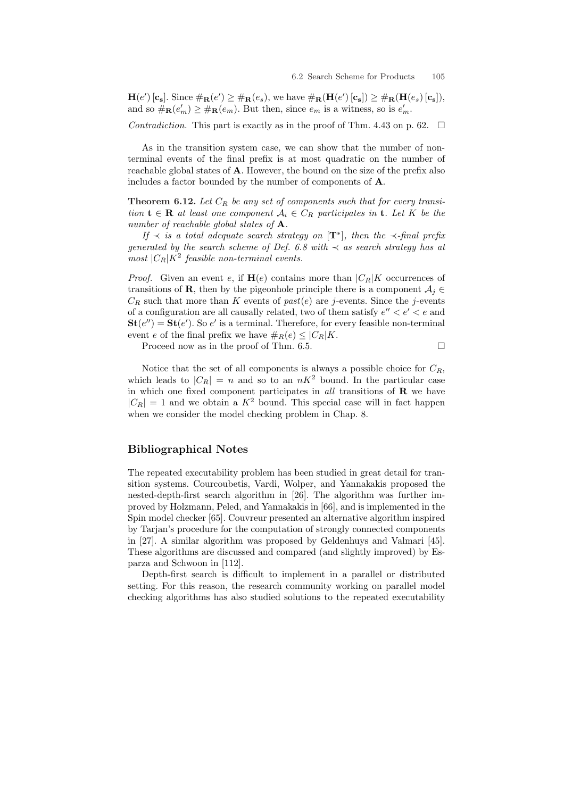$\mathbf{H}(e')\left[\mathbf{c}_s\right]$ . Since  $\#\mathbf{R}(e') \geq \#\mathbf{R}(e_s)$ , we have  $\#\mathbf{R}(\mathbf{H}(e')\left[\mathbf{c}_s\right]) \geq \#\mathbf{R}(\mathbf{H}(e_s)\left[\mathbf{c}_s\right])$ , and so  $\#\mathbf{R}(e'_m) \geq \#\mathbf{R}(e_m)$ . But then, since  $e_m$  is a witness, so is  $e'_m$ .

Contradiction. This part is exactly as in the proof of Thm. 4.43 on p. 62.  $\Box$ 

As in the transition system case, we can show that the number of nonterminal events of the final prefix is at most quadratic on the number of reachable global states of A. However, the bound on the size of the prefix also includes a factor bounded by the number of components of A.

**Theorem 6.12.** Let  $C_R$  be any set of components such that for every transition  $\mathbf{t} \in \mathbf{R}$  at least one component  $A_i \in C_R$  participates in  $\mathbf{t}$ . Let K be the number of reachable global states of **A**.

If  $\prec$  is a total adequate search strategy on  $[T^*]$ , then the  $\prec$ -final prefix generated by the search scheme of Def. 6.8 with  $\prec$  as search strategy has at most  $|C_R|K^2$  feasible non-terminal events.

*Proof.* Given an event e, if  $H(e)$  contains more than  $|C_R|K$  occurrences of transitions of **R**, then by the pigeonhole principle there is a component  $A_j \in$  $C_R$  such that more than K events of past(e) are j-events. Since the j-events of a configuration are all causally related, two of them satisfy  $e'' < e' < e$  and  $\mathbf{St}(e'') = \mathbf{St}(e')$ . So e' is a terminal. Therefore, for every feasible non-terminal event e of the final prefix we have  $\#_R(e) \leq |C_R|K$ .

Proceed now as in the proof of Thm. 6.5.  $\Box$ 

Notice that the set of all components is always a possible choice for  $C_R$ , which leads to  $|C_R| = n$  and so to an  $nK^2$  bound. In the particular case in which one fixed component participates in all transitions of  $\bf{R}$  we have  $|C_R| = 1$  and we obtain a  $K^2$  bound. This special case will in fact happen when we consider the model checking problem in Chap. 8.

## Bibliographical Notes

The repeated executability problem has been studied in great detail for transition systems. Courcoubetis, Vardi, Wolper, and Yannakakis proposed the nested-depth-first search algorithm in [26]. The algorithm was further improved by Holzmann, Peled, and Yannakakis in [66], and is implemented in the Spin model checker [65]. Couvreur presented an alternative algorithm inspired by Tarjan's procedure for the computation of strongly connected components in [27]. A similar algorithm was proposed by Geldenhuys and Valmari [45]. These algorithms are discussed and compared (and slightly improved) by Esparza and Schwoon in [112].

Depth-first search is difficult to implement in a parallel or distributed setting. For this reason, the research community working on parallel model checking algorithms has also studied solutions to the repeated executability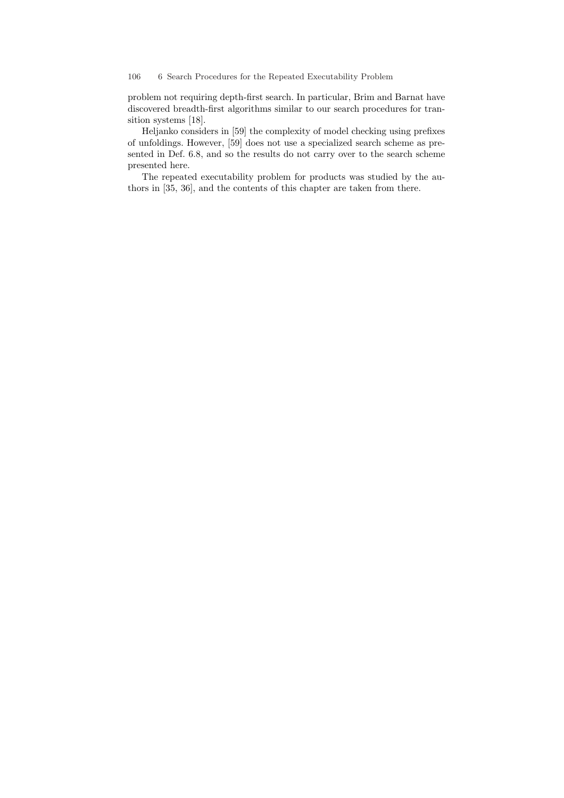#### 106 6 Search Procedures for the Repeated Executability Problem

problem not requiring depth-first search. In particular, Brim and Barnat have discovered breadth-first algorithms similar to our search procedures for transition systems [18].

Heljanko considers in [59] the complexity of model checking using prefixes of unfoldings. However, [59] does not use a specialized search scheme as presented in Def. 6.8, and so the results do not carry over to the search scheme presented here.

The repeated executability problem for products was studied by the authors in [35, 36], and the contents of this chapter are taken from there.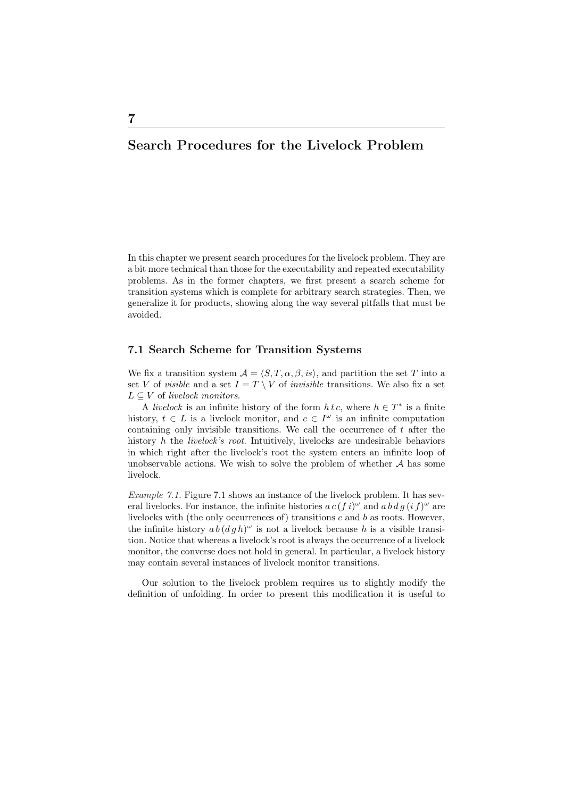# Search Procedures for the Livelock Problem

In this chapter we present search procedures for the livelock problem. They are a bit more technical than those for the executability and repeated executability problems. As in the former chapters, we first present a search scheme for transition systems which is complete for arbitrary search strategies. Then, we generalize it for products, showing along the way several pitfalls that must be avoided.

# 7.1 Search Scheme for Transition Systems

We fix a transition system  $A = \langle S, T, \alpha, \beta, iS \rangle$ , and partition the set T into a set V of *visible* and a set  $I = T \setminus V$  of *invisible* transitions. We also fix a set  $L \subset V$  of livelock monitors.

A *livelock* is an infinite history of the form  $h\,t\,c$ , where  $h\in T^*$  is a finite history,  $t \in L$  is a livelock monitor, and  $c \in I^{\omega}$  is an infinite computation containing only invisible transitions. We call the occurrence of  $t$  after the history h the *livelock's root*. Intuitively, livelocks are undesirable behaviors in which right after the livelock's root the system enters an infinite loop of unobservable actions. We wish to solve the problem of whether  $A$  has some livelock.

Example 7.1. Figure 7.1 shows an instance of the livelock problem. It has several livelocks. For instance, the infinite histories  $a c(fi)^{\omega}$  and  $a b d g (if)^{\omega}$  are livelocks with (the only occurrences of) transitions  $c$  and  $b$  as roots. However, the infinite history  $ab(dgh)^\omega$  is not a livelock because h is a visible transition. Notice that whereas a livelock's root is always the occurrence of a livelock monitor, the converse does not hold in general. In particular, a livelock history may contain several instances of livelock monitor transitions.

Our solution to the livelock problem requires us to slightly modify the definition of unfolding. In order to present this modification it is useful to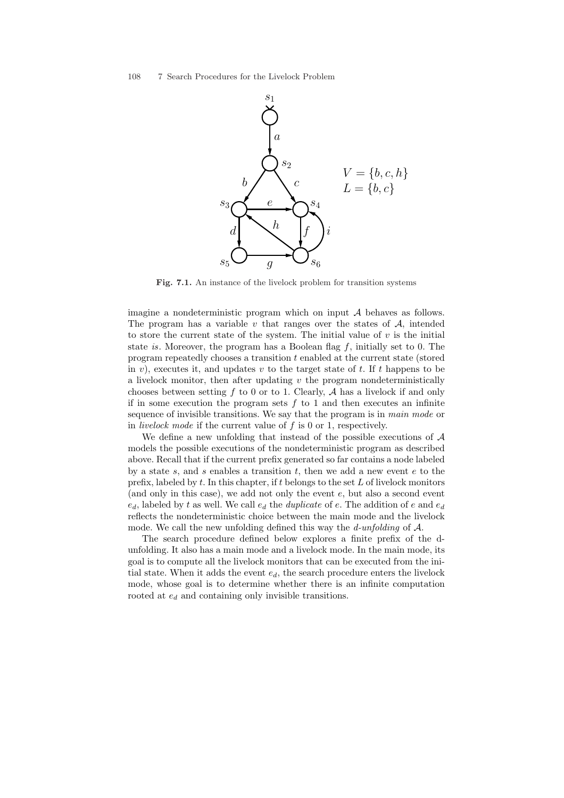

Fig. 7.1. An instance of the livelock problem for transition systems

imagine a nondeterministic program which on input A behaves as follows. The program has a variable v that ranges over the states of  $A$ , intended to store the current state of the system. The initial value of  $v$  is the initial state is. Moreover, the program has a Boolean flag  $f$ , initially set to 0. The program repeatedly chooses a transition  $t$  enabled at the current state (stored in v), executes it, and updates v to the target state of t. If t happens to be a livelock monitor, then after updating  $v$  the program nondeterministically chooses between setting  $f$  to 0 or to 1. Clearly,  $A$  has a livelock if and only if in some execution the program sets  $f$  to 1 and then executes an infinite sequence of invisible transitions. We say that the program is in main mode or in *livelock mode* if the current value of  $f$  is 0 or 1, respectively.

We define a new unfolding that instead of the possible executions of A models the possible executions of the nondeterministic program as described above. Recall that if the current prefix generated so far contains a node labeled by a state s, and s enables a transition  $t$ , then we add a new event  $e$  to the prefix, labeled by  $t$ . In this chapter, if  $t$  belongs to the set  $L$  of livelock monitors (and only in this case), we add not only the event e, but also a second event  $e_d$ , labeled by t as well. We call  $e_d$  the *duplicate* of e. The addition of e and  $e_d$ reflects the nondeterministic choice between the main mode and the livelock mode. We call the new unfolding defined this way the *d-unfolding* of  $A$ .

The search procedure defined below explores a finite prefix of the dunfolding. It also has a main mode and a livelock mode. In the main mode, its goal is to compute all the livelock monitors that can be executed from the initial state. When it adds the event  $e_d$ , the search procedure enters the livelock mode, whose goal is to determine whether there is an infinite computation rooted at  $e_d$  and containing only invisible transitions.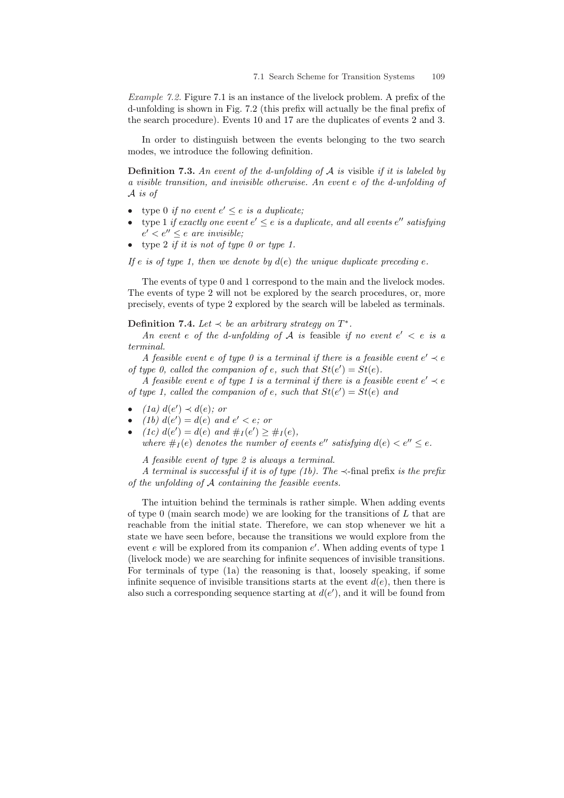Example 7.2. Figure 7.1 is an instance of the livelock problem. A prefix of the d-unfolding is shown in Fig. 7.2 (this prefix will actually be the final prefix of the search procedure). Events 10 and 17 are the duplicates of events 2 and 3.

In order to distinguish between the events belonging to the two search modes, we introduce the following definition.

**Definition 7.3.** An event of the d-unfolding of  $A$  is visible if it is labeled by a visible transition, and invisible otherwise. An event e of the d-unfolding of A is of

- type 0 if no event  $e' \leq e$  is a duplicate;
- type 1 if exactly one event  $e' \leq e$  is a duplicate, and all events  $e''$  satisfying  $e' < e'' \leq e$  are invisible;
- type  $2$  if it is not of type  $0$  or type 1.

If e is of type 1, then we denote by  $d(e)$  the unique duplicate preceding e.

The events of type 0 and 1 correspond to the main and the livelock modes. The events of type 2 will not be explored by the search procedures, or, more precisely, events of type 2 explored by the search will be labeled as terminals.

Definition 7.4. Let  $\prec$  be an arbitrary strategy on  $T^*$ .

An event e of the d-unfolding of A is feasible if no event  $e' < e$  is a terminal.

A feasible event e of type 0 is a terminal if there is a feasible event  $e' \prec e$ of type 0, called the companion of e, such that  $St(e') = St(e)$ .

A feasible event e of type 1 is a terminal if there is a feasible event  $e' \prec e$ of type 1, called the companion of e, such that  $St(e') = St(e)$  and

- (1a)  $d(e') \prec d(e)$ ; or
- (1b)  $d(e') = d(e)$  and  $e' < e$ ; or
- (1c)  $d(e') = d(e)$  and  $\#_I(e') \geq \#_I(e)$ , where  $\#_I(e)$  denotes the number of events  $e''$  satisfying  $d(e) < e'' \leq e$ .

A feasible event of type 2 is always a terminal.

A terminal is successful if it is of type (1b). The  $\prec$ -final prefix is the prefix of the unfolding of  $A$  containing the feasible events.

The intuition behind the terminals is rather simple. When adding events of type  $0$  (main search mode) we are looking for the transitions of  $L$  that are reachable from the initial state. Therefore, we can stop whenever we hit a state we have seen before, because the transitions we would explore from the event  $e$  will be explored from its companion  $e'$ . When adding events of type 1 (livelock mode) we are searching for infinite sequences of invisible transitions. For terminals of type (1a) the reasoning is that, loosely speaking, if some infinite sequence of invisible transitions starts at the event  $d(e)$ , then there is also such a corresponding sequence starting at  $d(e')$ , and it will be found from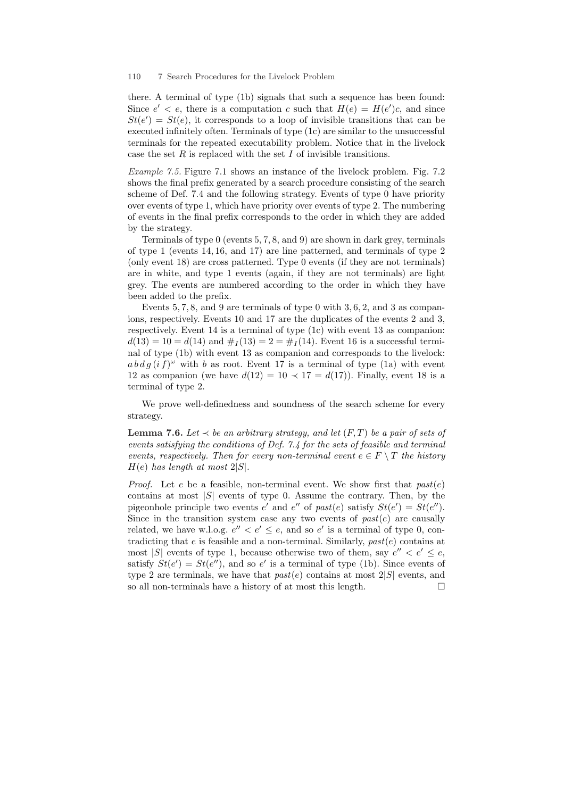#### 110 7 Search Procedures for the Livelock Problem

there. A terminal of type (1b) signals that such a sequence has been found: Since  $e' < e$ , there is a computation c such that  $H(e) = H(e')c$ , and since  $St(e') = St(e)$ , it corresponds to a loop of invisible transitions that can be executed infinitely often. Terminals of type (1c) are similar to the unsuccessful terminals for the repeated executability problem. Notice that in the livelock case the set  $R$  is replaced with the set  $I$  of invisible transitions.

Example 7.5. Figure 7.1 shows an instance of the livelock problem. Fig. 7.2 shows the final prefix generated by a search procedure consisting of the search scheme of Def. 7.4 and the following strategy. Events of type 0 have priority over events of type 1, which have priority over events of type 2. The numbering of events in the final prefix corresponds to the order in which they are added by the strategy.

Terminals of type 0 (events 5, 7, 8, and 9) are shown in dark grey, terminals of type 1 (events 14, 16, and 17) are line patterned, and terminals of type 2 (only event 18) are cross patterned. Type 0 events (if they are not terminals) are in white, and type 1 events (again, if they are not terminals) are light grey. The events are numbered according to the order in which they have been added to the prefix.

Events 5, 7, 8, and 9 are terminals of type 0 with 3, 6, 2, and 3 as companions, respectively. Events 10 and 17 are the duplicates of the events 2 and 3, respectively. Event 14 is a terminal of type (1c) with event 13 as companion:  $d(13) = 10 = d(14)$  and  $\#_I(13) = 2 = \#_I(14)$ . Event 16 is a successful terminal of type (1b) with event 13 as companion and corresponds to the livelock:  $a b d g (if)^{\omega}$  with b as root. Event 17 is a terminal of type (1a) with event 12 as companion (we have  $d(12) = 10 \prec 17 = d(17)$ ). Finally, event 18 is a terminal of type 2.

We prove well-definedness and soundness of the search scheme for every strategy.

**Lemma 7.6.** Let  $\prec$  be an arbitrary strategy, and let  $(F,T)$  be a pair of sets of events satisfying the conditions of Def. 7.4 for the sets of feasible and terminal events, respectively. Then for every non-terminal event  $e \in F \setminus T$  the history  $H(e)$  has length at most  $2|S|$ .

*Proof.* Let e be a feasible, non-terminal event. We show first that  $past(e)$ contains at most  $|S|$  events of type 0. Assume the contrary. Then, by the pigeonhole principle two events e' and e'' of past(e) satisfy  $St(e') = St(e'')$ . Since in the transition system case any two events of  $past(e)$  are causally related, we have w.l.o.g.  $e'' < e' \leq e$ , and so  $e'$  is a terminal of type 0, contradicting that  $e$  is feasible and a non-terminal. Similarly,  $past(e)$  contains at most |S| events of type 1, because otherwise two of them, say  $e'' < e' \leq e$ , satisfy  $St(e') = St(e'')$ , and so e' is a terminal of type (1b). Since events of type 2 are terminals, we have that  $past(e)$  contains at most  $2|S|$  events, and so all non-terminals have a history of at most this length.  $\Box$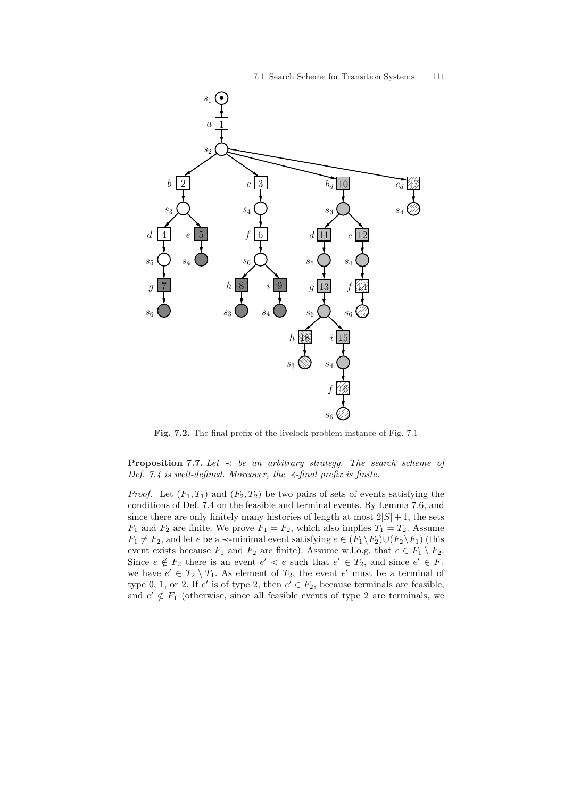

Fig. 7.2. The final prefix of the livelock problem instance of Fig. 7.1

**Proposition 7.7.** Let  $\prec$  be an arbitrary strategy. The search scheme of Def. 7.4 is well-defined. Moreover, the  $\prec$ -final prefix is finite.

*Proof.* Let  $(F_1, T_1)$  and  $(F_2, T_2)$  be two pairs of sets of events satisfying the conditions of Def. 7.4 on the feasible and terminal events. By Lemma 7.6, and since there are only finitely many histories of length at most  $2|S|+1$ , the sets  $F_1$  and  $F_2$  are finite. We prove  $F_1 = F_2$ , which also implies  $T_1 = T_2$ . Assume  $F_1 \neq F_2$ , and let e be a ≺-minimal event satisfying  $e \in (F_1 \backslash F_2) \cup (F_2 \backslash F_1)$  (this event exists because  $F_1$  and  $F_2$  are finite). Assume w.l.o.g. that  $e \in F_1 \setminus F_2$ . Since  $e \notin F_2$  there is an event  $e' < e$  such that  $e' \in T_2$ , and since  $e' \in F_1$ we have  $e' \in T_2 \setminus T_1$ . As element of  $T_2$ , the event  $e'$  must be a terminal of type 0, 1, or 2. If  $e'$  is of type 2, then  $e' \in F_2$ , because terminals are feasible, and  $e' \notin F_1$  (otherwise, since all feasible events of type 2 are terminals, we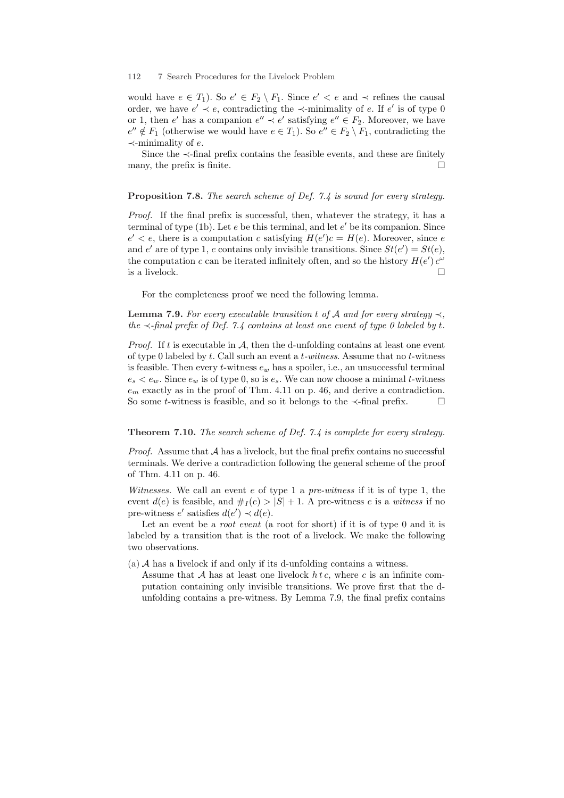#### 112 7 Search Procedures for the Livelock Problem

would have  $e \in T_1$ ). So  $e' \in F_2 \setminus F_1$ . Since  $e' < e$  and  $\prec$  refines the causal order, we have  $e' \prec e$ , contradicting the  $\prec$ -minimality of e. If e' is of type 0 or 1, then e' has a companion  $e'' \prec e'$  satisfying  $e'' \in F_2$ . Moreover, we have  $e'' \notin F_1$  (otherwise we would have  $e \in T_1$ ). So  $e'' \in F_2 \setminus F_1$ , contradicting the  $\prec$ -minimality of e.

Since the  $\prec$ -final prefix contains the feasible events, and these are finitely many, the prefix is finite.  $\Box$ 

#### Proposition 7.8. The search scheme of Def. 7.4 is sound for every strategy.

Proof. If the final prefix is successful, then, whatever the strategy, it has a terminal of type (1b). Let  $e$  be this terminal, and let  $e'$  be its companion. Since  $e' < e$ , there is a computation c satisfying  $H(e')c = H(e)$ . Moreover, since e and  $e'$  are of type 1, c contains only invisible transitions. Since  $St(e') = St(e)$ , the computation c can be iterated infinitely often, and so the history  $H(e')c^{\omega}$ is a livelock.  $\Box$ 

For the completeness proof we need the following lemma.

**Lemma 7.9.** For every executable transition t of A and for every strategy  $\prec$ , the  $\prec$ -final prefix of Def. 7.4 contains at least one event of type 0 labeled by t.

*Proof.* If t is executable in  $A$ , then the d-unfolding contains at least one event of type 0 labeled by  $t$ . Call such an event a  $t$ -witness. Assume that no  $t$ -witness is feasible. Then every  $t$ -witness  $e_w$  has a spoiler, i.e., an unsuccessful terminal  $e_s < e_w$ . Since  $e_w$  is of type 0, so is  $e_s$ . We can now choose a minimal *t*-witness  $e<sub>m</sub>$  exactly as in the proof of Thm. 4.11 on p. 46, and derive a contradiction. So some *t*-witness is feasible, and so it belongs to the  $\prec$ -final prefix.  $\Box$ 

#### Theorem 7.10. The search scheme of Def. 7.4 is complete for every strategy.

*Proof.* Assume that  $A$  has a livelock, but the final prefix contains no successful terminals. We derive a contradiction following the general scheme of the proof of Thm. 4.11 on p. 46.

Witnesses. We call an event  $e$  of type 1 a pre-witness if it is of type 1, the event  $d(e)$  is feasible, and  $\#_I(e) > |S| + 1$ . A pre-witness e is a witness if no pre-witness  $e'$  satisfies  $d(e') \prec d(e)$ .

Let an event be a *root event* (a root for short) if it is of type 0 and it is labeled by a transition that is the root of a livelock. We make the following two observations.

 $(a)$  A has a livelock if and only if its d-unfolding contains a witness.

Assume that  $A$  has at least one livelock  $h t c$ , where c is an infinite computation containing only invisible transitions. We prove first that the dunfolding contains a pre-witness. By Lemma 7.9, the final prefix contains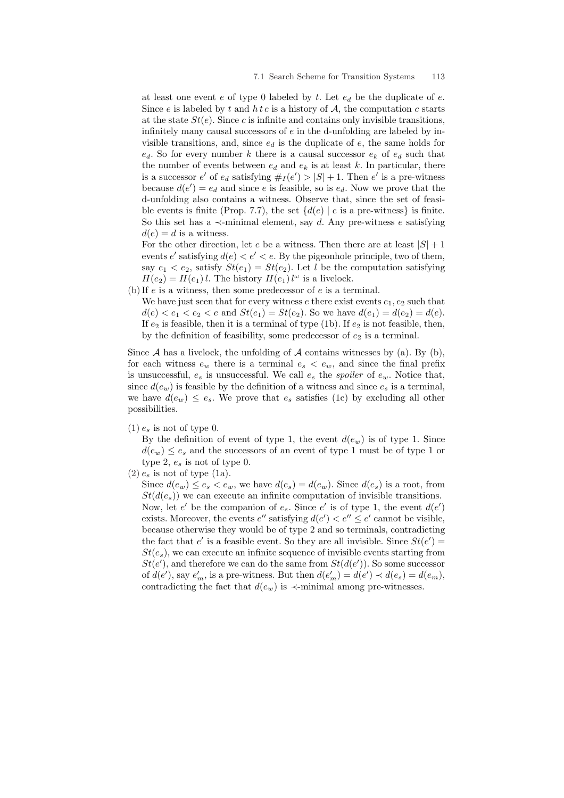at least one event  $e$  of type 0 labeled by  $t$ . Let  $e_d$  be the duplicate of  $e$ . Since e is labeled by t and  $h t c$  is a history of A, the computation c starts at the state  $St(e)$ . Since c is infinite and contains only invisible transitions, infinitely many causal successors of  $e$  in the d-unfolding are labeled by invisible transitions, and, since  $e_d$  is the duplicate of e, the same holds for  $e_d$ . So for every number k there is a causal successor  $e_k$  of  $e_d$  such that the number of events between  $e_d$  and  $e_k$  is at least k. In particular, there is a successor  $e'$  of  $e_d$  satisfying  $\#_I(e') > |S| + 1$ . Then  $e'$  is a pre-witness because  $d(e') = e_d$  and since e is feasible, so is  $e_d$ . Now we prove that the d-unfolding also contains a witness. Observe that, since the set of feasible events is finite (Prop. 7.7), the set  $\{d(e) | e$  is a pre-witness} is finite. So this set has a  $\prec$ -minimal element, say d. Any pre-witness e satisfying  $d(e) = d$  is a witness.

For the other direction, let e be a witness. Then there are at least  $|S|+1$ events e' satisfying  $d(e) < e' < e$ . By the pigeonhole principle, two of them, say  $e_1 < e_2$ , satisfy  $St(e_1) = St(e_2)$ . Let l be the computation satisfying  $H(e_2) = H(e_1) l$ . The history  $H(e_1) l^{\omega}$  is a livelock.

(b) If  $e$  is a witness, then some predecessor of  $e$  is a terminal.

We have just seen that for every witness  $e$  there exist events  $e_1, e_2$  such that  $d(e) < e_1 < e_2 < e$  and  $St(e_1) = St(e_2)$ . So we have  $d(e_1) = d(e_2) = d(e)$ . If  $e_2$  is feasible, then it is a terminal of type (1b). If  $e_2$  is not feasible, then, by the definition of feasibility, some predecessor of  $e_2$  is a terminal.

Since  $A$  has a livelock, the unfolding of  $A$  contains witnesses by (a). By (b), for each witness  $e_w$  there is a terminal  $e_s < e_w$ , and since the final prefix is unsuccessful,  $e_s$  is unsuccessful. We call  $e_s$  the *spoiler* of  $e_w$ . Notice that, since  $d(e_w)$  is feasible by the definition of a witness and since  $e_s$  is a terminal, we have  $d(e_w) \leq e_s$ . We prove that  $e_s$  satisfies (1c) by excluding all other possibilities.

 $(1)$   $e_s$  is not of type 0.

By the definition of event of type 1, the event  $d(e_w)$  is of type 1. Since  $d(e_w) \leq e_s$  and the successors of an event of type 1 must be of type 1 or type 2,  $e_s$  is not of type 0.

 $(2)$   $e_s$  is not of type  $(1a)$ .

Since  $d(e_w) \le e_s < e_w$ , we have  $d(e_s) = d(e_w)$ . Since  $d(e_s)$  is a root, from  $St(d(e_s))$  we can execute an infinite computation of invisible transitions. Now, let  $e'$  be the companion of  $e_s$ . Since  $e'$  is of type 1, the event  $d(e')$ exists. Moreover, the events  $e''$  satisfying  $d(e') < e'' \leq e'$  cannot be visible, because otherwise they would be of type 2 and so terminals, contradicting the fact that  $e'$  is a feasible event. So they are all invisible. Since  $St(e') =$  $St(e_s)$ , we can execute an infinite sequence of invisible events starting from  $St(e')$ , and therefore we can do the same from  $St(d(e'))$ . So some successor of  $d(e')$ , say  $e'_m$ , is a pre-witness. But then  $d(e'_m) = d(e') \prec d(e_s) = d(e_m)$ , contradicting the fact that  $d(e_w)$  is  $\prec$ -minimal among pre-witnesses.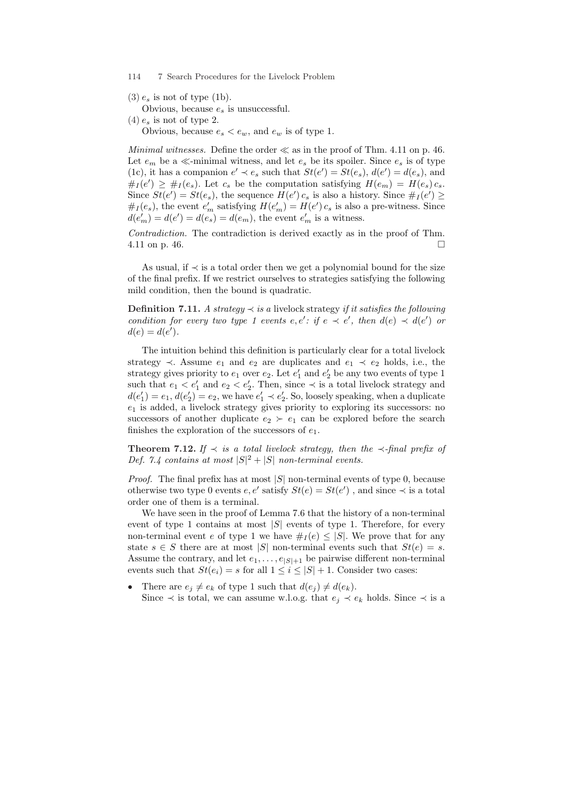- 114 7 Search Procedures for the Livelock Problem
- $(3) e_s$  is not of type  $(1b)$ .

Obvious, because  $e_s$  is unsuccessful.

- $(4)$   $e_s$  is not of type 2.
	- Obvious, because  $e_s < e_w$ , and  $e_w$  is of type 1.

Minimal witnesses. Define the order  $\ll$  as in the proof of Thm. 4.11 on p. 46. Let  $e_m$  be a  $\ll$ -minimal witness, and let  $e_s$  be its spoiler. Since  $e_s$  is of type (1c), it has a companion  $e' \prec e_s$  such that  $St(e') = St(e_s)$ ,  $d(e') = d(e_s)$ , and  $\#_I(e') \geq \#_I(e_s)$ . Let  $c_s$  be the computation satisfying  $H(e_m) = H(e_s) c_s$ . Since  $St(e') = St(e_s)$ , the sequence  $H(e')c_s$  is also a history. Since  $\#_I(e') \ge$  $\#_I(e_s)$ , the event  $e'_m$  satisfying  $H(e'_m) = H(e')c_s$  is also a pre-witness. Since  $d(e'_m) = d(e') = d(e_s) = d(e_m)$ , the event  $e'_m$  is a witness.

Contradiction. The contradiction is derived exactly as in the proof of Thm. 4.11 on p. 46.  $\Box$ 

As usual, if  $\prec$  is a total order then we get a polynomial bound for the size of the final prefix. If we restrict ourselves to strategies satisfying the following mild condition, then the bound is quadratic.

Definition 7.11. A strategy  $\prec$  is a livelock strategy if it satisfies the following condition for every two type 1 events  $e, e' : if e \prec e'$ , then  $d(e) \prec d(e')$  or  $d(e) = d(e').$ 

The intuition behind this definition is particularly clear for a total livelock strategy  $\prec$ . Assume  $e_1$  and  $e_2$  are duplicates and  $e_1 \prec e_2$  holds, i.e., the strategy gives priority to  $e_1$  over  $e_2$ . Let  $e'_1$  and  $e'_2$  be any two events of type 1 such that  $e_1 < e'_1$  and  $e_2 < e'_2$ . Then, since  $\prec$  is a total livelock strategy and  $d(e'_1) = e_1, d(e'_2) = e_2$ , we have  $e'_1 \prec e'_2$ . So, loosely speaking, when a duplicate  $e_1$  is added, a livelock strategy gives priority to exploring its successors: no successors of another duplicate  $e_2 \succ e_1$  can be explored before the search finishes the exploration of the successors of  $e_1$ .

Theorem 7.12. If  $\prec$  is a total livelock strategy, then the  $\prec$ -final prefix of Def. 7.4 contains at most  $|S|^2 + |S|$  non-terminal events.

*Proof.* The final prefix has at most  $|S|$  non-terminal events of type 0, because otherwise two type 0 events  $e, e'$  satisfy  $St(e) = St(e')$ , and since  $\prec$  is a total order one of them is a terminal.

We have seen in the proof of Lemma 7.6 that the history of a non-terminal event of type 1 contains at most  $|S|$  events of type 1. Therefore, for every non-terminal event e of type 1 we have  $\#_I(e) \leq |S|$ . We prove that for any state  $s \in S$  there are at most |S| non-terminal events such that  $St(e) = s$ . Assume the contrary, and let  $e_1, \ldots, e_{|S|+1}$  be pairwise different non-terminal events such that  $St(e_i) = s$  for all  $1 \leq i \leq |S| + 1$ . Consider two cases:

There are  $e_i \neq e_k$  of type 1 such that  $d(e_i) \neq d(e_k)$ . Since  $\prec$  is total, we can assume w.l.o.g. that  $e_i \prec e_k$  holds. Since  $\prec$  is a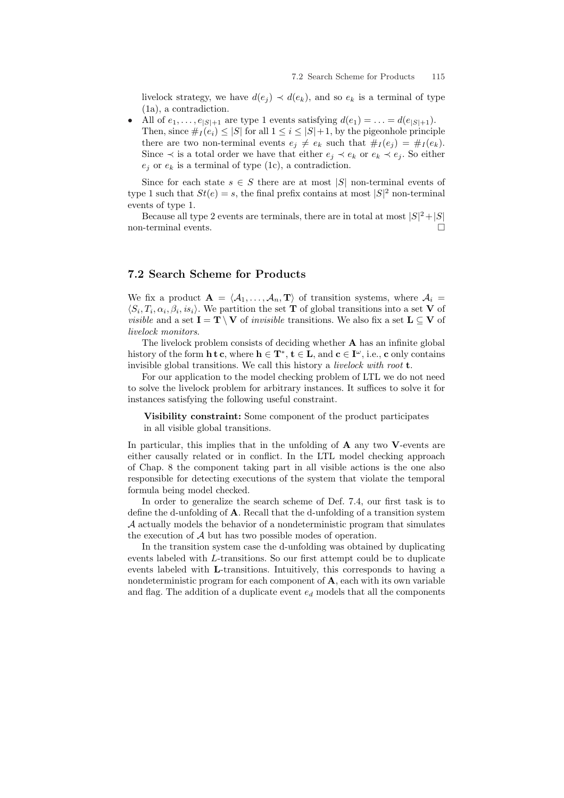livelock strategy, we have  $d(e_i) \prec d(e_k)$ , and so  $e_k$  is a terminal of type (1a), a contradiction.

All of  $e_1, \ldots, e_{|S|+1}$  are type 1 events satisfying  $d(e_1) = \ldots = d(e_{|S|+1})$ . Then, since  $\#_I(e_i) \leq |S|$  for all  $1 \leq i \leq |S|+1$ , by the pigeonhole principle there are two non-terminal events  $e_i \neq e_k$  such that  $\#_I (e_i) = \#_I (e_k)$ . Since  $\prec$  is a total order we have that either  $e_j \prec e_k$  or  $e_k \prec e_j$ . So either  $e_i$  or  $e_k$  is a terminal of type (1c), a contradiction.

Since for each state  $s \in S$  there are at most |S| non-terminal events of type 1 such that  $St(e) = s$ , the final prefix contains at most  $|S|^2$  non-terminal events of type 1.

Because all type 2 events are terminals, there are in total at most  $|S|^2 + |S|$ non-terminal events.

# 7.2 Search Scheme for Products

We fix a product  $\mathbf{A} = \langle A_1, \ldots, A_n, \mathbf{T} \rangle$  of transition systems, where  $A_i =$  $\langle S_i, T_i, \alpha_i, \beta_i, is_i \rangle$ . We partition the set **T** of global transitions into a set **V** of *visible* and a set  $I = T \setminus V$  of *invisible* transitions. We also fix a set  $L \subseteq V$  of livelock monitors.

The livelock problem consists of deciding whether A has an infinite global history of the form  $h \, t \, c$ , where  $h \in T^*$ ,  $t \in L$ , and  $c \in I^{\omega}$ , i.e., c only contains invisible global transitions. We call this history a livelock with root t.

For our application to the model checking problem of LTL we do not need to solve the livelock problem for arbitrary instances. It suffices to solve it for instances satisfying the following useful constraint.

Visibility constraint: Some component of the product participates in all visible global transitions.

In particular, this implies that in the unfolding of  $\bf{A}$  any two V-events are either causally related or in conflict. In the LTL model checking approach of Chap. 8 the component taking part in all visible actions is the one also responsible for detecting executions of the system that violate the temporal formula being model checked.

In order to generalize the search scheme of Def. 7.4, our first task is to define the d-unfolding of A. Recall that the d-unfolding of a transition system  $\mathcal A$  actually models the behavior of a nondeterministic program that simulates the execution of A but has two possible modes of operation.

In the transition system case the d-unfolding was obtained by duplicating events labeled with L-transitions. So our first attempt could be to duplicate events labeled with L-transitions. Intuitively, this corresponds to having a nondeterministic program for each component of  $A$ , each with its own variable and flag. The addition of a duplicate event  $e_d$  models that all the components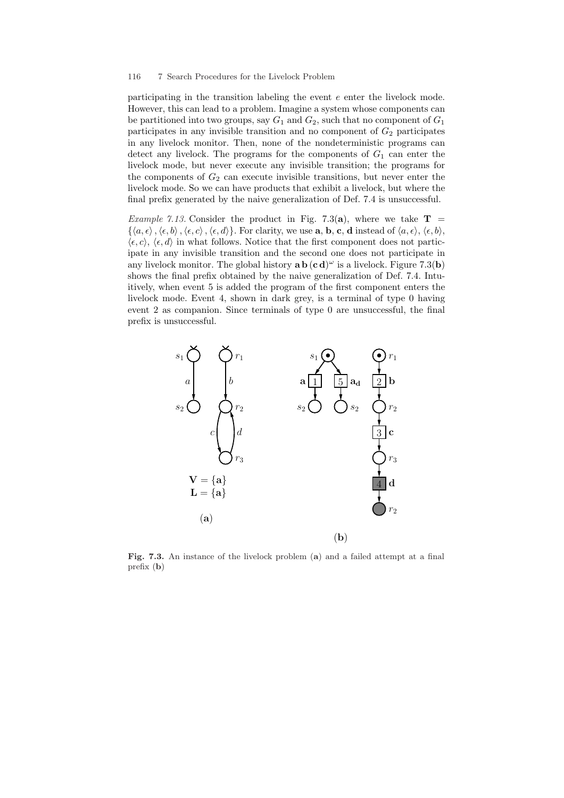#### 116 7 Search Procedures for the Livelock Problem

participating in the transition labeling the event  $e$  enter the livelock mode. However, this can lead to a problem. Imagine a system whose components can be partitioned into two groups, say  $G_1$  and  $G_2$ , such that no component of  $G_1$ participates in any invisible transition and no component of  $G_2$  participates in any livelock monitor. Then, none of the nondeterministic programs can detect any livelock. The programs for the components of  $G_1$  can enter the livelock mode, but never execute any invisible transition; the programs for the components of  $G_2$  can execute invisible transitions, but never enter the livelock mode. So we can have products that exhibit a livelock, but where the final prefix generated by the naive generalization of Def. 7.4 is unsuccessful.

*Example 7.13.* Consider the product in Fig. 7.3(a), where we take  $T =$  $\{\langle a,\epsilon\rangle,\langle \epsilon,b\rangle,\langle \epsilon,c\rangle,\langle \epsilon,d\rangle\}.$  For clarity, we use **a**, **b**, **c**, **d** instead of  $\langle a,\epsilon\rangle,\langle \epsilon,b\rangle,$  $\langle \epsilon, c \rangle$ ,  $\langle \epsilon, d \rangle$  in what follows. Notice that the first component does not participate in any invisible transition and the second one does not participate in any livelock monitor. The global history  $\mathbf{a} \mathbf{b} (\mathbf{c} \mathbf{d})^{\omega}$  is a livelock. Figure 7.3(b) shows the final prefix obtained by the naive generalization of Def. 7.4. Intuitively, when event 5 is added the program of the first component enters the livelock mode. Event 4, shown in dark grey, is a terminal of type 0 having event 2 as companion. Since terminals of type 0 are unsuccessful, the final prefix is unsuccessful.



Fig. 7.3. An instance of the livelock problem (a) and a failed attempt at a final prefix (b)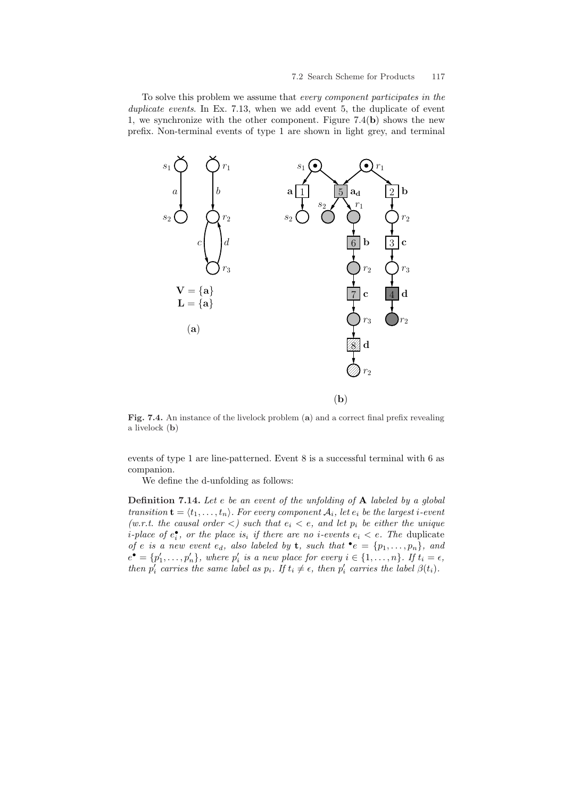#### 7.2 Search Scheme for Products 117

To solve this problem we assume that every component participates in the duplicate events. In Ex. 7.13, when we add event 5, the duplicate of event 1, we synchronize with the other component. Figure 7.4(b) shows the new prefix. Non-terminal events of type 1 are shown in light grey, and terminal



Fig. 7.4. An instance of the livelock problem (a) and a correct final prefix revealing a livelock (b)

events of type 1 are line-patterned. Event 8 is a successful terminal with 6 as companion.

We define the d-unfolding as follows:

**Definition 7.14.** Let  $e$  be an event of the unfolding of  $A$  labeled by a global transition  $\mathbf{t} = \langle t_1, \ldots, t_n \rangle$ . For every component  $A_i$ , let  $e_i$  be the largest i-event (w.r.t. the causal order  $\langle$ ) such that  $e_i \langle e_i \rangle$  and let  $p_i$  be either the unique *i*-place of  $e_i^{\bullet}$ , or the place is<sub>i</sub> if there are no *i*-events  $e_i < e$ . The duplicate of e is a new event  $e_d$ , also labeled by **t**, such that  $\bullet e = \{p_1, \ldots, p_n\}$ , and  $e^{\bullet} = \{p'_1, \ldots, p'_n\}$ , where  $p'_i$  is a new place for every  $i \in \{1, \ldots, n\}$ . If  $t_i = \epsilon$ , then  $p'_i$  carries the same label as  $p_i$ . If  $t_i \neq \epsilon$ , then  $p'_i$  carries the label  $\beta(t_i)$ .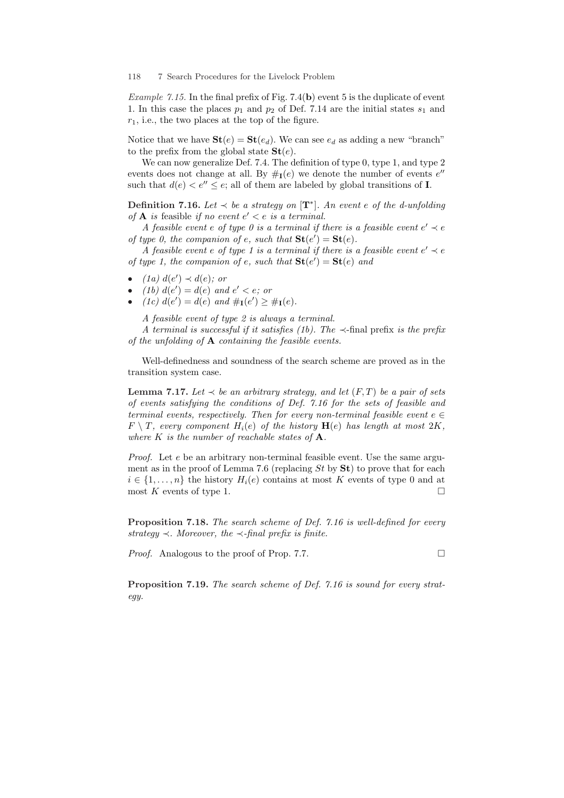118 7 Search Procedures for the Livelock Problem

Example 7.15. In the final prefix of Fig. 7.4(b) event 5 is the duplicate of event 1. In this case the places  $p_1$  and  $p_2$  of Def. 7.14 are the initial states  $s_1$  and  $r_1$ , i.e., the two places at the top of the figure.

Notice that we have  $\mathbf{St}(e) = \mathbf{St}(e_d)$ . We can see  $e_d$  as adding a new "branch" to the prefix from the global state  $\mathbf{St}(e)$ .

We can now generalize Def. 7.4. The definition of type 0, type 1, and type 2 events does not change at all. By  $\#_{\mathbf{I}}(e)$  we denote the number of events  $e''$ such that  $d(e) < e'' \leq e$ ; all of them are labeled by global transitions of **I**.

**Definition 7.16.** Let  $\prec$  be a strategy on  $[T^*]$ . An event e of the d-unfolding of **A** is feasible if no event  $e' < e$  is a terminal.

A feasible event e of type 0 is a terminal if there is a feasible event  $e' \prec e$ of type 0, the companion of e, such that  $\mathbf{St}(e') = \mathbf{St}(e)$ .

A feasible event e of type 1 is a terminal if there is a feasible event  $e' \prec e$ of type 1, the companion of e, such that  $\mathbf{St}(e') = \mathbf{St}(e)$  and

- (1a)  $d(e') \prec d(e)$ ; or
- (1b)  $d(e') = d(e)$  and  $e' < e$ ; or
- (1c)  $d(e') = d(e)$  and  $\#_{\mathbf{I}}(e') \geq \#_{\mathbf{I}}(e)$ .

A feasible event of type 2 is always a terminal.

A terminal is successful if it satisfies (1b). The  $\prec$ -final prefix is the prefix of the unfolding of  $A$  containing the feasible events.

Well-definedness and soundness of the search scheme are proved as in the transition system case.

**Lemma 7.17.** Let  $\prec$  be an arbitrary strategy, and let  $(F, T)$  be a pair of sets of events satisfying the conditions of Def. 7.16 for the sets of feasible and terminal events, respectively. Then for every non-terminal feasible event  $e \in$  $F \setminus T$ , every component  $H_i(e)$  of the history  $H(e)$  has length at most  $2K$ , where K is the number of reachable states of  $A$ .

Proof. Let e be an arbitrary non-terminal feasible event. Use the same argument as in the proof of Lemma 7.6 (replacing  $St$  by  $St$ ) to prove that for each  $i \in \{1, \ldots, n\}$  the history  $H_i(e)$  contains at most K events of type 0 and at most K events of type 1.  $\Box$ 

Proposition 7.18. The search scheme of Def. 7.16 is well-defined for every strategy  $\prec$ . Moreover, the  $\prec$ -final prefix is finite.

*Proof.* Analogous to the proof of Prop. 7.7.  $\Box$ 

Proposition 7.19. The search scheme of Def. 7.16 is sound for every strategy.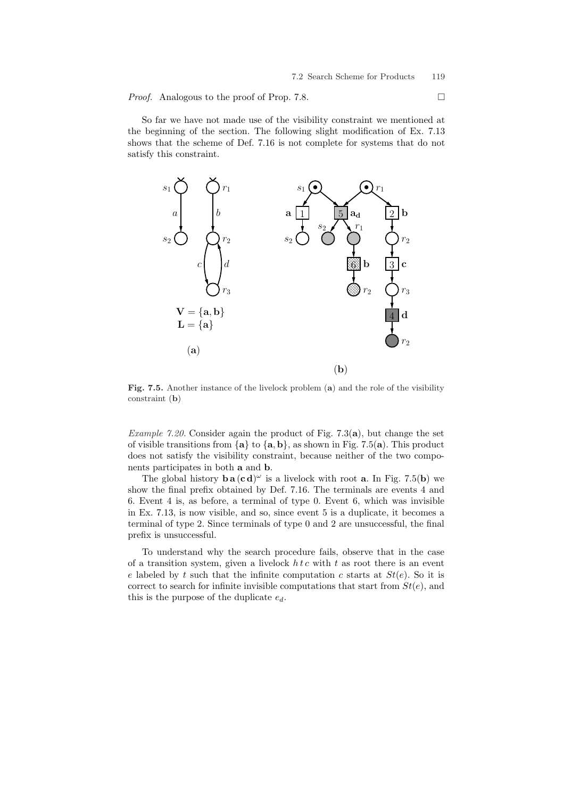#### *Proof.* Analogous to the proof of Prop. 7.8.  $\Box$

So far we have not made use of the visibility constraint we mentioned at the beginning of the section. The following slight modification of Ex. 7.13 shows that the scheme of Def. 7.16 is not complete for systems that do not satisfy this constraint.



Fig. 7.5. Another instance of the livelock problem (a) and the role of the visibility constraint (b)

*Example 7.20.* Consider again the product of Fig. 7.3(a), but change the set of visible transitions from  $\{a\}$  to  $\{a, b\}$ , as shown in Fig. 7.5(a). This product does not satisfy the visibility constraint, because neither of the two components participates in both a and b.

The global history  $\mathbf{b} \mathbf{a} (\mathbf{c} \, \mathbf{d})^{\omega}$  is a livelock with root **a**. In Fig. 7.5(**b**) we show the final prefix obtained by Def. 7.16. The terminals are events 4 and 6. Event 4 is, as before, a terminal of type 0. Event 6, which was invisible in Ex. 7.13, is now visible, and so, since event 5 is a duplicate, it becomes a terminal of type 2. Since terminals of type 0 and 2 are unsuccessful, the final prefix is unsuccessful.

To understand why the search procedure fails, observe that in the case of a transition system, given a livelock  $h t c$  with  $t$  as root there is an event e labeled by t such that the infinite computation c starts at  $St(e)$ . So it is correct to search for infinite invisible computations that start from  $St(e)$ , and this is the purpose of the duplicate  $e_d$ .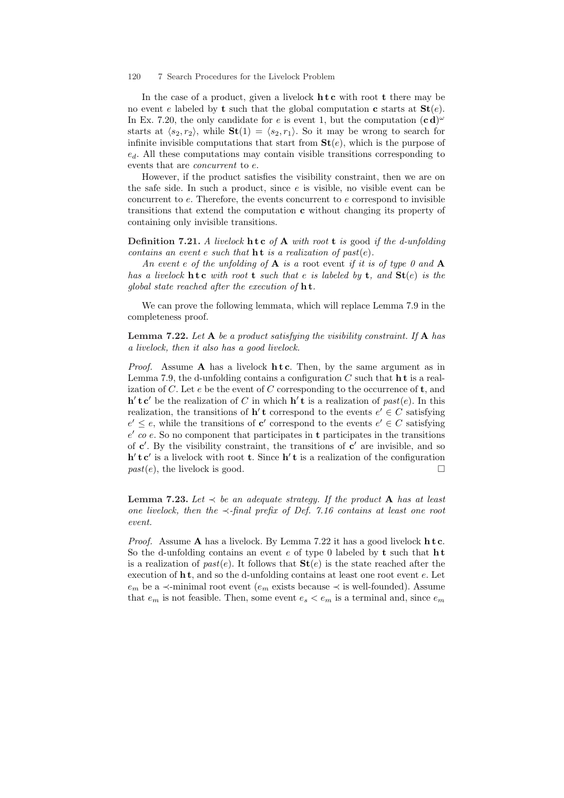#### 120 7 Search Procedures for the Livelock Problem

In the case of a product, given a livelock  $h \, t \, c$  with root  $t$  there may be no event e labeled by **t** such that the global computation **c** starts at  $\mathbf{St}(e)$ . In Ex. 7.20, the only candidate for e is event 1, but the computation  $(\mathbf{c}\,\mathbf{d})^{\omega}$ starts at  $\langle s_2, r_2 \rangle$ , while  $\mathbf{St}(1) = \langle s_2, r_1 \rangle$ . So it may be wrong to search for infinite invisible computations that start from  $\mathbf{St}(e)$ , which is the purpose of  $e_d$ . All these computations may contain visible transitions corresponding to events that are concurrent to e.

However, if the product satisfies the visibility constraint, then we are on the safe side. In such a product, since  $e$  is visible, no visible event can be concurrent to e. Therefore, the events concurrent to e correspond to invisible transitions that extend the computation c without changing its property of containing only invisible transitions.

**Definition 7.21.** A livelock  $\mathbf{h} \mathbf{t} \mathbf{c}$  of  $\mathbf{A}$  with root  $\mathbf{t}$  is good if the d-unfolding contains an event  $e$  such that  $\bf{h}t$  is a realization of past $(e)$ .

An event e of the unfolding of  $A$  is a root event if it is of type 0 and  $A$ has a livelock  $\mathbf{h} \mathbf{t}$  c with root  $\mathbf{t}$  such that e is labeled by  $\mathbf{t}$ , and  $\mathbf{St}(e)$  is the global state reached after the execution of  $\mathbf{h}\mathbf{t}$ .

We can prove the following lemmata, which will replace Lemma 7.9 in the completeness proof.

**Lemma 7.22.** Let  $A$  be a product satisfying the visibility constraint. If  $A$  has a livelock, then it also has a good livelock.

*Proof.* Assume A has a livelock  $h \, t \, c$ . Then, by the same argument as in Lemma 7.9, the d-unfolding contains a configuration  $C$  such that  $\mathbf{h}$  t is a realization of C. Let  $e$  be the event of C corresponding to the occurrence of **t**, and  $h'$ **t** c' be the realization of C in which  $h'$ **t** is a realization of past(e). In this realization, the transitions of  $h'$ t correspond to the events  $e' \in C$  satisfying  $e' \leq e$ , while the transitions of **c**' correspond to the events  $e' \in C$  satisfying  $e'$  co e. So no component that participates in the transitions of  $c'$ . By the visibility constraint, the transitions of  $c'$  are invisible, and so  $h'$ t c' is a livelock with root t. Since  $h'$ t is a realization of the configuration  $past(e)$ , the livelock is good.  $\square$ 

**Lemma 7.23.** Let  $\prec$  be an adequate strategy. If the product **A** has at least one livelock, then the  $\prec$ -final prefix of Def. 7.16 contains at least one root event.

*Proof.* Assume A has a livelock. By Lemma 7.22 it has a good livelock  $h \, t \, c$ . So the d-unfolding contains an event  $e$  of type 0 labeled by **t** such that  $h$  **t** is a realization of  $past(e)$ . It follows that  $St(e)$  is the state reached after the execution of  $h t$ , and so the d-unfolding contains at least one root event  $e$ . Let  $e<sub>m</sub>$  be a ≺-minimal root event ( $e<sub>m</sub>$  exists because  $\prec$  is well-founded). Assume that  $e_m$  is not feasible. Then, some event  $e_s < e_m$  is a terminal and, since  $e_m$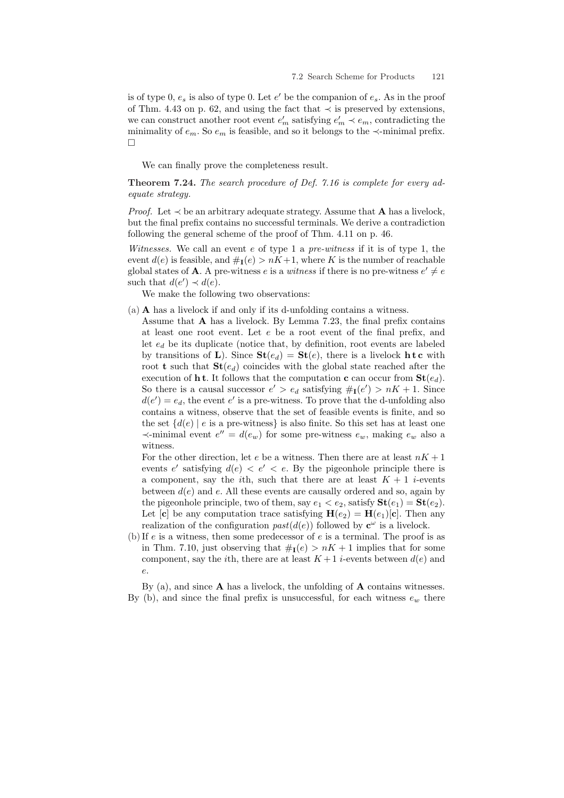is of type 0,  $e_s$  is also of type 0. Let  $e'$  be the companion of  $e_s$ . As in the proof of Thm. 4.43 on p. 62, and using the fact that  $\prec$  is preserved by extensions, we can construct another root event  $e'_{m}$  satisfying  $e'_{m} \prec e_{m}$ , contradicting the minimality of  $e_m$ . So  $e_m$  is feasible, and so it belongs to the  $\prec$ -minimal prefix.  $\Box$ 

We can finally prove the completeness result.

Theorem 7.24. The search procedure of Def. 7.16 is complete for every adequate strategy.

*Proof.* Let  $\prec$  be an arbitrary adequate strategy. Assume that **A** has a livelock, but the final prefix contains no successful terminals. We derive a contradiction following the general scheme of the proof of Thm. 4.11 on p. 46.

Witnesses. We call an event  $e$  of type 1 a pre-witness if it is of type 1, the event  $d(e)$  is feasible, and  $\#_{\mathbf{I}}(e) > nK+1$ , where K is the number of reachable global states of **A**. A pre-witness e is a witness if there is no pre-witness  $e' \neq e$ such that  $d(e') \prec d(e)$ .

We make the following two observations:

(a) A has a livelock if and only if its d-unfolding contains a witness.

Assume that A has a livelock. By Lemma 7.23, the final prefix contains at least one root event. Let e be a root event of the final prefix, and let  $e_d$  be its duplicate (notice that, by definition, root events are labeled by transitions of **L**). Since  $\mathbf{St}(e_d) = \mathbf{St}(e)$ , there is a livelock **h** t **c** with root **t** such that  $\mathbf{St}(e_d)$  coincides with the global state reached after the execution of **h** t. It follows that the computation **c** can occur from  $\mathbf{St}(e_d)$ . So there is a causal successor  $e' > e_d$  satisfying  $\#_{\mathbf{I}}(e') > nK + 1$ . Since  $d(e') = e_d$ , the event e' is a pre-witness. To prove that the d-unfolding also contains a witness, observe that the set of feasible events is finite, and so the set  $\{d(e) \mid e \text{ is a pre-witness}\}$  is also finite. So this set has at least one ≺-minimal event  $e'' = d(e_w)$  for some pre-witness  $e_w$ , making  $e_w$  also a witness.

For the other direction, let e be a witness. Then there are at least  $nK + 1$ events e' satisfying  $d(e) < e' < e$ . By the pigeonhole principle there is a component, say the *i*th, such that there are at least  $K + 1$  *i*-events between  $d(e)$  and e. All these events are causally ordered and so, again by the pigeonhole principle, two of them, say  $e_1 < e_2$ , satisfy  $\mathbf{St}(e_1) = \mathbf{St}(e_2)$ . Let  $[\mathbf{c}]$  be any computation trace satisfying  $\mathbf{H}(e_2) = \mathbf{H}(e_1)[\mathbf{c}]$ . Then any realization of the configuration  $past(d(e))$  followed by  $\mathbf{c}^{\omega}$  is a livelock.

(b) If  $e$  is a witness, then some predecessor of  $e$  is a terminal. The proof is as in Thm. 7.10, just observing that  $\#I(e) > nK + 1$  implies that for some component, say the *i*th, there are at least  $K + 1$  *i*-events between  $d(e)$  and e.

By (a), and since  $\bf{A}$  has a livelock, the unfolding of  $\bf{A}$  contains witnesses. By (b), and since the final prefix is unsuccessful, for each witness  $e_w$  there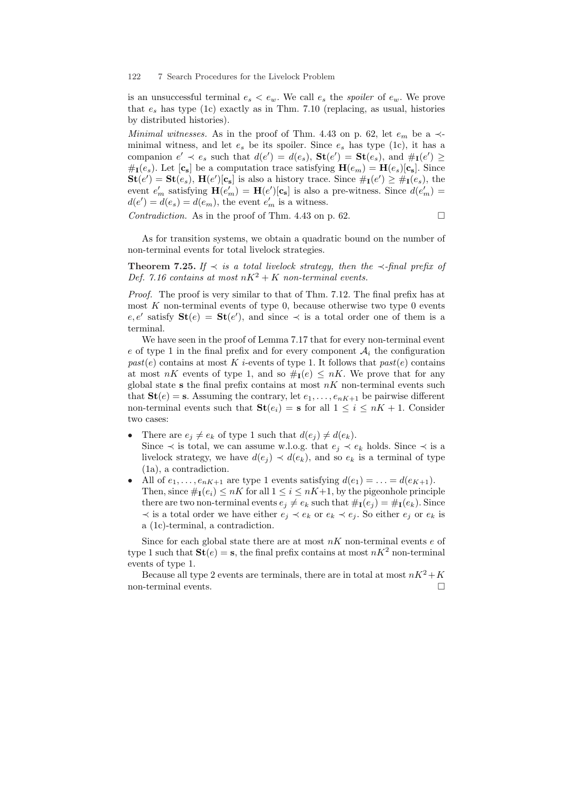#### 122 7 Search Procedures for the Livelock Problem

is an unsuccessful terminal  $e_s < e_w$ . We call  $e_s$  the *spoiler* of  $e_w$ . We prove that  $e_s$  has type (1c) exactly as in Thm. 7.10 (replacing, as usual, histories by distributed histories).

Minimal witnesses. As in the proof of Thm. 4.43 on p. 62, let  $e_m$  be a  $\prec$ minimal witness, and let  $e_s$  be its spoiler. Since  $e_s$  has type (1c), it has a companion  $e' \prec e_s$  such that  $d(e') = d(e_s)$ ,  $\mathbf{St}(e') = \mathbf{St}(e_s)$ , and  $\#_{\mathbf{I}}(e') \ge$  $\#_{\mathbf{I}}(e_s)$ . Let  $[\mathbf{c}_s]$  be a computation trace satisfying  $\mathbf{H}(e_m) = \mathbf{H}(e_s)[\mathbf{c}_s]$ . Since  $\mathbf{St}(e') = \mathbf{St}(e_s), \, \mathbf{H}(e')[\mathbf{c}_s]$  is also a history trace. Since  $\#_{\mathbf{I}}(e') \geq \#_{\mathbf{I}}(e_s)$ , the event  $e'_m$  satisfying  $\mathbf{H}(e'_m) = \mathbf{H}(e')[\mathbf{c}_s]$  is also a pre-witness. Since  $d(e'_m)$  =  $d(e') = d(e_s) = d(e_m)$ , the event  $e'_m$  is a witness.

*Contradiction.* As in the proof of Thm. 4.43 on p. 62.  $\Box$ 

As for transition systems, we obtain a quadratic bound on the number of non-terminal events for total livelock strategies.

Theorem 7.25. If  $\prec$  is a total livelock strategy, then the  $\prec$ -final prefix of Def. 7.16 contains at most  $nK^2 + K$  non-terminal events.

Proof. The proof is very similar to that of Thm. 7.12. The final prefix has at most  $K$  non-terminal events of type  $0$ , because otherwise two type  $0$  events  $e, e'$  satisfy  $\textbf{St}(e) = \textbf{St}(e')$ , and since  $\prec$  is a total order one of them is a terminal.

We have seen in the proof of Lemma 7.17 that for every non-terminal event e of type 1 in the final prefix and for every component  $A_i$  the configuration  $past(e)$  contains at most K *i*-events of type 1. It follows that  $past(e)$  contains at most nK events of type 1, and so  $\#I(e) \leq nK$ . We prove that for any global state s the final prefix contains at most  $nK$  non-terminal events such that  $\mathbf{St}(e) = \mathbf{s}$ . Assuming the contrary, let  $e_1, \ldots, e_{nK+1}$  be pairwise different non-terminal events such that  $\mathbf{St}(e_i) = \mathbf{s}$  for all  $1 \leq i \leq nK + 1$ . Consider two cases:

- There are  $e_i \neq e_k$  of type 1 such that  $d(e_i) \neq d(e_k)$ .
	- Since  $\prec$  is total, we can assume w.l.o.g. that  $e_i \prec e_k$  holds. Since  $\prec$  is a livelock strategy, we have  $d(e_j) \prec d(e_k)$ , and so  $e_k$  is a terminal of type (1a), a contradiction.
- All of  $e_1, \ldots, e_{nK+1}$  are type 1 events satisfying  $d(e_1) = \ldots = d(e_{K+1})$ . Then, since  $\#_{\mathbf{I}}(e_i) \leq nK$  for all  $1 \leq i \leq nK+1$ , by the pigeonhole principle there are two non-terminal events  $e_i \neq e_k$  such that  $\#_I(e_i) = \#_I(e_k)$ . Since  $\prec$  is a total order we have either  $e_i \prec e_k$  or  $e_k \prec e_i$ . So either  $e_i$  or  $e_k$  is a (1c)-terminal, a contradiction.

Since for each global state there are at most  $nK$  non-terminal events e of type 1 such that  $\textbf{St}(e) = \textbf{s}$ , the final prefix contains at most  $nK^2$  non-terminal events of type 1.

Because all type 2 events are terminals, there are in total at most  $nK^2+K$ non-terminal events.  $\Box$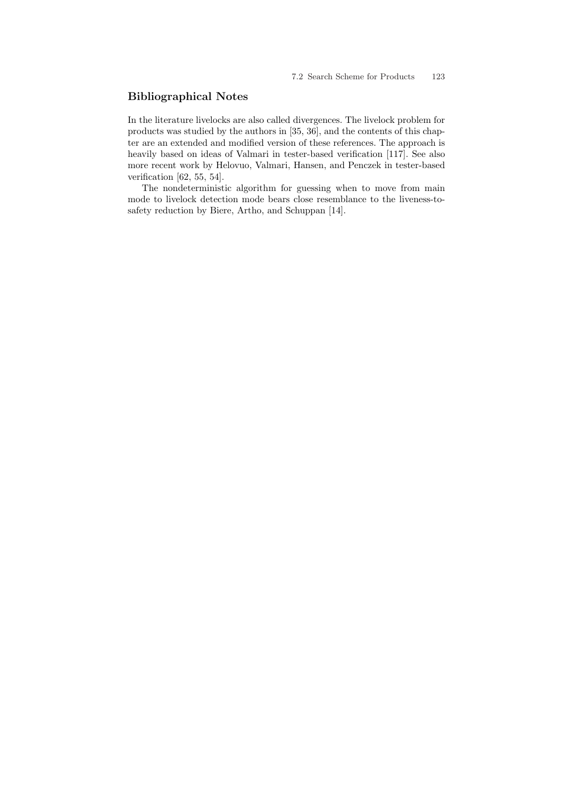# Bibliographical Notes

In the literature livelocks are also called divergences. The livelock problem for products was studied by the authors in  $[35, 36]$ , and the contents of this chapter are an extended and modified version of these references. The approach is heavily based on ideas of Valmari in tester-based verification [117]. See also more recent work by Helovuo, Valmari, Hansen, and Penczek in tester-based verification [62, 55, 54].

The nondeterministic algorithm for guessing when to move from main mode to livelock detection mode bears close resemblance to the liveness-tosafety reduction by Biere, Artho, and Schuppan [14].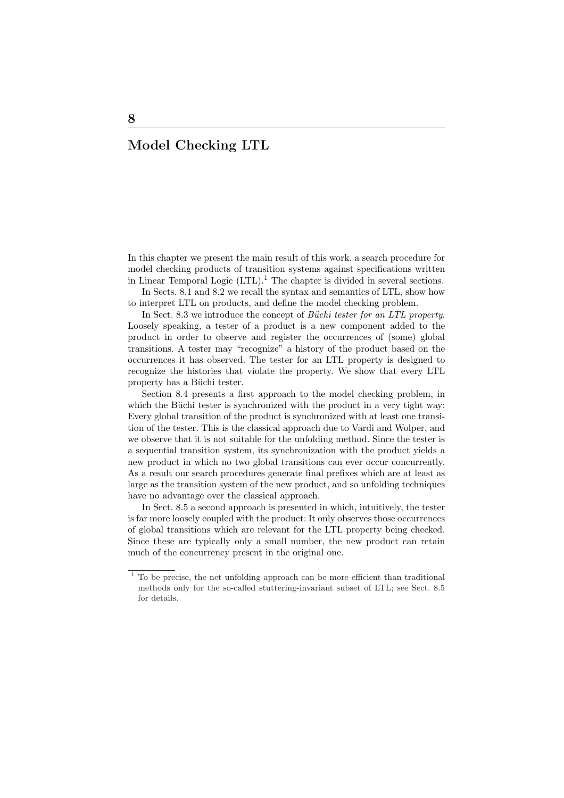# Model Checking LTL

In this chapter we present the main result of this work, a search procedure for model checking products of transition systems against specifications written in Linear Temporal Logic (LTL).<sup>1</sup> The chapter is divided in several sections.

In Sects. 8.1 and 8.2 we recall the syntax and semantics of LTL, show how to interpret LTL on products, and define the model checking problem.

In Sect. 8.3 we introduce the concept of *Büchi tester for an LTL property*. Loosely speaking, a tester of a product is a new component added to the product in order to observe and register the occurrences of (some) global transitions. A tester may "recognize" a history of the product based on the occurrences it has observed. The tester for an LTL property is designed to recognize the histories that violate the property. We show that every LTL property has a Büchi tester.

Section 8.4 presents a first approach to the model checking problem, in which the Büchi tester is synchronized with the product in a very tight way: Every global transition of the product is synchronized with at least one transition of the tester. This is the classical approach due to Vardi and Wolper, and we observe that it is not suitable for the unfolding method. Since the tester is a sequential transition system, its synchronization with the product yields a new product in which no two global transitions can ever occur concurrently. As a result our search procedures generate final prefixes which are at least as large as the transition system of the new product, and so unfolding techniques have no advantage over the classical approach.

In Sect. 8.5 a second approach is presented in which, intuitively, the tester is far more loosely coupled with the product: It only observes those occurrences of global transitions which are relevant for the LTL property being checked. Since these are typically only a small number, the new product can retain much of the concurrency present in the original one.

 $1$  To be precise, the net unfolding approach can be more efficient than traditional methods only for the so-called stuttering-invariant subset of LTL; see Sect. 8.5 for details.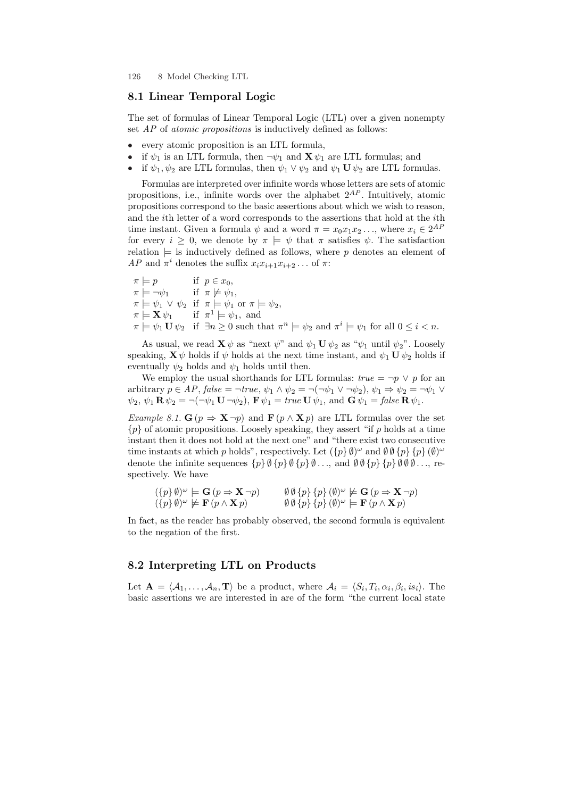126 8 Model Checking LTL

## 8.1 Linear Temporal Logic

The set of formulas of Linear Temporal Logic (LTL) over a given nonempty set AP of *atomic propositions* is inductively defined as follows:

- every atomic proposition is an LTL formula,
- if  $\psi_1$  is an LTL formula, then  $\neg \psi_1$  and  $\mathbf{X} \psi_1$  are LTL formulas; and
- if  $\psi_1, \psi_2$  are LTL formulas, then  $\psi_1 \vee \psi_2$  and  $\psi_1 \mathbf{U} \psi_2$  are LTL formulas.

Formulas are interpreted over infinite words whose letters are sets of atomic propositions, i.e., infinite words over the alphabet  $2^{AP}$ . Intuitively, atomic propositions correspond to the basic assertions about which we wish to reason, and the ith letter of a word corresponds to the assertions that hold at the ith time instant. Given a formula  $\psi$  and a word  $\pi = x_0 x_1 x_2 \dots$ , where  $x_i \in 2^{AP}$ for every  $i \geq 0$ , we denote by  $\pi \models \psi$  that  $\pi$  satisfies  $\psi$ . The satisfaction relation  $\models$  is inductively defined as follows, where p denotes an element of *AP* and  $\pi^{i}$  denotes the suffix  $x_{i}x_{i+1}x_{i+2} \dots$  of  $\pi$ :

 $\pi \models p$  if  $p \in x_0$ ,  $\pi \models \neg \psi_1$  if  $\pi \not\models \psi_1$ ,  $\pi \models \psi_1 \lor \psi_2$  if  $\pi \models \psi_1$  or  $\pi \models \psi_2$ ,  $\pi \models \mathbf{X} \psi_1$  $1 \models \psi_1$ , and  $\pi \models \psi_1 \mathbf{U} \psi_2$  if  $\exists n \geq 0$  such that  $\pi^n \models \psi_2$  and  $\pi^i \models \psi_1$  for all  $0 \leq i < n$ .

As usual, we read  $\mathbf{X} \psi$  as "next  $\psi$ " and  $\psi_1 \mathbf{U} \psi_2$  as " $\psi_1$  until  $\psi_2$ ". Loosely speaking,  $\mathbf{X} \psi$  holds if  $\psi$  holds at the next time instant, and  $\psi_1 \mathbf{U} \psi_2$  holds if eventually  $\psi_2$  holds and  $\psi_1$  holds until then.

We employ the usual shorthands for LTL formulas:  $true = \neg p \lor p$  for an arbitrary  $p \in AP$ , false =  $\neg \text{true}, \psi_1 \wedge \psi_2 = \neg(\neg \psi_1 \vee \neg \psi_2), \psi_1 \Rightarrow \psi_2 = \neg \psi_1 \vee \psi_2$  $\psi_2, \psi_1 \mathbf{R} \psi_2 = \neg(\neg \psi_1 \mathbf{U} \neg \psi_2), \mathbf{F} \psi_1 = \text{true } \mathbf{U} \psi_1, \text{ and } \mathbf{G} \psi_1 = \text{false } \mathbf{R} \psi_1.$ 

Example 8.1.  $\mathbf{G}(p \Rightarrow \mathbf{X} \neg p)$  and  $\mathbf{F}(p \land \mathbf{X} p)$  are LTL formulas over the set  ${p}$  of atomic propositions. Loosely speaking, they assert "if p holds at a time" instant then it does not hold at the next one" and "there exist two consecutive time instants at which p holds", respectively. Let  $({p} \, \emptyset)^{\omega}$  and  $\emptyset \emptyset {p}$   ${p} \, \emptyset^{\omega}$ denote the infinite sequences  $\{p\} \emptyset \{p\} \emptyset \{p\} \emptyset \ldots$ , and  $\emptyset \emptyset \{p\} \{p\} \emptyset \emptyset \ldots$ , respectively. We have

$$
(\{p\}\emptyset)^{\omega} \models \mathbf{G}\ (p \Rightarrow \mathbf{X} \neg p) \qquad \emptyset \emptyset \{p\} \{\emptyset\} \emptyset^{\omega} \not\models \mathbf{G}\ (p \Rightarrow \mathbf{X} \neg p) (\{p\}\emptyset)^{\omega} \not\models \mathbf{F}\ (p \land \mathbf{X} p) \qquad \emptyset \emptyset \{p\} \{\emptyset\} \emptyset^{\omega} \not\models \mathbf{F}\ (p \land \mathbf{X} p)
$$

In fact, as the reader has probably observed, the second formula is equivalent to the negation of the first.

## 8.2 Interpreting LTL on Products

Let  $\mathbf{A} = \langle A_1, \ldots, A_n, \mathbf{T} \rangle$  be a product, where  $A_i = \langle S_i, T_i, \alpha_i, \beta_i, is_i \rangle$ . The basic assertions we are interested in are of the form "the current local state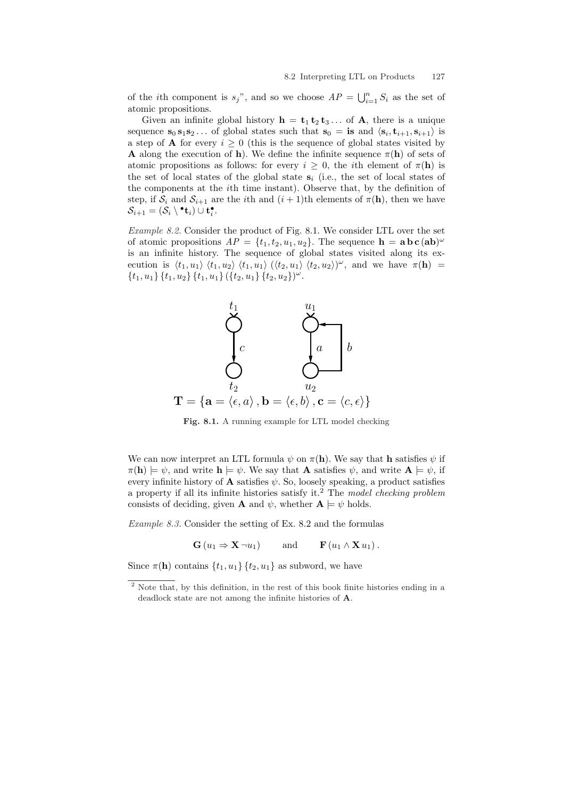of the *i*th component is  $s_j$ ", and so we choose  $AP = \bigcup_{i=1}^n S_i$  as the set of atomic propositions.

Given an infinite global history  $h = t_1 t_2 t_3 \dots$  of **A**, there is a unique sequence  $s_0 s_1 s_2 \dots$  of global states such that  $s_0 = \textbf{is}$  and  $\langle s_i, t_{i+1}, s_{i+1} \rangle$  is a step of **A** for every  $i \geq 0$  (this is the sequence of global states visited by **A** along the execution of h). We define the infinite sequence  $\pi(\mathbf{h})$  of sets of atomic propositions as follows: for every  $i \geq 0$ , the *i*th element of  $\pi(\mathbf{h})$  is the set of local states of the global state  $s_i$  (i.e., the set of local states of the components at the ith time instant). Observe that, by the definition of step, if  $S_i$  and  $S_{i+1}$  are the *i*th and  $(i + 1)$ th elements of  $\pi(\mathbf{h})$ , then we have  $\mathcal{S}_{i+1} = (\mathcal{S}_i \setminus \mathbf{^{\bullet}t}_i) \cup \mathbf{t}_i^{\mathbf{^{\bullet}t}}$ .

Example 8.2. Consider the product of Fig. 8.1. We consider LTL over the set of atomic propositions  $AP = \{t_1, t_2, u_1, u_2\}$ . The sequence  $\mathbf{h} = \mathbf{a} \mathbf{b} \mathbf{c} \, (\mathbf{a} \mathbf{b})^{\omega}$ is an infinite history. The sequence of global states visited along its execution is  $\langle t_1, u_1 \rangle \langle t_1, u_2 \rangle \langle t_1, u_1 \rangle \langle t_2, u_1 \rangle \langle t_2, u_2 \rangle$ , and we have  $\pi(\mathbf{h}) =$  ${t_1, u_1} {t_1, u_2} {t_1, u_1} (\{t_2, u_1\} {\{t_2, u_2\}})^\omega.$ 



Fig. 8.1. A running example for LTL model checking

We can now interpret an LTL formula  $\psi$  on  $\pi(\mathbf{h})$ . We say that **h** satisfies  $\psi$  if  $\pi(\mathbf{h}) \models \psi$ , and write  $\mathbf{h} \models \psi$ . We say that **A** satisfies  $\psi$ , and write  $\mathbf{A} \models \psi$ , if every infinite history of **A** satisfies  $\psi$ . So, loosely speaking, a product satisfies a property if all its infinite histories satisfy it.<sup>2</sup> The model checking problem consists of deciding, given **A** and  $\psi$ , whether  $\mathbf{A} \models \psi$  holds.

Example 8.3. Consider the setting of Ex. 8.2 and the formulas

$$
\mathbf{G}(u_1 \Rightarrow \mathbf{X} \neg u_1) \quad \text{and} \quad \mathbf{F}(u_1 \land \mathbf{X} u_1).
$$

Since  $\pi(\mathbf{h})$  contains  $\{t_1, u_1\}$   $\{t_2, u_1\}$  as subword, we have

<sup>&</sup>lt;sup>2</sup> Note that, by this definition, in the rest of this book finite histories ending in a deadlock state are not among the infinite histories of A.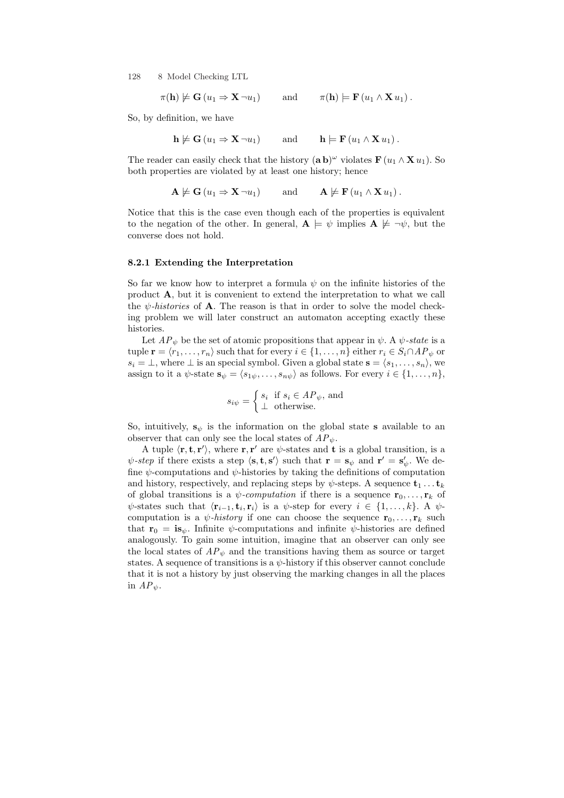128 8 Model Checking LTL

$$
\pi(\mathbf{h}) \not\models \mathbf{G}(u_1 \Rightarrow \mathbf{X} \neg u_1) \quad \text{and} \quad \pi(\mathbf{h}) \models \mathbf{F}(u_1 \land \mathbf{X} u_1).
$$

So, by definition, we have

$$
\mathbf{h} \not\models \mathbf{G}(u_1 \Rightarrow \mathbf{X} \neg u_1) \quad \text{and} \quad \mathbf{h} \models \mathbf{F}(u_1 \land \mathbf{X} u_1) .
$$

The reader can easily check that the history  $(\mathbf{a}\,\mathbf{b})^{\omega}$  violates  $\mathbf{F}(u_1 \wedge \mathbf{X} u_1)$ . So both properties are violated by at least one history; hence

$$
\mathbf{A} \not\models \mathbf{G}(u_1 \Rightarrow \mathbf{X} \neg u_1) \quad \text{and} \quad \mathbf{A} \not\models \mathbf{F}(u_1 \land \mathbf{X} u_1) .
$$

Notice that this is the case even though each of the properties is equivalent to the negation of the other. In general,  $A \models \psi$  implies  $A \not\models \neg \psi$ , but the converse does not hold.

#### 8.2.1 Extending the Interpretation

So far we know how to interpret a formula  $\psi$  on the infinite histories of the product A, but it is convenient to extend the interpretation to what we call the  $\psi$ -histories of **A**. The reason is that in order to solve the model checking problem we will later construct an automaton accepting exactly these histories.

Let  $AP_{\psi}$  be the set of atomic propositions that appear in  $\psi$ . A  $\psi$ -state is a tuple  $\mathbf{r} = \langle r_1, \ldots, r_n \rangle$  such that for every  $i \in \{1, \ldots, n\}$  either  $r_i \in S_i \cap AP_{\psi}$  or  $s_i = \perp$ , where  $\perp$  is an special symbol. Given a global state  $\mathbf{s} = \langle s_1, \ldots, s_n \rangle$ , we assign to it a  $\psi$ -state  $\mathbf{s}_{\psi} = \langle s_{1\psi}, \ldots, s_{n\psi} \rangle$  as follows. For every  $i \in \{1, \ldots, n\}$ ,

$$
s_{i\psi} = \begin{cases} s_i & \text{if } s_i \in AP_{\psi}, \text{ and} \\ \perp & \text{otherwise.} \end{cases}
$$

So, intuitively,  $s_{\psi}$  is the information on the global state s available to an observer that can only see the local states of  $AP_{\psi}$ .

A tuple  $\langle \mathbf{r}, \mathbf{t}, \mathbf{r}' \rangle$ , where  $\mathbf{r}, \mathbf{r}'$  are  $\psi$ -states and  $\mathbf{t}$  is a global transition, is a  $\psi\text{-}step$  if there exists a step  $\langle \mathbf{s}, \mathbf{t}, \mathbf{s}' \rangle$  such that  $\mathbf{r} = \mathbf{s}_{\psi}$  and  $\mathbf{r}' = \mathbf{s}'_{\psi}$ . We define  $\psi$ -computations and  $\psi$ -histories by taking the definitions of computation and history, respectively, and replacing steps by  $\psi$ -steps. A sequence  $\mathbf{t}_1 \dots \mathbf{t}_k$ of global transitions is a  $\psi$ -computation if there is a sequence  $\mathbf{r}_0, \ldots, \mathbf{r}_k$  of  $\psi$ -states such that  $\langle \mathbf{r}_{i-1}, \mathbf{t}_i, \mathbf{r}_i \rangle$  is a  $\psi$ -step for every  $i \in \{1, ..., k\}$ . A  $\psi$ computation is a  $\psi$ -history if one can choose the sequence  $\mathbf{r}_0, \ldots, \mathbf{r}_k$  such that  $\mathbf{r}_0 = \mathbf{is}_{\psi}$ . Infinite  $\psi$ -computations and infinite  $\psi$ -histories are defined analogously. To gain some intuition, imagine that an observer can only see the local states of  $AP_{\psi}$  and the transitions having them as source or target states. A sequence of transitions is a  $\psi$ -history if this observer cannot conclude that it is not a history by just observing the marking changes in all the places in  $AP_{\psi}$ .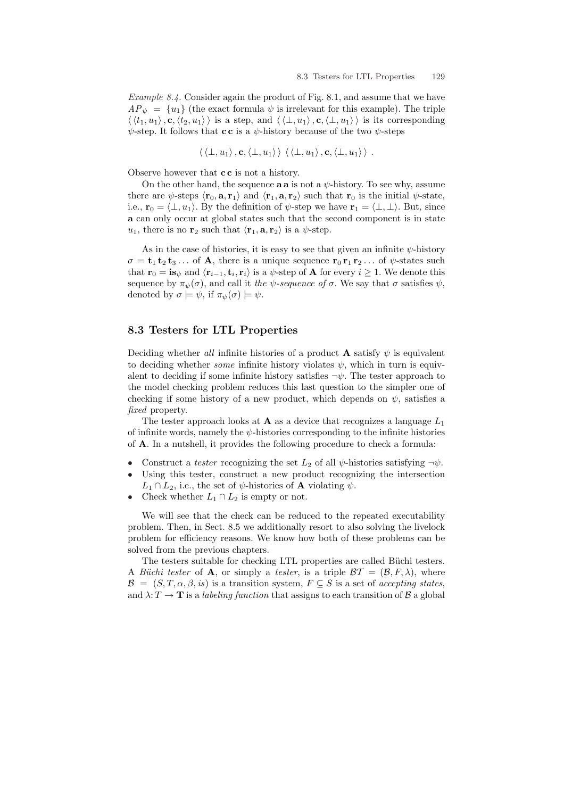Example 8.4. Consider again the product of Fig. 8.1, and assume that we have  $AP_{\psi} = \{u_1\}$  (the exact formula  $\psi$  is irrelevant for this example). The triple  $\langle\langle t_1, u_1 \rangle, \mathbf{c}, \langle t_2, u_1 \rangle \rangle$  is a step, and  $\langle\langle \perp, u_1 \rangle, \mathbf{c}, \langle \perp, u_1 \rangle \rangle$  is its corresponding  $\psi$ -step. It follows that **c c** is a  $\psi$ -history because of the two  $\psi$ -steps

$$
\langle \langle \bot, u_1 \rangle, \mathbf{c}, \langle \bot, u_1 \rangle \rangle \langle \langle \bot, u_1 \rangle, \mathbf{c}, \langle \bot, u_1 \rangle \rangle.
$$

Observe however that  $\mathbf{c} \mathbf{c}$  is not a history.

On the other hand, the sequence  $\mathbf{a} \mathbf{a}$  is not a  $\psi$ -history. To see why, assume there are  $\psi$ -steps  $\langle \mathbf{r}_0, \mathbf{a}, \mathbf{r}_1 \rangle$  and  $\langle \mathbf{r}_1, \mathbf{a}, \mathbf{r}_2 \rangle$  such that  $\mathbf{r}_0$  is the initial  $\psi$ -state, i.e.,  $\mathbf{r}_0 = \langle \perp, u_1 \rangle$ . By the definition of  $\psi$ -step we have  $\mathbf{r}_1 = \langle \perp, \perp \rangle$ . But, since a can only occur at global states such that the second component is in state  $u_1$ , there is no  $\mathbf{r}_2$  such that  $\langle \mathbf{r}_1, \mathbf{a}, \mathbf{r}_2 \rangle$  is a  $\psi$ -step.

As in the case of histories, it is easy to see that given an infinite  $\psi$ -history  $\sigma = \mathbf{t}_1 \mathbf{t}_2 \mathbf{t}_3 \dots$  of **A**, there is a unique sequence  $\mathbf{r}_0 \mathbf{r}_1 \mathbf{r}_2 \dots$  of  $\psi$ -states such that  $\mathbf{r}_0 = \mathbf{is}_{\psi}$  and  $\langle \mathbf{r}_{i-1}, \mathbf{t}_i, \mathbf{r}_i \rangle$  is a  $\psi$ -step of **A** for every  $i \geq 1$ . We denote this sequence by  $\pi_{\psi}(\sigma)$ , and call it the  $\psi$ -sequence of  $\sigma$ . We say that  $\sigma$  satisfies  $\psi$ , denoted by  $\sigma \models \psi$ , if  $\pi_{\psi}(\sigma) \models \psi$ .

# 8.3 Testers for LTL Properties

Deciding whether all infinite histories of a product **A** satisfy  $\psi$  is equivalent to deciding whether some infinite history violates  $\psi$ , which in turn is equivalent to deciding if some infinite history satisfies  $\neg \psi$ . The tester approach to the model checking problem reduces this last question to the simpler one of checking if some history of a new product, which depends on  $\psi$ , satisfies a fixed property.

The tester approach looks at **A** as a device that recognizes a language  $L_1$ of infinite words, namely the  $\psi$ -histories corresponding to the infinite histories of A. In a nutshell, it provides the following procedure to check a formula:

- Construct a tester recognizing the set  $L_2$  of all  $\psi$ -histories satisfying  $\neg \psi$ .
- Using this tester, construct a new product recognizing the intersection
- $L_1 \cap L_2$ , i.e., the set of  $\psi$ -histories of **A** violating  $\psi$ .
- Check whether  $L_1 \cap L_2$  is empty or not.

We will see that the check can be reduced to the repeated executability problem. Then, in Sect. 8.5 we additionally resort to also solving the livelock problem for efficiency reasons. We know how both of these problems can be solved from the previous chapters.

The testers suitable for checking LTL properties are called Büchi testers. A Büchi tester of **A**, or simply a tester, is a triple  $\mathcal{BT} = (\mathcal{B}, F, \lambda)$ , where  $\mathcal{B} = (S, T, \alpha, \beta, is)$  is a transition system,  $F \subseteq S$  is a set of accepting states, and  $\lambda: T \to \mathbf{T}$  is a *labeling function* that assigns to each transition of  $\mathcal{B}$  a global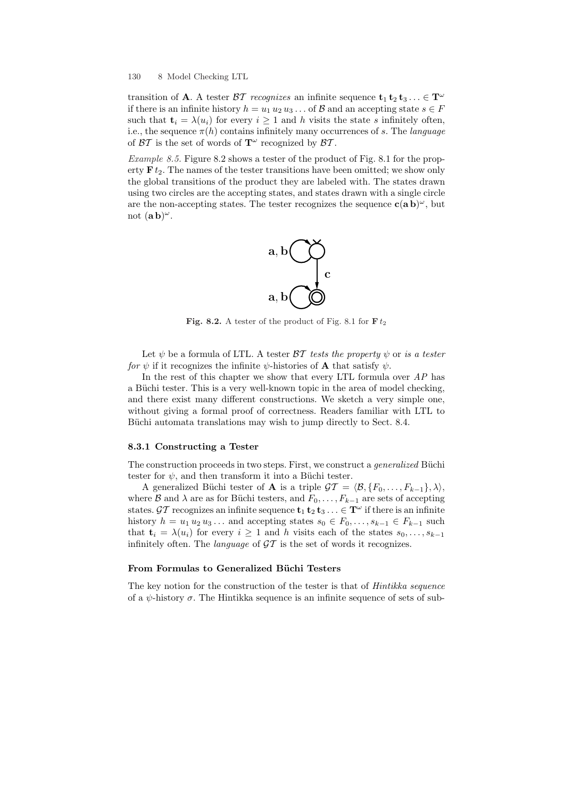#### 130 8 Model Checking LTL

transition of **A**. A tester  $\mathcal{BT}$  recognizes an infinite sequence  $\mathbf{t}_1 \mathbf{t}_2 \mathbf{t}_3 \dots \in \mathbf{T}^{\omega}$ if there is an infinite history  $h = u_1 u_2 u_3 \dots$  of  $\beta$  and an accepting state  $s \in F$ such that  $\mathbf{t}_i = \lambda(u_i)$  for every  $i \geq 1$  and h visits the state s infinitely often, i.e., the sequence  $\pi(h)$  contains infinitely many occurrences of s. The *language* of  $\beta\mathcal{T}$  is the set of words of  $\mathbf{T}^{\omega}$  recognized by  $\beta\mathcal{T}$ .

Example 8.5. Figure 8.2 shows a tester of the product of Fig. 8.1 for the property  $\mathbf{F} t_2$ . The names of the tester transitions have been omitted; we show only the global transitions of the product they are labeled with. The states drawn using two circles are the accepting states, and states drawn with a single circle are the non-accepting states. The tester recognizes the sequence  $c(a b)^{\omega}$ , but not  $(\mathbf{a}\,\mathbf{b})^{\omega}$ .



Fig. 8.2. A tester of the product of Fig. 8.1 for  $F t_2$ 

Let  $\psi$  be a formula of LTL. A tester  $BT$  tests the property  $\psi$  or is a tester for  $\psi$  if it recognizes the infinite  $\psi$ -histories of **A** that satisfy  $\psi$ .

In the rest of this chapter we show that every LTL formula over  $AP$  has a Büchi tester. This is a very well-known topic in the area of model checking, and there exist many different constructions. We sketch a very simple one, without giving a formal proof of correctness. Readers familiar with LTL to Büchi automata translations may wish to jump directly to Sect. 8.4.

#### 8.3.1 Constructing a Tester

The construction proceeds in two steps. First, we construct a *generalized* Büchi tester for  $\psi$ , and then transform it into a Büchi tester.

A generalized Büchi tester of **A** is a triple  $\mathcal{GT} = \langle \mathcal{B}, \{F_0, \ldots, F_{k-1}\}, \lambda \rangle$ , where B and  $\lambda$  are as for Büchi testers, and  $F_0, \ldots, F_{k-1}$  are sets of accepting states.  $\mathcal{GT}$  recognizes an infinite sequence  $\mathbf{t}_1 \mathbf{t}_2 \mathbf{t}_3 \ldots \in \mathbf{T}^{\omega}$  if there is an infinite history  $h = u_1 u_2 u_3 \dots$  and accepting states  $s_0 \in F_0, \dots, s_{k-1} \in F_{k-1}$  such that  $\mathbf{t}_i = \lambda(u_i)$  for every  $i \geq 1$  and h visits each of the states  $s_0, \ldots, s_{k-1}$ infinitely often. The *language* of  $\mathcal{GT}$  is the set of words it recognizes.

#### From Formulas to Generalized Büchi Testers

The key notion for the construction of the tester is that of *Hintikka sequence* of a  $\psi$ -history  $\sigma$ . The Hintikka sequence is an infinite sequence of sets of sub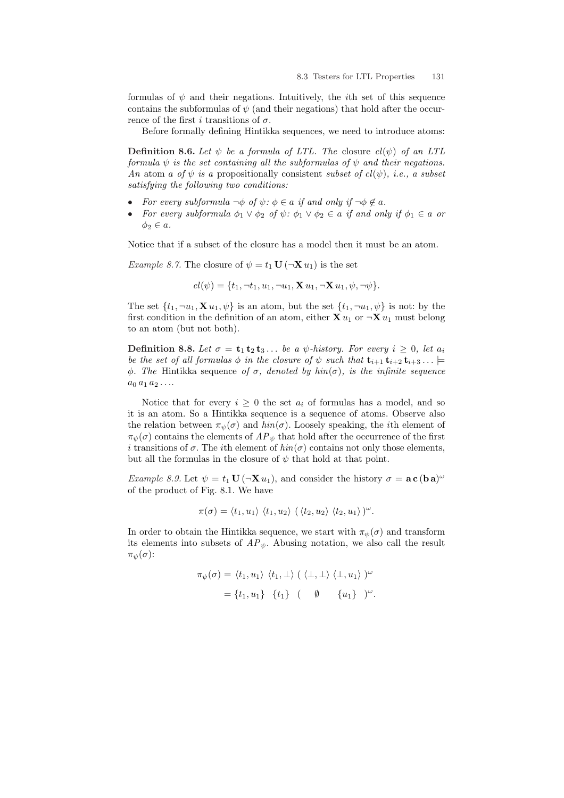formulas of  $\psi$  and their negations. Intuitively, the *i*th set of this sequence contains the subformulas of  $\psi$  (and their negations) that hold after the occurrence of the first *i* transitions of  $\sigma$ .

Before formally defining Hintikka sequences, we need to introduce atoms:

**Definition 8.6.** Let  $\psi$  be a formula of LTL. The closure  $cl(\psi)$  of an LTL formula  $\psi$  is the set containing all the subformulas of  $\psi$  and their negations. An atom a of  $\psi$  is a propositionally consistent subset of  $cl(\psi)$ , i.e., a subset satisfying the following two conditions:

- For every subformula  $\neg \phi$  of  $\psi$ :  $\phi \in \alpha$  if and only if  $\neg \phi \notin \alpha$ .
- For every subformula  $\phi_1 \vee \phi_2$  of  $\psi$ :  $\phi_1 \vee \phi_2 \in a$  if and only if  $\phi_1 \in a$  or  $\phi_2 \in a$ .

Notice that if a subset of the closure has a model then it must be an atom.

Example 8.7. The closure of  $\psi = t_1 \mathbf{U} (\neg \mathbf{X} u_1)$  is the set

$$
cl(\psi) = \{t_1, \neg t_1, u_1, \neg u_1, \mathbf{X} u_1, \neg \mathbf{X} u_1, \psi, \neg \psi\}.
$$

The set  $\{t_1, \neg u_1, \mathbf{X} u_1, \psi\}$  is an atom, but the set  $\{t_1, \neg u_1, \psi\}$  is not: by the first condition in the definition of an atom, either  $\mathbf{X} u_1$  or  $\neg \mathbf{X} u_1$  must belong to an atom (but not both).

**Definition 8.8.** Let  $\sigma = \mathbf{t}_1 \mathbf{t}_2 \mathbf{t}_3 \dots$  be a  $\psi$ -history. For every  $i \geq 0$ , let  $a_i$ be the set of all formulas  $\phi$  in the closure of  $\psi$  such that  $\mathbf{t}_{i+1} \mathbf{t}_{i+2} \mathbf{t}_{i+3} \dots \models$ φ. The Hintikka sequence of σ, denoted by  $hin(σ)$ , is the infinite sequence  $a_0 a_1 a_2 \ldots$ 

Notice that for every  $i \geq 0$  the set  $a_i$  of formulas has a model, and so it is an atom. So a Hintikka sequence is a sequence of atoms. Observe also the relation between  $\pi_{\psi}(\sigma)$  and  $\text{h}in(\sigma)$ . Loosely speaking, the *i*th element of  $\pi_{\psi}(\sigma)$  contains the elements of  $AP_{\psi}$  that hold after the occurrence of the first i transitions of  $\sigma$ . The ith element of  $\lim(\sigma)$  contains not only those elements, but all the formulas in the closure of  $\psi$  that hold at that point.

Example 8.9. Let  $\psi = t_1 \mathbf{U}(-\mathbf{X} u_1)$ , and consider the history  $\sigma = \mathbf{a} \mathbf{c} (\mathbf{b} \mathbf{a})^{\omega}$ of the product of Fig. 8.1. We have

$$
\pi(\sigma) = \langle t_1, u_1 \rangle \langle t_1, u_2 \rangle \langle t_2, u_2 \rangle \langle t_2, u_1 \rangle)^{\omega}.
$$

In order to obtain the Hintikka sequence, we start with  $\pi_{\psi}(\sigma)$  and transform its elements into subsets of  $AP_{\psi}$ . Abusing notation, we also call the result  $\pi_{\psi}(\sigma)$ :

$$
\pi_{\psi}(\sigma) = \langle t_1, u_1 \rangle \langle t_1, \bot \rangle \langle \bot, \bot \rangle \langle \bot, u_1 \rangle \rangle^{\omega}
$$

$$
= \{t_1, u_1\} \{t_1\} \langle \emptyset \langle u_1 \rangle \rangle^{\omega}.
$$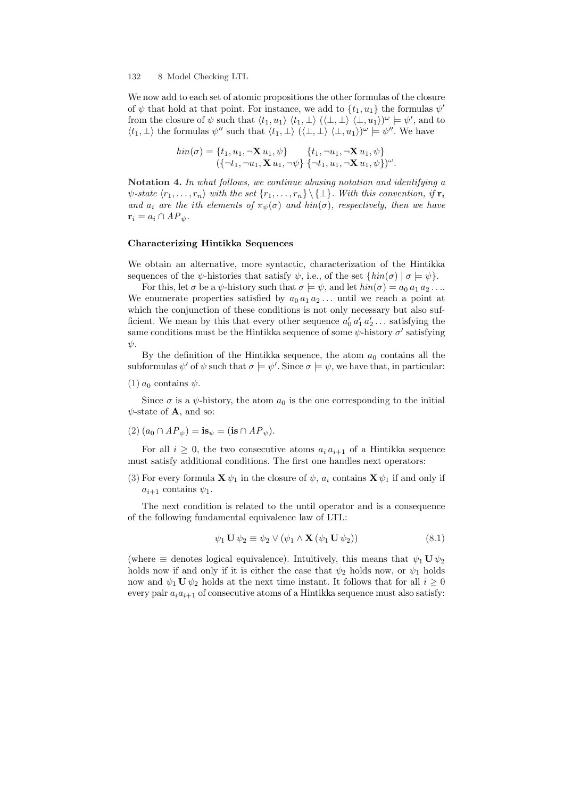### 132 8 Model Checking LTL

We now add to each set of atomic propositions the other formulas of the closure of  $\psi$  that hold at that point. For instance, we add to  $\{t_1, u_1\}$  the formulas  $\psi'$ from the closure of  $\psi$  such that  $\langle t_1, u_1 \rangle \langle t_1, \perp \rangle \langle \perp, \perp \rangle \langle \perp, u_1 \rangle$ )<sup> $\omega$ </sup>  $\models \psi'$ , and to  $\langle t_1, \perp \rangle$  the formulas  $\psi''$  such that  $\langle t_1, \perp \rangle$   $\langle \perp, \perp \rangle$   $\langle \perp, u_1 \rangle$ )<sup> $\omega$ </sup>  $\models \psi''$ . We have

$$
hin(\sigma) = \{t_1, u_1, \neg \mathbf{X} u_1, \psi\} \{t_1, \neg u_1, \neg \mathbf{X} u_1, \psi\} (\{\neg t_1, \neg u_1, \mathbf{X} u_1, \neg \psi\} \{\neg t_1, u_1, \neg \mathbf{X} u_1, \psi\})^{\omega}.
$$

Notation 4. In what follows, we continue abusing notation and identifying a  $\psi$ -state  $\langle r_1, \ldots, r_n \rangle$  with the set  $\{r_1, \ldots, r_n\} \setminus \{\perp\}$ . With this convention, if  $\mathbf{r}_i$ and  $a_i$  are the ith elements of  $\pi_{\psi}(\sigma)$  and  $\text{hin}(\sigma)$ , respectively, then we have  $\mathbf{r}_i = a_i \cap AP_{\psi}.$ 

#### Characterizing Hintikka Sequences

We obtain an alternative, more syntactic, characterization of the Hintikka sequences of the  $\psi$ -histories that satisfy  $\psi$ , i.e., of the set  $\{\hbar i n(\sigma) | \sigma \models \psi\}.$ 

For this, let  $\sigma$  be a  $\psi$ -history such that  $\sigma \models \psi$ , and let  $\mathit{hin}(\sigma) = a_0 a_1 a_2 \ldots$ We enumerate properties satisfied by  $a_0 a_1 a_2 \ldots$  until we reach a point at which the conjunction of these conditions is not only necessary but also sufficient. We mean by this that every other sequence  $a'_0 a'_1 a'_2 \dots$  satisfying the same conditions must be the Hintikka sequence of some  $\psi$ -history  $\sigma'$  satisfying ψ.

By the definition of the Hintikka sequence, the atom  $a_0$  contains all the subformulas  $\psi'$  of  $\psi$  such that  $\sigma \models \psi'$ . Since  $\sigma \models \psi$ , we have that, in particular:

 $(1)$  a<sub>0</sub> contains  $\psi$ .

Since  $\sigma$  is a  $\psi$ -history, the atom  $a_0$  is the one corresponding to the initial  $\psi$ -state of **A**, and so:

(2)  $(a_0 \cap AP_{\psi}) = \mathbf{is}_{\psi} = (\mathbf{is} \cap AP_{\psi}).$ 

For all  $i \geq 0$ , the two consecutive atoms  $a_i a_{i+1}$  of a Hintikka sequence must satisfy additional conditions. The first one handles next operators:

(3) For every formula  $\mathbf{X} \psi_1$  in the closure of  $\psi$ ,  $a_i$  contains  $\mathbf{X} \psi_1$  if and only if  $a_{i+1}$  contains  $\psi_1$ .

The next condition is related to the until operator and is a consequence of the following fundamental equivalence law of LTL:

$$
\psi_1 \mathbf{U} \psi_2 \equiv \psi_2 \vee (\psi_1 \wedge \mathbf{X} (\psi_1 \mathbf{U} \psi_2)) \tag{8.1}
$$

(where  $\equiv$  denotes logical equivalence). Intuitively, this means that  $\psi_1 \mathbf{U} \psi_2$ holds now if and only if it is either the case that  $\psi_2$  holds now, or  $\psi_1$  holds now and  $\psi_1 \mathbf{U} \psi_2$  holds at the next time instant. It follows that for all  $i \geq 0$ every pair  $a_i a_{i+1}$  of consecutive atoms of a Hintikka sequence must also satisfy: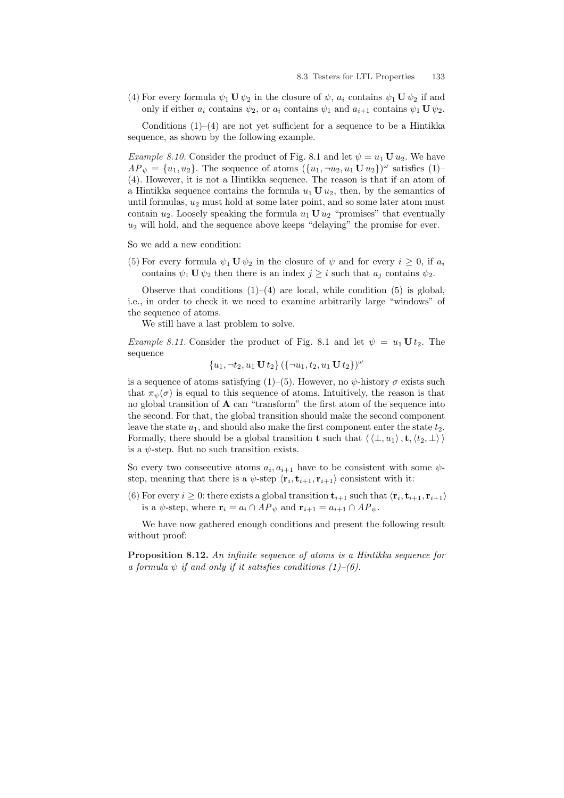(4) For every formula  $\psi_1 \mathbf{U} \psi_2$  in the closure of  $\psi$ ,  $a_i$  contains  $\psi_1 \mathbf{U} \psi_2$  if and only if either  $a_i$  contains  $\psi_2$ , or  $a_i$  contains  $\psi_1$  and  $a_{i+1}$  contains  $\psi_1 \mathbf{U} \psi_2$ .

Conditions  $(1)$ – $(4)$  are not yet sufficient for a sequence to be a Hintikka sequence, as shown by the following example.

Example 8.10. Consider the product of Fig. 8.1 and let  $\psi = u_1 \mathbf{U} u_2$ . We have  $AP_{\psi} = \{u_1, u_2\}.$  The sequence of atoms  $(\{u_1, \neg u_2, u_1 \mathbf{U} u_2\})^{\omega}$  satisfies  $(1)$ (4). However, it is not a Hintikka sequence. The reason is that if an atom of a Hintikka sequence contains the formula  $u_1 \mathbf{U} u_2$ , then, by the semantics of until formulas,  $u_2$  must hold at some later point, and so some later atom must contain  $u_2$ . Loosely speaking the formula  $u_1 \mathbf{U} u_2$  "promises" that eventually  $u_2$  will hold, and the sequence above keeps "delaying" the promise for ever.

So we add a new condition:

(5) For every formula  $\psi_1 \mathbf{U} \psi_2$  in the closure of  $\psi$  and for every  $i \geq 0$ , if  $a_i$ contains  $\psi_1 \mathbf{U} \psi_2$  then there is an index  $j \geq i$  such that  $a_j$  contains  $\psi_2$ .

Observe that conditions  $(1)$ – $(4)$  are local, while condition  $(5)$  is global, i.e., in order to check it we need to examine arbitrarily large "windows" of the sequence of atoms.

We still have a last problem to solve.

*Example 8.11.* Consider the product of Fig. 8.1 and let  $\psi = u_1 \mathbf{U} t_2$ . The sequence

$$
{u_1, \neg t_2, u_1 \mathbf{U} t_2} (\{\neg u_1, t_2, u_1 \mathbf{U} t_2\})^{\omega}
$$

is a sequence of atoms satisfying (1)–(5). However, no  $\psi$ -history  $\sigma$  exists such that  $\pi_{\psi}(\sigma)$  is equal to this sequence of atoms. Intuitively, the reason is that no global transition of  $A$  can "transform" the first atom of the sequence into the second. For that, the global transition should make the second component leave the state  $u_1$ , and should also make the first component enter the state  $t_2$ . Formally, there should be a global transition **t** such that  $\langle \langle \perp, u_1 \rangle, \mathbf{t}, \langle t_2, \perp \rangle \rangle$ is a  $\psi$ -step. But no such transition exists.

So every two consecutive atoms  $a_i, a_{i+1}$  have to be consistent with some  $\psi$ step, meaning that there is a  $\psi$ -step  $\langle \mathbf{r}_i, \mathbf{t}_{i+1}, \mathbf{r}_{i+1} \rangle$  consistent with it:

(6) For every  $i \geq 0$ : there exists a global transition  $\mathbf{t}_{i+1}$  such that  $\langle \mathbf{r}_i, \mathbf{t}_{i+1}, \mathbf{r}_{i+1} \rangle$ is a  $\psi$ -step, where  $\mathbf{r}_i = a_i \cap AP_{\psi}$  and  $\mathbf{r}_{i+1} = a_{i+1} \cap AP_{\psi}$ .

We have now gathered enough conditions and present the following result without proof:

Proposition 8.12. An infinite sequence of atoms is a Hintikka sequence for a formula  $\psi$  if and only if it satisfies conditions (1)–(6).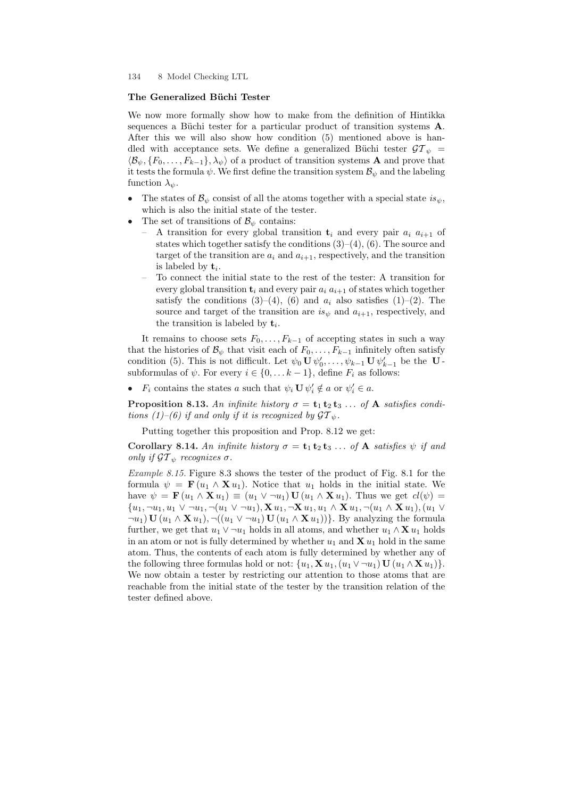134 8 Model Checking LTL

#### The Generalized Büchi Tester

We now more formally show how to make from the definition of Hintikka sequences a Büchi tester for a particular product of transition systems  $\mathbf{A}$ . After this we will also show how condition (5) mentioned above is handled with acceptance sets. We define a generalized Büchi tester  $\mathcal{GT}_{\psi}$  =  $\langle \mathcal{B}_{\psi}, \{F_0, \ldots, F_{k-1}\}, \lambda_{\psi} \rangle$  of a product of transition systems **A** and prove that it tests the formula  $\psi$ . We first define the transition system  $\mathcal{B}_{\psi}$  and the labeling function  $\lambda_{\psi}$ .

- The states of  $\mathcal{B}_{\psi}$  consist of all the atoms together with a special state  $is_{\psi}$ , which is also the initial state of the tester.
- The set of transitions of  $\mathcal{B}_{\psi}$  contains:
	- A transition for every global transition  $t_i$  and every pair  $a_i$   $a_{i+1}$  of states which together satisfy the conditions  $(3)-(4)$ ,  $(6)$ . The source and target of the transition are  $a_i$  and  $a_{i+1}$ , respectively, and the transition is labeled by  $\mathbf{t}_i$ .
	- To connect the initial state to the rest of the tester: A transition for every global transition  $t_i$  and every pair  $a_i$   $a_{i+1}$  of states which together satisfy the conditions (3)–(4), (6) and  $a_i$  also satisfies (1)–(2). The source and target of the transition are  $is_{\psi}$  and  $a_{i+1}$ , respectively, and the transition is labeled by  $t_i$ .

It remains to choose sets  $F_0, \ldots, F_{k-1}$  of accepting states in such a way that the histories of  $\mathcal{B}_{\psi}$  that visit each of  $F_0, \ldots, F_{k-1}$  infinitely often satisfy condition (5). This is not difficult. Let  $\psi_0 \mathbf{U} \psi'_0, \dots, \psi_{k-1} \mathbf{U} \psi'_{k-1}$  be the Usubformulas of  $\psi$ . For every  $i \in \{0, \ldots k-1\}$ , define  $F_i$  as follows:

•  $F_i$  contains the states a such that  $\psi_i \mathbf{U} \psi'_i \notin a$  or  $\psi'_i \in a$ .

**Proposition 8.13.** An infinite history  $\sigma = \mathbf{t}_1 \mathbf{t}_2 \mathbf{t}_3 \dots$  of **A** satisfies conditions (1)–(6) if and only if it is recognized by  $\mathcal{GT}_{\psi}$ .

Putting together this proposition and Prop. 8.12 we get:

Corollary 8.14. An infinite history  $\sigma = \mathbf{t}_1 \mathbf{t}_2 \mathbf{t}_3 \dots$  of **A** satisfies  $\psi$  if and only if  $\mathcal{GT}_{\psi}$  recognizes  $\sigma$ .

*Example 8.15.* Figure 8.3 shows the tester of the product of Fig. 8.1 for the formula  $\psi = \mathbf{F}(u_1 \wedge \mathbf{X} u_1)$ . Notice that  $u_1$  holds in the initial state. We have  $\psi = \mathbf{F}(u_1 \wedge \mathbf{X} u_1) \equiv (u_1 \vee \neg u_1) \mathbf{U}(u_1 \wedge \mathbf{X} u_1)$ . Thus we get  $cl(\psi) =$  ${u_1, \neg u_1, u_1 \vee \neg u_1, \neg (u_1 \vee \neg u_1), \mathbf{X} u_1, \neg \mathbf{X} u_1, u_1 \wedge \mathbf{X} u_1, \neg (u_1 \wedge \mathbf{X} u_1), (u_1 \vee \mathbf{X} u_1)}$  $\neg u_1)$  U  $(u_1 \wedge \mathbf{X} u_1), \neg ((u_1 \vee \neg u_1) \mathbf{U} (u_1 \wedge \mathbf{X} u_1))\}.$  By analyzing the formula further, we get that  $u_1 \vee \neg u_1$  holds in all atoms, and whether  $u_1 \wedge \mathbf{X} u_1$  holds in an atom or not is fully determined by whether  $u_1$  and  $\mathbf{X} u_1$  hold in the same atom. Thus, the contents of each atom is fully determined by whether any of the following three formulas hold or not:  $\{u_1, \mathbf{X} u_1, (u_1 \vee \neg u_1) \mathbf{U} (u_1 \wedge \mathbf{X} u_1)\}.$ We now obtain a tester by restricting our attention to those atoms that are reachable from the initial state of the tester by the transition relation of the tester defined above.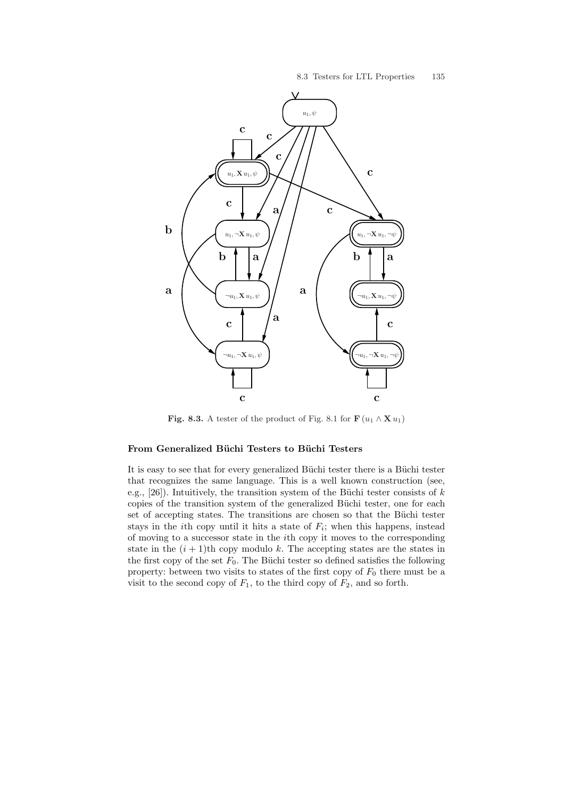

Fig. 8.3. A tester of the product of Fig. 8.1 for  $\mathbf{F}(u_1 \wedge \mathbf{X} u_1)$ 

#### From Generalized Büchi Testers to Büchi Testers

It is easy to see that for every generalized Büchi tester there is a Büchi tester that recognizes the same language. This is a well known construction (see, e.g., [26]). Intuitively, the transition system of the Büchi tester consists of  $k$ copies of the transition system of the generalized Büchi tester, one for each set of accepting states. The transitions are chosen so that the Büchi tester stays in the *i*th copy until it hits a state of  $F_i$ ; when this happens, instead of moving to a successor state in the ith copy it moves to the corresponding state in the  $(i + 1)$ th copy modulo k. The accepting states are the states in the first copy of the set  $F_0$ . The Büchi tester so defined satisfies the following property: between two visits to states of the first copy of  $F_0$  there must be a visit to the second copy of  $F_1$ , to the third copy of  $F_2$ , and so forth.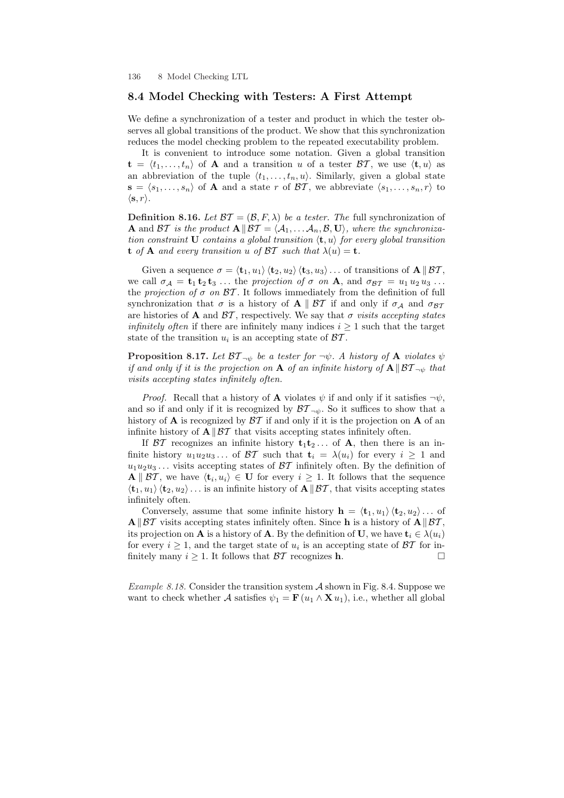136 8 Model Checking LTL

## 8.4 Model Checking with Testers: A First Attempt

We define a synchronization of a tester and product in which the tester observes all global transitions of the product. We show that this synchronization reduces the model checking problem to the repeated executability problem.

It is convenient to introduce some notation. Given a global transition  $\mathbf{t} = \langle t_1, \ldots, t_n \rangle$  of **A** and a transition u of a tester  $\mathcal{BT}$ , we use  $\langle \mathbf{t}, u \rangle$  as an abbreviation of the tuple  $\langle t_1, \ldots, t_n, u \rangle$ . Similarly, given a global state  $\mathbf{s} = \langle s_1, \ldots, s_n \rangle$  of **A** and a state r of  $\mathcal{BT}$ , we abbreviate  $\langle s_1, \ldots, s_n, r \rangle$  to  $\langle \mathbf{s}, r \rangle$ .

**Definition 8.16.** Let  $\mathcal{BT} = (\mathcal{B}, F, \lambda)$  be a tester. The full synchronization of **A** and  $\mathcal{BT}$  is the product  $\mathbf{A} \parallel \mathcal{BT} = \langle A_1, \ldots, A_n, \mathcal{B}, \mathbf{U} \rangle$ , where the synchronization constraint **U** contains a global transition  $\langle \mathbf{t}, u \rangle$  for every global transition **t** of **A** and every transition u of  $BT$  such that  $\lambda(u) = t$ .

Given a sequence  $\sigma = \langle \mathbf{t}_1, u_1 \rangle \langle \mathbf{t}_2, u_2 \rangle \langle \mathbf{t}_3, u_3 \rangle \dots$  of transitions of  $\mathbf{A} \parallel \mathcal{BT}$ , we call  $\sigma_{\mathcal{A}} = \mathbf{t}_1 \mathbf{t}_2 \mathbf{t}_3 \dots$  the projection of  $\sigma$  on **A**, and  $\sigma_{\mathcal{BT}} = u_1 u_2 u_3 \dots$ the projection of  $\sigma$  on  $\beta\mathcal{T}$ . It follows immediately from the definition of full synchronization that  $\sigma$  is a history of  $A \parallel \mathcal{BT}$  if and only if  $\sigma_{\mathcal{A}}$  and  $\sigma_{\mathcal{BT}}$ are histories of **A** and  $\beta$ T, respectively. We say that  $\sigma$  visits accepting states *infinitely often* if there are infinitely many indices  $i \geq 1$  such that the target state of the transition  $u_i$  is an accepting state of  $\beta\mathcal{T}$ .

**Proposition 8.17.** Let  $BT_{\neg \psi}$  be a tester for  $\neg \psi$ . A history of **A** violates  $\psi$ if and only if it is the projection on **A** of an infinite history of  $\mathbf{A} \parallel \mathcal{BT}_{\neg \psi}$  that visits accepting states infinitely often.

*Proof.* Recall that a history of **A** violates  $\psi$  if and only if it satisfies  $\neg \psi$ , and so if and only if it is recognized by  $\beta T_{\neg \psi}$ . So it suffices to show that a history of **A** is recognized by  $\mathcal{BT}$  if and only if it is the projection on **A** of an infinite history of  $A \parallel \mathcal{BT}$  that visits accepting states infinitely often.

If  $\mathcal{BT}$  recognizes an infinite history  $\mathbf{t}_1 \mathbf{t}_2 \dots$  of **A**, then there is an infinite history  $u_1u_2u_3...$  of  $\beta\mathcal{T}$  such that  $\mathbf{t}_i = \lambda(u_i)$  for every  $i \geq 1$  and  $u_1u_2u_3...$  visits accepting states of  $\beta\mathcal{T}$  infinitely often. By the definition of  $\mathbf{A} \parallel \mathcal{BT}$ , we have  $\langle \mathbf{t}_i, u_i \rangle \in \mathbf{U}$  for every  $i \geq 1$ . It follows that the sequence  $\langle \mathbf{t}_1, u_1 \rangle \langle \mathbf{t}_2, u_2 \rangle \dots$  is an infinite history of  $\mathbf{A} \parallel \mathcal{BT}$ , that visits accepting states infinitely often.

Conversely, assume that some infinite history  $\mathbf{h} = \langle \mathbf{t}_1, u_1 \rangle \langle \mathbf{t}_2, u_2 \rangle \dots$  of  $\mathbf{A} \parallel \mathcal{BT}$  visits accepting states infinitely often. Since **h** is a history of  $\mathbf{A} \parallel \mathcal{BT}$ , its projection on **A** is a history of **A**. By the definition of **U**, we have  $\mathbf{t}_i \in \lambda(u_i)$ for every  $i \geq 1$ , and the target state of  $u_i$  is an accepting state of  $\beta \mathcal{T}$  for infinitely many  $i > 1$ . It follows that  $\beta \mathcal{T}$  recognizes h.

*Example 8.18.* Consider the transition system  $\mathcal A$  shown in Fig. 8.4. Suppose we want to check whether A satisfies  $\psi_1 = \mathbf{F}(u_1 \wedge \mathbf{X} u_1)$ , i.e., whether all global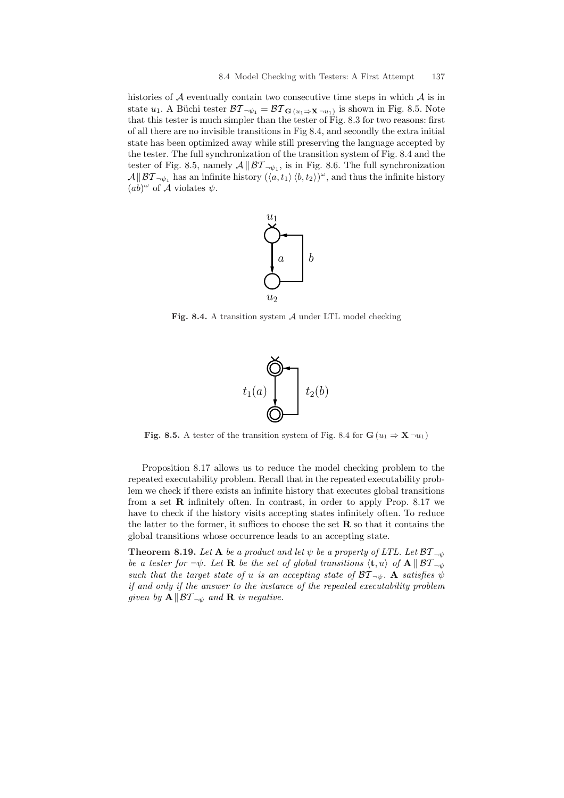histories of  $A$  eventually contain two consecutive time steps in which  $A$  is in state  $u_1$ . A Büchi tester  $\mathcal{BT}_{\neg \psi_1} = \mathcal{BT}_{\mathbf{G}(u_1 \Rightarrow \mathbf{X} \neg u_1)}$  is shown in Fig. 8.5. Note that this tester is much simpler than the tester of Fig. 8.3 for two reasons: first of all there are no invisible transitions in Fig 8.4, and secondly the extra initial state has been optimized away while still preserving the language accepted by the tester. The full synchronization of the transition system of Fig. 8.4 and the tester of Fig. 8.5, namely  $\mathcal{A} \parallel \mathcal{BT}_{\neg \psi_1}$ , is in Fig. 8.6. The full synchronization  $\mathcal{A} \parallel \mathcal{BT}_{\neg \psi_1}$  has an infinite history  $(\langle a, t_1 \rangle \langle b, t_2 \rangle)^\omega$ , and thus the infinite history  $(ab)^{\omega}$  of A violates  $\psi$ .



Fig. 8.4. A transition system A under LTL model checking



Fig. 8.5. A tester of the transition system of Fig. 8.4 for  $G (u_1 \Rightarrow X \neg u_1)$ 

Proposition 8.17 allows us to reduce the model checking problem to the repeated executability problem. Recall that in the repeated executability problem we check if there exists an infinite history that executes global transitions from a set  $\bf R$  infinitely often. In contrast, in order to apply Prop. 8.17 we have to check if the history visits accepting states infinitely often. To reduce the latter to the former, it suffices to choose the set  $R$  so that it contains the global transitions whose occurrence leads to an accepting state.

**Theorem 8.19.** Let **A** be a product and let  $\psi$  be a property of LTL. Let  $BT_{\neg \psi}$ be a tester for  $\neg \psi$ . Let **R** be the set of global transitions  $\langle \mathbf{t}, u \rangle$  of  $\mathbf{A} \parallel \mathcal{BT}_{\neg \psi}$ such that the target state of u is an accepting state of  $\beta T_{\neg \psi}$ . A satisfies  $\psi$ if and only if the answer to the instance of the repeated executability problem given by  $\mathbf{A} \parallel \mathcal{BT}_{\neg \psi}$  and  $\mathbf{R}$  is negative.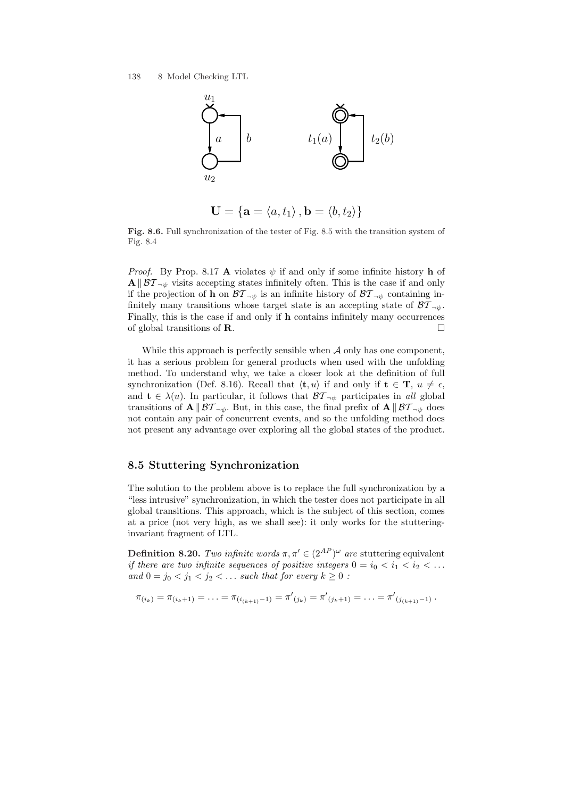

$$
\mathbf{U} = \left\{ \mathbf{a} = \langle a, t_1 \rangle \,, \mathbf{b} = \langle b, t_2 \rangle \right\}
$$

Fig. 8.6. Full synchronization of the tester of Fig. 8.5 with the transition system of Fig. 8.4

*Proof.* By Prop. 8.17 **A** violates  $\psi$  if and only if some infinite history **h** of  $\mathbf{A} \parallel \mathcal{BT}_{\neg \psi}$  visits accepting states infinitely often. This is the case if and only if the projection of **h** on  $BT_{\neg \psi}$  is an infinite history of  $BT_{\neg \psi}$  containing infinitely many transitions whose target state is an accepting state of  $BT_{\neg \psi}$ . Finally, this is the case if and only if h contains infinitely many occurrences of global transitions of  $\bf{R}$ .

While this approach is perfectly sensible when  $A$  only has one component, it has a serious problem for general products when used with the unfolding method. To understand why, we take a closer look at the definition of full synchronization (Def. 8.16). Recall that  $\langle \mathbf{t}, u \rangle$  if and only if  $\mathbf{t} \in \mathbf{T}, u \neq \epsilon$ , and  $\mathbf{t} \in \lambda(u)$ . In particular, it follows that  $\mathcal{BT}_{\neg \psi}$  participates in all global transitions of  $\mathbf{A} \parallel \mathcal{BT}_{\neg \psi}$ . But, in this case, the final prefix of  $\mathbf{A} \parallel \mathcal{BT}_{\neg \psi}$  does not contain any pair of concurrent events, and so the unfolding method does not present any advantage over exploring all the global states of the product.

## 8.5 Stuttering Synchronization

The solution to the problem above is to replace the full synchronization by a "less intrusive" synchronization, in which the tester does not participate in all global transitions. This approach, which is the subject of this section, comes at a price (not very high, as we shall see): it only works for the stutteringinvariant fragment of LTL.

**Definition 8.20.** Two infinite words  $\pi, \pi' \in (2^{AP})^{\omega}$  are stuttering equivalent if there are two infinite sequences of positive integers  $0 = i_0 < i_1 < i_2 < \ldots$ and  $0 = j_0 < j_1 < j_2 < \dots$  such that for every  $k \geq 0$ :

$$
\pi_{(i_k)} = \pi_{(i_k+1)} = \ldots = \pi_{(i_{(k+1)}-1)} = \pi'_{(j_k)} = \pi'_{(j_k+1)} = \ldots = \pi'_{(j_{(k+1)}-1)}.
$$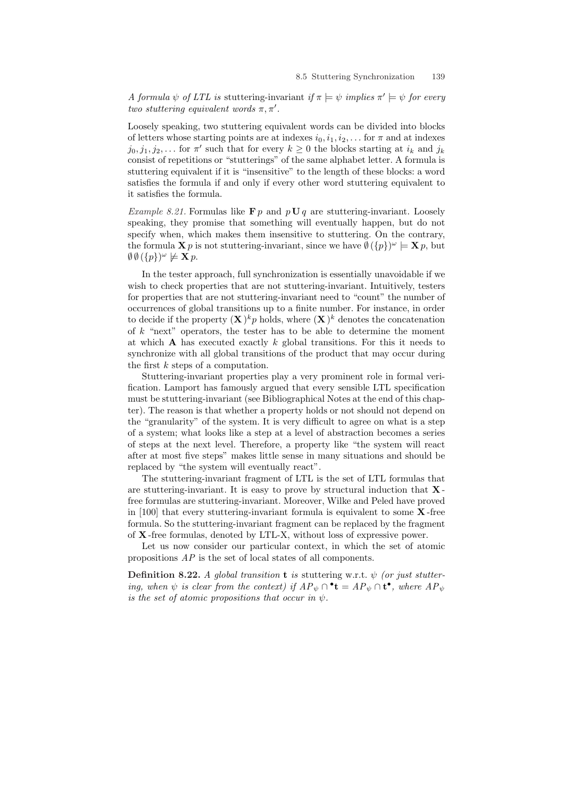A formula  $\psi$  of LTL is stuttering-invariant if  $\pi \models \psi$  implies  $\pi' \models \psi$  for every two stuttering equivalent words  $\pi, \pi'$ .

Loosely speaking, two stuttering equivalent words can be divided into blocks of letters whose starting points are at indexes  $i_0, i_1, i_2, \ldots$  for  $\pi$  and at indexes  $j_0, j_1, j_2, \ldots$  for  $\pi'$  such that for every  $k \geq 0$  the blocks starting at  $i_k$  and  $j_k$ consist of repetitions or "stutterings" of the same alphabet letter. A formula is stuttering equivalent if it is "insensitive" to the length of these blocks: a word satisfies the formula if and only if every other word stuttering equivalent to it satisfies the formula.

Example 8.21. Formulas like  $\mathbf{F} p$  and  $p \mathbf{U} q$  are stuttering-invariant. Loosely speaking, they promise that something will eventually happen, but do not specify when, which makes them insensitive to stuttering. On the contrary, the formula **X** p is not stuttering-invariant, since we have  $\theta({p})^{\omega} \models \mathbf{X} p$ , but  $\emptyset \emptyset (\{p\})^{\omega} \not\models \mathbf{X} p.$ 

In the tester approach, full synchronization is essentially unavoidable if we wish to check properties that are not stuttering-invariant. Intuitively, testers for properties that are not stuttering-invariant need to "count" the number of occurrences of global transitions up to a finite number. For instance, in order to decide if the property  $({\bf X})^k p$  holds, where  $({\bf X})^k$  denotes the concatenation of  $k$  "next" operators, the tester has to be able to determine the moment at which  $\bf{A}$  has executed exactly k global transitions. For this it needs to synchronize with all global transitions of the product that may occur during the first  $k$  steps of a computation.

Stuttering-invariant properties play a very prominent role in formal verification. Lamport has famously argued that every sensible LTL specification must be stuttering-invariant (see Bibliographical Notes at the end of this chapter). The reason is that whether a property holds or not should not depend on the "granularity" of the system. It is very difficult to agree on what is a step of a system; what looks like a step at a level of abstraction becomes a series of steps at the next level. Therefore, a property like "the system will react after at most five steps" makes little sense in many situations and should be replaced by "the system will eventually react".

The stuttering-invariant fragment of LTL is the set of LTL formulas that are stuttering-invariant. It is easy to prove by structural induction that  $X$ free formulas are stuttering-invariant. Moreover, Wilke and Peled have proved in [100] that every stuttering-invariant formula is equivalent to some  $X$ -free formula. So the stuttering-invariant fragment can be replaced by the fragment of X -free formulas, denoted by LTL-X, without loss of expressive power.

Let us now consider our particular context, in which the set of atomic propositions AP is the set of local states of all components.

Definition 8.22. A global transition t is stuttering w.r.t.  $\psi$  (or just stuttering, when  $\psi$  is clear from the context) if  $AP_{\psi} \cap \mathbf{t} = AP_{\psi} \cap \mathbf{t}^{\bullet}$ , where  $AP_{\psi}$ is the set of atomic propositions that occur in  $\psi$ .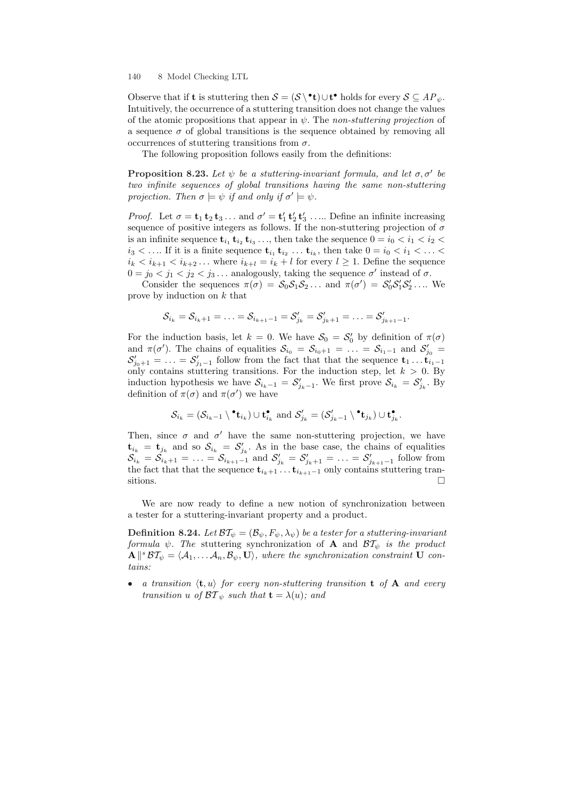## 140 8 Model Checking LTL

Observe that if **t** is stuttering then  $S = (\mathcal{S} \setminus \bullet_t) \cup t^{\bullet}$  holds for every  $S \subseteq AP_{\psi}$ . Intuitively, the occurrence of a stuttering transition does not change the values of the atomic propositions that appear in  $\psi$ . The non-stuttering projection of a sequence  $\sigma$  of global transitions is the sequence obtained by removing all occurrences of stuttering transitions from  $\sigma$ .

The following proposition follows easily from the definitions:

**Proposition 8.23.** Let  $\psi$  be a stuttering-invariant formula, and let  $\sigma$ ,  $\sigma'$  be two infinite sequences of global transitions having the same non-stuttering projection. Then  $\sigma \models \psi$  if and only if  $\sigma' \models \psi$ .

*Proof.* Let  $\sigma = \mathbf{t}_1 \mathbf{t}_2 \mathbf{t}_3 \dots$  and  $\sigma' = \mathbf{t}'_1 \mathbf{t}'_2 \mathbf{t}'_3 \dots$  Define an infinite increasing sequence of positive integers as follows. If the non-stuttering projection of  $\sigma$ is an infinite sequence  $\mathbf{t}_{i_1} \mathbf{t}_{i_2} \mathbf{t}_{i_3} \dots$ , then take the sequence  $0 = i_0 < i_1 < i_2 <$  $i_3 < \dots$  If it is a finite sequence  $\mathbf{t}_{i_1} \mathbf{t}_{i_2} \dots \mathbf{t}_{i_k}$ , then take  $0 = i_0 < i_1 < \dots <$  $i_k < i_{k+1} < i_{k+2} \ldots$  where  $i_{k+l} = i_k + l$  for every  $l \geq 1$ . Define the sequence  $0 = j_0 < j_1 < j_2 < j_3 \dots$  analogously, taking the sequence  $\sigma'$  instead of  $\sigma$ .

Consider the sequences  $\pi(\sigma) = S_0 S_1 S_2 \dots$  and  $\pi(\sigma') = S'_0 S'_1 S'_2 \dots$  We prove by induction on k that

$$
S_{i_k} = S_{i_k+1} = \ldots = S_{i_{k+1}-1} = S'_{j_k} = S'_{j_k+1} = \ldots = S'_{j_{k+1}-1}.
$$

For the induction basis, let  $k = 0$ . We have  $S_0 = S'_0$  by definition of  $\pi(\sigma)$ and  $\pi(\sigma')$ . The chains of equalities  $S_{i_0} = S_{i_0+1} = \ldots = S_{i_1-1}$  and  $S'_{j_0} =$  $\mathcal{S}'_{j_0+1} = \ldots = \mathcal{S}'_{j_1-1}$  follow from the fact that that the sequence  $\mathbf{t}_1 \ldots \mathbf{t}_{i_1-1}$ only contains stuttering transitions. For the induction step, let  $k > 0$ . By induction hypothesis we have  $S_{i_k-1} = S'_{j_k-1}$ . We first prove  $S_{i_k} = S'_{j_k}$ . By definition of  $\pi(\sigma)$  and  $\pi(\sigma')$  we have

$$
\mathcal{S}_{i_k} = (\mathcal{S}_{i_k-1} \setminus \mathbf{^{\bullet}t}_{i_k}) \cup \mathbf{t}_{i_k}^{\bullet} \text{ and } \mathcal{S}'_{j_k} = (\mathcal{S}'_{j_k-1} \setminus \mathbf{^{\bullet}t}_{j_k}) \cup \mathbf{t}_{j_k}^{\bullet}.
$$

Then, since  $\sigma$  and  $\sigma'$  have the same non-stuttering projection, we have  $\mathbf{t}_{i_k} = \mathbf{t}_{j_k}$  and so  $\mathcal{S}_{i_k} = \mathcal{S}'_{j_k}$ . As in the base case, the chains of equalities  $S_{i_k} = S_{i_k+1} = \ldots = S_{i_{k+1}-1}$  and  $S'_{j_k} = S'_{j_k+1} = \ldots = S'_{j_{k+1}-1}$  follow from the fact that that the sequence  $\mathbf{t}_{i_k+1} \dots \mathbf{t}_{i_{k+1}-1}$  only contains stuttering transitions.  $\Box$ 

We are now ready to define a new notion of synchronization between a tester for a stuttering-invariant property and a product.

**Definition 8.24.** Let  $\mathcal{BT}_{\psi} = (\mathcal{B}_{\psi}, F_{\psi}, \lambda_{\psi})$  be a tester for a stuttering-invariant formula  $\psi$ . The stuttering synchronization of **A** and  $\mathcal{BT}_{\psi}$  is the product  $\mathbf{A} \parallel^s \mathcal{B} \mathcal{T}_{\psi} = \langle \mathcal{A}_1, \dots \mathcal{A}_n, \mathcal{B}_{\psi}, \mathbf{U} \rangle$ , where the synchronization constraint U contains:

a transition  $\langle \mathbf{t}, u \rangle$  for every non-stuttering transition **t** of **A** and every transition u of  $\mathcal{BT}_{\psi}$  such that  $\mathbf{t} = \lambda(u)$ ; and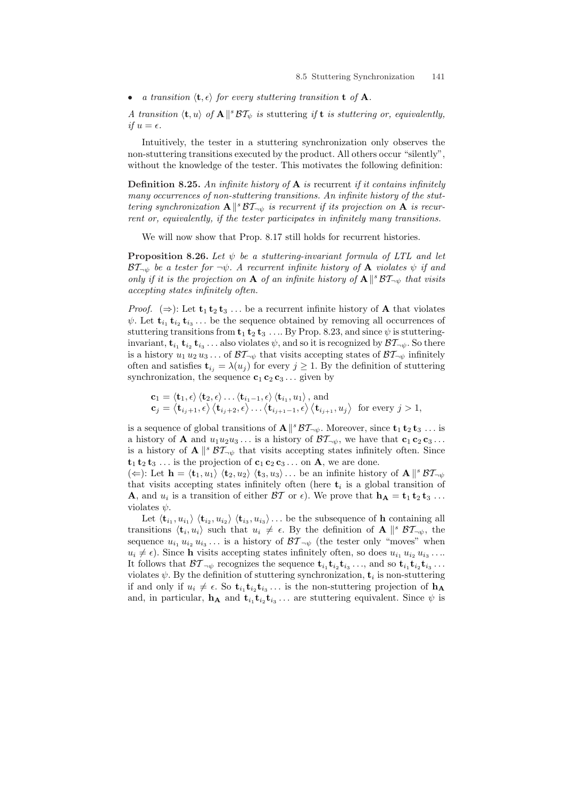• a transition  $\langle \mathbf{t}, \epsilon \rangle$  for every stuttering transition **t** of **A**.

A transition  $\langle \mathbf{t}, u \rangle$  of  $\mathbf{A} \parallel^s \mathcal{BT}_{\psi}$  is stuttering if  $\mathbf{t}$  is stuttering or, equivalently, if  $u = \epsilon$ .

Intuitively, the tester in a stuttering synchronization only observes the non-stuttering transitions executed by the product. All others occur "silently", without the knowledge of the tester. This motivates the following definition:

**Definition 8.25.** An infinite history of  $A$  is recurrent if it contains infinitely many occurrences of non-stuttering transitions. An infinite history of the stuttering synchronization  $\mathbf{A} \parallel^s \mathcal{BT}_{\neg \psi}$  is recurrent if its projection on  $\mathbf{A}$  is recurrent or, equivalently, if the tester participates in infinitely many transitions.

We will now show that Prop. 8.17 still holds for recurrent histories.

**Proposition 8.26.** Let  $\psi$  be a stuttering-invariant formula of LTL and let  $BT_{\neg \psi}$  be a tester for  $\neg \psi$ . A recurrent infinite history of **A** violates  $\psi$  if and only if it is the projection on **A** of an infinite history of  $\mathbf{A} \parallel^s \mathcal{BT}_{\neg \psi}$  that visits accepting states infinitely often.

*Proof.*  $(\Rightarrow)$ : Let  $t_1 t_2 t_3 \dots$  be a recurrent infinite history of **A** that violates  $\psi$ . Let  $\mathbf{t}_{i_1} \mathbf{t}_{i_2} \mathbf{t}_{i_3} \dots$  be the sequence obtained by removing all occurrences of stuttering transitions from  $t_1 t_2 t_3 \ldots$  By Prop. 8.23, and since  $\psi$  is stutteringinvariant,  ${\bf t}_{i_1}\,{\bf t}_{i_2}\,{\bf t}_{i_3}\ldots$  also violates  $\psi,$  and so it is recognized by  $\mathcal{BT}_{\neg\psi}$ . So there is a history  $u_1 u_2 u_3 ...$  of  $\mathcal{BT}_{\neg \psi}$  that visits accepting states of  $\mathcal{BT}_{\neg \psi}$  infinitely often and satisfies  $\mathbf{t}_{i_j} = \lambda(u_j)$  for every  $j \geq 1$ . By the definition of stuttering synchronization, the sequence  $c_1 c_2 c_3 \dots$  given by

$$
\mathbf{c}_1 = \langle \mathbf{t}_1, \epsilon \rangle \langle \mathbf{t}_2, \epsilon \rangle \dots \langle \mathbf{t}_{i_1-1}, \epsilon \rangle \langle \mathbf{t}_{i_1}, u_1 \rangle, \text{ and} \n\mathbf{c}_j = \langle \mathbf{t}_{i_j+1}, \epsilon \rangle \langle \mathbf{t}_{i_j+2}, \epsilon \rangle \dots \langle \mathbf{t}_{i_{j+1}-1}, \epsilon \rangle \langle \mathbf{t}_{i_{j+1}}, u_j \rangle \text{ for every } j > 1,
$$

is a sequence of global transitions of  $\mathbf{A} \parallel^s \mathcal{BT}_{\neg \psi}$ . Moreover, since  $\mathbf{t}_1 \mathbf{t}_2 \mathbf{t}_3 \dots$  is a history of **A** and  $u_1u_2u_3...$  is a history of  $\mathcal{BT}_{\neg \psi}$ , we have that  $\mathbf{c}_1 \mathbf{c}_2 \mathbf{c}_3 ...$ is a history of  $\mathbf{A} \parallel^s \mathcal{BT}_{\neg \psi}$  that visits accepting states infinitely often. Since  $t_1 t_2 t_3 \dots$  is the projection of  $c_1 c_2 c_3 \dots$  on **A**, we are done.

( $\Leftarrow$ ): Let  $\mathbf{h} = \langle \mathbf{t}_1, u_1 \rangle \langle \mathbf{t}_2, u_2 \rangle \langle \mathbf{t}_3, u_3 \rangle \dots$  be an infinite history of  $\mathbf{A} \parallel^s \mathcal{BT}_{\neg \psi}$ that visits accepting states infinitely often (here  $t_i$  is a global transition of **A**, and  $u_i$  is a transition of either  $\mathcal{BT}$  or  $\epsilon$ ). We prove that  $\mathbf{h}_{\mathbf{A}} = \mathbf{t}_1 \mathbf{t}_2 \mathbf{t}_3 \dots$ violates  $\psi$ .

Let  $\langle \mathbf{t}_{i_1}, u_{i_1} \rangle$   $\langle \mathbf{t}_{i_2}, u_{i_2} \rangle$   $\langle \mathbf{t}_{i_3}, u_{i_3} \rangle$ ... be the subsequence of **h** containing all transitions  $\langle \mathbf{t}_i, u_i \rangle$  such that  $u_i \neq \epsilon$ . By the definition of  $\mathbf{A} \parallel^s \mathcal{B} \mathcal{T}_{\neg \psi}$ , the sequence  $u_{i_1} u_{i_2} u_{i_3} \dots$  is a history of  $\mathcal{BT}_{\neg \psi}$  (the tester only "moves" when  $u_i \neq \epsilon$ ). Since **h** visits accepting states infinitely often, so does  $u_{i_1} u_{i_2} u_{i_3} \dots$ It follows that  $BT_{\neg \psi}$  recognizes the sequence  $\mathbf{t}_{i_1}\mathbf{t}_{i_2}\mathbf{t}_{i_3}\ldots$ , and so  $\mathbf{t}_{i_1}\mathbf{t}_{i_2}\mathbf{t}_{i_3}\ldots$ violates  $\psi$ . By the definition of stuttering synchronization,  $\mathbf{t}_i$  is non-stuttering if and only if  $u_i \neq \epsilon$ . So  $\mathbf{t}_{i_1} \mathbf{t}_{i_2} \mathbf{t}_{i_3} \dots$  is the non-stuttering projection of  $\mathbf{h}_{\mathbf{A}}$ and, in particular,  $\mathbf{h}_{\mathbf{A}}$  and  $\mathbf{t}_{i_1} \mathbf{t}_{i_2} \mathbf{t}_{i_3} \dots$  are stuttering equivalent. Since  $\psi$  is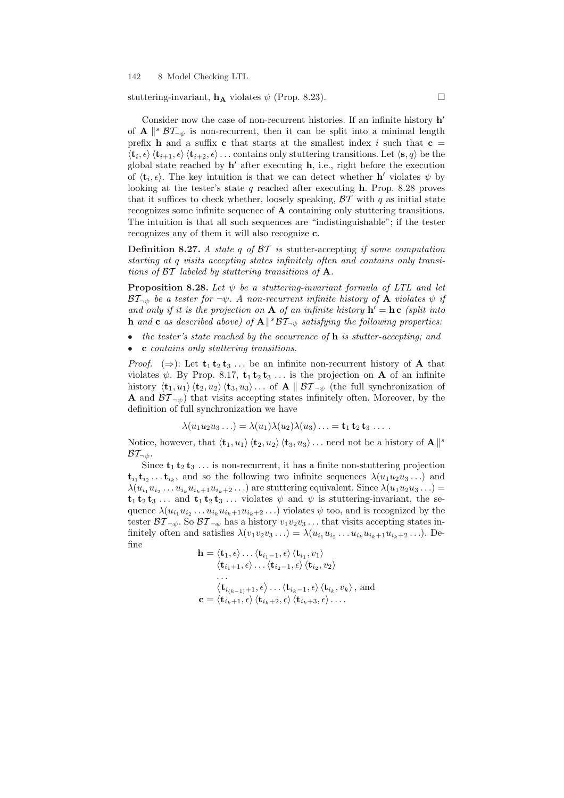## 142 8 Model Checking LTL

stuttering-invariant,  $h_A$  violates  $\psi$  (Prop. 8.23).

Consider now the case of non-recurrent histories. If an infinite history  $h'$ of **A**  $\parallel^s$  BT<sub> $\neg$ </sub> is non-recurrent, then it can be split into a minimal length prefix h and a suffix c that starts at the smallest index i such that  $c =$  $\langle \mathbf{t}_i, \epsilon \rangle \, \langle \mathbf{t}_{i+1}, \epsilon \rangle \, \langle \mathbf{t}_{i+2}, \epsilon \rangle \ldots$  contains only stuttering transitions. Let  $\langle \mathbf{s}, q \rangle$  be the global state reached by  $h'$  after executing  $h$ , i.e., right before the execution of  $\langle \mathbf{t}_i, \epsilon \rangle$ . The key intuition is that we can detect whether h' violates  $\psi$  by looking at the tester's state q reached after executing  $h$ . Prop. 8.28 proves that it suffices to check whether, loosely speaking,  $BT$  with q as initial state recognizes some infinite sequence of A containing only stuttering transitions. The intuition is that all such sequences are "indistinguishable"; if the tester recognizes any of them it will also recognize c.

**Definition 8.27.** A state q of  $BT$  is stutter-accepting if some computation starting at q visits accepting states infinitely often and contains only transitions of  $BT$  labeled by stuttering transitions of  $A$ .

**Proposition 8.28.** Let  $\psi$  be a stuttering-invariant formula of LTL and let  $BT_{\neg \psi}$  be a tester for  $\neg \psi$ . A non-recurrent infinite history of **A** violates  $\psi$  if and only if it is the projection on **A** of an infinite history  $h' = h c$  (split into **h** and **c** as described above) of  $\mathbf{A}$  ||<sup>s</sup>  $\mathcal{BT}_{\neg \psi}$  satisfying the following properties:

- the tester's state reached by the occurrence of  $\bf{h}$  is stutter-accepting; and
- c contains only stuttering transitions.

*Proof.*  $(\Rightarrow)$ : Let  $t_1 t_2 t_3 ...$  be an infinite non-recurrent history of **A** that violates  $\psi$ . By Prop. 8.17,  $t_1 t_2 t_3 \ldots$  is the projection on **A** of an infinite history  $\langle \mathbf{t}_1, u_1 \rangle \langle \mathbf{t}_2, u_2 \rangle \langle \mathbf{t}_3, u_3 \rangle \dots$  of  $\mathbf{A} \parallel \mathcal{BT}_{\neg \psi}$  (the full synchronization of **A** and  $BT_{\neg \psi}$ ) that visits accepting states infinitely often. Moreover, by the definition of full synchronization we have

$$
\lambda(u_1u_2u_3\ldots)=\lambda(u_1)\lambda(u_2)\lambda(u_3)\ldots=\mathbf{t}_1\,\mathbf{t}_2\,\mathbf{t}_3\,\ldots\,.
$$

Notice, however, that  $\langle \mathbf{t}_1, u_1 \rangle \langle \mathbf{t}_2, u_2 \rangle \langle \mathbf{t}_3, u_3 \rangle \dots$  need not be a history of  $\mathbf{A} \parallel^s$  $\mathcal{B}\mathcal{T}_{\neg\psi}$ .

Since  $t_1 t_2 t_3 \ldots$  is non-recurrent, it has a finite non-stuttering projection  $\mathbf{t}_{i_1} \mathbf{t}_{i_2} \dots \mathbf{t}_{i_k}$ , and so the following two infinite sequences  $\lambda(u_1u_2u_3\dots)$  and  $\lambda(u_{i_1}u_{i_2}\ldots u_{i_k}u_{i_k+1}u_{i_k+2}\ldots)$  are stuttering equivalent. Since  $\lambda(u_1u_2u_3\ldots)$  =  $t_1 t_2 t_3 \ldots$  and  $t_1 t_2 t_3 \ldots$  violates  $\psi$  and  $\psi$  is stuttering-invariant, the sequence  $\lambda(u_{i_1}u_{i_2}\ldots u_{i_k}u_{i_k+1}u_{i_k+2}\ldots)$  violates  $\psi$  too, and is recognized by the tester  $BT_{\neg \psi}$ . So  $BT_{\neg \psi}$  has a history  $v_1v_2v_3 \dots$  that visits accepting states infinitely often and satisfies  $\lambda(v_1v_2v_3...) = \lambda(u_{i_1}u_{i_2}\ldots u_{i_k}u_{i_k+1}u_{i_k+2}\ldots)$ . Define

$$
\mathbf{h} = \langle \mathbf{t}_1, \epsilon \rangle \dots \langle \mathbf{t}_{i_1-1}, \epsilon \rangle \langle \mathbf{t}_{i_1}, v_1 \rangle
$$
  
\n
$$
\langle \mathbf{t}_{i_1+1}, \epsilon \rangle \dots \langle \mathbf{t}_{i_2-1}, \epsilon \rangle \langle \mathbf{t}_{i_2}, v_2 \rangle
$$
  
\n
$$
\vdots
$$
  
\n
$$
\langle \mathbf{t}_{i_{(k-1)}+1}, \epsilon \rangle \dots \langle \mathbf{t}_{i_k-1}, \epsilon \rangle \langle \mathbf{t}_{i_k}, v_k \rangle
$$
, and  
\n
$$
\mathbf{c} = \langle \mathbf{t}_{i_k+1}, \epsilon \rangle \langle \mathbf{t}_{i_k+2}, \epsilon \rangle \langle \mathbf{t}_{i_k+3}, \epsilon \rangle \dots
$$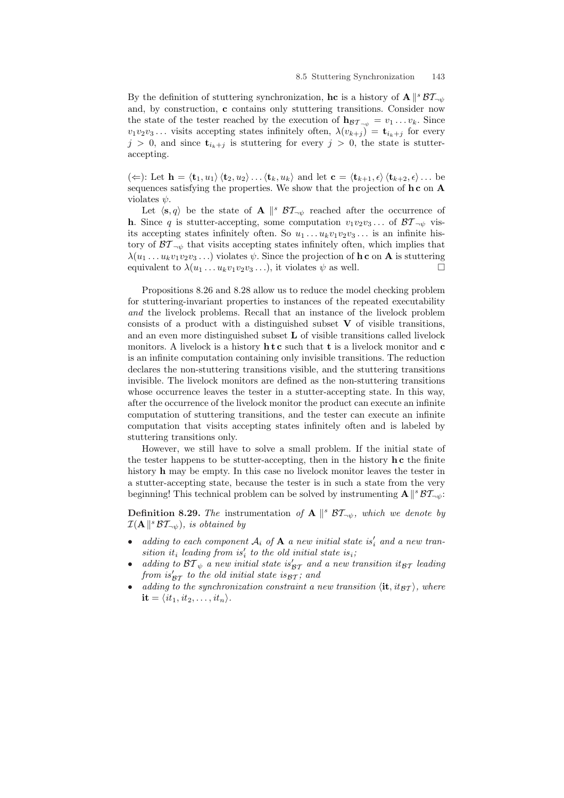By the definition of stuttering synchronization, hc is a history of  $\mathbf{A} \parallel^s \mathcal{BT}_{\neg \psi}$ and, by construction, c contains only stuttering transitions. Consider now the state of the tester reached by the execution of  $\mathbf{h}_{BT_{-\psi}} = v_1 \dots v_k$ . Since  $v_1v_2v_3...$  visits accepting states infinitely often,  $\lambda(v_{k+j}) = \mathbf{t}_{i_k+j}$  for every  $j > 0$ , and since  $t_{i_k+j}$  is stuttering for every  $j > 0$ , the state is stutteraccepting.

( $\Leftarrow$ ): Let  $\mathbf{h} = \langle \mathbf{t}_1, u_1 \rangle \langle \mathbf{t}_2, u_2 \rangle \dots \langle \mathbf{t}_k, u_k \rangle$  and let  $\mathbf{c} = \langle \mathbf{t}_{k+1}, \epsilon \rangle \langle \mathbf{t}_{k+2}, \epsilon \rangle \dots$  be sequences satisfying the properties. We show that the projection of  $\mathbf{h} \mathbf{c}$  on  $\mathbf{A}$ violates  $\psi$ .

Let  $\langle s, q \rangle$  be the state of **A**  $\parallel^s \mathcal{BT}_{\neg \psi}$  reached after the occurrence of **h**. Since q is stutter-accepting, some computation  $v_1v_2v_3...$  of  $\mathcal{BT}_{\neg\psi}$  visits accepting states infinitely often. So  $u_1 \ldots u_k v_1 v_2 v_3 \ldots$  is an infinite history of  $BT_{\neg \psi}$  that visits accepting states infinitely often, which implies that  $\lambda(u_1 \ldots u_k v_1 v_2 v_3 \ldots)$  violates  $\psi$ . Since the projection of **h** c on **A** is stuttering equivalent to  $\lambda(u_1 \ldots u_k v_1 v_2 v_3 \ldots)$ , it violates  $\psi$  as well.  $\Box$ 

Propositions 8.26 and 8.28 allow us to reduce the model checking problem for stuttering-invariant properties to instances of the repeated executability and the livelock problems. Recall that an instance of the livelock problem consists of a product with a distinguished subset  $V$  of visible transitions, and an even more distinguished subset L of visible transitions called livelock monitors. A livelock is a history  $h t c$  such that  $t$  is a livelock monitor and  $c$ is an infinite computation containing only invisible transitions. The reduction declares the non-stuttering transitions visible, and the stuttering transitions invisible. The livelock monitors are defined as the non-stuttering transitions whose occurrence leaves the tester in a stutter-accepting state. In this way, after the occurrence of the livelock monitor the product can execute an infinite computation of stuttering transitions, and the tester can execute an infinite computation that visits accepting states infinitely often and is labeled by stuttering transitions only.

However, we still have to solve a small problem. If the initial state of the tester happens to be stutter-accepting, then in the history  $\mathbf{h} \mathbf{c}$  the finite history h may be empty. In this case no livelock monitor leaves the tester in a stutter-accepting state, because the tester is in such a state from the very beginning! This technical problem can be solved by instrumenting  $\mathbf{A} \parallel^s \mathcal{BT}_{\neg \psi}$ :

**Definition 8.29.** The instrumentation of **A**  $\parallel^s$   $\mathcal{BT}_{\neg \psi}$ , which we denote by  $\mathcal{I}(\mathbf{A} \parallel^s \mathcal{B} \mathcal{T}_{\neg \psi}),$  is obtained by

- adding to each component  $A_i$  of  $A$  a new initial state is'<sub>i</sub> and a new transition it, leading from is, to the old initial state is,
- adding to  $\mathcal{BT}_{\psi}$  a new initial state is  $_{\mathcal{BT}}'$  and a new transition it  $_{\mathcal{BT}}$  leading from  $is'_{BT}$  to the old initial state  $is_{BT}$ ; and
- adding to the synchronization constraint a new transition  $\langle i\mathbf{t}, i\mathbf{t}_{\mathcal{B}\mathcal{T}}\rangle$ , where  $\mathbf{it} = \langle it_1, it_2, \ldots, it_n \rangle.$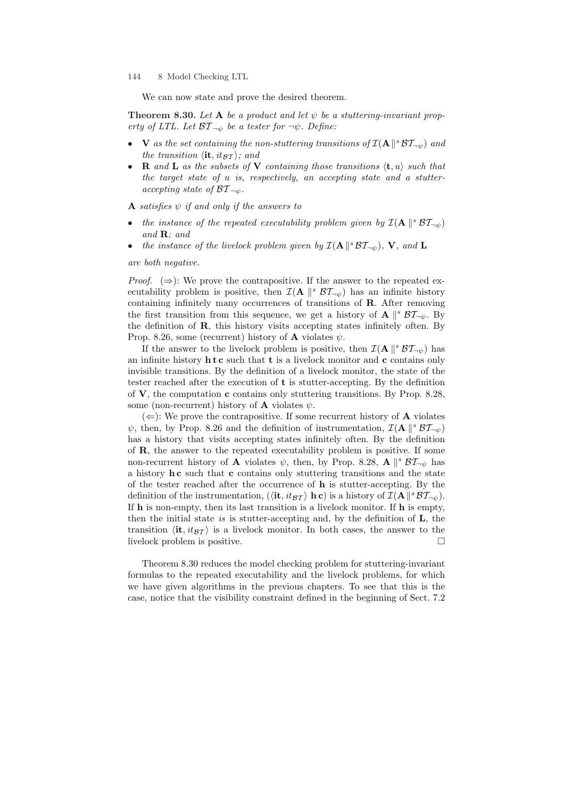#### 144 8 Model Checking LTL

We can now state and prove the desired theorem.

**Theorem 8.30.** Let **A** be a product and let  $\psi$  be a stuttering-invariant property of LTL. Let  $\mathcal{BT}_{\neg \psi}$  be a tester for  $\neg \psi$ . Define:

- V as the set containing the non-stuttering transitions of  $\mathcal{I}(\mathbf{A} \parallel^s \mathcal{B} \mathcal{T}_{\neg \psi})$  and the transition  $\langle$ **it**, it<sub>BT</sub> $\rangle$ ; and
- **R** and **L** as the subsets of **V** containing those transitions  $\langle \mathbf{t}, u \rangle$  such that the target state of u is, respectively, an accepting state and a stutteraccepting state of  $\mathcal{BT}_{\neg \psi}$ .

A satisfies  $\psi$  if and only if the answers to

- the instance of the repeated executability problem given by  $\mathcal{I}(\mathbf{A} \parallel^s \mathcal{BT}_{\neg \psi})$ and R; and
- the instance of the livelock problem given by  $\mathcal{I}(\mathbf{A} \parallel^s \mathcal{B} \mathcal{T}_{\neg \psi})$ , V, and L

are both negative.

*Proof.*  $(\Rightarrow)$ : We prove the contrapositive. If the answer to the repeated executability problem is positive, then  $\mathcal{I}(\mathbf{A} \parallel^s \mathcal{BT}_{\neg \psi})$  has an infinite history containing infinitely many occurrences of transitions of R. After removing the first transition from this sequence, we get a history of  $\mathbf{A} \parallel^s \mathcal{BT}_{\neg \psi}$ . By the definition of R, this history visits accepting states infinitely often. By Prop. 8.26, some (recurrent) history of **A** violates  $\psi$ .

If the answer to the livelock problem is positive, then  $\mathcal{I}(\mathbf{A} \parallel^s \mathcal{B} \mathcal{T}_{\neg \psi})$  has an infinite history  $h t c$  such that  $t i s$  a livelock monitor and  $c$  contains only invisible transitions. By the definition of a livelock monitor, the state of the tester reached after the execution of t is stutter-accepting. By the definition of  $V$ , the computation c contains only stuttering transitions. By Prop. 8.28, some (non-recurrent) history of **A** violates  $\psi$ .

 $(\Leftarrow)$ : We prove the contrapositive. If some recurrent history of **A** violates  $\psi$ , then, by Prop. 8.26 and the definition of instrumentation,  $\mathcal{I}(\mathbf{A} \parallel^s \mathcal{BT}_{\neg \psi})$ has a history that visits accepting states infinitely often. By the definition of **, the answer to the repeated executability problem is positive. If some** non-recurrent history of **A** violates  $\psi$ , then, by Prop. 8.28, **A**  $\|\mathbf{S}\mathbf{B}\mathbf{T}_{\neg\psi}\|$  has a history  $h c$  such that  $c$  contains only stuttering transitions and the state of the tester reached after the occurrence of h is stutter-accepting. By the definition of the instrumentation,  $(\langle i\mathbf{t}, it_{\mathcal{B}\mathcal{T}}\rangle \mathbf{h}\mathbf{c})$  is a history of  $\mathcal{I}(\mathbf{A} | S\mathcal{T}_{\neg\psi})$ . If  **is non-empty, then its last transition is a livelock monitor. If**  $**h**$  **is empty,** then the initial state is is stutter-accepting and, by the definition of  $\bf{L}$ , the transition  $\langle$ **it**,  $it_{BT}$  is a livelock monitor. In both cases, the answer to the livelock problem is positive.

Theorem 8.30 reduces the model checking problem for stuttering-invariant formulas to the repeated executability and the livelock problems, for which we have given algorithms in the previous chapters. To see that this is the case, notice that the visibility constraint defined in the beginning of Sect. 7.2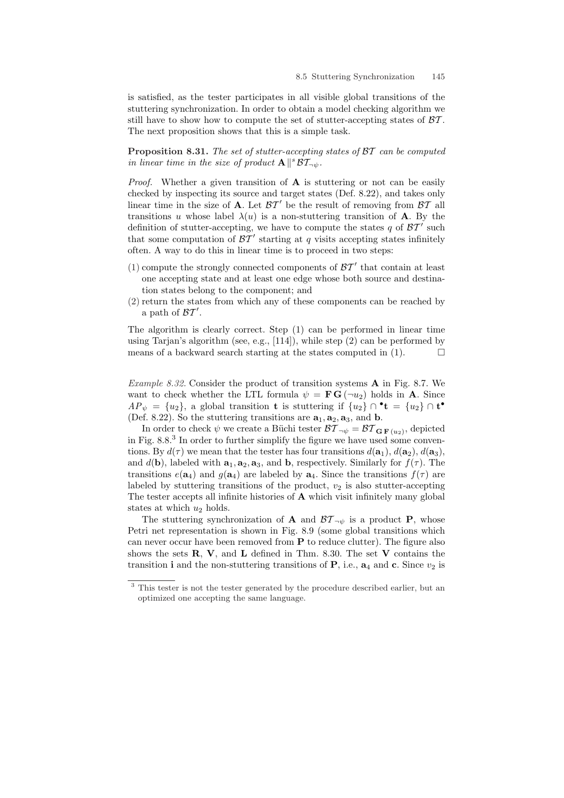is satisfied, as the tester participates in all visible global transitions of the stuttering synchronization. In order to obtain a model checking algorithm we still have to show how to compute the set of stutter-accepting states of  $\beta\mathcal{T}$ . The next proposition shows that this is a simple task.

**Proposition 8.31.** The set of stutter-accepting states of  $BT$  can be computed in linear time in the size of product  $\mathbf{A} \parallel^s \mathcal{BT}_{\neg \psi}$ .

*Proof.* Whether a given transition of  $\bf{A}$  is stuttering or not can be easily checked by inspecting its source and target states (Def. 8.22), and takes only linear time in the size of **A**. Let  $BT'$  be the result of removing from  $BT$  all transitions u whose label  $\lambda(u)$  is a non-stuttering transition of **A**. By the definition of stutter-accepting, we have to compute the states q of  $BT'$  such that some computation of  $\mathcal{BT}'$  starting at q visits accepting states infinitely often. A way to do this in linear time is to proceed in two steps:

- (1) compute the strongly connected components of  $BT'$  that contain at least one accepting state and at least one edge whose both source and destination states belong to the component; and
- (2) return the states from which any of these components can be reached by a path of  $BT'$ .

The algorithm is clearly correct. Step (1) can be performed in linear time using Tarjan's algorithm (see, e.g., [114]), while step (2) can be performed by means of a backward search starting at the states computed in  $(1)$ .  $\Box$ 

*Example 8.32.* Consider the product of transition systems  $\bf{A}$  in Fig. 8.7. We want to check whether the LTL formula  $\psi = \mathbf{F} \mathbf{G}(\neg u_2)$  holds in **A**. Since  $AP_{\psi} = \{u_2\}$ , a global transition **t** is stuttering if  $\{u_2\} \cap \mathbf{t} = \{u_2\} \cap \mathbf{t}$ (Def. 8.22). So the stuttering transitions are  $a_1, a_2, a_3$ , and **b**.

In order to check  $\psi$  we create a Büchi tester  $\mathcal{BT}_{\neg \psi} = \mathcal{BT}_{\mathbf{G} \mathbf{F}(u_2)}$ , depicted in Fig. 8.8.<sup>3</sup> In order to further simplify the figure we have used some conventions. By  $d(\tau)$  we mean that the tester has four transitions  $d(\mathbf{a}_1)$ ,  $d(\mathbf{a}_2)$ ,  $d(\mathbf{a}_3)$ , and  $d(\mathbf{b})$ , labeled with  $\mathbf{a}_1, \mathbf{a}_2, \mathbf{a}_3$ , and **b**, respectively. Similarly for  $f(\tau)$ . The transitions  $e(\mathbf{a}_4)$  and  $g(\mathbf{a}_4)$  are labeled by  $\mathbf{a}_4$ . Since the transitions  $f(\tau)$  are labeled by stuttering transitions of the product,  $v_2$  is also stutter-accepting The tester accepts all infinite histories of A which visit infinitely many global states at which  $u_2$  holds.

The stuttering synchronization of **A** and  $\mathcal{BT}_{\neg \psi}$  is a product **P**, whose Petri net representation is shown in Fig. 8.9 (some global transitions which can never occur have been removed from  $P$  to reduce clutter). The figure also shows the sets  $\mathbf{R}, \mathbf{V}, \mathbf{A}$  and  $\mathbf{L}$  defined in Thm. 8.30. The set  $\mathbf{V}$  contains the transition i and the non-stuttering transitions of P, i.e.,  $a_4$  and c. Since  $v_2$  is

<sup>&</sup>lt;sup>3</sup> This tester is not the tester generated by the procedure described earlier, but an optimized one accepting the same language.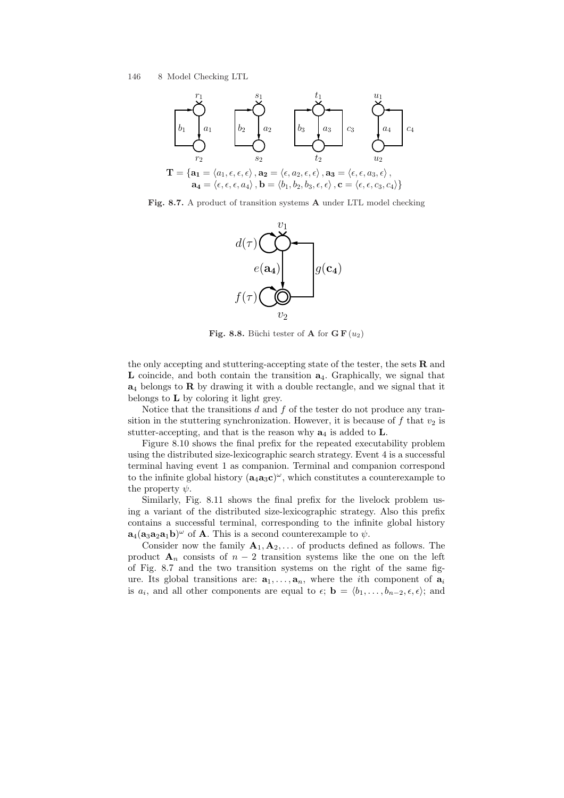

Fig. 8.7. A product of transition systems A under LTL model checking



Fig. 8.8. Büchi tester of A for  $GF(u_2)$ 

the only accepting and stuttering-accepting state of the tester, the sets  **and**  $L$  coincide, and both contain the transition  $a_4$ . Graphically, we signal that  $a_4$  belongs to  $R$  by drawing it with a double rectangle, and we signal that it belongs to L by coloring it light grey.

Notice that the transitions  $d$  and  $f$  of the tester do not produce any transition in the stuttering synchronization. However, it is because of f that  $v_2$  is stutter-accepting, and that is the reason why  $a_4$  is added to  $L$ .

Figure 8.10 shows the final prefix for the repeated executability problem using the distributed size-lexicographic search strategy. Event 4 is a successful terminal having event 1 as companion. Terminal and companion correspond to the infinite global history  $(a_4a_3c)^{\omega}$ , which constitutes a counterexample to the property  $\psi$ .

Similarly, Fig. 8.11 shows the final prefix for the livelock problem using a variant of the distributed size-lexicographic strategy. Also this prefix contains a successful terminal, corresponding to the infinite global history  $\mathbf{a}_4(\mathbf{a}_3\mathbf{a}_2\mathbf{a}_1\mathbf{b})^{\omega}$  of **A**. This is a second counterexample to  $\psi$ .

Consider now the family  $A_1, A_2, \ldots$  of products defined as follows. The product  $A_n$  consists of  $n-2$  transition systems like the one on the left of Fig. 8.7 and the two transition systems on the right of the same figure. Its global transitions are:  $a_1, \ldots, a_n$ , where the *i*th component of  $a_i$ is  $a_i$ , and all other components are equal to  $\epsilon$ ; **b** =  $\langle b_1, \ldots, b_{n-2}, \epsilon, \epsilon \rangle$ ; and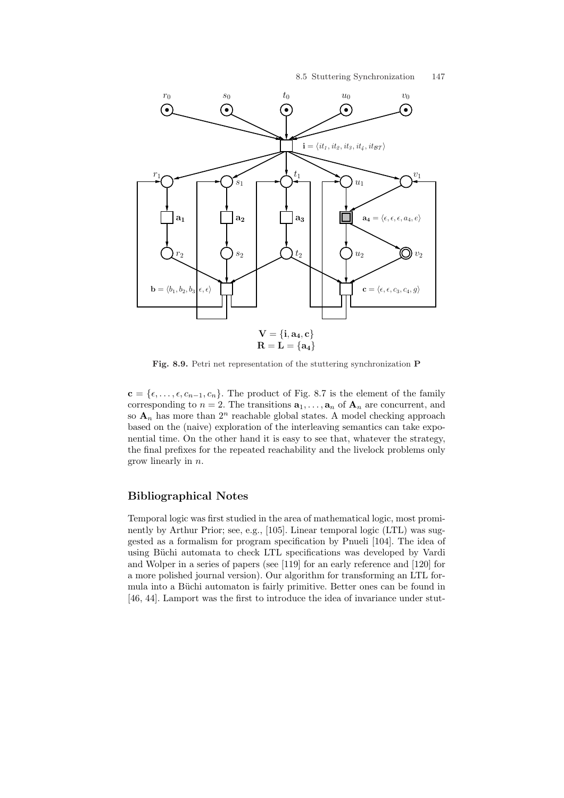#### 8.5 Stuttering Synchronization 147



Fig. 8.9. Petri net representation of the stuttering synchronization P

 $\mathbf{c} = {\epsilon, \ldots, \epsilon, c_{n-1}, c_n}.$  The product of Fig. 8.7 is the element of the family corresponding to  $n = 2$ . The transitions  $\mathbf{a}_1, \ldots, \mathbf{a}_n$  of  $\mathbf{A}_n$  are concurrent, and so  $\mathbf{A}_n$  has more than  $2^n$  reachable global states. A model checking approach based on the (naive) exploration of the interleaving semantics can take exponential time. On the other hand it is easy to see that, whatever the strategy, the final prefixes for the repeated reachability and the livelock problems only grow linearly in n.

## Bibliographical Notes

Temporal logic was first studied in the area of mathematical logic, most prominently by Arthur Prior; see, e.g., [105]. Linear temporal logic (LTL) was suggested as a formalism for program specification by Pnueli [104]. The idea of using Büchi automata to check LTL specifications was developed by Vardi and Wolper in a series of papers (see [119] for an early reference and [120] for a more polished journal version). Our algorithm for transforming an LTL formula into a Büchi automaton is fairly primitive. Better ones can be found in [46, 44]. Lamport was the first to introduce the idea of invariance under stut-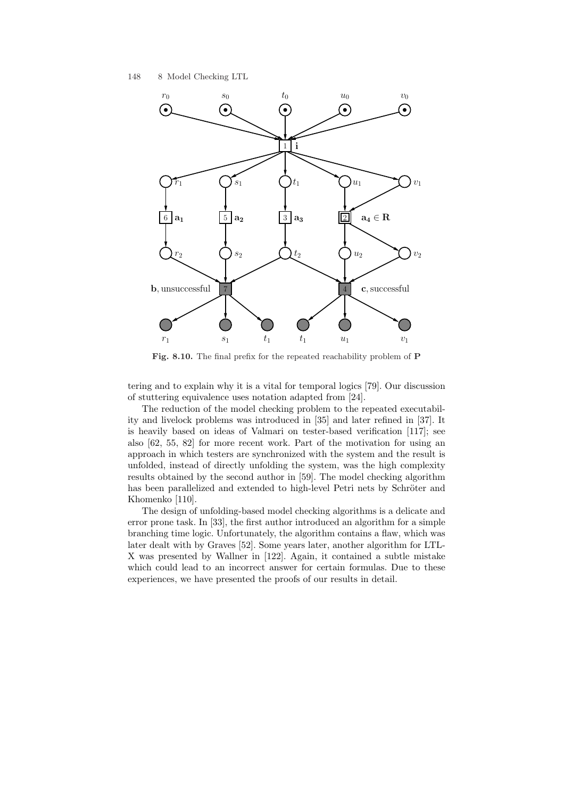#### 148 8 Model Checking LTL



Fig. 8.10. The final prefix for the repeated reachability problem of P

tering and to explain why it is a vital for temporal logics [79]. Our discussion of stuttering equivalence uses notation adapted from [24].

The reduction of the model checking problem to the repeated executability and livelock problems was introduced in [35] and later refined in [37]. It is heavily based on ideas of Valmari on tester-based verification [117]; see also [62, 55, 82] for more recent work. Part of the motivation for using an approach in which testers are synchronized with the system and the result is unfolded, instead of directly unfolding the system, was the high complexity results obtained by the second author in [59]. The model checking algorithm has been parallelized and extended to high-level Petri nets by Schröter and Khomenko [110].

The design of unfolding-based model checking algorithms is a delicate and error prone task. In [33], the first author introduced an algorithm for a simple branching time logic. Unfortunately, the algorithm contains a flaw, which was later dealt with by Graves [52]. Some years later, another algorithm for LTL-X was presented by Wallner in [122]. Again, it contained a subtle mistake which could lead to an incorrect answer for certain formulas. Due to these experiences, we have presented the proofs of our results in detail.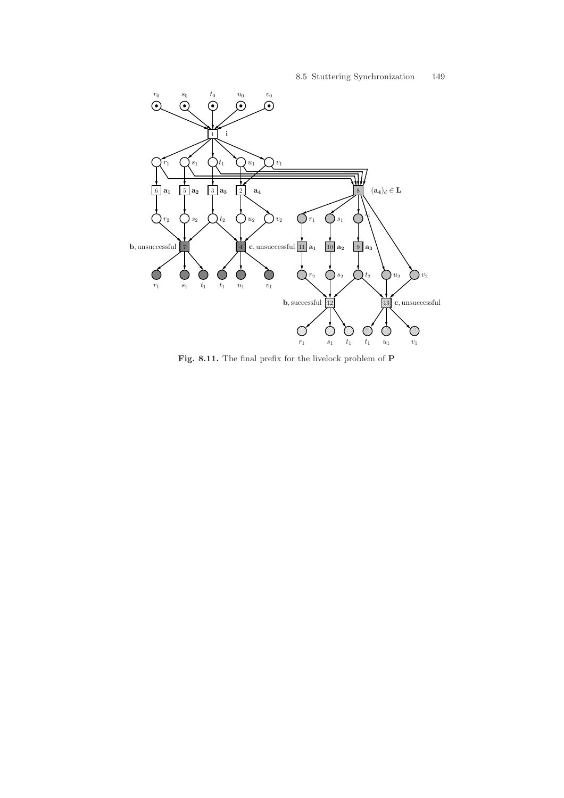

Fig. 8.11. The final prefix for the livelock problem of P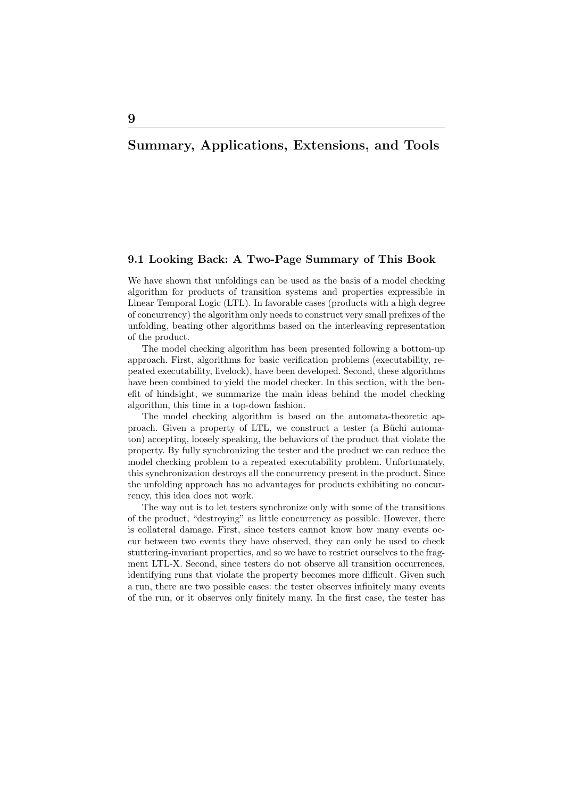## Summary, Applications, Extensions, and Tools

## 9.1 Looking Back: A Two-Page Summary of This Book

We have shown that unfoldings can be used as the basis of a model checking algorithm for products of transition systems and properties expressible in Linear Temporal Logic (LTL). In favorable cases (products with a high degree of concurrency) the algorithm only needs to construct very small prefixes of the unfolding, beating other algorithms based on the interleaving representation of the product.

The model checking algorithm has been presented following a bottom-up approach. First, algorithms for basic verification problems (executability, repeated executability, livelock), have been developed. Second, these algorithms have been combined to yield the model checker. In this section, with the benefit of hindsight, we summarize the main ideas behind the model checking algorithm, this time in a top-down fashion.

The model checking algorithm is based on the automata-theoretic approach. Given a property of LTL, we construct a tester (a Büchi automaton) accepting, loosely speaking, the behaviors of the product that violate the property. By fully synchronizing the tester and the product we can reduce the model checking problem to a repeated executability problem. Unfortunately, this synchronization destroys all the concurrency present in the product. Since the unfolding approach has no advantages for products exhibiting no concurrency, this idea does not work.

The way out is to let testers synchronize only with some of the transitions of the product, "destroying" as little concurrency as possible. However, there is collateral damage. First, since testers cannot know how many events occur between two events they have observed, they can only be used to check stuttering-invariant properties, and so we have to restrict ourselves to the fragment LTL-X. Second, since testers do not observe all transition occurrences, identifying runs that violate the property becomes more difficult. Given such a run, there are two possible cases: the tester observes infinitely many events of the run, or it observes only finitely many. In the first case, the tester has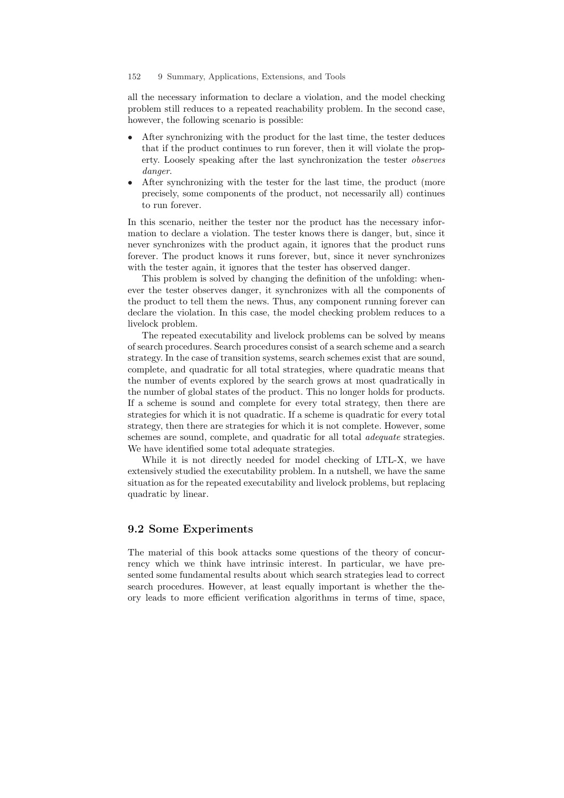## 152 9 Summary, Applications, Extensions, and Tools

all the necessary information to declare a violation, and the model checking problem still reduces to a repeated reachability problem. In the second case, however, the following scenario is possible:

- After synchronizing with the product for the last time, the tester deduces that if the product continues to run forever, then it will violate the property. Loosely speaking after the last synchronization the tester observes danger.
- After synchronizing with the tester for the last time, the product (more precisely, some components of the product, not necessarily all) continues to run forever.

In this scenario, neither the tester nor the product has the necessary information to declare a violation. The tester knows there is danger, but, since it never synchronizes with the product again, it ignores that the product runs forever. The product knows it runs forever, but, since it never synchronizes with the tester again, it ignores that the tester has observed danger.

This problem is solved by changing the definition of the unfolding: whenever the tester observes danger, it synchronizes with all the components of the product to tell them the news. Thus, any component running forever can declare the violation. In this case, the model checking problem reduces to a livelock problem.

The repeated executability and livelock problems can be solved by means of search procedures. Search procedures consist of a search scheme and a search strategy. In the case of transition systems, search schemes exist that are sound, complete, and quadratic for all total strategies, where quadratic means that the number of events explored by the search grows at most quadratically in the number of global states of the product. This no longer holds for products. If a scheme is sound and complete for every total strategy, then there are strategies for which it is not quadratic. If a scheme is quadratic for every total strategy, then there are strategies for which it is not complete. However, some schemes are sound, complete, and quadratic for all total *adequate* strategies. We have identified some total adequate strategies.

While it is not directly needed for model checking of LTL-X, we have extensively studied the executability problem. In a nutshell, we have the same situation as for the repeated executability and livelock problems, but replacing quadratic by linear.

## 9.2 Some Experiments

The material of this book attacks some questions of the theory of concurrency which we think have intrinsic interest. In particular, we have presented some fundamental results about which search strategies lead to correct search procedures. However, at least equally important is whether the theory leads to more efficient verification algorithms in terms of time, space,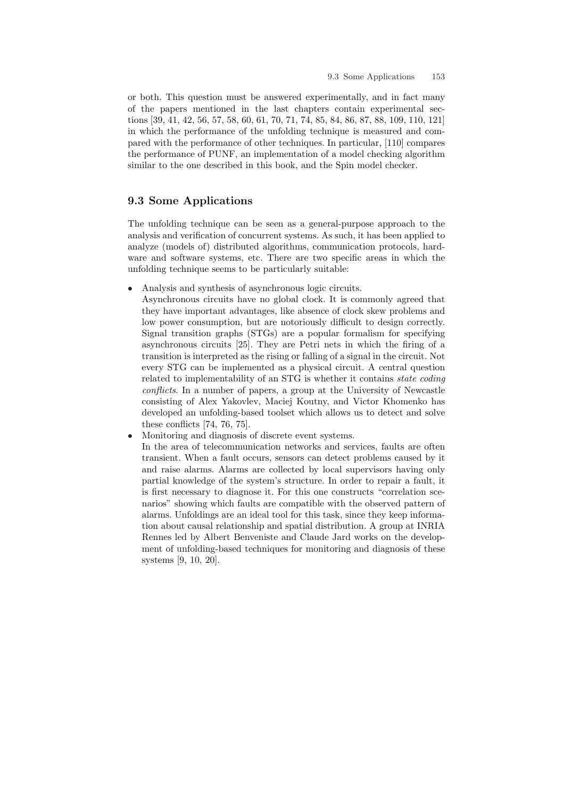or both. This question must be answered experimentally, and in fact many of the papers mentioned in the last chapters contain experimental sections [39, 41, 42, 56, 57, 58, 60, 61, 70, 71, 74, 85, 84, 86, 87, 88, 109, 110, 121] in which the performance of the unfolding technique is measured and compared with the performance of other techniques. In particular, [110] compares the performance of PUNF, an implementation of a model checking algorithm similar to the one described in this book, and the Spin model checker.

## 9.3 Some Applications

The unfolding technique can be seen as a general-purpose approach to the analysis and verification of concurrent systems. As such, it has been applied to analyze (models of) distributed algorithms, communication protocols, hardware and software systems, etc. There are two specific areas in which the unfolding technique seems to be particularly suitable:

- Analysis and synthesis of asynchronous logic circuits.
- Asynchronous circuits have no global clock. It is commonly agreed that they have important advantages, like absence of clock skew problems and low power consumption, but are notoriously difficult to design correctly. Signal transition graphs (STGs) are a popular formalism for specifying asynchronous circuits [25]. They are Petri nets in which the firing of a transition is interpreted as the rising or falling of a signal in the circuit. Not every STG can be implemented as a physical circuit. A central question related to implementability of an STG is whether it contains state coding conflicts. In a number of papers, a group at the University of Newcastle consisting of Alex Yakovlev, Maciej Koutny, and Victor Khomenko has developed an unfolding-based toolset which allows us to detect and solve these conflicts [74, 76, 75].
- Monitoring and diagnosis of discrete event systems.

In the area of telecommunication networks and services, faults are often transient. When a fault occurs, sensors can detect problems caused by it and raise alarms. Alarms are collected by local supervisors having only partial knowledge of the system's structure. In order to repair a fault, it is first necessary to diagnose it. For this one constructs "correlation scenarios" showing which faults are compatible with the observed pattern of alarms. Unfoldings are an ideal tool for this task, since they keep information about causal relationship and spatial distribution. A group at INRIA Rennes led by Albert Benveniste and Claude Jard works on the development of unfolding-based techniques for monitoring and diagnosis of these systems [9, 10, 20].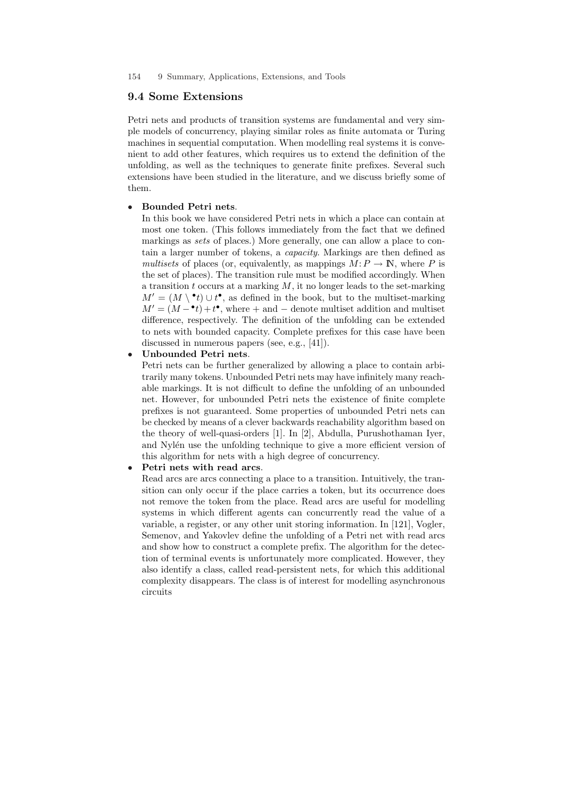154 9 Summary, Applications, Extensions, and Tools

## 9.4 Some Extensions

Petri nets and products of transition systems are fundamental and very simple models of concurrency, playing similar roles as finite automata or Turing machines in sequential computation. When modelling real systems it is convenient to add other features, which requires us to extend the definition of the unfolding, as well as the techniques to generate finite prefixes. Several such extensions have been studied in the literature, and we discuss briefly some of them.

## • Bounded Petri nets.

In this book we have considered Petri nets in which a place can contain at most one token. (This follows immediately from the fact that we defined markings as sets of places.) More generally, one can allow a place to contain a larger number of tokens, a capacity. Markings are then defined as multisets of places (or, equivalently, as mappings  $M: P \to \mathbb{N}$ , where P is the set of places). The transition rule must be modified accordingly. When a transition  $t$  occurs at a marking  $M$ , it no longer leads to the set-marking  $M' = (M \setminus \bullet t) \cup t^{\bullet}$ , as defined in the book, but to the multiset-marking  $M' = (M - \cdot t) + t^{\bullet}$ , where + and – denote multiset addition and multiset difference, respectively. The definition of the unfolding can be extended to nets with bounded capacity. Complete prefixes for this case have been discussed in numerous papers (see, e.g., [41]).

### Unbounded Petri nets.

Petri nets can be further generalized by allowing a place to contain arbitrarily many tokens. Unbounded Petri nets may have infinitely many reachable markings. It is not difficult to define the unfolding of an unbounded net. However, for unbounded Petri nets the existence of finite complete prefixes is not guaranteed. Some properties of unbounded Petri nets can be checked by means of a clever backwards reachability algorithm based on the theory of well-quasi-orders [1]. In [2], Abdulla, Purushothaman Iyer, and Nylén use the unfolding technique to give a more efficient version of this algorithm for nets with a high degree of concurrency.

## Petri nets with read arcs.

Read arcs are arcs connecting a place to a transition. Intuitively, the transition can only occur if the place carries a token, but its occurrence does not remove the token from the place. Read arcs are useful for modelling systems in which different agents can concurrently read the value of a variable, a register, or any other unit storing information. In [121], Vogler, Semenov, and Yakovlev define the unfolding of a Petri net with read arcs and show how to construct a complete prefix. The algorithm for the detection of terminal events is unfortunately more complicated. However, they also identify a class, called read-persistent nets, for which this additional complexity disappears. The class is of interest for modelling asynchronous circuits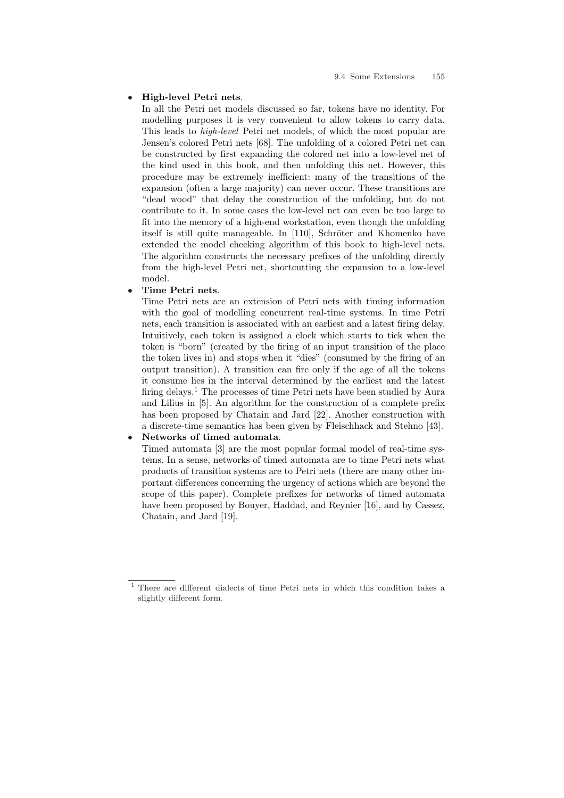## • High-level Petri nets.

In all the Petri net models discussed so far, tokens have no identity. For modelling purposes it is very convenient to allow tokens to carry data. This leads to high-level Petri net models, of which the most popular are Jensen's colored Petri nets [68]. The unfolding of a colored Petri net can be constructed by first expanding the colored net into a low-level net of the kind used in this book, and then unfolding this net. However, this procedure may be extremely inefficient: many of the transitions of the expansion (often a large majority) can never occur. These transitions are "dead wood" that delay the construction of the unfolding, but do not contribute to it. In some cases the low-level net can even be too large to fit into the memory of a high-end workstation, even though the unfolding itself is still quite manageable. In [110], Schröter and Khomenko have extended the model checking algorithm of this book to high-level nets. The algorithm constructs the necessary prefixes of the unfolding directly from the high-level Petri net, shortcutting the expansion to a low-level model.

### Time Petri nets.

Time Petri nets are an extension of Petri nets with timing information with the goal of modelling concurrent real-time systems. In time Petri nets, each transition is associated with an earliest and a latest firing delay. Intuitively, each token is assigned a clock which starts to tick when the token is "born" (created by the firing of an input transition of the place the token lives in) and stops when it "dies" (consumed by the firing of an output transition). A transition can fire only if the age of all the tokens it consume lies in the interval determined by the earliest and the latest firing delays.<sup>1</sup> The processes of time Petri nets have been studied by Aura and Lilius in [5]. An algorithm for the construction of a complete prefix has been proposed by Chatain and Jard [22]. Another construction with a discrete-time semantics has been given by Fleischhack and Stehno [43].

## • Networks of timed automata.

Timed automata [3] are the most popular formal model of real-time systems. In a sense, networks of timed automata are to time Petri nets what products of transition systems are to Petri nets (there are many other important differences concerning the urgency of actions which are beyond the scope of this paper). Complete prefixes for networks of timed automata have been proposed by Bouyer, Haddad, and Reynier [16], and by Cassez. Chatain, and Jard [19].

<sup>1</sup> There are different dialects of time Petri nets in which this condition takes a slightly different form.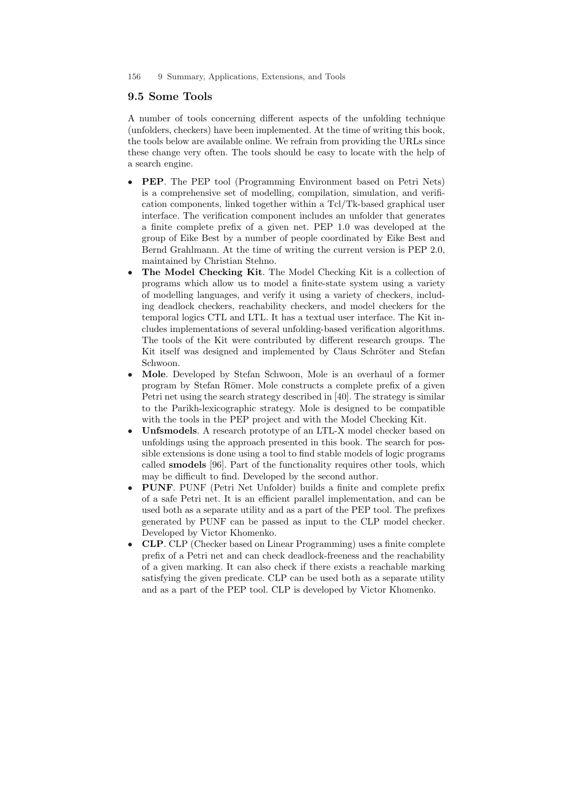156 9 Summary, Applications, Extensions, and Tools

## 9.5 Some Tools

A number of tools concerning different aspects of the unfolding technique (unfolders, checkers) have been implemented. At the time of writing this book, the tools below are available online. We refrain from providing the URLs since these change very often. The tools should be easy to locate with the help of a search engine.

- PEP. The PEP tool (Programming Environment based on Petri Nets) is a comprehensive set of modelling, compilation, simulation, and verification components, linked together within a Tcl/Tk-based graphical user interface. The verification component includes an unfolder that generates a finite complete prefix of a given net. PEP 1.0 was developed at the group of Eike Best by a number of people coordinated by Eike Best and Bernd Grahlmann. At the time of writing the current version is PEP 2.0, maintained by Christian Stehno.
- The Model Checking Kit. The Model Checking Kit is a collection of programs which allow us to model a finite-state system using a variety of modelling languages, and verify it using a variety of checkers, including deadlock checkers, reachability checkers, and model checkers for the temporal logics CTL and LTL. It has a textual user interface. The Kit includes implementations of several unfolding-based verification algorithms. The tools of the Kit were contributed by different research groups. The Kit itself was designed and implemented by Claus Schröter and Stefan Schwoon.
- Mole. Developed by Stefan Schwoon, Mole is an overhaul of a former program by Stefan Römer. Mole constructs a complete prefix of a given Petri net using the search strategy described in [40]. The strategy is similar to the Parikh-lexicographic strategy. Mole is designed to be compatible with the tools in the PEP project and with the Model Checking Kit.
- Unfsmodels. A research prototype of an LTL-X model checker based on unfoldings using the approach presented in this book. The search for possible extensions is done using a tool to find stable models of logic programs called smodels [96]. Part of the functionality requires other tools, which may be difficult to find. Developed by the second author.
- PUNF. PUNF (Petri Net Unfolder) builds a finite and complete prefix of a safe Petri net. It is an efficient parallel implementation, and can be used both as a separate utility and as a part of the PEP tool. The prefixes generated by PUNF can be passed as input to the CLP model checker. Developed by Victor Khomenko.
- CLP. CLP (Checker based on Linear Programming) uses a finite complete prefix of a Petri net and can check deadlock-freeness and the reachability of a given marking. It can also check if there exists a reachable marking satisfying the given predicate. CLP can be used both as a separate utility and as a part of the PEP tool. CLP is developed by Victor Khomenko.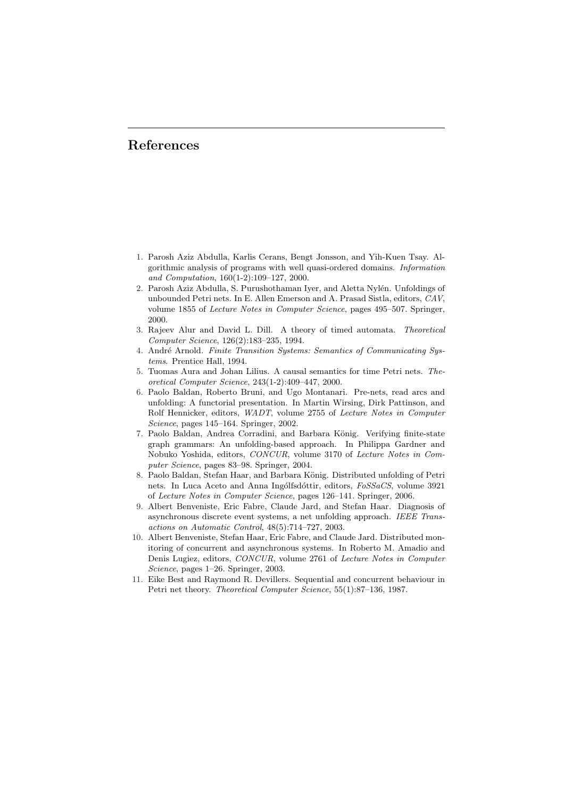# References

- 1. Parosh Aziz Abdulla, Karlis Cerans, Bengt Jonsson, and Yih-Kuen Tsay. Algorithmic analysis of programs with well quasi-ordered domains. Information and Computation, 160(1-2):109–127, 2000.
- 2. Parosh Aziz Abdulla, S. Purushothaman Iyer, and Aletta Nylén. Unfoldings of unbounded Petri nets. In E. Allen Emerson and A. Prasad Sistla, editors, CAV, volume 1855 of *Lecture Notes in Computer Science*, pages 495–507. Springer, 2000.
- 3. Rajeev Alur and David L. Dill. A theory of timed automata. Theoretical Computer Science, 126(2):183–235, 1994.
- 4. André Arnold. Finite Transition Systems: Semantics of Communicating Systems. Prentice Hall, 1994.
- 5. Tuomas Aura and Johan Lilius. A causal semantics for time Petri nets. Theoretical Computer Science, 243(1-2):409–447, 2000.
- 6. Paolo Baldan, Roberto Bruni, and Ugo Montanari. Pre-nets, read arcs and unfolding: A functorial presentation. In Martin Wirsing, Dirk Pattinson, and Rolf Hennicker, editors, WADT, volume 2755 of Lecture Notes in Computer Science, pages 145–164. Springer, 2002.
- 7. Paolo Baldan, Andrea Corradini, and Barbara König. Verifying finite-state graph grammars: An unfolding-based approach. In Philippa Gardner and Nobuko Yoshida, editors, CONCUR, volume 3170 of Lecture Notes in Computer Science, pages 83–98. Springer, 2004.
- 8. Paolo Baldan, Stefan Haar, and Barbara König. Distributed unfolding of Petri nets. In Luca Aceto and Anna Ingólfsdóttir, editors, FoSSaCS, volume 3921 of Lecture Notes in Computer Science, pages 126–141. Springer, 2006.
- 9. Albert Benveniste, Eric Fabre, Claude Jard, and Stefan Haar. Diagnosis of asynchronous discrete event systems, a net unfolding approach. IEEE Transactions on Automatic Control, 48(5):714–727, 2003.
- 10. Albert Benveniste, Stefan Haar, Eric Fabre, and Claude Jard. Distributed monitoring of concurrent and asynchronous systems. In Roberto M. Amadio and Denis Lugiez, editors, CONCUR, volume 2761 of Lecture Notes in Computer Science, pages 1–26. Springer, 2003.
- 11. Eike Best and Raymond R. Devillers. Sequential and concurrent behaviour in Petri net theory. Theoretical Computer Science, 55(1):87-136, 1987.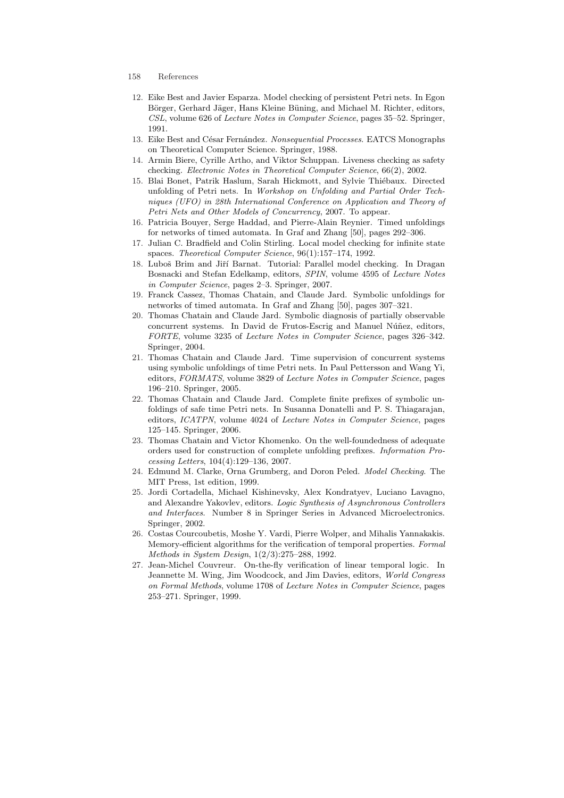- 158 References
- 12. Eike Best and Javier Esparza. Model checking of persistent Petri nets. In Egon Börger, Gerhard Jäger, Hans Kleine Büning, and Michael M. Richter, editors, CSL, volume 626 of Lecture Notes in Computer Science, pages 35–52. Springer, 1991.
- 13. Eike Best and César Fernández. Nonsequential Processes. EATCS Monographs on Theoretical Computer Science. Springer, 1988.
- 14. Armin Biere, Cyrille Artho, and Viktor Schuppan. Liveness checking as safety checking. Electronic Notes in Theoretical Computer Science, 66(2), 2002.
- 15. Blai Bonet, Patrik Haslum, Sarah Hickmott, and Sylvie Thiébaux. Directed unfolding of Petri nets. In Workshop on Unfolding and Partial Order Techniques (UFO) in 28th International Conference on Application and Theory of Petri Nets and Other Models of Concurrency, 2007. To appear.
- 16. Patricia Bouyer, Serge Haddad, and Pierre-Alain Reynier. Timed unfoldings for networks of timed automata. In Graf and Zhang [50], pages 292–306.
- 17. Julian C. Bradfield and Colin Stirling. Local model checking for infinite state spaces. Theoretical Computer Science, 96(1):157–174, 1992.
- 18. Luboš Brim and Jiří Barnat. Tutorial: Parallel model checking. In Dragan Bosnacki and Stefan Edelkamp, editors, SPIN, volume 4595 of Lecture Notes in Computer Science, pages 2–3. Springer, 2007.
- 19. Franck Cassez, Thomas Chatain, and Claude Jard. Symbolic unfoldings for networks of timed automata. In Graf and Zhang [50], pages 307–321.
- 20. Thomas Chatain and Claude Jard. Symbolic diagnosis of partially observable concurrent systems. In David de Frutos-Escrig and Manuel Núñez, editors, FORTE, volume 3235 of Lecture Notes in Computer Science, pages 326–342. Springer, 2004.
- 21. Thomas Chatain and Claude Jard. Time supervision of concurrent systems using symbolic unfoldings of time Petri nets. In Paul Pettersson and Wang Yi, editors, FORMATS, volume 3829 of Lecture Notes in Computer Science, pages 196–210. Springer, 2005.
- 22. Thomas Chatain and Claude Jard. Complete finite prefixes of symbolic unfoldings of safe time Petri nets. In Susanna Donatelli and P. S. Thiagarajan, editors, ICATPN, volume 4024 of Lecture Notes in Computer Science, pages 125–145. Springer, 2006.
- 23. Thomas Chatain and Victor Khomenko. On the well-foundedness of adequate orders used for construction of complete unfolding prefixes. Information Processing Letters, 104(4):129–136, 2007.
- 24. Edmund M. Clarke, Orna Grumberg, and Doron Peled. Model Checking. The MIT Press, 1st edition, 1999.
- 25. Jordi Cortadella, Michael Kishinevsky, Alex Kondratyev, Luciano Lavagno, and Alexandre Yakovlev, editors. Logic Synthesis of Asynchronous Controllers and Interfaces. Number 8 in Springer Series in Advanced Microelectronics. Springer, 2002.
- 26. Costas Courcoubetis, Moshe Y. Vardi, Pierre Wolper, and Mihalis Yannakakis. Memory-efficient algorithms for the verification of temporal properties. Formal Methods in System Design, 1(2/3):275–288, 1992.
- 27. Jean-Michel Couvreur. On-the-fly verification of linear temporal logic. In Jeannette M. Wing, Jim Woodcock, and Jim Davies, editors, World Congress on Formal Methods, volume 1708 of Lecture Notes in Computer Science, pages 253–271. Springer, 1999.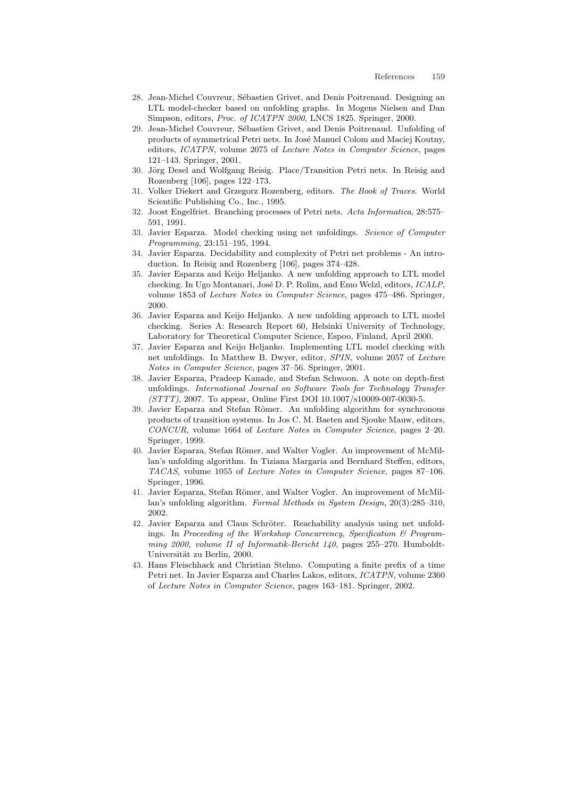- 28. Jean-Michel Couvreur, Sébastien Grivet, and Denis Poitrenaud. Designing an LTL model-checker based on unfolding graphs. In Mogens Nielsen and Dan Simpson, editors, Proc. of ICATPN 2000, LNCS 1825. Springer, 2000.
- 29. Jean-Michel Couvreur, Sébastien Grivet, and Denis Poitrenaud. Unfolding of products of symmetrical Petri nets. In José Manuel Colom and Maciej Koutny, editors, ICATPN, volume 2075 of Lecture Notes in Computer Science, pages 121–143. Springer, 2001.
- 30. Jörg Desel and Wolfgang Reisig. Place/Transition Petri nets. In Reisig and Rozenberg [106], pages 122–173.
- 31. Volker Diekert and Grzegorz Rozenberg, editors. The Book of Traces. World Scientific Publishing Co., Inc., 1995.
- 32. Joost Engelfriet. Branching processes of Petri nets. Acta Informatica, 28:575– 591, 1991.
- 33. Javier Esparza. Model checking using net unfoldings. Science of Computer Programming, 23:151–195, 1994.
- 34. Javier Esparza. Decidability and complexity of Petri net problems An introduction. In Reisig and Rozenberg [106], pages 374–428.
- 35. Javier Esparza and Keijo Heljanko. A new unfolding approach to LTL model checking. In Ugo Montanari, José D. P. Rolim, and Emo Welzl, editors, *ICALP*, volume 1853 of Lecture Notes in Computer Science, pages 475–486. Springer, 2000.
- 36. Javier Esparza and Keijo Heljanko. A new unfolding approach to LTL model checking. Series A: Research Report 60, Helsinki University of Technology, Laboratory for Theoretical Computer Science, Espoo, Finland, April 2000.
- 37. Javier Esparza and Keijo Heljanko. Implementing LTL model checking with net unfoldings. In Matthew B. Dwyer, editor, SPIN, volume 2057 of Lecture Notes in Computer Science, pages 37–56. Springer, 2001.
- 38. Javier Esparza, Pradeep Kanade, and Stefan Schwoon. A note on depth-first unfoldings. International Journal on Software Tools for Technology Transfer  $(STTT$ , 2007. To appear, Online First DOI  $10.1007/s10009-007-0030-5$ .
- 39. Javier Esparza and Stefan Römer. An unfolding algorithm for synchronous products of transition systems. In Jos C. M. Baeten and Sjouke Mauw, editors, CONCUR, volume 1664 of Lecture Notes in Computer Science, pages 2–20. Springer, 1999.
- 40. Javier Esparza, Stefan Römer, and Walter Vogler. An improvement of McMillan's unfolding algorithm. In Tiziana Margaria and Bernhard Steffen, editors, TACAS, volume 1055 of Lecture Notes in Computer Science, pages 87–106. Springer, 1996.
- 41. Javier Esparza, Stefan Römer, and Walter Vogler. An improvement of McMillan's unfolding algorithm. Formal Methods in System Design, 20(3):285–310, 2002.
- 42. Javier Esparza and Claus Schröter. Reachability analysis using net unfoldings. In Proceeding of the Workshop Concurrency, Specification & Programming 2000, volume II of Informatik-Bericht 140, pages 255–270. Humboldt-Universität zu Berlin, 2000.
- 43. Hans Fleischhack and Christian Stehno. Computing a finite prefix of a time Petri net. In Javier Esparza and Charles Lakos, editors, ICATPN, volume 2360 of Lecture Notes in Computer Science, pages 163–181. Springer, 2002.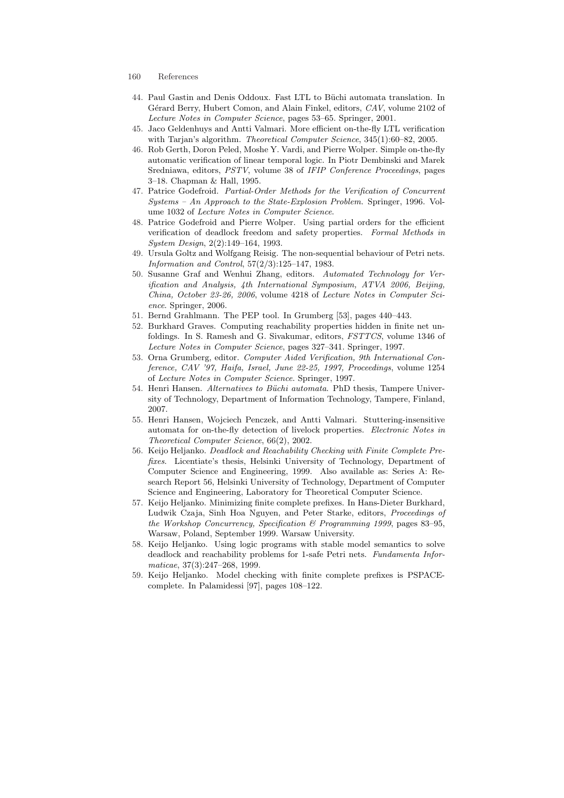- 160 References
- 44. Paul Gastin and Denis Oddoux. Fast LTL to Büchi automata translation. In Gérard Berry, Hubert Comon, and Alain Finkel, editors, CAV, volume 2102 of Lecture Notes in Computer Science, pages 53–65. Springer, 2001.
- 45. Jaco Geldenhuys and Antti Valmari. More efficient on-the-fly LTL verification with Tarjan's algorithm. Theoretical Computer Science, 345(1):60-82, 2005.
- 46. Rob Gerth, Doron Peled, Moshe Y. Vardi, and Pierre Wolper. Simple on-the-fly automatic verification of linear temporal logic. In Piotr Dembinski and Marek Sredniawa, editors, PSTV, volume 38 of IFIP Conference Proceedings, pages 3–18. Chapman & Hall, 1995.
- 47. Patrice Godefroid. Partial-Order Methods for the Verification of Concurrent Systems – An Approach to the State-Explosion Problem. Springer, 1996. Volume 1032 of Lecture Notes in Computer Science.
- 48. Patrice Godefroid and Pierre Wolper. Using partial orders for the efficient verification of deadlock freedom and safety properties. Formal Methods in System Design, 2(2):149–164, 1993.
- 49. Ursula Goltz and Wolfgang Reisig. The non-sequential behaviour of Petri nets. Information and Control, 57(2/3):125–147, 1983.
- 50. Susanne Graf and Wenhui Zhang, editors. Automated Technology for Verification and Analysis, 4th International Symposium, ATVA 2006, Beijing, China, October 23-26, 2006, volume 4218 of Lecture Notes in Computer Science. Springer, 2006.
- 51. Bernd Grahlmann. The PEP tool. In Grumberg [53], pages 440–443.
- 52. Burkhard Graves. Computing reachability properties hidden in finite net unfoldings. In S. Ramesh and G. Sivakumar, editors, FSTTCS, volume 1346 of Lecture Notes in Computer Science, pages 327–341. Springer, 1997.
- 53. Orna Grumberg, editor. Computer Aided Verification, 9th International Conference, CAV '97, Haifa, Israel, June 22-25, 1997, Proceedings, volume 1254 of Lecture Notes in Computer Science. Springer, 1997.
- 54. Henri Hansen. Alternatives to Büchi automata. PhD thesis, Tampere University of Technology, Department of Information Technology, Tampere, Finland, 2007.
- 55. Henri Hansen, Wojciech Penczek, and Antti Valmari. Stuttering-insensitive automata for on-the-fly detection of livelock properties. Electronic Notes in Theoretical Computer Science, 66(2), 2002.
- 56. Keijo Heljanko. Deadlock and Reachability Checking with Finite Complete Prefixes. Licentiate's thesis, Helsinki University of Technology, Department of Computer Science and Engineering, 1999. Also available as: Series A: Research Report 56, Helsinki University of Technology, Department of Computer Science and Engineering, Laboratory for Theoretical Computer Science.
- 57. Keijo Heljanko. Minimizing finite complete prefixes. In Hans-Dieter Burkhard, Ludwik Czaja, Sinh Hoa Nguyen, and Peter Starke, editors, Proceedings of the Workshop Concurrency, Specification & Programming 1999, pages 83–95, Warsaw, Poland, September 1999. Warsaw University.
- 58. Keijo Heljanko. Using logic programs with stable model semantics to solve deadlock and reachability problems for 1-safe Petri nets. Fundamenta Informaticae, 37(3):247–268, 1999.
- 59. Keijo Heljanko. Model checking with finite complete prefixes is PSPACEcomplete. In Palamidessi [97], pages 108–122.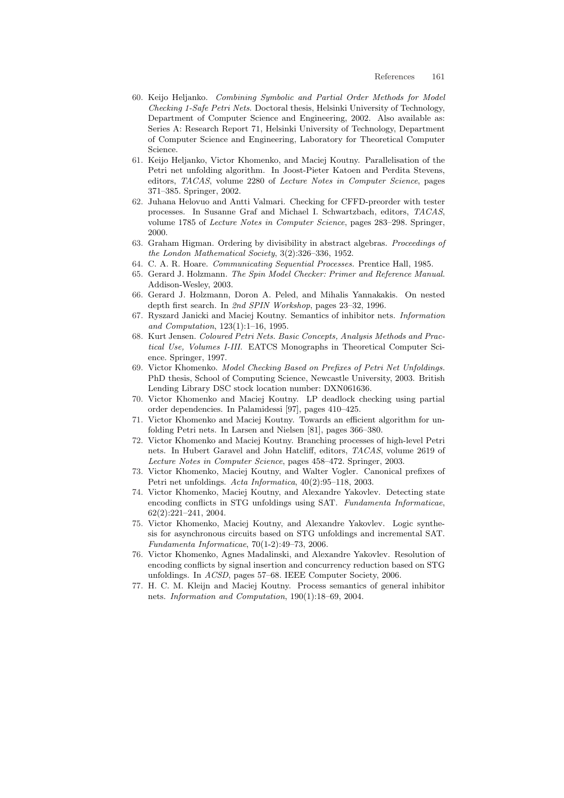- 60. Keijo Heljanko. Combining Symbolic and Partial Order Methods for Model Checking 1-Safe Petri Nets. Doctoral thesis, Helsinki University of Technology, Department of Computer Science and Engineering, 2002. Also available as: Series A: Research Report 71, Helsinki University of Technology, Department of Computer Science and Engineering, Laboratory for Theoretical Computer Science.
- 61. Keijo Heljanko, Victor Khomenko, and Maciej Koutny. Parallelisation of the Petri net unfolding algorithm. In Joost-Pieter Katoen and Perdita Stevens, editors, TACAS, volume 2280 of Lecture Notes in Computer Science, pages 371–385. Springer, 2002.
- 62. Juhana Helovuo and Antti Valmari. Checking for CFFD-preorder with tester processes. In Susanne Graf and Michael I. Schwartzbach, editors, TACAS, volume 1785 of Lecture Notes in Computer Science, pages 283–298. Springer, 2000.
- 63. Graham Higman. Ordering by divisibility in abstract algebras. Proceedings of the London Mathematical Society, 3(2):326–336, 1952.
- 64. C. A. R. Hoare. Communicating Sequential Processes. Prentice Hall, 1985.
- 65. Gerard J. Holzmann. The Spin Model Checker: Primer and Reference Manual. Addison-Wesley, 2003.
- 66. Gerard J. Holzmann, Doron A. Peled, and Mihalis Yannakakis. On nested depth first search. In 2nd SPIN Workshop, pages 23–32, 1996.
- 67. Ryszard Janicki and Maciej Koutny. Semantics of inhibitor nets. Information and Computation, 123(1):1–16, 1995.
- 68. Kurt Jensen. Coloured Petri Nets. Basic Concepts, Analysis Methods and Practical Use, Volumes I-III. EATCS Monographs in Theoretical Computer Science. Springer, 1997.
- 69. Victor Khomenko. Model Checking Based on Prefixes of Petri Net Unfoldings. PhD thesis, School of Computing Science, Newcastle University, 2003. British Lending Library DSC stock location number: DXN061636.
- 70. Victor Khomenko and Maciej Koutny. LP deadlock checking using partial order dependencies. In Palamidessi [97], pages 410–425.
- 71. Victor Khomenko and Maciej Koutny. Towards an efficient algorithm for unfolding Petri nets. In Larsen and Nielsen [81], pages 366–380.
- 72. Victor Khomenko and Maciej Koutny. Branching processes of high-level Petri nets. In Hubert Garavel and John Hatcliff, editors, TACAS, volume 2619 of Lecture Notes in Computer Science, pages 458–472. Springer, 2003.
- 73. Victor Khomenko, Maciej Koutny, and Walter Vogler. Canonical prefixes of Petri net unfoldings. Acta Informatica, 40(2):95–118, 2003.
- 74. Victor Khomenko, Maciej Koutny, and Alexandre Yakovlev. Detecting state encoding conflicts in STG unfoldings using SAT. Fundamenta Informaticae, 62(2):221–241, 2004.
- 75. Victor Khomenko, Maciej Koutny, and Alexandre Yakovlev. Logic synthesis for asynchronous circuits based on STG unfoldings and incremental SAT. Fundamenta Informaticae, 70(1-2):49–73, 2006.
- 76. Victor Khomenko, Agnes Madalinski, and Alexandre Yakovlev. Resolution of encoding conflicts by signal insertion and concurrency reduction based on STG unfoldings. In ACSD, pages 57–68. IEEE Computer Society, 2006.
- 77. H. C. M. Kleijn and Maciej Koutny. Process semantics of general inhibitor nets. Information and Computation, 190(1):18–69, 2004.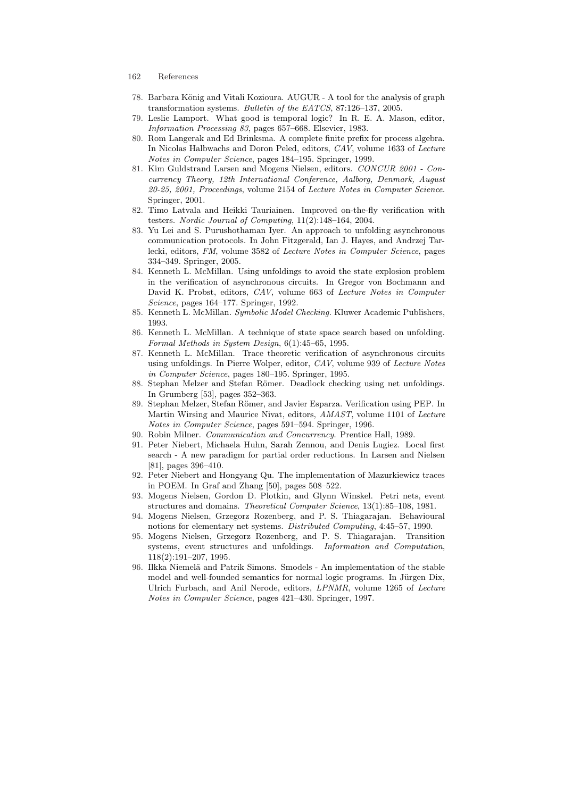- 162 References
- 78. Barbara König and Vitali Kozioura. AUGUR A tool for the analysis of graph transformation systems. Bulletin of the EATCS, 87:126–137, 2005.
- 79. Leslie Lamport. What good is temporal logic? In R. E. A. Mason, editor, Information Processing 83, pages 657–668. Elsevier, 1983.
- 80. Rom Langerak and Ed Brinksma. A complete finite prefix for process algebra. In Nicolas Halbwachs and Doron Peled, editors, CAV, volume 1633 of Lecture Notes in Computer Science, pages 184–195. Springer, 1999.
- 81. Kim Guldstrand Larsen and Mogens Nielsen, editors. CONCUR 2001 Concurrency Theory, 12th International Conference, Aalborg, Denmark, August 20-25, 2001, Proceedings, volume 2154 of Lecture Notes in Computer Science. Springer, 2001.
- 82. Timo Latvala and Heikki Tauriainen. Improved on-the-fly verification with testers. Nordic Journal of Computing, 11(2):148–164, 2004.
- 83. Yu Lei and S. Purushothaman Iyer. An approach to unfolding asynchronous communication protocols. In John Fitzgerald, Ian J. Hayes, and Andrzej Tarlecki, editors, FM, volume 3582 of Lecture Notes in Computer Science, pages 334–349. Springer, 2005.
- 84. Kenneth L. McMillan. Using unfoldings to avoid the state explosion problem in the verification of asynchronous circuits. In Gregor von Bochmann and David K. Probst, editors, CAV, volume 663 of Lecture Notes in Computer Science, pages 164–177. Springer, 1992.
- 85. Kenneth L. McMillan. Symbolic Model Checking. Kluwer Academic Publishers, 1993.
- 86. Kenneth L. McMillan. A technique of state space search based on unfolding. Formal Methods in System Design, 6(1):45–65, 1995.
- 87. Kenneth L. McMillan. Trace theoretic verification of asynchronous circuits using unfoldings. In Pierre Wolper, editor, CAV, volume 939 of Lecture Notes in Computer Science, pages 180–195. Springer, 1995.
- 88. Stephan Melzer and Stefan Römer. Deadlock checking using net unfoldings. In Grumberg [53], pages 352–363.
- 89. Stephan Melzer, Stefan Römer, and Javier Esparza. Verification using PEP. In Martin Wirsing and Maurice Nivat, editors, AMAST, volume 1101 of Lecture Notes in Computer Science, pages 591–594. Springer, 1996.
- 90. Robin Milner. Communication and Concurrency. Prentice Hall, 1989.
- 91. Peter Niebert, Michaela Huhn, Sarah Zennou, and Denis Lugiez. Local first search - A new paradigm for partial order reductions. In Larsen and Nielsen [81], pages 396–410.
- 92. Peter Niebert and Hongyang Qu. The implementation of Mazurkiewicz traces in POEM. In Graf and Zhang [50], pages 508–522.
- 93. Mogens Nielsen, Gordon D. Plotkin, and Glynn Winskel. Petri nets, event structures and domains. Theoretical Computer Science, 13(1):85–108, 1981.
- 94. Mogens Nielsen, Grzegorz Rozenberg, and P. S. Thiagarajan. Behavioural notions for elementary net systems. Distributed Computing, 4:45–57, 1990.
- 95. Mogens Nielsen, Grzegorz Rozenberg, and P. S. Thiagarajan. Transition systems, event structures and unfoldings. Information and Computation, 118(2):191–207, 1995.
- 96. Ilkka Niemelä and Patrik Simons. Smodels An implementation of the stable model and well-founded semantics for normal logic programs. In Jürgen Dix, Ulrich Furbach, and Anil Nerode, editors, LPNMR, volume 1265 of Lecture Notes in Computer Science, pages 421–430. Springer, 1997.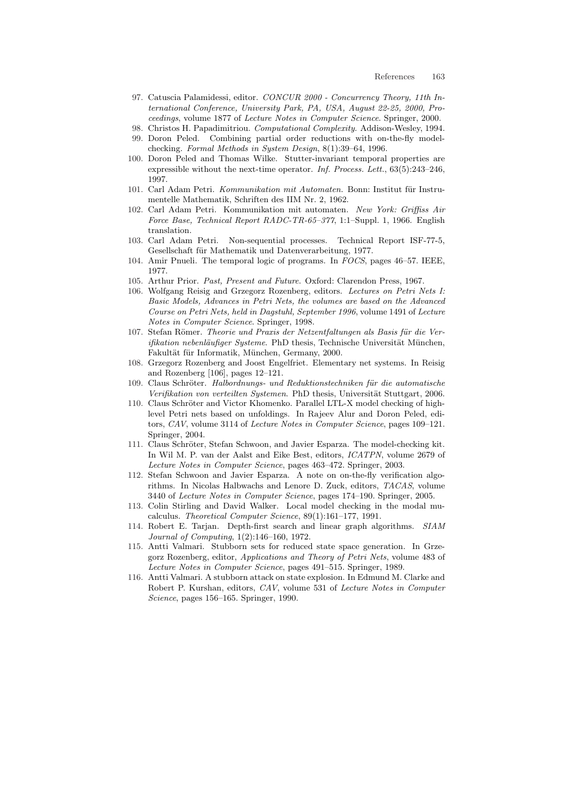- 97. Catuscia Palamidessi, editor. CONCUR 2000 Concurrency Theory, 11th International Conference, University Park, PA, USA, August 22-25, 2000, Proceedings, volume 1877 of Lecture Notes in Computer Science. Springer, 2000.
- 98. Christos H. Papadimitriou. Computational Complexity. Addison-Wesley, 1994. 99. Doron Peled. Combining partial order reductions with on-the-fly modelchecking. Formal Methods in System Design, 8(1):39–64, 1996.
- 100. Doron Peled and Thomas Wilke. Stutter-invariant temporal properties are expressible without the next-time operator. Inf. Process. Lett., 63(5):243–246, 1997.
- 101. Carl Adam Petri. Kommunikation mit Automaten. Bonn: Institut für Instrumentelle Mathematik, Schriften des IIM Nr. 2, 1962.
- 102. Carl Adam Petri. Kommunikation mit automaten. New York: Griffiss Air Force Base, Technical Report RADC-TR-65–377, 1:1–Suppl. 1, 1966. English translation.
- 103. Carl Adam Petri. Non-sequential processes. Technical Report ISF-77-5, Gesellschaft für Mathematik und Datenverarbeitung, 1977.
- 104. Amir Pnueli. The temporal logic of programs. In FOCS, pages 46–57. IEEE, 1977.
- 105. Arthur Prior. Past, Present and Future. Oxford: Clarendon Press, 1967.
- 106. Wolfgang Reisig and Grzegorz Rozenberg, editors. Lectures on Petri Nets I: Basic Models, Advances in Petri Nets, the volumes are based on the Advanced Course on Petri Nets, held in Dagstuhl, September 1996, volume 1491 of Lecture Notes in Computer Science. Springer, 1998.
- 107. Stefan Römer. Theorie und Praxis der Netzentfaltungen als Basis für die Verifikation nebenläufiger Systeme. PhD thesis, Technische Universität München, Fakultät für Informatik, München, Germany, 2000.
- 108. Grzegorz Rozenberg and Joost Engelfriet. Elementary net systems. In Reisig and Rozenberg [106], pages 12–121.
- 109. Claus Schröter. Halbordnungs- und Reduktionstechniken für die automatische Verifikation von verteilten Systemen. PhD thesis, Universität Stuttgart, 2006.
- 110. Claus Schröter and Victor Khomenko. Parallel LTL-X model checking of highlevel Petri nets based on unfoldings. In Rajeev Alur and Doron Peled, editors, CAV, volume 3114 of Lecture Notes in Computer Science, pages 109–121. Springer, 2004.
- 111. Claus Schröter, Stefan Schwoon, and Javier Esparza. The model-checking kit. In Wil M. P. van der Aalst and Eike Best, editors, ICATPN, volume 2679 of Lecture Notes in Computer Science, pages 463–472. Springer, 2003.
- 112. Stefan Schwoon and Javier Esparza. A note on on-the-fly verification algorithms. In Nicolas Halbwachs and Lenore D. Zuck, editors, TACAS, volume 3440 of Lecture Notes in Computer Science, pages 174–190. Springer, 2005.
- 113. Colin Stirling and David Walker. Local model checking in the modal mucalculus. Theoretical Computer Science, 89(1):161–177, 1991.
- 114. Robert E. Tarjan. Depth-first search and linear graph algorithms. SIAM Journal of Computing, 1(2):146–160, 1972.
- 115. Antti Valmari. Stubborn sets for reduced state space generation. In Grzegorz Rozenberg, editor, Applications and Theory of Petri Nets, volume 483 of Lecture Notes in Computer Science, pages 491–515. Springer, 1989.
- 116. Antti Valmari. A stubborn attack on state explosion. In Edmund M. Clarke and Robert P. Kurshan, editors, CAV, volume 531 of Lecture Notes in Computer Science, pages 156–165. Springer, 1990.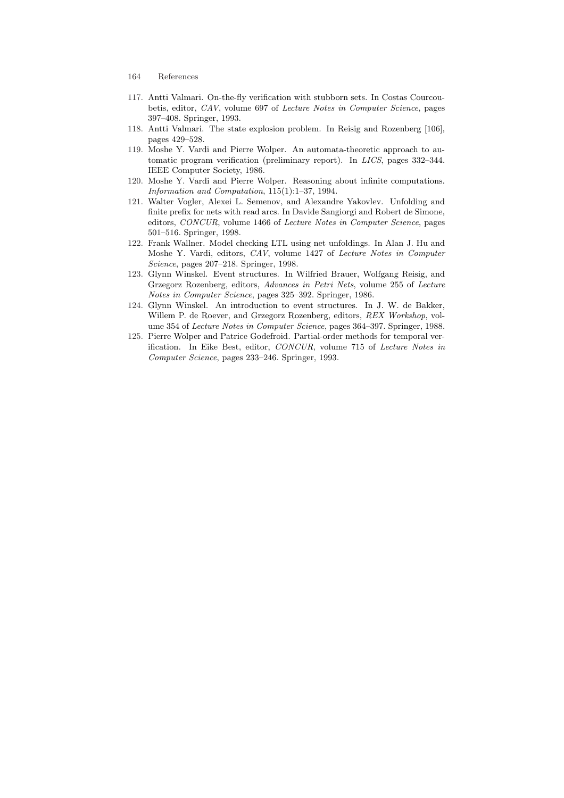- 164 References
- 117. Antti Valmari. On-the-fly verification with stubborn sets. In Costas Courcoubetis, editor, CAV, volume 697 of Lecture Notes in Computer Science, pages 397–408. Springer, 1993.
- 118. Antti Valmari. The state explosion problem. In Reisig and Rozenberg [106], pages 429–528.
- 119. Moshe Y. Vardi and Pierre Wolper. An automata-theoretic approach to automatic program verification (preliminary report). In LICS, pages 332–344. IEEE Computer Society, 1986.
- 120. Moshe Y. Vardi and Pierre Wolper. Reasoning about infinite computations. Information and Computation, 115(1):1–37, 1994.
- 121. Walter Vogler, Alexei L. Semenov, and Alexandre Yakovlev. Unfolding and finite prefix for nets with read arcs. In Davide Sangiorgi and Robert de Simone, editors, CONCUR, volume 1466 of Lecture Notes in Computer Science, pages 501–516. Springer, 1998.
- 122. Frank Wallner. Model checking LTL using net unfoldings. In Alan J. Hu and Moshe Y. Vardi, editors, CAV, volume 1427 of Lecture Notes in Computer Science, pages 207–218. Springer, 1998.
- 123. Glynn Winskel. Event structures. In Wilfried Brauer, Wolfgang Reisig, and Grzegorz Rozenberg, editors, Advances in Petri Nets, volume 255 of Lecture Notes in Computer Science, pages 325–392. Springer, 1986.
- 124. Glynn Winskel. An introduction to event structures. In J. W. de Bakker, Willem P. de Roever, and Grzegorz Rozenberg, editors, REX Workshop, volume 354 of Lecture Notes in Computer Science, pages 364–397. Springer, 1988.
- 125. Pierre Wolper and Patrice Godefroid. Partial-order methods for temporal verification. In Eike Best, editor, CONCUR, volume 715 of Lecture Notes in Computer Science, pages 233–246. Springer, 1993.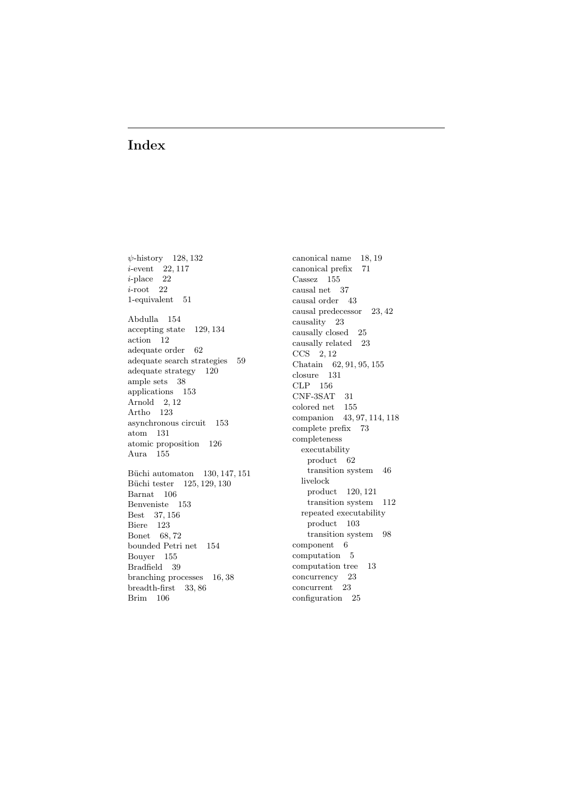# Index

 $\psi$ -history 128, 132 i-event 22, 117 i-place 22  $i$ -root 22 1-equivalent 51 Abdulla 154 accepting state 129, 134 action 12 adequate order 62 adequate search strategies 59 adequate strategy 120 ample sets 38 applications 153 Arnold 2, 12 Artho 123 asynchronous circuit 153 atom 131 atomic proposition 126 Aura 155 Büchi automaton 130, 147, 151 Büchi tester 125, 129, 130 Barnat 106 Benveniste 153 Best 37, 156 Biere 123 Bonet 68, 72 bounded Petri net 154 Bouyer 155 Bradfield 39 branching processes 16, 38 breadth-first 33, 86 Brim 106

canonical name 18, 19 canonical prefix 71 Cassez 155 causal net 37 causal order 43 causal predecessor 23, 42 causality 23 causally closed 25 causally related 23 CCS 2, 12 Chatain 62, 91, 95, 155 closure 131 CLP 156 CNF-3SAT 31 colored net 155 companion 43, 97, 114, 118 complete prefix 73 completeness executability product 62 transition system 46 livelock product 120, 121 transition system 112 repeated executability product 103 transition system 98 component 6 computation 5 computation tree 13 concurrency 23 concurrent 23 configuration 25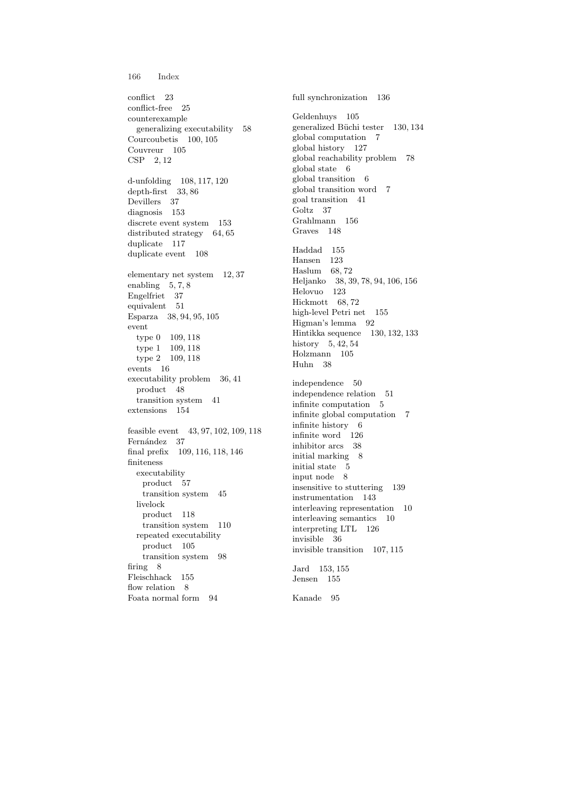166 Index conflict 23 conflict-free 25 counterexample generalizing executability 58 Courcoubetis 100, 105 Couvreur 105 CSP 2, 12 d-unfolding 108, 117, 120 depth-first 33, 86 Devillers 37 diagnosis 153 discrete event system 153 distributed strategy 64, 65 duplicate 117 duplicate event  $\,$  108  $\,$ elementary net system 12, 37 enabling  $5, 7, 8$ Engelfriet 37 equivalent 51 Esparza 38, 94, 95, 105 event type 0 109, 118 type 1 109, 118 type 2 109, 118 events 16 executability problem 36, 41 product 48 transition system 41 extensions 154 feasible event 43, 97, 102, 109, 118 Fernández 37 final prefix 109, 116, 118, 146 finiteness executability product 57 transition system 45 livelock product 118 transition system 110 repeated executability product 105 transition system 98 firing 8 Fleischhack 155 flow relation 8 Foata normal form 94

full synchronization 136 Geldenhuys 105 generalized Büchi tester 130, 134 global computation 7 global history 127 global reachability problem 78 global state 6 global transition 6 global transition word 7 goal transition 41 Goltz 37 Grahlmann 156 Graves 148 Haddad 155 Hansen 123 Haslum 68, 72 Heljanko 38, 39, 78, 94, 106, 156 Helovuo 123 Hickmott 68, 72 high-level Petri net 155 Higman's lemma 92 Hintikka sequence 130, 132, 133 history 5, 42, 54 Holzmann 105 Huhn 38 independence 50 independence relation 51 infinite computation 5 infinite global computation 7 infinite history 6 infinite word 126 inhibitor arcs 38 initial marking 8 initial state 5 input node 8 insensitive to stuttering 139 instrumentation 143 interleaving representation 10 interleaving semantics 10 interpreting LTL 126 invisible 36 invisible transition 107, 115 Jard 153, 155 Jensen 155

Kanade 95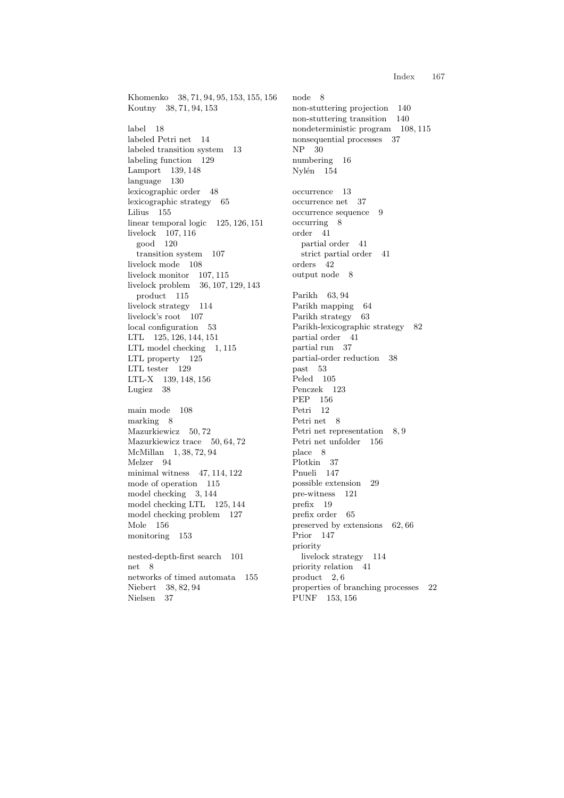Index 167

Khomenko 38, 71, 94, 95, 153, 155, 156 Koutny 38, 71, 94, 153 label 18 labeled Petri net 14 labeled transition system 13 labeling function 129 Lamport 139, 148 language 130 lexicographic order 48 lexicographic strategy 65 Lilius 155 linear temporal logic 125, 126, 151 livelock 107, 116 good 120 transition system 107 livelock mode 108 livelock monitor 107, 115 livelock problem 36, 107, 129, 143 product 115 livelock strategy 114 livelock's root 107 local configuration 53 LTL 125, 126, 144, 151 LTL model checking 1, 115 LTL property 125 LTL tester 129 LTL-X 139, 148, 156 Lugiez 38 main mode 108 marking 8 Mazurkiewicz 50, 72 Mazurkiewicz trace 50, 64, 72 McMillan 1, 38, 72, 94 Melzer 94 minimal witness 47, 114, 122 mode of operation 115 model checking 3, 144 model checking LTL 125, 144 model checking problem 127 Mole 156 monitoring 153 nested-depth-first search 101 net 8 networks of timed automata 155

Niebert 38, 82, 94

Nielsen 37

node 8 non-stuttering projection 140 non-stuttering transition 140 nondeterministic program 108, 115 nonsequential processes 37 NP 30 numbering 16 Nylén 154 occurrence 13 occurrence net 37 occurrence sequence 9 occurring 8 order 41 partial order 41 strict partial order 41 orders 42 output node 8 Parikh 63, 94 Parikh mapping 64 Parikh strategy 63 Parikh-lexicographic strategy 82 partial order 41 partial run 37 partial-order reduction 38 past 53 Peled 105 Penczek 123 PEP 156 Petri 12 Petri net 8 Petri net representation 8, 9 Petri net unfolder 156 place 8 Plotkin 37 Pnueli 147 possible extension 29 pre-witness 121 prefix 19 prefix order 65 preserved by extensions 62, 66 Prior 147 priority livelock strategy 114 priority relation 41 product 2, 6 properties of branching processes 22 PUNF 153, 156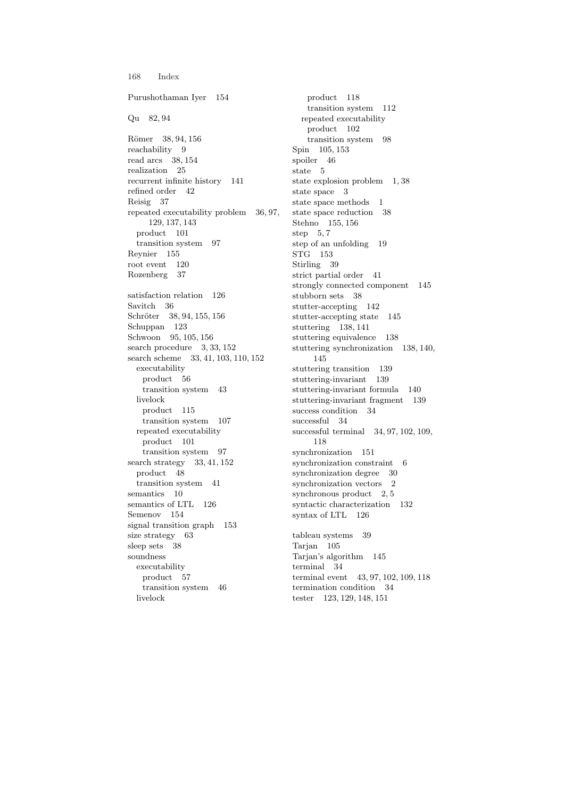Purushothaman Iyer 154 Qu 82, 94 Römer 38, 94, 156 reachability 9 read arcs 38, 154 realization 25 recurrent infinite history 141 refined order 42 Reisig 37 repeated executability problem 36, 97, 129, 137, 143 product 101 transition system 97 Reynier 155 root event 120 Rozenberg 37 satisfaction relation 126 Savitch 36 Schröter 38, 94, 155, 156 Schuppan 123 Schwoon 95, 105, 156 search procedure 3, 33, 152 search scheme 33, 41, 103, 110, 152 executability product 56 transition system 43 livelock product 115 transition system 107 repeated executability product 101 transition system 97 search strategy 33, 41, 152 product 48 transition system 41 semantics 10 semantics of LTL 126 Semenov 154 signal transition graph 153 size strategy 63 sleep sets 38 soundness executability product 57 transition system 46 livelock

168 Index

product 118 transition system 112 repeated executability product 102 transition system 98 Spin 105, 153 spoiler 46 state 5 state explosion problem 1, 38 state space 3 state space methods 1 state space reduction 38 Stehno 155, 156 step 5, 7 step of an unfolding 19 STG 153 Stirling 39 strict partial order 41 strongly connected component 145 stubborn sets 38 stutter-accepting 142 stutter-accepting state 145 stuttering 138, 141 stuttering equivalence 138 stuttering synchronization 138, 140, 145 stuttering transition 139 stuttering-invariant 139 stuttering-invariant formula 140 stuttering-invariant fragment 139 success condition 34 successful 34 successful terminal 34, 97, 102, 109, 118 synchronization 151 synchronization constraint 6 synchronization degree 30 synchronization vectors 2 synchronous product 2, 5 syntactic characterization 132 syntax of LTL 126 tableau systems 39 Tarian 105 Tarjan's algorithm 145 terminal 34 terminal event 43, 97, 102, 109, 118 termination condition 34

tester 123, 129, 148, 151